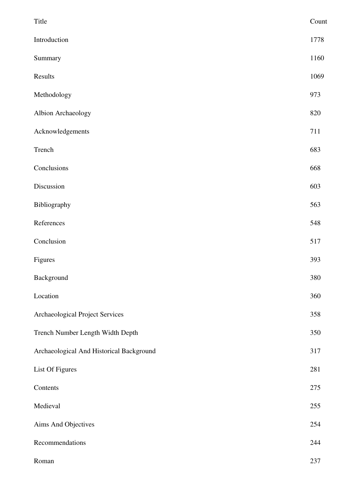| Title                                    | Count |
|------------------------------------------|-------|
| Introduction                             | 1778  |
| Summary                                  | 1160  |
| Results                                  | 1069  |
| Methodology                              | 973   |
| Albion Archaeology                       | 820   |
| Acknowledgements                         | 711   |
| Trench                                   | 683   |
| Conclusions                              | 668   |
| Discussion                               | 603   |
| Bibliography                             | 563   |
| References                               | 548   |
| Conclusion                               | 517   |
| Figures                                  | 393   |
| Background                               | 380   |
| Location                                 | 360   |
| Archaeological Project Services          | 358   |
| Trench Number Length Width Depth         | 350   |
| Archaeological And Historical Background | 317   |
| List Of Figures                          | 281   |
| Contents                                 | 275   |
| Medieval                                 | 255   |
| Aims And Objectives                      | 254   |
| Recommendations                          | 244   |
| Roman                                    | 237   |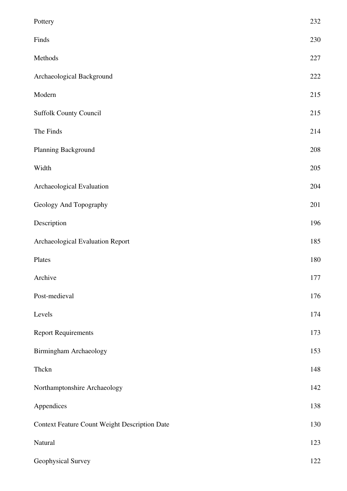| Pottery                                              | 232 |
|------------------------------------------------------|-----|
| Finds                                                | 230 |
| Methods                                              | 227 |
| Archaeological Background                            | 222 |
| Modern                                               | 215 |
| <b>Suffolk County Council</b>                        | 215 |
| The Finds                                            | 214 |
| Planning Background                                  | 208 |
| Width                                                | 205 |
| Archaeological Evaluation                            | 204 |
| Geology And Topography                               | 201 |
| Description                                          | 196 |
| Archaeological Evaluation Report                     | 185 |
| Plates                                               | 180 |
| Archive                                              | 177 |
| Post-medieval                                        | 176 |
| Levels                                               | 174 |
| <b>Report Requirements</b>                           | 173 |
| <b>Birmingham Archaeology</b>                        | 153 |
| Thckn                                                | 148 |
| Northamptonshire Archaeology                         | 142 |
| Appendices                                           | 138 |
| <b>Context Feature Count Weight Description Date</b> | 130 |
| Natural                                              | 123 |
| Geophysical Survey                                   | 122 |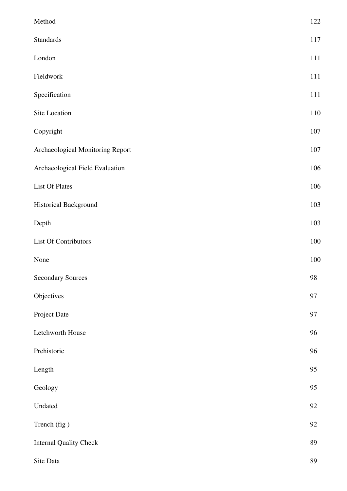| Method                           | 122 |
|----------------------------------|-----|
| Standards                        | 117 |
| London                           | 111 |
| Fieldwork                        | 111 |
| Specification                    | 111 |
| Site Location                    | 110 |
| Copyright                        | 107 |
| Archaeological Monitoring Report | 107 |
| Archaeological Field Evaluation  | 106 |
| <b>List Of Plates</b>            | 106 |
| Historical Background            | 103 |
| Depth                            | 103 |
| List Of Contributors             | 100 |
| None                             | 100 |
| <b>Secondary Sources</b>         | 98  |
| Objectives                       | 97  |
| Project Date                     | 97  |
| Letchworth House                 | 96  |
| Prehistoric                      | 96  |
| Length                           | 95  |
| Geology                          | 95  |
| Undated                          | 92  |
| Trench (fig)                     | 92  |
| <b>Internal Quality Check</b>    | 89  |
| Site Data                        | 89  |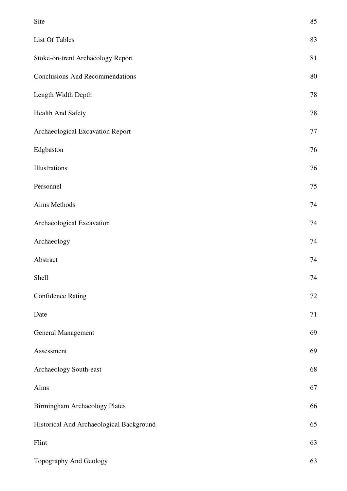| Site                                     | 85     |
|------------------------------------------|--------|
| List Of Tables                           | 83     |
| Stoke-on-trent Archaeology Report        | 81     |
| <b>Conclusions And Recommendations</b>   | 80     |
| Length Width Depth                       | 78     |
| Health And Safety                        | 78     |
| Archaeological Excavation Report         | $77\,$ |
| Edgbaston                                | 76     |
| Illustrations                            | 76     |
| Personnel                                | $75\,$ |
| Aims Methods                             | 74     |
| Archaeological Excavation                | 74     |
| Archaeology                              | 74     |
| Abstract                                 | 74     |
| Shell                                    | 74     |
| <b>Confidence Rating</b>                 | $72\,$ |
| Date                                     | 71     |
| General Management                       | 69     |
| Assessment                               | 69     |
| Archaeology South-east                   | 68     |
| Aims                                     | 67     |
| Birmingham Archaeology Plates            | 66     |
| Historical And Archaeological Background | 65     |
| Flint                                    | 63     |
| Topography And Geology                   | 63     |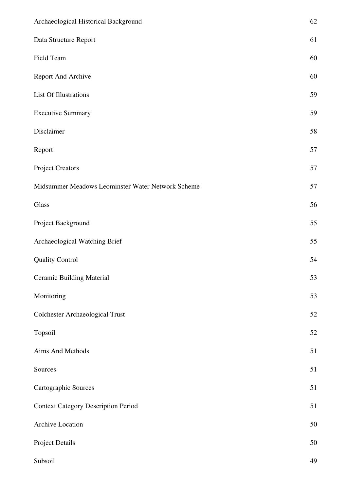| Archaeological Historical Background              | 62     |
|---------------------------------------------------|--------|
| Data Structure Report                             | 61     |
| Field Team                                        | 60     |
| Report And Archive                                | 60     |
| List Of Illustrations                             | 59     |
| <b>Executive Summary</b>                          | 59     |
| Disclaimer                                        | 58     |
| Report                                            | 57     |
| <b>Project Creators</b>                           | 57     |
| Midsummer Meadows Leominster Water Network Scheme | 57     |
| Glass                                             | 56     |
| Project Background                                | 55     |
| Archaeological Watching Brief                     | 55     |
| <b>Quality Control</b>                            | 54     |
| <b>Ceramic Building Material</b>                  | 53     |
| Monitoring                                        | 53     |
| <b>Colchester Archaeological Trust</b>            | $52\,$ |
| Topsoil                                           | $52\,$ |
| Aims And Methods                                  | 51     |
| Sources                                           | 51     |
| Cartographic Sources                              | 51     |
| <b>Context Category Description Period</b>        | 51     |
| Archive Location                                  | $50\,$ |
| <b>Project Details</b>                            | 50     |
| Subsoil                                           | 49     |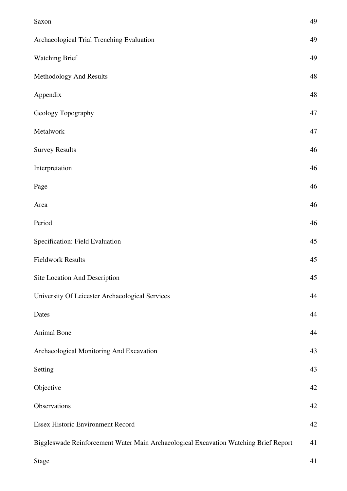| Saxon                                                                                | 49 |
|--------------------------------------------------------------------------------------|----|
| Archaeological Trial Trenching Evaluation                                            | 49 |
| <b>Watching Brief</b>                                                                | 49 |
| Methodology And Results                                                              | 48 |
| Appendix                                                                             | 48 |
| Geology Topography                                                                   | 47 |
| Metalwork                                                                            | 47 |
| <b>Survey Results</b>                                                                | 46 |
| Interpretation                                                                       | 46 |
| Page                                                                                 | 46 |
| Area                                                                                 | 46 |
| Period                                                                               | 46 |
| Specification: Field Evaluation                                                      | 45 |
| <b>Fieldwork Results</b>                                                             | 45 |
| Site Location And Description                                                        | 45 |
| University Of Leicester Archaeological Services                                      | 44 |
| Dates                                                                                | 44 |
| Animal Bone                                                                          | 44 |
| Archaeological Monitoring And Excavation                                             | 43 |
| Setting                                                                              | 43 |
| Objective                                                                            | 42 |
| Observations                                                                         | 42 |
| <b>Essex Historic Environment Record</b>                                             | 42 |
| Biggleswade Reinforcement Water Main Archaeological Excavation Watching Brief Report | 41 |
| <b>Stage</b>                                                                         | 41 |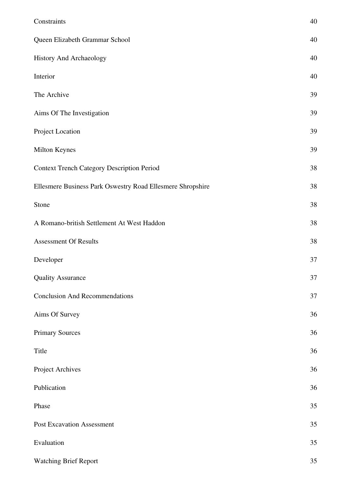| Constraints                                                | 40 |
|------------------------------------------------------------|----|
| Queen Elizabeth Grammar School                             | 40 |
| History And Archaeology                                    | 40 |
| Interior                                                   | 40 |
| The Archive                                                | 39 |
| Aims Of The Investigation                                  | 39 |
| Project Location                                           | 39 |
| Milton Keynes                                              | 39 |
| <b>Context Trench Category Description Period</b>          | 38 |
| Ellesmere Business Park Oswestry Road Ellesmere Shropshire | 38 |
| Stone                                                      | 38 |
| A Romano-british Settlement At West Haddon                 | 38 |
| <b>Assessment Of Results</b>                               | 38 |
| Developer                                                  | 37 |
| <b>Quality Assurance</b>                                   | 37 |
| <b>Conclusion And Recommendations</b>                      | 37 |
| Aims Of Survey                                             | 36 |
| <b>Primary Sources</b>                                     | 36 |
| Title                                                      | 36 |
| Project Archives                                           | 36 |
| Publication                                                | 36 |
| Phase                                                      | 35 |
| <b>Post Excavation Assessment</b>                          | 35 |
| Evaluation                                                 | 35 |
| <b>Watching Brief Report</b>                               | 35 |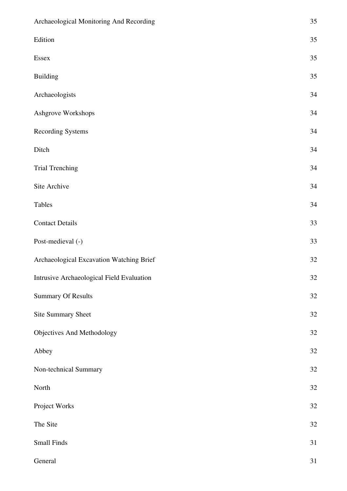| Archaeological Monitoring And Recording   | 35 |
|-------------------------------------------|----|
| Edition                                   | 35 |
| Essex                                     | 35 |
| <b>Building</b>                           | 35 |
| Archaeologists                            | 34 |
| Ashgrove Workshops                        | 34 |
| <b>Recording Systems</b>                  | 34 |
| Ditch                                     | 34 |
| <b>Trial Trenching</b>                    | 34 |
| Site Archive                              | 34 |
| Tables                                    | 34 |
| <b>Contact Details</b>                    | 33 |
| Post-medieval (-)                         | 33 |
| Archaeological Excavation Watching Brief  | 32 |
| Intrusive Archaeological Field Evaluation | 32 |
| <b>Summary Of Results</b>                 | 32 |
| <b>Site Summary Sheet</b>                 | 32 |
| Objectives And Methodology                | 32 |
| Abbey                                     | 32 |
| Non-technical Summary                     | 32 |
| North                                     | 32 |
| Project Works                             | 32 |
| The Site                                  | 32 |
| <b>Small Finds</b>                        | 31 |
| General                                   | 31 |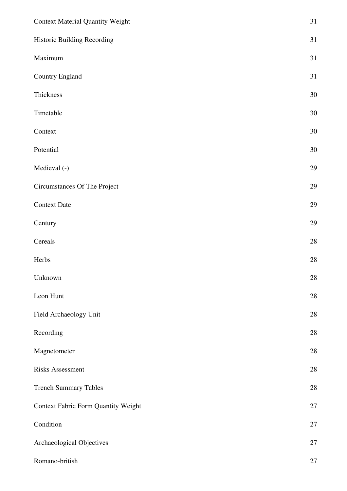| <b>Context Material Quantity Weight</b>    | 31     |
|--------------------------------------------|--------|
| Historic Building Recording                | 31     |
| Maximum                                    | 31     |
| Country England                            | 31     |
| Thickness                                  | $30\,$ |
| Timetable                                  | 30     |
| Context                                    | $30\,$ |
| Potential                                  | $30\,$ |
| Medieval (-)                               | 29     |
| Circumstances Of The Project               | 29     |
| <b>Context Date</b>                        | 29     |
| Century                                    | 29     |
| Cereals                                    | $28\,$ |
| Herbs                                      | 28     |
| Unknown                                    | $28\,$ |
| Leon Hunt                                  | $28\,$ |
| Field Archaeology Unit                     | $28\,$ |
| Recording                                  | 28     |
| Magnetometer                               | $28\,$ |
| <b>Risks Assessment</b>                    | $28\,$ |
| <b>Trench Summary Tables</b>               | 28     |
| <b>Context Fabric Form Quantity Weight</b> | 27     |
| Condition                                  | 27     |
| Archaeological Objectives                  | 27     |
| Romano-british                             | $27\,$ |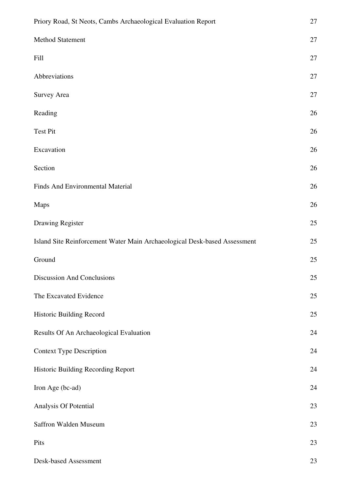| Priory Road, St Neots, Cambs Archaeological Evaluation Report             | 27     |
|---------------------------------------------------------------------------|--------|
| Method Statement                                                          | 27     |
| Fill                                                                      | 27     |
| Abbreviations                                                             | $27\,$ |
| <b>Survey Area</b>                                                        | 27     |
| Reading                                                                   | $26\,$ |
| <b>Test Pit</b>                                                           | 26     |
| Excavation                                                                | 26     |
| Section                                                                   | 26     |
| Finds And Environmental Material                                          | 26     |
| <b>Maps</b>                                                               | 26     |
| Drawing Register                                                          | 25     |
| Island Site Reinforcement Water Main Archaeological Desk-based Assessment | 25     |
| Ground                                                                    | 25     |
| <b>Discussion And Conclusions</b>                                         | 25     |
| The Excavated Evidence                                                    | 25     |
| Historic Building Record                                                  | 25     |
| Results Of An Archaeological Evaluation                                   | 24     |
| <b>Context Type Description</b>                                           | 24     |
| Historic Building Recording Report                                        | 24     |
| Iron Age (bc-ad)                                                          | 24     |
| Analysis Of Potential                                                     | 23     |
| Saffron Walden Museum                                                     | 23     |
| Pits                                                                      | 23     |
| Desk-based Assessment                                                     | 23     |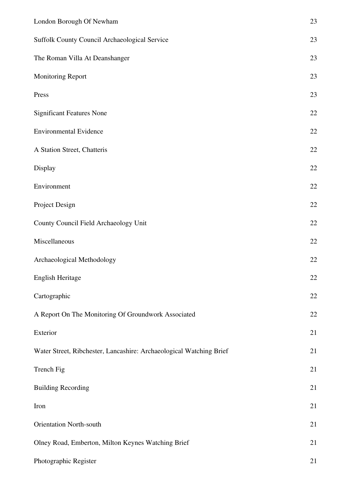| London Borough Of Newham                                            | 23     |
|---------------------------------------------------------------------|--------|
| Suffolk County Council Archaeological Service                       | 23     |
| The Roman Villa At Deanshanger                                      | 23     |
| Monitoring Report                                                   | 23     |
| Press                                                               | 23     |
| <b>Significant Features None</b>                                    | 22     |
| <b>Environmental Evidence</b>                                       | 22     |
| A Station Street, Chatteris                                         | 22     |
| Display                                                             | 22     |
| Environment                                                         | $22\,$ |
| Project Design                                                      | 22     |
| County Council Field Archaeology Unit                               | $22\,$ |
| Miscellaneous                                                       | 22     |
| Archaeological Methodology                                          | 22     |
| English Heritage                                                    | 22     |
| Cartographic                                                        | 22     |
| A Report On The Monitoring Of Groundwork Associated                 | 22     |
| Exterior                                                            | 21     |
| Water Street, Ribchester, Lancashire: Archaeological Watching Brief | 21     |
| Trench Fig                                                          | 21     |
| <b>Building Recording</b>                                           | 21     |
| Iron                                                                | 21     |
| <b>Orientation North-south</b>                                      | 21     |
| Olney Road, Emberton, Milton Keynes Watching Brief                  | 21     |
| Photographic Register                                               | 21     |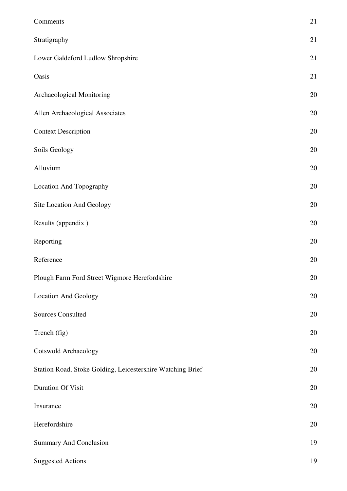| Comments                                                   | 21 |
|------------------------------------------------------------|----|
| Stratigraphy                                               | 21 |
| Lower Galdeford Ludlow Shropshire                          | 21 |
| Oasis                                                      | 21 |
| Archaeological Monitoring                                  | 20 |
| Allen Archaeological Associates                            | 20 |
| <b>Context Description</b>                                 | 20 |
| Soils Geology                                              | 20 |
| Alluvium                                                   | 20 |
| Location And Topography                                    | 20 |
| Site Location And Geology                                  | 20 |
| Results (appendix)                                         | 20 |
| Reporting                                                  | 20 |
| Reference                                                  | 20 |
| Plough Farm Ford Street Wigmore Herefordshire              | 20 |
| <b>Location And Geology</b>                                | 20 |
| <b>Sources Consulted</b>                                   | 20 |
| Trench (fig)                                               | 20 |
| <b>Cotswold Archaeology</b>                                | 20 |
| Station Road, Stoke Golding, Leicestershire Watching Brief | 20 |
| <b>Duration Of Visit</b>                                   | 20 |
| Insurance                                                  | 20 |
| Herefordshire                                              | 20 |
| <b>Summary And Conclusion</b>                              | 19 |
| <b>Suggested Actions</b>                                   | 19 |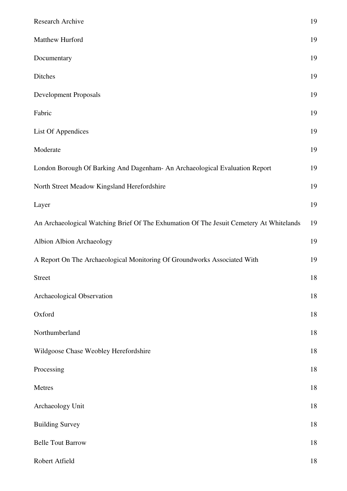| Research Archive                                                                        | 19 |
|-----------------------------------------------------------------------------------------|----|
| Matthew Hurford                                                                         | 19 |
| Documentary                                                                             | 19 |
| Ditches                                                                                 | 19 |
| <b>Development Proposals</b>                                                            | 19 |
| Fabric                                                                                  | 19 |
| List Of Appendices                                                                      | 19 |
| Moderate                                                                                | 19 |
| London Borough Of Barking And Dagenham- An Archaeological Evaluation Report             | 19 |
| North Street Meadow Kingsland Herefordshire                                             | 19 |
| Layer                                                                                   | 19 |
| An Archaeological Watching Brief Of The Exhumation Of The Jesuit Cemetery At Whitelands | 19 |
| Albion Albion Archaeology                                                               | 19 |
| A Report On The Archaeological Monitoring Of Groundworks Associated With                | 19 |
| <b>Street</b>                                                                           | 18 |
| Archaeological Observation                                                              | 18 |
| Oxford                                                                                  | 18 |
| Northumberland                                                                          | 18 |
| Wildgoose Chase Weobley Herefordshire                                                   | 18 |
| Processing                                                                              | 18 |
| Metres                                                                                  | 18 |
| Archaeology Unit                                                                        | 18 |
| <b>Building Survey</b>                                                                  | 18 |
| <b>Belle Tout Barrow</b>                                                                | 18 |
| Robert Atfield                                                                          | 18 |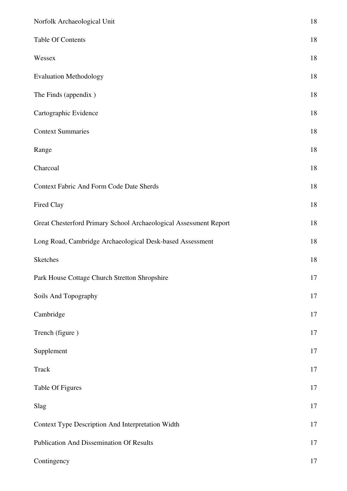| Norfolk Archaeological Unit                                       | $18\,$ |
|-------------------------------------------------------------------|--------|
| Table Of Contents                                                 | $18\,$ |
| Wessex                                                            | $18\,$ |
| <b>Evaluation Methodology</b>                                     | 18     |
| The Finds (appendix)                                              | $18\,$ |
| Cartographic Evidence                                             | $18\,$ |
| <b>Context Summaries</b>                                          | $18\,$ |
| Range                                                             | $18\,$ |
| Charcoal                                                          | $18\,$ |
| Context Fabric And Form Code Date Sherds                          | $18\,$ |
| Fired Clay                                                        | $18\,$ |
| Great Chesterford Primary School Archaeological Assessment Report | $18\,$ |
| Long Road, Cambridge Archaeological Desk-based Assessment         | $18\,$ |
| Sketches                                                          | $18\,$ |
| Park House Cottage Church Stretton Shropshire                     | 17     |
| Soils And Topography                                              | 17     |
| Cambridge                                                         | 17     |
| Trench (figure)                                                   | 17     |
| Supplement                                                        | 17     |
| <b>Track</b>                                                      | 17     |
| Table Of Figures                                                  | 17     |
| Slag                                                              | $17\,$ |
| Context Type Description And Interpretation Width                 | $17\,$ |
| Publication And Dissemination Of Results                          | $17\,$ |
| Contingency                                                       | $17\,$ |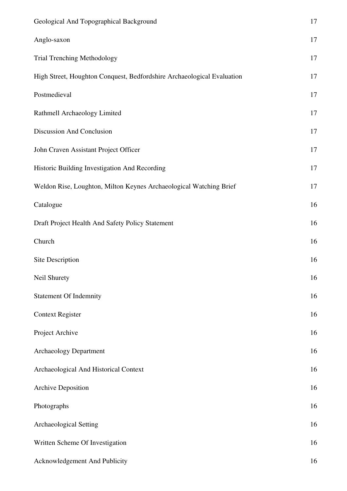| Geological And Topographical Background                                | $17\,$ |
|------------------------------------------------------------------------|--------|
| Anglo-saxon                                                            | 17     |
| Trial Trenching Methodology                                            | 17     |
| High Street, Houghton Conquest, Bedfordshire Archaeological Evaluation | 17     |
| Postmedieval                                                           | 17     |
| Rathmell Archaeology Limited                                           | 17     |
| Discussion And Conclusion                                              | 17     |
| John Craven Assistant Project Officer                                  | 17     |
| Historic Building Investigation And Recording                          | 17     |
| Weldon Rise, Loughton, Milton Keynes Archaeological Watching Brief     | 17     |
| Catalogue                                                              | 16     |
| Draft Project Health And Safety Policy Statement                       | 16     |
| Church                                                                 | 16     |
| Site Description                                                       | 16     |
| Neil Shurety                                                           | 16     |
| <b>Statement Of Indemnity</b>                                          | 16     |
| <b>Context Register</b>                                                | 16     |
| Project Archive                                                        | 16     |
| <b>Archaeology Department</b>                                          | 16     |
| Archaeological And Historical Context                                  | 16     |
| <b>Archive Deposition</b>                                              | 16     |
| Photographs                                                            | 16     |
| <b>Archaeological Setting</b>                                          | 16     |
| Written Scheme Of Investigation                                        | 16     |
| Acknowledgement And Publicity                                          | 16     |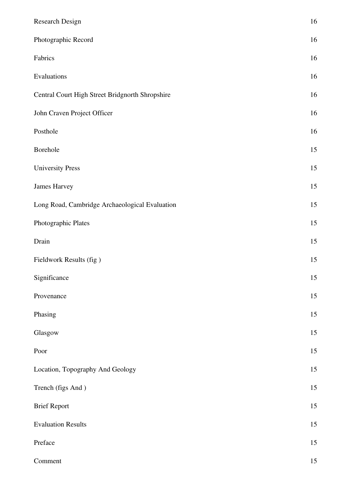| Research Design                                 | 16     |
|-------------------------------------------------|--------|
| Photographic Record                             | 16     |
| Fabrics                                         | 16     |
| Evaluations                                     | 16     |
| Central Court High Street Bridgnorth Shropshire | 16     |
| John Craven Project Officer                     | 16     |
| Posthole                                        | 16     |
| Borehole                                        | 15     |
| <b>University Press</b>                         | 15     |
| <b>James Harvey</b>                             | 15     |
| Long Road, Cambridge Archaeological Evaluation  | 15     |
| Photographic Plates                             | 15     |
| Drain                                           | 15     |
| Fieldwork Results (fig)                         | 15     |
| Significance                                    | 15     |
| Provenance                                      | 15     |
| Phasing                                         | 15     |
| Glasgow                                         | $15\,$ |
| Poor                                            | 15     |
| Location, Topography And Geology                | 15     |
| Trench (figs And)                               | 15     |
| <b>Brief Report</b>                             | 15     |
| <b>Evaluation Results</b>                       | 15     |
| Preface                                         | 15     |
| Comment                                         | 15     |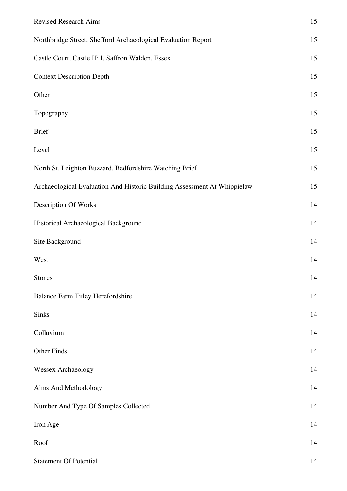| <b>Revised Research Aims</b>                                             | 15 |
|--------------------------------------------------------------------------|----|
| Northbridge Street, Shefford Archaeological Evaluation Report            | 15 |
| Castle Court, Castle Hill, Saffron Walden, Essex                         | 15 |
| <b>Context Description Depth</b>                                         | 15 |
| Other                                                                    | 15 |
| Topography                                                               | 15 |
| <b>Brief</b>                                                             | 15 |
| Level                                                                    | 15 |
| North St, Leighton Buzzard, Bedfordshire Watching Brief                  | 15 |
| Archaeological Evaluation And Historic Building Assessment At Whippielaw | 15 |
| Description Of Works                                                     | 14 |
| Historical Archaeological Background                                     | 14 |
| Site Background                                                          | 14 |
| West                                                                     | 14 |
| <b>Stones</b>                                                            | 14 |
| <b>Balance Farm Titley Herefordshire</b>                                 | 14 |
| Sinks                                                                    | 14 |
| Colluvium                                                                | 14 |
| Other Finds                                                              | 14 |
| <b>Wessex Archaeology</b>                                                | 14 |
| Aims And Methodology                                                     | 14 |
| Number And Type Of Samples Collected                                     | 14 |
| Iron Age                                                                 | 14 |
| Roof                                                                     | 14 |
| <b>Statement Of Potential</b>                                            | 14 |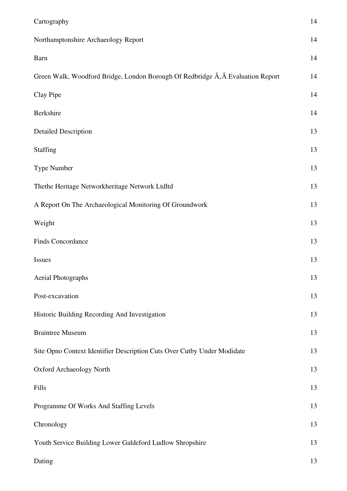| Cartography                                                                     | 14 |
|---------------------------------------------------------------------------------|----|
| Northamptonshire Archaeology Report                                             | 14 |
| Barn                                                                            | 14 |
| Green Walk, Woodford Bridge, London Borough Of Redbridge A, A Evaluation Report | 14 |
| Clay Pipe                                                                       | 14 |
| Berkshire                                                                       | 14 |
| <b>Detailed Description</b>                                                     | 13 |
| <b>Staffing</b>                                                                 | 13 |
| Type Number                                                                     | 13 |
| Thethe Heritage Networkheritage Network Ltdltd                                  | 13 |
| A Report On The Archaeological Monitoring Of Groundwork                         | 13 |
| Weight                                                                          | 13 |
| Finds Concordance                                                               | 13 |
| Issues                                                                          | 13 |
| <b>Aerial Photographs</b>                                                       | 13 |
| Post-excavation                                                                 | 13 |
| Historic Building Recording And Investigation                                   | 13 |
| <b>Braintree Museum</b>                                                         | 13 |
| Site Opno Context Identifier Description Cuts Over Cutby Under Modidate         | 13 |
| <b>Oxford Archaeology North</b>                                                 | 13 |
| Fills                                                                           | 13 |
| Programme Of Works And Staffing Levels                                          | 13 |
| Chronology                                                                      | 13 |
| Youth Service Building Lower Galdeford Ludlow Shropshire                        | 13 |
| Dating                                                                          | 13 |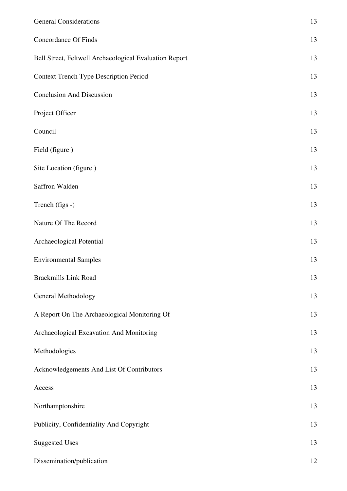| <b>General Considerations</b>                          | 13 |
|--------------------------------------------------------|----|
| <b>Concordance Of Finds</b>                            | 13 |
| Bell Street, Feltwell Archaeological Evaluation Report | 13 |
| <b>Context Trench Type Description Period</b>          | 13 |
| <b>Conclusion And Discussion</b>                       | 13 |
| Project Officer                                        | 13 |
| Council                                                | 13 |
| Field (figure)                                         | 13 |
| Site Location (figure)                                 | 13 |
| Saffron Walden                                         | 13 |
| Trench (figs -)                                        | 13 |
| Nature Of The Record                                   | 13 |
| Archaeological Potential                               | 13 |
| <b>Environmental Samples</b>                           | 13 |
| <b>Brackmills Link Road</b>                            | 13 |
| General Methodology                                    | 13 |
| A Report On The Archaeological Monitoring Of           | 13 |
| Archaeological Excavation And Monitoring               | 13 |
| Methodologies                                          | 13 |
| Acknowledgements And List Of Contributors              | 13 |
| Access                                                 | 13 |
| Northamptonshire                                       | 13 |
| Publicity, Confidentiality And Copyright               | 13 |
| <b>Suggested Uses</b>                                  | 13 |
| Dissemination/publication                              | 12 |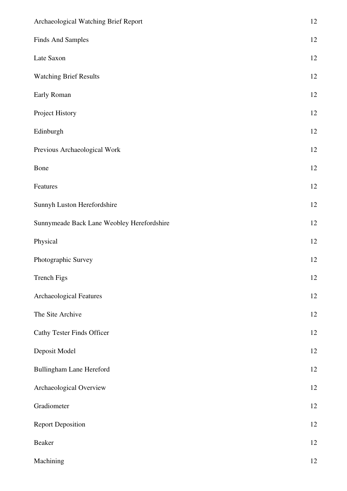| Archaeological Watching Brief Report       | $12\,$ |
|--------------------------------------------|--------|
| <b>Finds And Samples</b>                   | 12     |
| Late Saxon                                 | 12     |
| <b>Watching Brief Results</b>              | 12     |
| Early Roman                                | 12     |
| Project History                            | $12\,$ |
| Edinburgh                                  | 12     |
| Previous Archaeological Work               | 12     |
| Bone                                       | $12\,$ |
| Features                                   | 12     |
| Sunnyh Luston Herefordshire                | $12\,$ |
| Sunnymeade Back Lane Weobley Herefordshire | 12     |
| Physical                                   | 12     |
| Photographic Survey                        | $12\,$ |
| Trench Figs                                | 12     |
| <b>Archaeological Features</b>             | 12     |
| The Site Archive                           | 12     |
| <b>Cathy Tester Finds Officer</b>          | $12\,$ |
| Deposit Model                              | 12     |
| Bullingham Lane Hereford                   | 12     |
| Archaeological Overview                    | 12     |
| Gradiometer                                | 12     |
| <b>Report Deposition</b>                   | $12\,$ |
| Beaker                                     | 12     |
| Machining                                  | $12\,$ |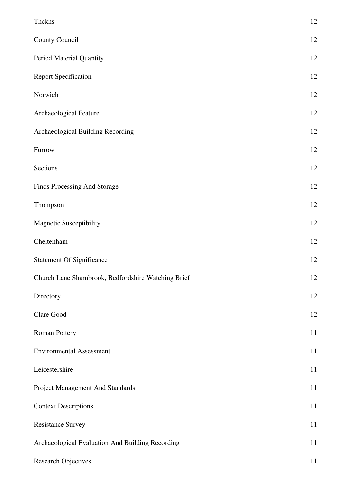| Thckns                                              | 12 |
|-----------------------------------------------------|----|
| County Council                                      | 12 |
| Period Material Quantity                            | 12 |
| <b>Report Specification</b>                         | 12 |
| Norwich                                             | 12 |
| Archaeological Feature                              | 12 |
| Archaeological Building Recording                   | 12 |
| Furrow                                              | 12 |
| Sections                                            | 12 |
| Finds Processing And Storage                        | 12 |
| Thompson                                            | 12 |
| <b>Magnetic Susceptibility</b>                      | 12 |
| Cheltenham                                          | 12 |
| <b>Statement Of Significance</b>                    | 12 |
| Church Lane Sharnbrook, Bedfordshire Watching Brief | 12 |
| Directory                                           | 12 |
| Clare Good                                          | 12 |
| Roman Pottery                                       | 11 |
| <b>Environmental Assessment</b>                     | 11 |
| Leicestershire                                      | 11 |
| Project Management And Standards                    | 11 |
| <b>Context Descriptions</b>                         | 11 |
| <b>Resistance Survey</b>                            | 11 |
| Archaeological Evaluation And Building Recording    | 11 |
| <b>Research Objectives</b>                          | 11 |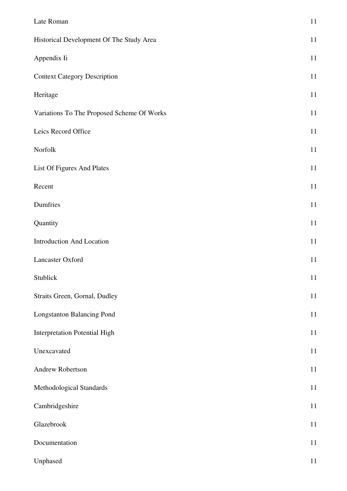| Late Roman                                 | $11\,$ |
|--------------------------------------------|--------|
| Historical Development Of The Study Area   | 11     |
| Appendix Ii                                | 11     |
| <b>Context Category Description</b>        | 11     |
| Heritage                                   | 11     |
| Variations To The Proposed Scheme Of Works | $11\,$ |
| Leics Record Office                        | 11     |
| Norfolk                                    | 11     |
| List Of Figures And Plates                 | $11\,$ |
| Recent                                     | 11     |
| Dumfries                                   | $11\,$ |
| Quantity                                   | 11     |
| <b>Introduction And Location</b>           | $11\,$ |
| Lancaster Oxford                           | $11\,$ |
| Stublick                                   | 11     |
| Straits Green, Gornal, Dudley              | 11     |
| <b>Longstanton Balancing Pond</b>          | 11     |
| <b>Interpretation Potential High</b>       | 11     |
| Unexcavated                                | 11     |
| Andrew Robertson                           | 11     |
| Methodological Standards                   | $11\,$ |
| Cambridgeshire                             | $11\,$ |
| Glazebrook                                 | $11\,$ |
| Documentation                              | 11     |
| Unphased                                   | $11\,$ |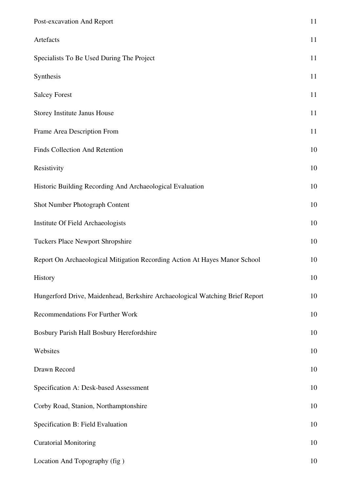| Post-excavation And Report                                                   | 11 |
|------------------------------------------------------------------------------|----|
| Artefacts                                                                    | 11 |
| Specialists To Be Used During The Project                                    | 11 |
| Synthesis                                                                    | 11 |
| <b>Salcey Forest</b>                                                         | 11 |
| Storey Institute Janus House                                                 | 11 |
| Frame Area Description From                                                  | 11 |
| Finds Collection And Retention                                               | 10 |
| Resistivity                                                                  | 10 |
| Historic Building Recording And Archaeological Evaluation                    | 10 |
| Shot Number Photograph Content                                               | 10 |
| Institute Of Field Archaeologists                                            | 10 |
| Tuckers Place Newport Shropshire                                             | 10 |
| Report On Archaeological Mitigation Recording Action At Hayes Manor School   | 10 |
| History                                                                      | 10 |
| Hungerford Drive, Maidenhead, Berkshire Archaeological Watching Brief Report | 10 |
| Recommendations For Further Work                                             | 10 |
| Bosbury Parish Hall Bosbury Herefordshire                                    | 10 |
| Websites                                                                     | 10 |
| Drawn Record                                                                 | 10 |
| Specification A: Desk-based Assessment                                       | 10 |
| Corby Road, Stanion, Northamptonshire                                        | 10 |
| Specification B: Field Evaluation                                            | 10 |
| <b>Curatorial Monitoring</b>                                                 | 10 |
| Location And Topography (fig)                                                | 10 |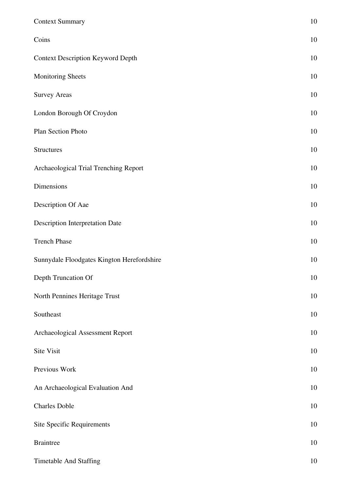| <b>Context Summary</b>                     | 10 |
|--------------------------------------------|----|
| Coins                                      | 10 |
| <b>Context Description Keyword Depth</b>   | 10 |
| <b>Monitoring Sheets</b>                   | 10 |
| <b>Survey Areas</b>                        | 10 |
| London Borough Of Croydon                  | 10 |
| Plan Section Photo                         | 10 |
| <b>Structures</b>                          | 10 |
| Archaeological Trial Trenching Report      | 10 |
| Dimensions                                 | 10 |
| Description Of Aae                         | 10 |
| <b>Description Interpretation Date</b>     | 10 |
| <b>Trench Phase</b>                        | 10 |
| Sunnydale Floodgates Kington Herefordshire | 10 |
| Depth Truncation Of                        | 10 |
| North Pennines Heritage Trust              | 10 |
| Southeast                                  | 10 |
| Archaeological Assessment Report           | 10 |
| Site Visit                                 | 10 |
| Previous Work                              | 10 |
| An Archaeological Evaluation And           | 10 |
| <b>Charles Doble</b>                       | 10 |
| <b>Site Specific Requirements</b>          | 10 |
| <b>Braintree</b>                           | 10 |
| Timetable And Staffing                     | 10 |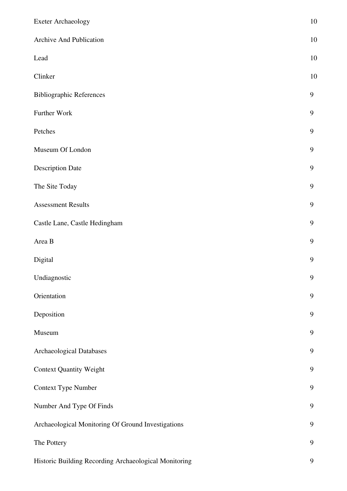| <b>Exeter Archaeology</b>                             | 10               |
|-------------------------------------------------------|------------------|
| Archive And Publication                               | 10               |
| Lead                                                  | 10               |
| Clinker                                               | 10               |
| <b>Bibliographic References</b>                       | 9                |
| Further Work                                          | 9                |
| Petches                                               | 9                |
| Museum Of London                                      | 9                |
| <b>Description Date</b>                               | 9                |
| The Site Today                                        | $\mathbf{9}$     |
| <b>Assessment Results</b>                             | $\boldsymbol{9}$ |
| Castle Lane, Castle Hedingham                         | 9                |
| Area B                                                | 9                |
| Digital                                               | $\boldsymbol{9}$ |
| Undiagnostic                                          | 9                |
| Orientation                                           | 9                |
| Deposition                                            | 9                |
| Museum                                                | 9                |
| Archaeological Databases                              | 9                |
| <b>Context Quantity Weight</b>                        | $\boldsymbol{9}$ |
| Context Type Number                                   | 9                |
| Number And Type Of Finds                              | 9                |
| Archaeological Monitoring Of Ground Investigations    | $\mathbf{9}$     |
| The Pottery                                           | 9                |
| Historic Building Recording Archaeological Monitoring | 9                |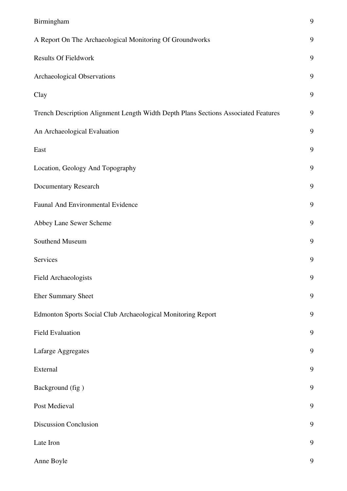| Birmingham                                                                         | 9 |
|------------------------------------------------------------------------------------|---|
| A Report On The Archaeological Monitoring Of Groundworks                           | 9 |
| <b>Results Of Fieldwork</b>                                                        | 9 |
| Archaeological Observations                                                        | 9 |
| Clay                                                                               | 9 |
| Trench Description Alignment Length Width Depth Plans Sections Associated Features | 9 |
| An Archaeological Evaluation                                                       | 9 |
| East                                                                               | 9 |
| Location, Geology And Topography                                                   | 9 |
| Documentary Research                                                               | 9 |
| Faunal And Environmental Evidence                                                  | 9 |
| Abbey Lane Sewer Scheme                                                            | 9 |
| Southend Museum                                                                    | 9 |
| Services                                                                           | 9 |
| Field Archaeologists                                                               | 9 |
| <b>Eher Summary Sheet</b>                                                          | 9 |
| Edmonton Sports Social Club Archaeological Monitoring Report                       | 9 |
| <b>Field Evaluation</b>                                                            | 9 |
| Lafarge Aggregates                                                                 | 9 |
| External                                                                           | 9 |
| Background (fig)                                                                   | 9 |
| Post Medieval                                                                      | 9 |
| <b>Discussion Conclusion</b>                                                       | 9 |
| Late Iron                                                                          | 9 |
| Anne Boyle                                                                         | 9 |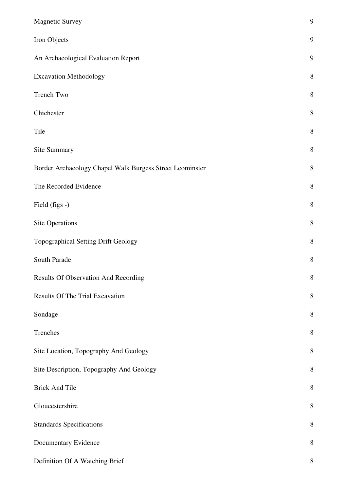| <b>Magnetic Survey</b>                                   | 9           |
|----------------------------------------------------------|-------------|
| Iron Objects                                             | 9           |
| An Archaeological Evaluation Report                      | 9           |
| <b>Excavation Methodology</b>                            | 8           |
| Trench Two                                               | $8\,$       |
| Chichester                                               | 8           |
| Tile                                                     | $8\,$       |
| Site Summary                                             | $8\,$       |
| Border Archaeology Chapel Walk Burgess Street Leominster | $8\,$       |
| The Recorded Evidence                                    | $8\,$       |
| Field (figs -)                                           | $8\,$       |
| Site Operations                                          | $8\,$       |
| Topographical Setting Drift Geology                      | 8           |
| South Parade                                             | 8           |
| Results Of Observation And Recording                     | $\,$ 8 $\,$ |
| <b>Results Of The Trial Excavation</b>                   | $\,$ $\,$   |
| Sondage                                                  | 8           |
| Trenches                                                 | 8           |
| Site Location, Topography And Geology                    | $8\,$       |
| Site Description, Topography And Geology                 | 8           |
| <b>Brick And Tile</b>                                    | 8           |
| Gloucestershire                                          | $8\,$       |
| <b>Standards Specifications</b>                          | 8           |
| Documentary Evidence                                     | $8\,$       |
| Definition Of A Watching Brief                           | $8\,$       |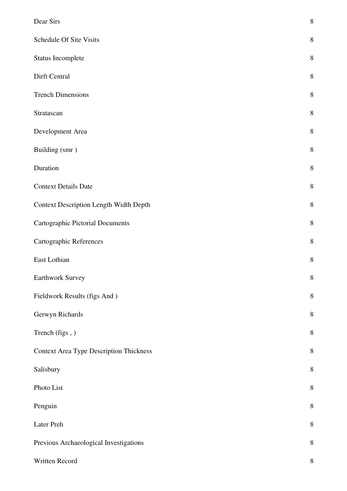| Dear Sirs                                      | 8       |
|------------------------------------------------|---------|
| Schedule Of Site Visits                        | 8       |
| Status Incomplete                              | 8       |
| Dirft Central                                  | 8       |
| <b>Trench Dimensions</b>                       | 8       |
| Stratascan                                     | 8       |
| Development Area                               | 8       |
| Building (smr)                                 | $8\,$   |
| Duration                                       | 8       |
| <b>Context Details Date</b>                    | $8\,$   |
| <b>Context Description Length Width Depth</b>  | 8       |
| <b>Cartographic Pictorial Documents</b>        | $8\,$   |
| <b>Cartographic References</b>                 | $8\,$   |
| East Lothian                                   | 8       |
| Earthwork Survey                               | 8       |
| Fieldwork Results (figs And)                   | $8\,$   |
| Gerwyn Richards                                | 8       |
| Trench (figs,)                                 | 8       |
| <b>Context Area Type Description Thickness</b> | $\,8\,$ |
| Salisbury                                      | 8       |
| Photo List                                     | 8       |
| Penguin                                        | 8       |
| Later Preh                                     | 8       |
| Previous Archaeological Investigations         | $8\,$   |
| Written Record                                 | $8\,$   |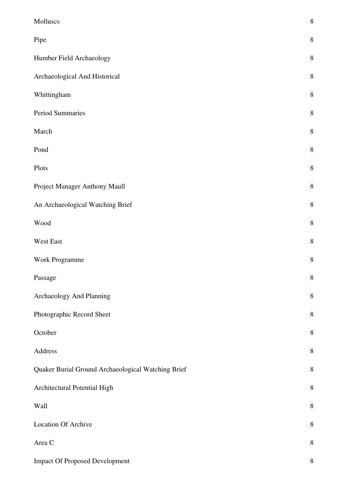| Molluscs                                           | 8       |
|----------------------------------------------------|---------|
| Pipe                                               | 8       |
| Humber Field Archaeology                           | $\,8\,$ |
| Archaeological And Historical                      | 8       |
| Whittingham                                        | $\,8\,$ |
| Period Summaries                                   | 8       |
| March                                              | $8\,$   |
| Pond                                               | 8       |
| Plots                                              | 8       |
| Project Manager Anthony Maull                      | $\,8\,$ |
| An Archaeological Watching Brief                   | $8\,$   |
| Wood                                               | 8       |
| West East                                          | $\,8\,$ |
| Work Programme                                     | $\,8\,$ |
| Passage                                            | 8       |
| Archaeology And Planning                           | $8\,$   |
| Photographic Record Sheet                          | $\,8\,$ |
| October                                            | 8       |
| Address                                            | $8\,$   |
| Quaker Burial Ground Archaeological Watching Brief | $\,8\,$ |
| Architectural Potential High                       | 8       |
| Wall                                               | $\,8\,$ |
| <b>Location Of Archive</b>                         | 8       |
| Area C                                             | $8\,$   |
| <b>Impact Of Proposed Development</b>              | $8\,$   |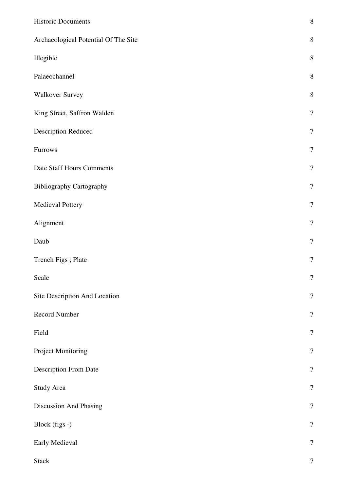| <b>Historic Documents</b>            | $\,8\,$          |
|--------------------------------------|------------------|
| Archaeological Potential Of The Site | $8\,$            |
| Illegible                            | $8\,$            |
| Palaeochannel                        | $8\,$            |
| <b>Walkover Survey</b>               | $8\,$            |
| King Street, Saffron Walden          | $\overline{7}$   |
| <b>Description Reduced</b>           | $\overline{7}$   |
| Furrows                              | $\overline{7}$   |
| Date Staff Hours Comments            | $\tau$           |
| <b>Bibliography Cartography</b>      | $\tau$           |
| Medieval Pottery                     | $\tau$           |
| Alignment                            | $\overline{7}$   |
| Daub                                 | $\boldsymbol{7}$ |
| Trench Figs; Plate                   | $\overline{7}$   |
| Scale                                | 7                |
| Site Description And Location        | $\boldsymbol{7}$ |
| Record Number                        | $\boldsymbol{7}$ |
| Field                                | $\tau$           |
| Project Monitoring                   | $\tau$           |
| Description From Date                | $\overline{7}$   |
| Study Area                           | $\overline{7}$   |
| Discussion And Phasing               | $\tau$           |
| Block (figs -)                       | $\overline{7}$   |
| Early Medieval                       | $\tau$           |
| <b>Stack</b>                         | $\boldsymbol{7}$ |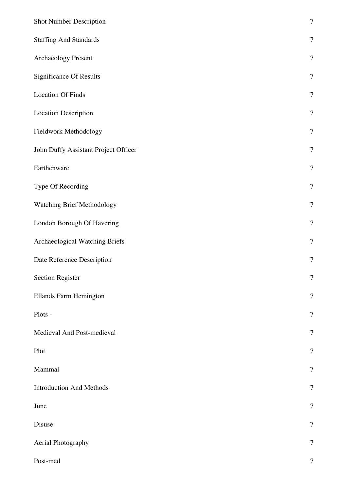| <b>Shot Number Description</b>       | $\boldsymbol{7}$ |
|--------------------------------------|------------------|
| <b>Staffing And Standards</b>        | $\boldsymbol{7}$ |
| Archaeology Present                  | $\overline{7}$   |
| <b>Significance Of Results</b>       | $\boldsymbol{7}$ |
| <b>Location Of Finds</b>             | $\overline{7}$   |
| <b>Location Description</b>          | $\tau$           |
| Fieldwork Methodology                | $\tau$           |
| John Duffy Assistant Project Officer | $\tau$           |
| Earthenware                          | $\tau$           |
| Type Of Recording                    | $\overline{7}$   |
| <b>Watching Brief Methodology</b>    | $\tau$           |
| London Borough Of Havering           | $\boldsymbol{7}$ |
| Archaeological Watching Briefs       | $\boldsymbol{7}$ |
| Date Reference Description           | $\boldsymbol{7}$ |
| <b>Section Register</b>              | 7                |
| <b>Ellands Farm Hemington</b>        | $\tau$           |
| Plots -                              | $\overline{7}$   |
| Medieval And Post-medieval           | $\overline{7}$   |
| Plot                                 | 7                |
| Mammal                               | $\tau$           |
| <b>Introduction And Methods</b>      | $\tau$           |
| June                                 | $\overline{7}$   |
| Disuse                               | $\tau$           |
| Aerial Photography                   | $\tau$           |
| Post-med                             | $\boldsymbol{7}$ |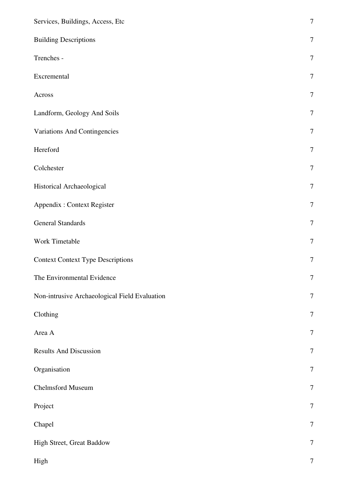| Services, Buildings, Access, Etc              | $\overline{7}$   |
|-----------------------------------------------|------------------|
| <b>Building Descriptions</b>                  | $\tau$           |
| Trenches -                                    | $\overline{7}$   |
| Excremental                                   | $\tau$           |
| Across                                        | $\tau$           |
| Landform, Geology And Soils                   | $\tau$           |
| <b>Variations And Contingencies</b>           | $\tau$           |
| Hereford                                      | $\boldsymbol{7}$ |
| Colchester                                    | $\boldsymbol{7}$ |
| Historical Archaeological                     | $\tau$           |
| Appendix : Context Register                   | $\tau$           |
| <b>General Standards</b>                      | $\boldsymbol{7}$ |
| Work Timetable                                | $\boldsymbol{7}$ |
| <b>Context Context Type Descriptions</b>      | $\tau$           |
| The Environmental Evidence                    | 7                |
| Non-intrusive Archaeological Field Evaluation | $\boldsymbol{7}$ |
| Clothing                                      | $\boldsymbol{7}$ |
| Area A                                        | $\tau$           |
| <b>Results And Discussion</b>                 | 7                |
| Organisation                                  | $\overline{7}$   |
| Chelmsford Museum                             | $\boldsymbol{7}$ |
| Project                                       | $\boldsymbol{7}$ |
| Chapel                                        | $\tau$           |
| High Street, Great Baddow                     | $\boldsymbol{7}$ |
| High                                          | $\boldsymbol{7}$ |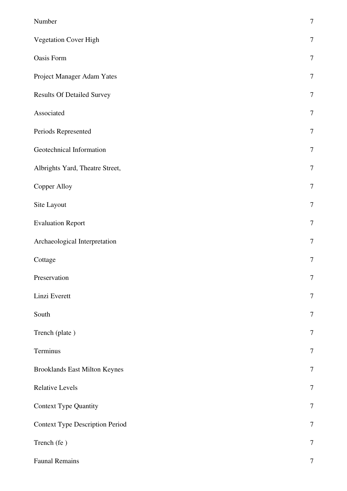| Number                                 | $\tau$           |
|----------------------------------------|------------------|
| <b>Vegetation Cover High</b>           | $\tau$           |
| Oasis Form                             | $\overline{7}$   |
| Project Manager Adam Yates             | $\tau$           |
| <b>Results Of Detailed Survey</b>      | $\tau$           |
| Associated                             | $\overline{7}$   |
| Periods Represented                    | $\tau$           |
| Geotechnical Information               | $\tau$           |
| Albrights Yard, Theatre Street,        | $\tau$           |
| Copper Alloy                           | $\tau$           |
| Site Layout                            | $\overline{7}$   |
| <b>Evaluation Report</b>               | $\boldsymbol{7}$ |
| Archaeological Interpretation          | $\overline{7}$   |
| Cottage                                | $\boldsymbol{7}$ |
| Preservation                           | $\overline{7}$   |
| Linzi Everett                          | $\overline{7}$   |
| South                                  | $\overline{7}$   |
| Trench (plate)                         | $\overline{7}$   |
| Terminus                               | $\overline{7}$   |
| <b>Brooklands East Milton Keynes</b>   | $\tau$           |
| <b>Relative Levels</b>                 | $\tau$           |
| <b>Context Type Quantity</b>           | $\tau$           |
| <b>Context Type Description Period</b> | $\tau$           |
| Trench (fe)                            | $\boldsymbol{7}$ |
| <b>Faunal Remains</b>                  | $\tau$           |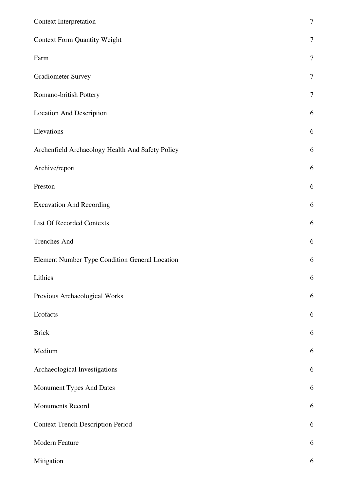| Context Interpretation                           | $\overline{7}$ |
|--------------------------------------------------|----------------|
| <b>Context Form Quantity Weight</b>              | $\tau$         |
| Farm                                             | $\overline{7}$ |
| <b>Gradiometer Survey</b>                        | $\overline{7}$ |
| Romano-british Pottery                           | 7              |
| <b>Location And Description</b>                  | 6              |
| Elevations                                       | 6              |
| Archenfield Archaeology Health And Safety Policy | 6              |
| Archive/report                                   | 6              |
| Preston                                          | 6              |
| <b>Excavation And Recording</b>                  | 6              |
| List Of Recorded Contexts                        | 6              |
| <b>Trenches And</b>                              | 6              |
| Element Number Type Condition General Location   | 6              |
| Lithics                                          | 6              |
| Previous Archaeological Works                    | 6              |
| Ecofacts                                         | 6              |
| <b>Brick</b>                                     | 6              |
| Medium                                           | 6              |
| Archaeological Investigations                    | 6              |
| Monument Types And Dates                         | 6              |
| Monuments Record                                 | 6              |
| <b>Context Trench Description Period</b>         | 6              |
| Modern Feature                                   | 6              |
| Mitigation                                       | 6              |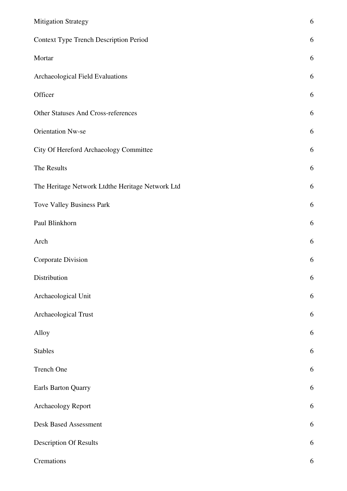| <b>Mitigation Strategy</b>                       | 6          |
|--------------------------------------------------|------------|
| <b>Context Type Trench Description Period</b>    | 6          |
| Mortar                                           | 6          |
| Archaeological Field Evaluations                 | 6          |
| Officer                                          | 6          |
| Other Statuses And Cross-references              | 6          |
| <b>Orientation Nw-se</b>                         | 6          |
| City Of Hereford Archaeology Committee           | 6          |
| The Results                                      | 6          |
| The Heritage Network Ltdthe Heritage Network Ltd | 6          |
| Tove Valley Business Park                        | 6          |
| Paul Blinkhorn                                   | 6          |
| Arch                                             | 6          |
| <b>Corporate Division</b>                        | 6          |
| Distribution                                     | 6          |
| Archaeological Unit                              | 6          |
| Archaeological Trust                             | 6          |
| Alloy                                            | 6          |
| <b>Stables</b>                                   | 6          |
| Trench One                                       | 6          |
| Earls Barton Quarry                              | 6          |
| Archaeology Report                               | $\sqrt{6}$ |
| <b>Desk Based Assessment</b>                     | 6          |
| <b>Description Of Results</b>                    | 6          |
| Cremations                                       | $\sqrt{6}$ |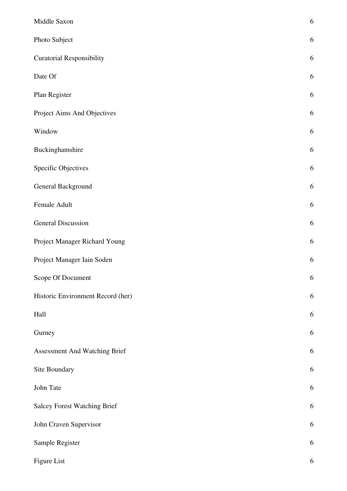| Middle Saxon                        | 6 |
|-------------------------------------|---|
| Photo Subject                       | 6 |
| <b>Curatorial Responsibility</b>    | 6 |
| Date Of                             | 6 |
| Plan Register                       | 6 |
| Project Aims And Objectives         | 6 |
| Window                              | 6 |
| Buckinghamshire                     | 6 |
| <b>Specific Objectives</b>          | 6 |
| General Background                  | 6 |
| Female Adult                        | 6 |
| <b>General Discussion</b>           | 6 |
| Project Manager Richard Young       | 6 |
| Project Manager Iain Soden          | 6 |
| Scope Of Document                   | 6 |
| Historic Environment Record (her)   | 6 |
| Hall                                | 6 |
| Gurney                              | 6 |
| Assessment And Watching Brief       | 6 |
| Site Boundary                       | 6 |
| John Tate                           | 6 |
| <b>Salcey Forest Watching Brief</b> | 6 |
| John Craven Supervisor              | 6 |
| Sample Register                     | 6 |
| Figure List                         | 6 |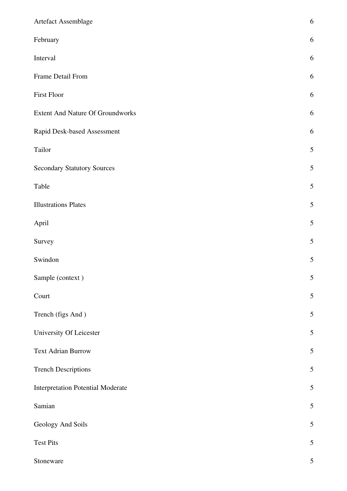| Artefact Assemblage                      | 6              |
|------------------------------------------|----------------|
| February                                 | 6              |
| Interval                                 | 6              |
| Frame Detail From                        | 6              |
| First Floor                              | 6              |
| <b>Extent And Nature Of Groundworks</b>  | 6              |
| Rapid Desk-based Assessment              | 6              |
| Tailor                                   | 5              |
| <b>Secondary Statutory Sources</b>       | 5              |
| Table                                    | 5              |
| <b>Illustrations Plates</b>              | 5              |
| April                                    | 5              |
| Survey                                   | 5              |
| Swindon                                  | 5              |
| Sample (context)                         | 5              |
| Court                                    | 5              |
| Trench (figs And)                        | 5              |
| University Of Leicester                  | 5              |
| <b>Text Adrian Burrow</b>                | 5              |
| <b>Trench Descriptions</b>               | 5              |
| <b>Interpretation Potential Moderate</b> | 5              |
| Samian                                   | 5              |
| Geology And Soils                        | 5              |
| <b>Test Pits</b>                         | 5              |
| Stoneware                                | $\mathfrak{S}$ |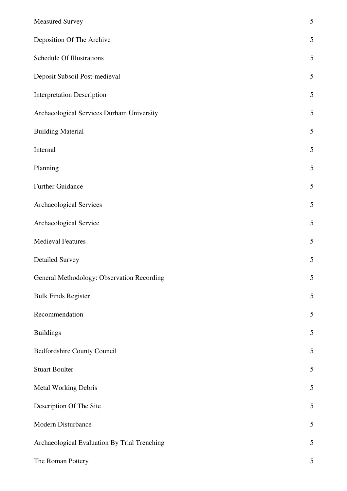| <b>Measured Survey</b>                       | 5              |
|----------------------------------------------|----------------|
| Deposition Of The Archive                    | 5              |
| Schedule Of Illustrations                    | 5              |
| Deposit Subsoil Post-medieval                | 5              |
| <b>Interpretation Description</b>            | 5              |
| Archaeological Services Durham University    | 5              |
| <b>Building Material</b>                     | 5              |
| Internal                                     | 5              |
| Planning                                     | 5              |
| <b>Further Guidance</b>                      | 5              |
| Archaeological Services                      | 5              |
| Archaeological Service                       | 5              |
| <b>Medieval Features</b>                     | 5              |
| <b>Detailed Survey</b>                       | 5              |
| General Methodology: Observation Recording   | $\mathfrak{S}$ |
| <b>Bulk Finds Register</b>                   | 5              |
| Recommendation                               | 5              |
| <b>Buildings</b>                             | 5              |
| Bedfordshire County Council                  | 5              |
| <b>Stuart Boulter</b>                        | 5              |
| Metal Working Debris                         | 5              |
| Description Of The Site                      | 5              |
| Modern Disturbance                           | 5              |
| Archaeological Evaluation By Trial Trenching | 5              |
| The Roman Pottery                            | 5              |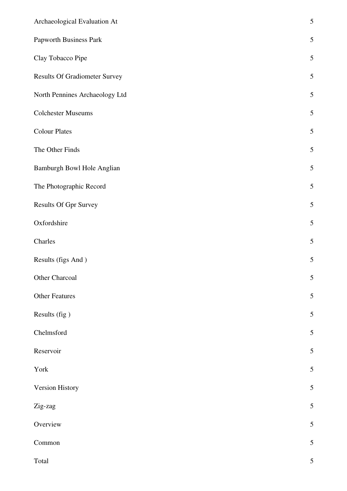| Archaeological Evaluation At         | $\mathfrak s$ |
|--------------------------------------|---------------|
| Papworth Business Park               | $\mathfrak s$ |
| Clay Tobacco Pipe                    | 5             |
| <b>Results Of Gradiometer Survey</b> | $\mathfrak s$ |
| North Pennines Archaeology Ltd       | $\mathfrak s$ |
| <b>Colchester Museums</b>            | 5             |
| <b>Colour Plates</b>                 | $\mathfrak s$ |
| The Other Finds                      | $\mathfrak s$ |
| Bamburgh Bowl Hole Anglian           | $\mathfrak s$ |
| The Photographic Record              | $\mathfrak s$ |
| Results Of Gpr Survey                | 5             |
| Oxfordshire                          | $\mathfrak s$ |
| Charles                              | $\mathfrak s$ |
| Results (figs And)                   | $\mathfrak s$ |
| Other Charcoal                       | 5             |
| <b>Other Features</b>                | 5             |
| Results (fig)                        | $\mathfrak s$ |
| Chelmsford                           | $\mathfrak s$ |
| Reservoir                            | $\mathfrak s$ |
| York                                 | $\mathfrak s$ |
| Version History                      | $\mathfrak s$ |
| Zig-zag                              | $\mathfrak s$ |
| Overview                             | 5             |
| Common                               | 5             |
| Total                                | $\mathfrak s$ |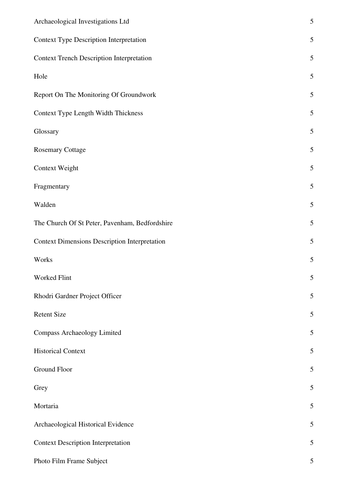| Archaeological Investigations Ltd                    | 5              |
|------------------------------------------------------|----------------|
| <b>Context Type Description Interpretation</b>       | 5              |
| <b>Context Trench Description Interpretation</b>     | 5              |
| Hole                                                 | 5              |
| Report On The Monitoring Of Groundwork               | 5              |
| Context Type Length Width Thickness                  | 5              |
| Glossary                                             | 5              |
| <b>Rosemary Cottage</b>                              | 5              |
| <b>Context Weight</b>                                | 5              |
| Fragmentary                                          | 5              |
| Walden                                               | 5              |
| The Church Of St Peter, Pavenham, Bedfordshire       | 5              |
| <b>Context Dimensions Description Interpretation</b> | 5              |
| Works                                                | 5              |
| Worked Flint                                         | $\mathfrak{S}$ |
| Rhodri Gardner Project Officer                       | 5              |
| <b>Retent Size</b>                                   | 5              |
| <b>Compass Archaeology Limited</b>                   | $\mathfrak{S}$ |
| <b>Historical Context</b>                            | 5              |
| Ground Floor                                         | 5              |
| Grey                                                 | 5              |
| Mortaria                                             | 5              |
| Archaeological Historical Evidence                   | 5              |
| <b>Context Description Interpretation</b>            | 5              |
| Photo Film Frame Subject                             | $\mathfrak{S}$ |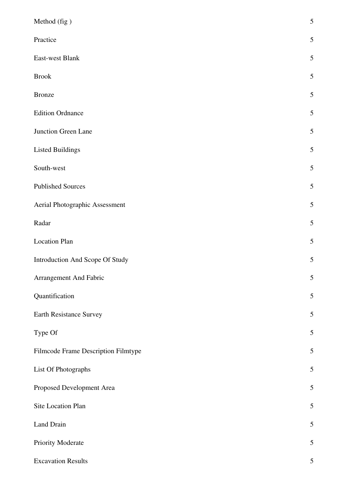| Method (fig)                        | 5 |
|-------------------------------------|---|
| Practice                            | 5 |
| East-west Blank                     | 5 |
| <b>Brook</b>                        | 5 |
| <b>Bronze</b>                       | 5 |
| <b>Edition Ordnance</b>             | 5 |
| Junction Green Lane                 | 5 |
| <b>Listed Buildings</b>             | 5 |
| South-west                          | 5 |
| <b>Published Sources</b>            | 5 |
| Aerial Photographic Assessment      | 5 |
| Radar                               | 5 |
| <b>Location Plan</b>                | 5 |
| Introduction And Scope Of Study     | 5 |
| Arrangement And Fabric              | 5 |
| Quantification                      | 5 |
| Earth Resistance Survey             | 5 |
| Type Of                             | 5 |
| Filmcode Frame Description Filmtype | 5 |
| List Of Photographs                 | 5 |
| Proposed Development Area           | 5 |
| Site Location Plan                  | 5 |
| Land Drain                          | 5 |
| Priority Moderate                   | 5 |
| <b>Excavation Results</b>           | 5 |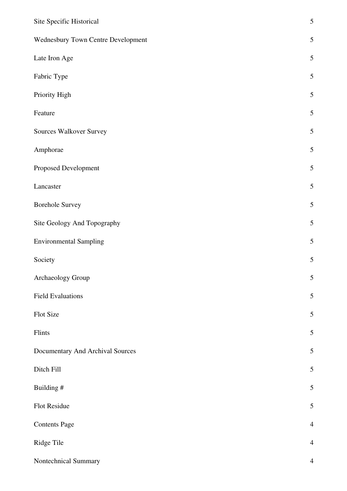| Site Specific Historical           | $\mathfrak s$  |
|------------------------------------|----------------|
| Wednesbury Town Centre Development | $\mathfrak{S}$ |
| Late Iron Age                      | $\mathfrak s$  |
| Fabric Type                        | $\mathfrak{S}$ |
| Priority High                      | $\mathfrak s$  |
| Feature                            | $\sqrt{5}$     |
| <b>Sources Walkover Survey</b>     | $\mathfrak s$  |
| Amphorae                           | $\mathfrak{S}$ |
| Proposed Development               | $\mathfrak s$  |
| Lancaster                          | $\mathfrak s$  |
| <b>Borehole Survey</b>             | $\mathfrak s$  |
| Site Geology And Topography        | $\mathfrak{S}$ |
| <b>Environmental Sampling</b>      | $\mathfrak s$  |
| Society                            | 5              |
| Archaeology Group                  | 5              |
| <b>Field Evaluations</b>           | $\mathfrak s$  |
| Flot Size                          | $\mathfrak s$  |
| Flints                             | $\mathfrak{S}$ |
| Documentary And Archival Sources   | $\mathfrak s$  |
| Ditch Fill                         | $\mathfrak s$  |
| Building #                         | $\mathfrak{S}$ |
| Flot Residue                       | $\mathfrak s$  |
| <b>Contents Page</b>               | $\overline{4}$ |
| Ridge Tile                         | $\overline{4}$ |
| Nontechnical Summary               | $\overline{4}$ |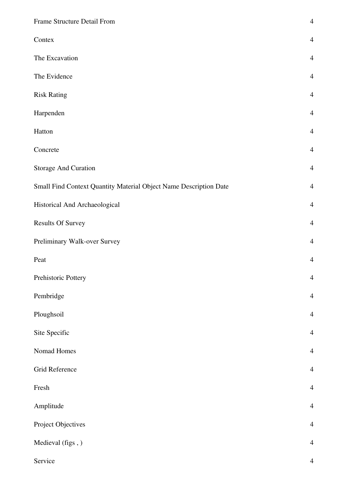| Frame Structure Detail From                                       | $\overline{4}$           |
|-------------------------------------------------------------------|--------------------------|
| Contex                                                            | $\overline{4}$           |
| The Excavation                                                    | $\overline{4}$           |
| The Evidence                                                      | $\overline{4}$           |
| <b>Risk Rating</b>                                                | $\overline{4}$           |
| Harpenden                                                         | $\overline{4}$           |
| Hatton                                                            | $\overline{4}$           |
| Concrete                                                          | $\overline{4}$           |
| <b>Storage And Curation</b>                                       | $\overline{4}$           |
| Small Find Context Quantity Material Object Name Description Date | $\overline{4}$           |
| Historical And Archaeological                                     | $\overline{4}$           |
| <b>Results Of Survey</b>                                          | $\overline{4}$           |
| Preliminary Walk-over Survey                                      | $\overline{4}$           |
| Peat                                                              | $\overline{4}$           |
| Prehistoric Pottery                                               | $\overline{4}$           |
| Pembridge                                                         | $\overline{4}$           |
| Ploughsoil                                                        | $\overline{4}$           |
| Site Specific                                                     | $\overline{4}$           |
| Nomad Homes                                                       | $\overline{4}$           |
| Grid Reference                                                    | $\overline{4}$           |
| Fresh                                                             | $\overline{4}$           |
| Amplitude                                                         | $\overline{4}$           |
| Project Objectives                                                | $\overline{4}$           |
| Medieval (figs,)                                                  | $\overline{4}$           |
| Service                                                           | $\overline{\mathcal{L}}$ |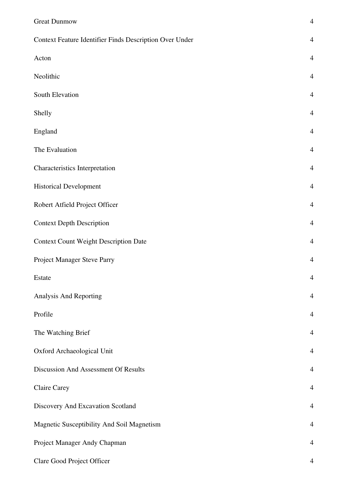| <b>Great Dunmow</b>                                     | $\overline{4}$ |
|---------------------------------------------------------|----------------|
| Context Feature Identifier Finds Description Over Under | $\overline{4}$ |
| Acton                                                   | $\overline{4}$ |
| Neolithic                                               | $\overline{4}$ |
| South Elevation                                         | $\overline{4}$ |
| Shelly                                                  | $\overline{4}$ |
| England                                                 | $\overline{4}$ |
| The Evaluation                                          | $\overline{4}$ |
| Characteristics Interpretation                          | $\overline{4}$ |
| <b>Historical Development</b>                           | $\overline{4}$ |
| Robert Atfield Project Officer                          | $\overline{4}$ |
| <b>Context Depth Description</b>                        | $\overline{4}$ |
| <b>Context Count Weight Description Date</b>            | $\overline{4}$ |
| Project Manager Steve Parry                             | $\overline{4}$ |
| Estate                                                  | $\overline{4}$ |
| Analysis And Reporting                                  | $\overline{4}$ |
| Profile                                                 | $\overline{4}$ |
| The Watching Brief                                      | $\overline{4}$ |
| Oxford Archaeological Unit                              | $\overline{4}$ |
| Discussion And Assessment Of Results                    | $\overline{4}$ |
| <b>Claire Carey</b>                                     | $\overline{4}$ |
| Discovery And Excavation Scotland                       | $\overline{4}$ |
| Magnetic Susceptibility And Soil Magnetism              | $\overline{4}$ |
| Project Manager Andy Chapman                            | $\overline{4}$ |
| Clare Good Project Officer                              | $\overline{4}$ |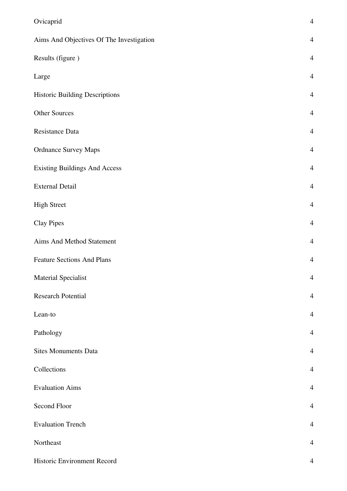| Ovicaprid                                | $\overline{4}$ |
|------------------------------------------|----------------|
| Aims And Objectives Of The Investigation | $\overline{4}$ |
| Results (figure)                         | $\overline{4}$ |
| Large                                    | $\overline{4}$ |
| <b>Historic Building Descriptions</b>    | $\overline{4}$ |
| <b>Other Sources</b>                     | $\overline{4}$ |
| Resistance Data                          | $\overline{4}$ |
| <b>Ordnance Survey Maps</b>              | $\overline{4}$ |
| <b>Existing Buildings And Access</b>     | $\overline{4}$ |
| <b>External Detail</b>                   | $\overline{4}$ |
| <b>High Street</b>                       | $\overline{4}$ |
| <b>Clay Pipes</b>                        | $\overline{4}$ |
| Aims And Method Statement                | $\overline{4}$ |
| <b>Feature Sections And Plans</b>        | $\overline{4}$ |
| <b>Material Specialist</b>               | $\overline{4}$ |
| <b>Research Potential</b>                | $\overline{4}$ |
| Lean-to                                  | $\overline{4}$ |
| Pathology                                | $\overline{4}$ |
| <b>Sites Monuments Data</b>              | $\overline{4}$ |
| Collections                              | $\overline{4}$ |
| <b>Evaluation Aims</b>                   | $\overline{4}$ |
| Second Floor                             | $\overline{4}$ |
| <b>Evaluation Trench</b>                 | $\overline{4}$ |
| Northeast                                | $\overline{4}$ |
| Historic Environment Record              | 4              |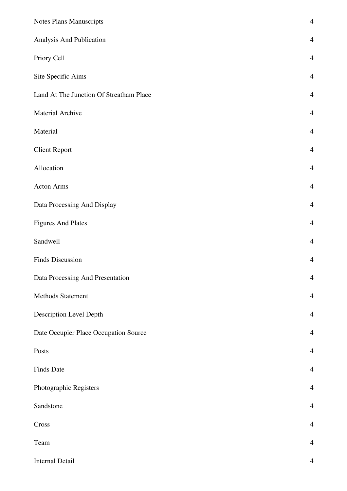| Notes Plans Manuscripts                 | $\overline{4}$ |
|-----------------------------------------|----------------|
| Analysis And Publication                | $\overline{4}$ |
| Priory Cell                             | $\overline{4}$ |
| Site Specific Aims                      | $\overline{4}$ |
| Land At The Junction Of Streatham Place | $\overline{4}$ |
| Material Archive                        | $\overline{4}$ |
| Material                                | $\overline{4}$ |
| <b>Client Report</b>                    | $\overline{4}$ |
| Allocation                              | $\overline{4}$ |
| <b>Acton Arms</b>                       | $\overline{4}$ |
| Data Processing And Display             | $\overline{4}$ |
| <b>Figures And Plates</b>               | $\overline{4}$ |
| Sandwell                                | $\overline{4}$ |
| Finds Discussion                        | $\overline{4}$ |
| Data Processing And Presentation        | $\overline{4}$ |
| Methods Statement                       | $\overline{4}$ |
| Description Level Depth                 | $\overline{4}$ |
| Date Occupier Place Occupation Source   | $\overline{4}$ |
| Posts                                   | $\overline{4}$ |
| <b>Finds Date</b>                       | $\overline{4}$ |
| Photographic Registers                  | $\overline{4}$ |
| Sandstone                               | $\overline{4}$ |
| Cross                                   | $\overline{4}$ |
| Team                                    | $\overline{4}$ |
| <b>Internal Detail</b>                  | $\overline{4}$ |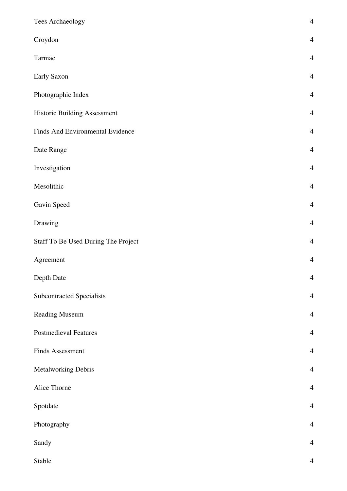| Tees Archaeology                    | $\overline{4}$ |
|-------------------------------------|----------------|
| Croydon                             | $\overline{4}$ |
| Tarmac                              | $\overline{4}$ |
| Early Saxon                         | $\overline{4}$ |
| Photographic Index                  | $\overline{4}$ |
| Historic Building Assessment        | $\overline{4}$ |
| Finds And Environmental Evidence    | $\overline{4}$ |
| Date Range                          | $\overline{4}$ |
| Investigation                       | $\overline{4}$ |
| Mesolithic                          | $\overline{4}$ |
| Gavin Speed                         | $\overline{4}$ |
| Drawing                             | $\overline{4}$ |
| Staff To Be Used During The Project | $\overline{4}$ |
| Agreement                           | $\overline{4}$ |
| Depth Date                          | $\overline{4}$ |
| Subcontracted Specialists           | $\overline{4}$ |
| Reading Museum                      | $\overline{4}$ |
| <b>Postmedieval Features</b>        | $\overline{4}$ |
| Finds Assessment                    | $\overline{4}$ |
| Metalworking Debris                 | $\overline{4}$ |
| Alice Thorne                        | $\overline{4}$ |
| Spotdate                            | $\overline{4}$ |
| Photography                         | $\overline{4}$ |
| Sandy                               | $\overline{4}$ |
| Stable                              | $\overline{4}$ |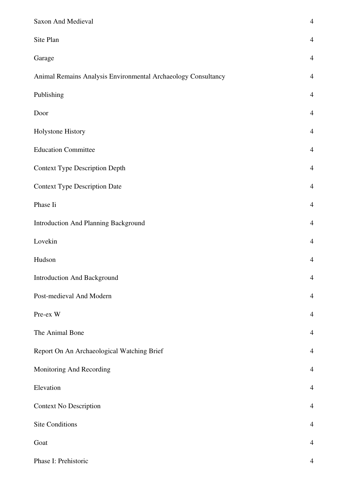| Saxon And Medieval                                            | $\overline{4}$ |
|---------------------------------------------------------------|----------------|
| Site Plan                                                     | $\overline{4}$ |
| Garage                                                        | $\overline{4}$ |
| Animal Remains Analysis Environmental Archaeology Consultancy | $\overline{4}$ |
| Publishing                                                    | $\overline{4}$ |
| Door                                                          | $\overline{4}$ |
| Holystone History                                             | $\overline{4}$ |
| <b>Education Committee</b>                                    | $\overline{4}$ |
| <b>Context Type Description Depth</b>                         | $\overline{4}$ |
| <b>Context Type Description Date</b>                          | $\overline{4}$ |
| Phase Ii                                                      | $\overline{4}$ |
| <b>Introduction And Planning Background</b>                   | $\overline{4}$ |
| Lovekin                                                       | $\overline{4}$ |
| Hudson                                                        | $\overline{4}$ |
| <b>Introduction And Background</b>                            | $\overline{4}$ |
| Post-medieval And Modern                                      | $\overline{4}$ |
| Pre-ex W                                                      | $\overline{4}$ |
| The Animal Bone                                               | $\overline{4}$ |
| Report On An Archaeological Watching Brief                    | $\overline{4}$ |
| Monitoring And Recording                                      | $\overline{4}$ |
| Elevation                                                     | $\overline{4}$ |
| <b>Context No Description</b>                                 | $\overline{4}$ |
| <b>Site Conditions</b>                                        | $\overline{4}$ |
| Goat                                                          | $\overline{4}$ |
| Phase I: Prehistoric                                          | 4              |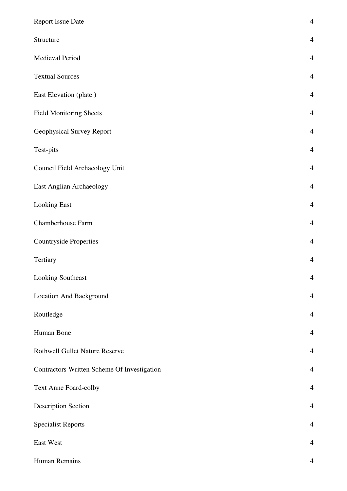| <b>Report Issue Date</b>                    | $\overline{4}$ |
|---------------------------------------------|----------------|
| Structure                                   | $\overline{4}$ |
| Medieval Period                             | $\overline{4}$ |
| <b>Textual Sources</b>                      | $\overline{4}$ |
| East Elevation (plate)                      | $\overline{4}$ |
| <b>Field Monitoring Sheets</b>              | $\overline{4}$ |
| Geophysical Survey Report                   | $\overline{4}$ |
| Test-pits                                   | $\overline{4}$ |
| Council Field Archaeology Unit              | $\overline{4}$ |
| East Anglian Archaeology                    | $\overline{4}$ |
| <b>Looking East</b>                         | $\overline{4}$ |
| Chamberhouse Farm                           | $\overline{4}$ |
| <b>Countryside Properties</b>               | $\overline{4}$ |
| Tertiary                                    | $\overline{4}$ |
| Looking Southeast                           | $\overline{4}$ |
| <b>Location And Background</b>              | $\overline{4}$ |
| Routledge                                   | $\overline{4}$ |
| Human Bone                                  | $\overline{4}$ |
| <b>Rothwell Gullet Nature Reserve</b>       | $\overline{4}$ |
| Contractors Written Scheme Of Investigation | $\overline{4}$ |
| Text Anne Foard-colby                       | $\overline{4}$ |
| <b>Description Section</b>                  | $\overline{4}$ |
| <b>Specialist Reports</b>                   | $\overline{4}$ |
| East West                                   | $\overline{4}$ |
| Human Remains                               | $\overline{4}$ |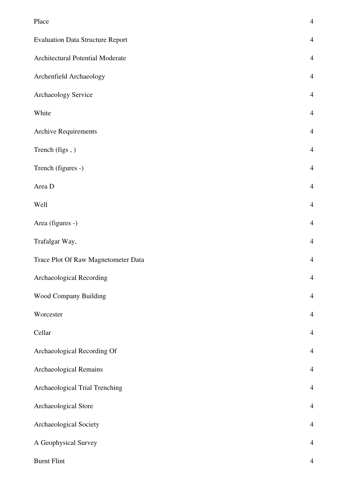| Place                                   | $\overline{4}$ |
|-----------------------------------------|----------------|
| <b>Evaluation Data Structure Report</b> | $\overline{4}$ |
| Architectural Potential Moderate        | $\overline{4}$ |
| Archenfield Archaeology                 | $\overline{4}$ |
| Archaeology Service                     | $\overline{4}$ |
| White                                   | $\overline{4}$ |
| <b>Archive Requirements</b>             | $\overline{4}$ |
| Trench (figs,)                          | $\overline{4}$ |
| Trench (figures -)                      | $\overline{4}$ |
| Area D                                  | $\overline{4}$ |
| Well                                    | $\overline{4}$ |
| Area (figures -)                        | $\overline{4}$ |
| Trafalgar Way,                          | $\overline{4}$ |
| Trace Plot Of Raw Magnetometer Data     | $\overline{4}$ |
| Archaeological Recording                | $\overline{4}$ |
| Wood Company Building                   | $\overline{4}$ |
| Worcester                               | $\overline{4}$ |
| Cellar                                  | $\overline{4}$ |
| Archaeological Recording Of             | $\overline{4}$ |
| Archaeological Remains                  | $\overline{4}$ |
| Archaeological Trial Trenching          | $\overline{4}$ |
| Archaeological Store                    | $\overline{4}$ |
| Archaeological Society                  | $\overline{4}$ |
| A Geophysical Survey                    | $\overline{4}$ |
| <b>Burnt Flint</b>                      | $\overline{4}$ |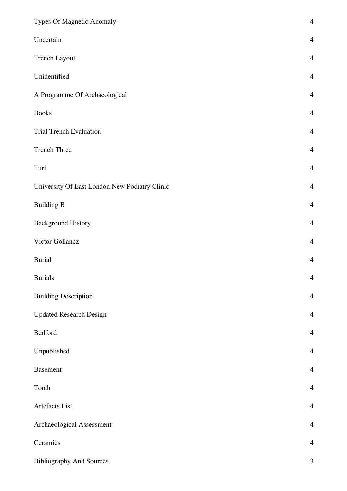| Types Of Magnetic Anomaly                     | $\overline{4}$ |
|-----------------------------------------------|----------------|
| Uncertain                                     | $\overline{4}$ |
| Trench Layout                                 | $\overline{4}$ |
| Unidentified                                  | $\overline{4}$ |
| A Programme Of Archaeological                 | $\overline{4}$ |
| <b>Books</b>                                  | $\overline{4}$ |
| <b>Trial Trench Evaluation</b>                | $\overline{4}$ |
| <b>Trench Three</b>                           | $\overline{4}$ |
| Turf                                          | $\overline{4}$ |
| University Of East London New Podiatry Clinic | $\overline{4}$ |
| <b>Building B</b>                             | $\overline{4}$ |
| <b>Background History</b>                     | $\overline{4}$ |
| Victor Gollancz                               | $\overline{4}$ |
| <b>Burial</b>                                 | $\overline{4}$ |
| <b>Burials</b>                                | $\overline{4}$ |
| <b>Building Description</b>                   | $\overline{4}$ |
| <b>Updated Research Design</b>                | $\overline{4}$ |
| Bedford                                       | $\overline{4}$ |
| Unpublished                                   | $\overline{4}$ |
| <b>Basement</b>                               | $\overline{4}$ |
| Tooth                                         | $\overline{4}$ |
| Artefacts List                                | $\overline{4}$ |
| Archaeological Assessment                     | $\overline{4}$ |
| Ceramics                                      | $\overline{4}$ |
| <b>Bibliography And Sources</b>               | $\mathfrak{Z}$ |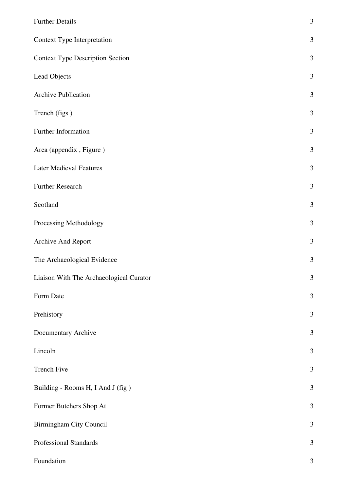| <b>Further Details</b>                  | 3              |
|-----------------------------------------|----------------|
| Context Type Interpretation             | $\mathfrak{Z}$ |
| <b>Context Type Description Section</b> | $\mathfrak{Z}$ |
| Lead Objects                            | $\mathfrak{Z}$ |
| <b>Archive Publication</b>              | 3              |
| Trench (figs)                           | $\mathfrak{Z}$ |
| Further Information                     | 3              |
| Area (appendix, Figure)                 | $\mathfrak{Z}$ |
| <b>Later Medieval Features</b>          | 3              |
| <b>Further Research</b>                 | $\mathfrak{Z}$ |
| Scotland                                | 3              |
| Processing Methodology                  | $\mathfrak{Z}$ |
| Archive And Report                      | $\mathfrak{Z}$ |
| The Archaeological Evidence             | $\mathfrak{Z}$ |
| Liaison With The Archaeological Curator | 3              |
| Form Date                               | $\mathfrak{Z}$ |
| Prehistory                              | $\mathfrak{Z}$ |
| Documentary Archive                     | $\mathfrak{Z}$ |
| Lincoln                                 | $\mathfrak{Z}$ |
| <b>Trench Five</b>                      | $\mathfrak{Z}$ |
| Building - Rooms H, I And J (fig)       | $\mathfrak{Z}$ |
| Former Butchers Shop At                 | $\mathfrak{Z}$ |
| Birmingham City Council                 | $\mathfrak{Z}$ |
| Professional Standards                  | 3              |
| Foundation                              | $\mathfrak{Z}$ |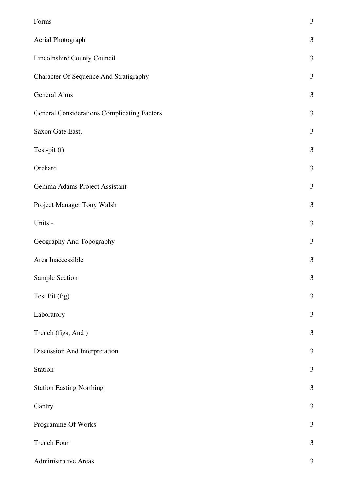| Forms                                              | $\mathfrak{Z}$ |
|----------------------------------------------------|----------------|
| Aerial Photograph                                  | $\mathfrak{Z}$ |
| Lincolnshire County Council                        | 3              |
| <b>Character Of Sequence And Stratigraphy</b>      | 3              |
| <b>General Aims</b>                                | $\mathfrak{Z}$ |
| <b>General Considerations Complicating Factors</b> | 3              |
| Saxon Gate East,                                   | 3              |
| Test-pit (t)                                       | 3              |
| Orchard                                            | $\mathfrak{Z}$ |
| Gemma Adams Project Assistant                      | $\mathfrak{Z}$ |
| Project Manager Tony Walsh                         | $\mathfrak{Z}$ |
| Units -                                            | 3              |
| Geography And Topography                           | $\mathfrak{Z}$ |
| Area Inaccessible                                  | $\mathfrak{Z}$ |
| Sample Section                                     | 3              |
| Test Pit (fig)                                     | $\mathfrak{Z}$ |
| Laboratory                                         | $\mathfrak{Z}$ |
| Trench (figs, And)                                 | 3              |
| Discussion And Interpretation                      | $\mathfrak{Z}$ |
| Station                                            | $\mathfrak{Z}$ |
| <b>Station Easting Northing</b>                    | $\mathfrak{Z}$ |
| Gantry                                             | $\mathfrak{Z}$ |
| Programme Of Works                                 | $\mathfrak{Z}$ |
| Trench Four                                        | $\mathfrak{Z}$ |
| Administrative Areas                               | $\mathfrak{Z}$ |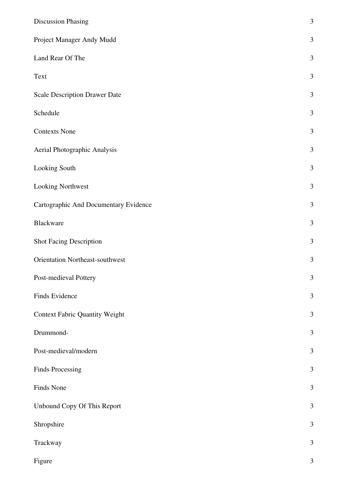| <b>Discussion Phasing</b>             | $\mathfrak{Z}$ |
|---------------------------------------|----------------|
| Project Manager Andy Mudd             | 3              |
| Land Rear Of The                      | $\mathfrak{Z}$ |
| Text                                  | 3              |
| <b>Scale Description Drawer Date</b>  | $\mathfrak{Z}$ |
| Schedule                              | $\mathfrak{Z}$ |
| <b>Contexts None</b>                  | $\mathfrak{Z}$ |
| Aerial Photographic Analysis          | $\mathfrak{Z}$ |
| Looking South                         | 3              |
| Looking Northwest                     | 3              |
| Cartographic And Documentary Evidence | $\mathfrak{Z}$ |
| Blackware                             | $\mathfrak{Z}$ |
| <b>Shot Facing Description</b>        | $\mathfrak{Z}$ |
| Orientation Northeast-southwest       | $\mathfrak{Z}$ |
| Post-medieval Pottery                 | 3              |
| Finds Evidence                        | $\mathfrak{Z}$ |
| <b>Context Fabric Quantity Weight</b> | $\mathfrak{Z}$ |
| Drummond-                             | 3              |
| Post-medieval/modern                  | 3              |
| <b>Finds Processing</b>               | $\mathfrak{Z}$ |
| Finds None                            | $\mathfrak{Z}$ |
| Unbound Copy Of This Report           | $\mathfrak{Z}$ |
| Shropshire                            | $\mathfrak{Z}$ |
| Trackway                              | $\mathfrak{Z}$ |
| Figure                                | $\mathfrak{Z}$ |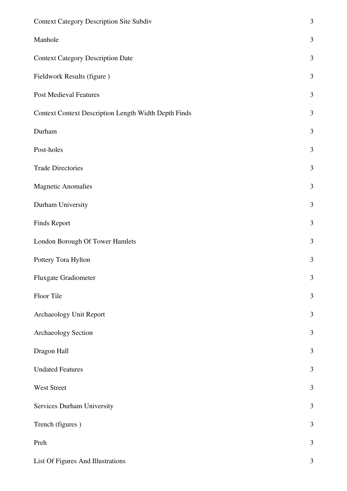| <b>Context Category Description Site Subdiv</b>             | 3              |
|-------------------------------------------------------------|----------------|
| Manhole                                                     | $\mathfrak{Z}$ |
| <b>Context Category Description Date</b>                    | 3              |
| Fieldwork Results (figure)                                  | $\mathfrak{Z}$ |
| <b>Post Medieval Features</b>                               | $\mathfrak{Z}$ |
| <b>Context Context Description Length Width Depth Finds</b> | 3              |
| Durham                                                      | $\mathfrak{Z}$ |
| Post-holes                                                  | 3              |
| <b>Trade Directories</b>                                    | 3              |
| <b>Magnetic Anomalies</b>                                   | $\mathfrak{Z}$ |
| Durham University                                           | $\mathfrak{Z}$ |
| Finds Report                                                | $\mathfrak{Z}$ |
| London Borough Of Tower Hamlets                             | $\mathfrak{Z}$ |
| Pottery Tora Hylton                                         | 3              |
| Fluxgate Gradiometer                                        | $\mathfrak{Z}$ |
| Floor Tile                                                  | $\mathfrak{Z}$ |
| Archaeology Unit Report                                     | $\mathfrak{Z}$ |
| Archaeology Section                                         | 3              |
| Dragon Hall                                                 | $\mathfrak{Z}$ |
| <b>Undated Features</b>                                     | $\mathfrak{Z}$ |
| West Street                                                 | $\mathfrak{Z}$ |
| Services Durham University                                  | $\mathfrak{Z}$ |
| Trench (figures)                                            | 3              |
| Preh                                                        | $\mathfrak{Z}$ |
| List Of Figures And Illustrations                           | $\mathfrak{Z}$ |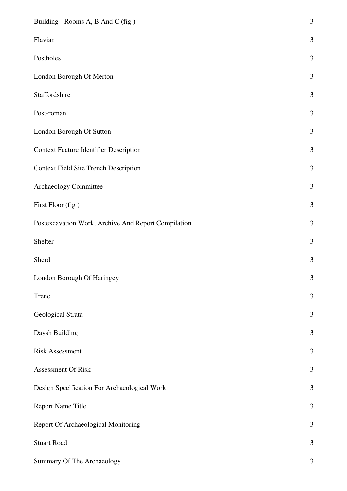| Building - Rooms A, B And C (fig)                   | 3              |
|-----------------------------------------------------|----------------|
| Flavian                                             | 3              |
| Postholes                                           | 3              |
| London Borough Of Merton                            | 3              |
| Staffordshire                                       | $\mathfrak{Z}$ |
| Post-roman                                          | 3              |
| London Borough Of Sutton                            | 3              |
| <b>Context Feature Identifier Description</b>       | $\mathfrak{Z}$ |
| <b>Context Field Site Trench Description</b>        | $\mathfrak{Z}$ |
| Archaeology Committee                               | 3              |
| First Floor (fig)                                   | 3              |
| Postexcavation Work, Archive And Report Compilation | 3              |
| Shelter                                             | $\mathfrak{Z}$ |
| Sherd                                               | $\mathfrak{Z}$ |
| London Borough Of Haringey                          | 3              |
| Trenc                                               | 3              |
| Geological Strata                                   | $\mathfrak{Z}$ |
| Daysh Building                                      | 3              |
| <b>Risk Assessment</b>                              | 3              |
| Assessment Of Risk                                  | 3              |
| Design Specification For Archaeological Work        | $\mathfrak{Z}$ |
| <b>Report Name Title</b>                            | $\mathfrak{Z}$ |
| Report Of Archaeological Monitoring                 | 3              |
| <b>Stuart Road</b>                                  | 3              |
| Summary Of The Archaeology                          | 3              |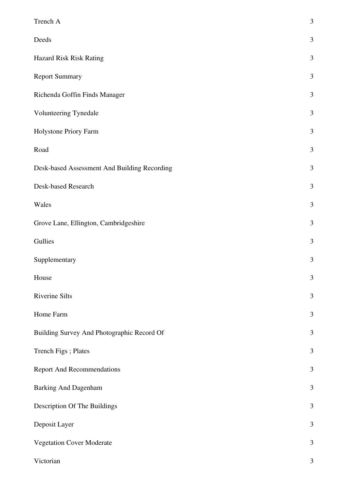| Trench A                                     | $\mathfrak{Z}$ |
|----------------------------------------------|----------------|
| Deeds                                        | 3              |
| Hazard Risk Risk Rating                      | $\mathfrak{Z}$ |
| <b>Report Summary</b>                        | 3              |
| Richenda Goffin Finds Manager                | 3              |
| Volunteering Tynedale                        | $\mathfrak{Z}$ |
| Holystone Priory Farm                        | 3              |
| Road                                         | $\mathfrak{Z}$ |
| Desk-based Assessment And Building Recording | $\mathfrak{Z}$ |
| Desk-based Research                          | $\mathfrak{Z}$ |
| Wales                                        | $\mathfrak{Z}$ |
| Grove Lane, Ellington, Cambridgeshire        | $\mathfrak{Z}$ |
| Gullies                                      | $\mathfrak{Z}$ |
| Supplementary                                | $\mathfrak{Z}$ |
| House                                        | 3              |
| Riverine Silts                               | $\mathfrak{Z}$ |
| Home Farm                                    | $\mathfrak{Z}$ |
| Building Survey And Photographic Record Of   | $\mathfrak{Z}$ |
| Trench Figs; Plates                          | $\mathfrak{Z}$ |
| <b>Report And Recommendations</b>            | $\mathfrak{Z}$ |
| <b>Barking And Dagenham</b>                  | 3              |
| Description Of The Buildings                 | $\mathfrak{Z}$ |
| Deposit Layer                                | 3              |
| <b>Vegetation Cover Moderate</b>             | 3              |
| Victorian                                    | $\mathfrak{Z}$ |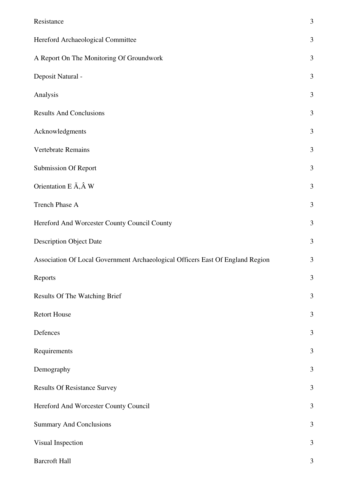| Resistance                                                                     | 3              |
|--------------------------------------------------------------------------------|----------------|
| Hereford Archaeological Committee                                              | 3              |
| A Report On The Monitoring Of Groundwork                                       | $\mathfrak{Z}$ |
| Deposit Natural -                                                              | 3              |
| Analysis                                                                       | $\mathfrak{Z}$ |
| <b>Results And Conclusions</b>                                                 | 3              |
| Acknowledgments                                                                | $\mathfrak{Z}$ |
| Vertebrate Remains                                                             | 3              |
| Submission Of Report                                                           | 3              |
| Orientation E $\tilde{\mathbf{A}}, \hat{\mathbf{A}}$ W                         | $\mathfrak{Z}$ |
| <b>Trench Phase A</b>                                                          | 3              |
| Hereford And Worcester County Council County                                   | $\mathfrak{Z}$ |
| <b>Description Object Date</b>                                                 | 3              |
| Association Of Local Government Archaeological Officers East Of England Region | 3              |
| Reports                                                                        | 3              |
| Results Of The Watching Brief                                                  | $\mathfrak{Z}$ |
| <b>Retort House</b>                                                            | $\mathfrak{Z}$ |
| Defences                                                                       | 3              |
| Requirements                                                                   | 3              |
| Demography                                                                     | $\mathfrak{Z}$ |
| <b>Results Of Resistance Survey</b>                                            | 3              |
| Hereford And Worcester County Council                                          | 3              |
| <b>Summary And Conclusions</b>                                                 | 3              |
| Visual Inspection                                                              | $\mathfrak{Z}$ |
| <b>Barcroft Hall</b>                                                           | 3              |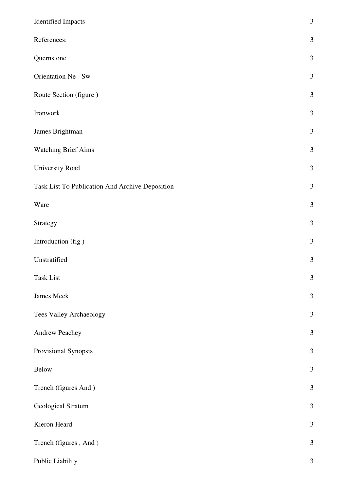| <b>Identified Impacts</b>                       | $\mathfrak{Z}$ |
|-------------------------------------------------|----------------|
| References:                                     | $\mathfrak{Z}$ |
| Quernstone                                      | $\mathfrak{Z}$ |
| Orientation Ne - Sw                             | $\mathfrak{Z}$ |
| Route Section (figure)                          | $\mathfrak{Z}$ |
| Ironwork                                        | $\mathfrak{Z}$ |
| James Brightman                                 | $\mathfrak{Z}$ |
| <b>Watching Brief Aims</b>                      | $\mathfrak{Z}$ |
| University Road                                 | $\mathfrak{Z}$ |
| Task List To Publication And Archive Deposition | $\mathfrak{Z}$ |
| Ware                                            | $\mathfrak{Z}$ |
| Strategy                                        | $\mathfrak{Z}$ |
| Introduction (fig)                              | $\mathfrak{Z}$ |
| Unstratified                                    | $\mathfrak{Z}$ |
| Task List                                       | $\mathfrak{Z}$ |
| James Meek                                      | $\mathfrak{Z}$ |
| Tees Valley Archaeology                         | $\mathfrak{Z}$ |
| Andrew Peachey                                  | $\mathfrak{Z}$ |
| Provisional Synopsis                            | $\mathfrak{Z}$ |
| Below                                           | $\mathfrak{Z}$ |
| Trench (figures And)                            | $\mathfrak{Z}$ |
| Geological Stratum                              | $\mathfrak{Z}$ |
| Kieron Heard                                    | $\mathfrak{Z}$ |
| Trench (figures, And)                           | $\mathfrak{Z}$ |
| Public Liability                                | $\mathfrak{Z}$ |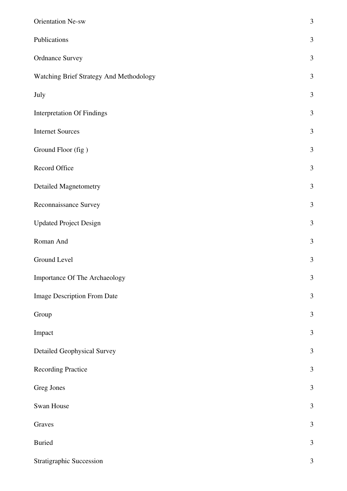| <b>Orientation Ne-sw</b>                | 3              |
|-----------------------------------------|----------------|
| Publications                            | $\mathfrak{Z}$ |
| <b>Ordnance Survey</b>                  | 3              |
| Watching Brief Strategy And Methodology | $\mathfrak{Z}$ |
| July                                    | 3              |
| <b>Interpretation Of Findings</b>       | 3              |
| <b>Internet Sources</b>                 | 3              |
| Ground Floor (fig)                      | $\mathfrak{Z}$ |
| Record Office                           | 3              |
| <b>Detailed Magnetometry</b>            | $\mathfrak{Z}$ |
| Reconnaissance Survey                   | 3              |
| <b>Updated Project Design</b>           | $\mathfrak{Z}$ |
| Roman And                               | 3              |
| Ground Level                            | $\mathfrak{Z}$ |
| Importance Of The Archaeology           | 3              |
| Image Description From Date             | $\mathfrak{Z}$ |
| Group                                   | $\overline{3}$ |
| Impact                                  | $\mathfrak{Z}$ |
| <b>Detailed Geophysical Survey</b>      | $\mathfrak{Z}$ |
| <b>Recording Practice</b>               | $\overline{3}$ |
| Greg Jones                              | $\mathfrak{Z}$ |
| Swan House                              | 3              |
| Graves                                  | $\mathfrak{Z}$ |
| <b>Buried</b>                           | $\mathfrak{Z}$ |
| Stratigraphic Succession                | $\mathfrak{Z}$ |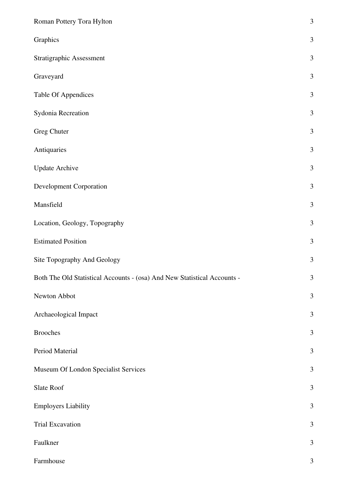| Roman Pottery Tora Hylton                                                | 3              |
|--------------------------------------------------------------------------|----------------|
| Graphics                                                                 | 3              |
| Stratigraphic Assessment                                                 | $\mathfrak{Z}$ |
| Graveyard                                                                | $\mathfrak{Z}$ |
| <b>Table Of Appendices</b>                                               | 3              |
| Sydonia Recreation                                                       | 3              |
| Greg Chuter                                                              | 3              |
| Antiquaries                                                              | $\mathfrak{Z}$ |
| <b>Update Archive</b>                                                    | $\mathfrak{Z}$ |
| <b>Development Corporation</b>                                           | $\mathfrak{Z}$ |
| Mansfield                                                                | $\mathfrak{Z}$ |
| Location, Geology, Topography                                            | $\mathfrak{Z}$ |
| <b>Estimated Position</b>                                                | 3              |
| Site Topography And Geology                                              | $\mathfrak{Z}$ |
| Both The Old Statistical Accounts - (osa) And New Statistical Accounts - | 3              |
| Newton Abbot                                                             | $\mathfrak{Z}$ |
| Archaeological Impact                                                    | $\mathfrak{Z}$ |
| <b>Brooches</b>                                                          | $\mathfrak{Z}$ |
| Period Material                                                          | 3              |
| Museum Of London Specialist Services                                     | $\mathfrak{Z}$ |
| Slate Roof                                                               | $\mathfrak{Z}$ |
| <b>Employers Liability</b>                                               | $\mathfrak{Z}$ |
| <b>Trial Excavation</b>                                                  | $\mathfrak{Z}$ |
| Faulkner                                                                 | $\mathfrak{Z}$ |
| Farmhouse                                                                | $\mathfrak{Z}$ |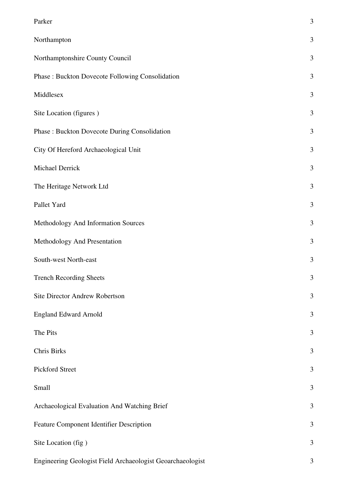| Parker                                                     | 3              |
|------------------------------------------------------------|----------------|
| Northampton                                                | $\mathfrak{Z}$ |
| Northamptonshire County Council                            | 3              |
| Phase : Buckton Dovecote Following Consolidation           | 3              |
| Middlesex                                                  | 3              |
| Site Location (figures)                                    | 3              |
| Phase : Buckton Dovecote During Consolidation              | 3              |
| City Of Hereford Archaeological Unit                       | 3              |
| Michael Derrick                                            | 3              |
| The Heritage Network Ltd                                   | 3              |
| Pallet Yard                                                | 3              |
| Methodology And Information Sources                        | 3              |
| Methodology And Presentation                               | $\mathfrak{Z}$ |
| South-west North-east                                      | 3              |
| <b>Trench Recording Sheets</b>                             | 3              |
| Site Director Andrew Robertson                             | 3              |
| <b>England Edward Arnold</b>                               | $\mathfrak{Z}$ |
| The Pits                                                   | 3              |
| Chris Birks                                                | $\mathfrak{Z}$ |
| Pickford Street                                            | 3              |
| Small                                                      | 3              |
| Archaeological Evaluation And Watching Brief               | 3              |
| Feature Component Identifier Description                   | 3              |
| Site Location (fig)                                        | 3              |
| Engineering Geologist Field Archaeologist Geoarchaeologist | 3              |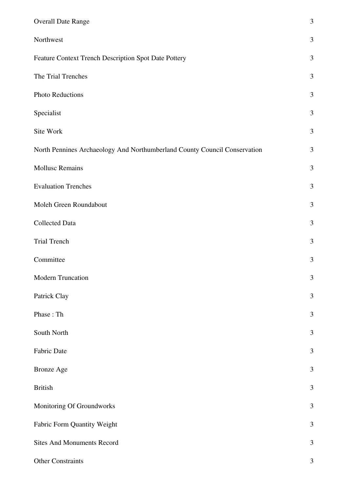| <b>Overall Date Range</b>                                                 | $\mathfrak{Z}$ |
|---------------------------------------------------------------------------|----------------|
| Northwest                                                                 | $\mathfrak{Z}$ |
| Feature Context Trench Description Spot Date Pottery                      | $\mathfrak{Z}$ |
| The Trial Trenches                                                        | 3              |
| Photo Reductions                                                          | $\mathfrak{Z}$ |
| Specialist                                                                | $\mathfrak{Z}$ |
| Site Work                                                                 | $\mathfrak{Z}$ |
| North Pennines Archaeology And Northumberland County Council Conservation | 3              |
| <b>Mollusc Remains</b>                                                    | $\mathfrak{Z}$ |
| <b>Evaluation Trenches</b>                                                | 3              |
| Moleh Green Roundabout                                                    | 3              |
| Collected Data                                                            | 3              |
| <b>Trial Trench</b>                                                       | $\mathfrak{Z}$ |
| Committee                                                                 | $\mathfrak{Z}$ |
| Modern Truncation                                                         | 3              |
| Patrick Clay                                                              | 3              |
| Phase: Th                                                                 | $\mathfrak{Z}$ |
| South North                                                               | 3              |
| Fabric Date                                                               | $\mathfrak{Z}$ |
| <b>Bronze Age</b>                                                         | 3              |
| <b>British</b>                                                            | 3              |
| Monitoring Of Groundworks                                                 | $\mathfrak{Z}$ |
| Fabric Form Quantity Weight                                               | $\mathfrak{Z}$ |
| <b>Sites And Monuments Record</b>                                         | 3              |
| Other Constraints                                                         | 3              |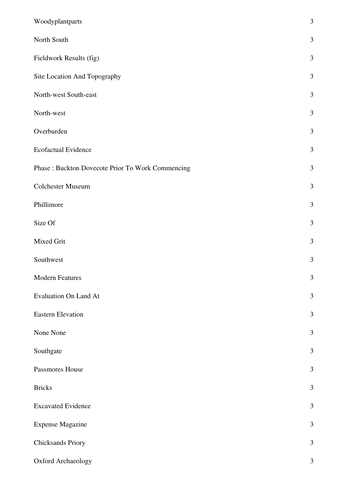| Woodyplantparts                                   | $\mathfrak{Z}$ |
|---------------------------------------------------|----------------|
| North South                                       | $\mathfrak{Z}$ |
| Fieldwork Results (fig)                           | $\mathfrak{Z}$ |
| Site Location And Topography                      | $\mathfrak{Z}$ |
| North-west South-east                             | $\mathfrak{Z}$ |
| North-west                                        | $\mathfrak{Z}$ |
| Overburden                                        | $\mathfrak{Z}$ |
| Ecofactual Evidence                               | $\mathfrak{Z}$ |
| Phase : Buckton Dovecote Prior To Work Commencing | $\mathfrak{Z}$ |
| Colchester Museum                                 | $\mathfrak{Z}$ |
| Phillimore                                        | $\mathfrak{Z}$ |
| Size Of                                           | $\mathfrak{Z}$ |
| Mixed Grit                                        | $\mathfrak{Z}$ |
| Southwest                                         | $\mathfrak{Z}$ |
| <b>Modern Features</b>                            | 3              |
| <b>Evaluation On Land At</b>                      | $\mathfrak{Z}$ |
| <b>Eastern Elevation</b>                          | $\mathfrak{Z}$ |
| None None                                         | $\mathfrak{Z}$ |
| Southgate                                         | $\mathfrak{Z}$ |
| Passmores House                                   | $\mathfrak{Z}$ |
| <b>Bricks</b>                                     | $\mathfrak{Z}$ |
| <b>Excavated Evidence</b>                         | $\mathfrak{Z}$ |
| <b>Expense Magazine</b>                           | $\mathfrak{Z}$ |
| Chicksands Priory                                 | $\mathfrak{Z}$ |
| Oxford Archaeology                                | $\mathfrak{Z}$ |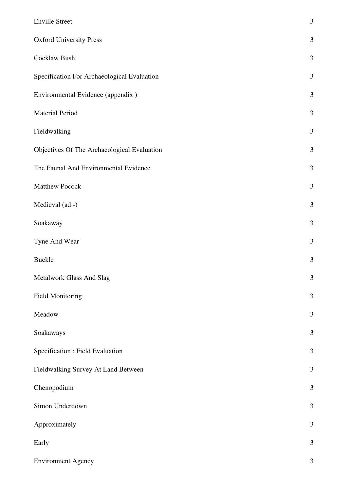| <b>Enville Street</b>                       | $\mathfrak{Z}$ |
|---------------------------------------------|----------------|
| <b>Oxford University Press</b>              | 3              |
| Cocklaw Bush                                | $\mathfrak{Z}$ |
| Specification For Archaeological Evaluation | $\mathfrak{Z}$ |
| Environmental Evidence (appendix)           | $\mathfrak{Z}$ |
| Material Period                             | $\mathfrak{Z}$ |
| Fieldwalking                                | $\mathfrak{Z}$ |
| Objectives Of The Archaeological Evaluation | $\mathfrak{Z}$ |
| The Faunal And Environmental Evidence       | $\mathfrak{Z}$ |
| Matthew Pocock                              | $\mathfrak{Z}$ |
| Medieval (ad -)                             | $\mathfrak{Z}$ |
| Soakaway                                    | $\mathfrak{Z}$ |
| Tyne And Wear                               | $\mathfrak{Z}$ |
| <b>Buckle</b>                               | 3              |
| Metalwork Glass And Slag                    | 3              |
| <b>Field Monitoring</b>                     | $\mathfrak{Z}$ |
| Meadow                                      | $\mathfrak{Z}$ |
| Soakaways                                   | $\mathfrak{Z}$ |
| Specification : Field Evaluation            | $\mathfrak{Z}$ |
| Fieldwalking Survey At Land Between         | $\mathfrak{Z}$ |
| Chenopodium                                 | 3              |
| Simon Underdown                             | $\mathfrak{Z}$ |
| Approximately                               | $\mathfrak{Z}$ |
| Early                                       | $\mathfrak{Z}$ |
| <b>Environment Agency</b>                   | $\mathfrak{Z}$ |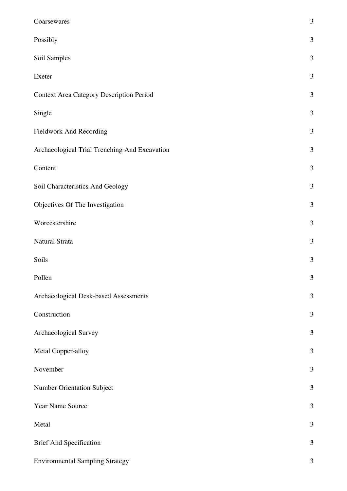| Coarsewares                                     | $\mathfrak{Z}$ |
|-------------------------------------------------|----------------|
| Possibly                                        | 3              |
| Soil Samples                                    | $\mathfrak{Z}$ |
| Exeter                                          | $\mathfrak{Z}$ |
| <b>Context Area Category Description Period</b> | $\mathfrak{Z}$ |
| Single                                          | $\mathfrak{Z}$ |
| Fieldwork And Recording                         | $\mathfrak{Z}$ |
| Archaeological Trial Trenching And Excavation   | $\mathfrak{Z}$ |
| Content                                         | $\mathfrak{Z}$ |
| Soil Characteristics And Geology                | $\mathfrak{Z}$ |
| Objectives Of The Investigation                 | $\mathfrak{Z}$ |
| Worcestershire                                  | $\mathfrak{Z}$ |
| Natural Strata                                  | $\mathfrak{Z}$ |
| Soils                                           | $\mathfrak{Z}$ |
| Pollen                                          | 3              |
| Archaeological Desk-based Assessments           | $\mathfrak{Z}$ |
| Construction                                    | $\mathfrak{Z}$ |
| Archaeological Survey                           | $\mathfrak{Z}$ |
| Metal Copper-alloy                              | 3              |
| November                                        | $\mathfrak{Z}$ |
| <b>Number Orientation Subject</b>               | $\mathfrak{Z}$ |
| Year Name Source                                | 3              |
| Metal                                           | $\mathfrak{Z}$ |
| <b>Brief And Specification</b>                  | 3              |
| <b>Environmental Sampling Strategy</b>          | $\mathfrak{Z}$ |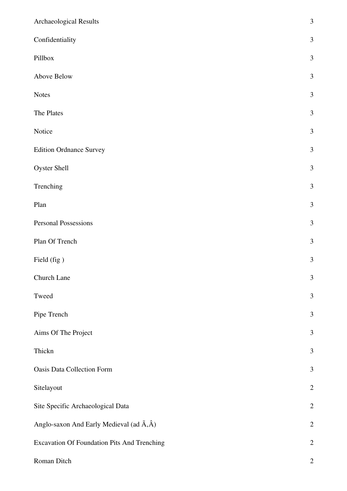| Archaeological Results                                    | 3              |
|-----------------------------------------------------------|----------------|
| Confidentiality                                           | $\mathfrak{Z}$ |
| Pillbox                                                   | 3              |
| Above Below                                               | $\mathfrak{Z}$ |
| Notes                                                     | $\overline{3}$ |
| The Plates                                                | 3              |
| Notice                                                    | $\mathfrak{Z}$ |
| <b>Edition Ordnance Survey</b>                            | 3              |
| <b>Oyster Shell</b>                                       | $\mathfrak{Z}$ |
| Trenching                                                 | 3              |
| Plan                                                      | $\mathfrak{Z}$ |
| <b>Personal Possessions</b>                               | $\mathfrak{Z}$ |
| Plan Of Trench                                            | $\mathfrak{Z}$ |
| Field (fig)                                               | $\mathfrak{Z}$ |
| Church Lane                                               | $\mathfrak{Z}$ |
| Tweed                                                     | $\mathfrak{Z}$ |
| Pipe Trench                                               | $\mathfrak{Z}$ |
| Aims Of The Project                                       | 3              |
| Thickn                                                    | $\mathfrak{Z}$ |
| <b>Oasis Data Collection Form</b>                         | 3              |
| Sitelayout                                                | $\overline{2}$ |
| Site Specific Archaeological Data                         | $\overline{c}$ |
| Anglo-saxon And Early Medieval (ad $\tilde{A}, \hat{A}$ ) | $\overline{2}$ |
| Excavation Of Foundation Pits And Trenching               | $\overline{c}$ |
| Roman Ditch                                               | $\overline{2}$ |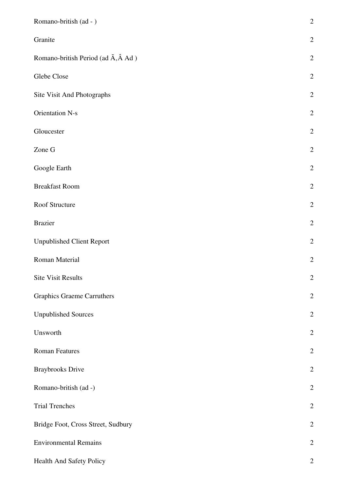| Romano-british (ad - )                                 | $\overline{c}$ |
|--------------------------------------------------------|----------------|
| Granite                                                | $\overline{2}$ |
| Romano-british Period (ad $\tilde{A}$ , $\hat{A}$ Ad ) | $\overline{2}$ |
| Glebe Close                                            | $\overline{2}$ |
| Site Visit And Photographs                             | $\overline{2}$ |
| <b>Orientation N-s</b>                                 | $\overline{c}$ |
| Gloucester                                             | $\overline{2}$ |
| Zone G                                                 | $\overline{c}$ |
| Google Earth                                           | $\overline{2}$ |
| <b>Breakfast Room</b>                                  | $\overline{c}$ |
| Roof Structure                                         | $\overline{2}$ |
| <b>Brazier</b>                                         | $\overline{2}$ |
| <b>Unpublished Client Report</b>                       | $\overline{2}$ |
| Roman Material                                         | $\overline{c}$ |
| <b>Site Visit Results</b>                              | $\overline{2}$ |
| <b>Graphics Graeme Carruthers</b>                      | $\overline{2}$ |
| <b>Unpublished Sources</b>                             | $\overline{2}$ |
| Unsworth                                               | $\overline{2}$ |
| <b>Roman Features</b>                                  | $\overline{2}$ |
| <b>Braybrooks Drive</b>                                | $\overline{2}$ |
| Romano-british (ad -)                                  | $\overline{2}$ |
| <b>Trial Trenches</b>                                  | $\overline{2}$ |
| Bridge Foot, Cross Street, Sudbury                     | $\overline{2}$ |
| <b>Environmental Remains</b>                           | $\mathbf{2}$   |
| Health And Safety Policy                               | $\overline{2}$ |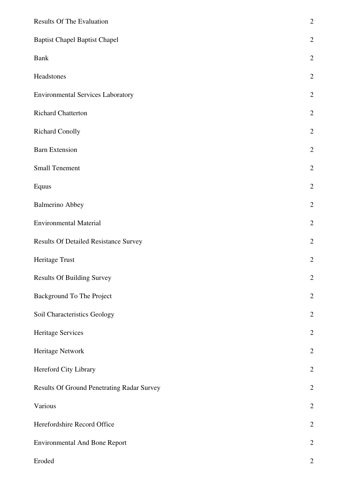| <b>Results Of The Evaluation</b>             | $\overline{c}$ |
|----------------------------------------------|----------------|
| <b>Baptist Chapel Baptist Chapel</b>         | $\overline{c}$ |
| <b>Bank</b>                                  | $\overline{2}$ |
| Headstones                                   | $\overline{2}$ |
| <b>Environmental Services Laboratory</b>     | $\overline{2}$ |
| <b>Richard Chatterton</b>                    | $\overline{2}$ |
| <b>Richard Conolly</b>                       | $\overline{2}$ |
| <b>Barn Extension</b>                        | $\overline{2}$ |
| <b>Small Tenement</b>                        | $\overline{c}$ |
| Equus                                        | $\overline{2}$ |
| <b>Balmerino Abbey</b>                       | $\overline{2}$ |
| <b>Environmental Material</b>                | $\overline{2}$ |
| <b>Results Of Detailed Resistance Survey</b> | $\overline{2}$ |
| Heritage Trust                               | $\overline{2}$ |
| <b>Results Of Building Survey</b>            | $\overline{2}$ |
| Background To The Project                    | $\overline{2}$ |
| Soil Characteristics Geology                 | $\overline{c}$ |
| Heritage Services                            | $\overline{2}$ |
| Heritage Network                             | $\overline{2}$ |
| Hereford City Library                        | $\overline{2}$ |
| Results Of Ground Penetrating Radar Survey   | $\overline{2}$ |
| Various                                      | $\overline{2}$ |
| Herefordshire Record Office                  | $\overline{c}$ |
| <b>Environmental And Bone Report</b>         | $\overline{2}$ |
| Eroded                                       | $\overline{2}$ |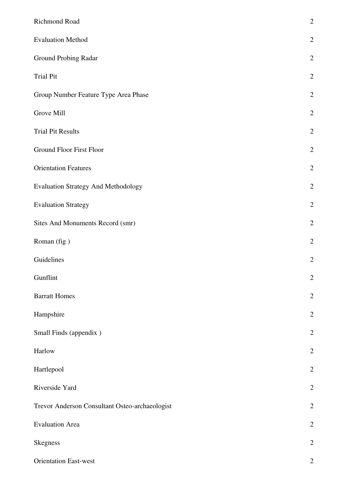| Richmond Road                                  | $\overline{c}$ |
|------------------------------------------------|----------------|
| <b>Evaluation Method</b>                       | $\overline{2}$ |
| Ground Probing Radar                           | $\overline{c}$ |
| <b>Trial Pit</b>                               | $\overline{2}$ |
| Group Number Feature Type Area Phase           | $\overline{2}$ |
| Grove Mill                                     | $\overline{2}$ |
| <b>Trial Pit Results</b>                       | $\overline{2}$ |
| Ground Floor First Floor                       | $\overline{2}$ |
| <b>Orientation Features</b>                    | $\overline{2}$ |
| <b>Evaluation Strategy And Methodology</b>     | $\overline{2}$ |
| <b>Evaluation Strategy</b>                     | $\overline{2}$ |
| Sites And Monuments Record (smr)               | $\overline{c}$ |
| Roman (fig)                                    | $\overline{c}$ |
| Guidelines                                     | $\overline{c}$ |
| Gunflint                                       | $\overline{2}$ |
| <b>Barratt Homes</b>                           | $\overline{c}$ |
| Hampshire                                      | $\overline{2}$ |
| Small Finds (appendix)                         | $\overline{c}$ |
| Harlow                                         | $\overline{2}$ |
| Hartlepool                                     | $\overline{c}$ |
| Riverside Yard                                 | $\overline{c}$ |
| Trevor Anderson Consultant Osteo-archaeologist | $\overline{2}$ |
| <b>Evaluation Area</b>                         | $\overline{2}$ |
| <b>Skegness</b>                                | $\overline{2}$ |
| <b>Orientation East-west</b>                   | $\overline{2}$ |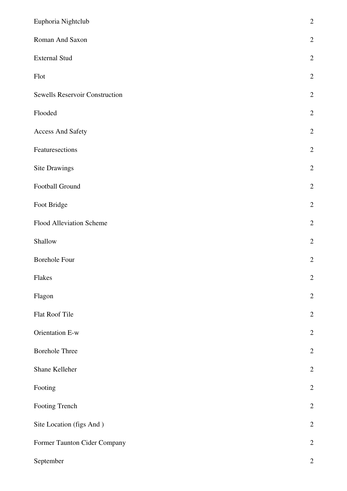| Euphoria Nightclub             | $\overline{c}$ |
|--------------------------------|----------------|
| Roman And Saxon                | $\overline{2}$ |
| <b>External Stud</b>           | $\overline{2}$ |
| Flot                           | $\overline{2}$ |
| Sewells Reservoir Construction | $\overline{c}$ |
| Flooded                        | $\overline{2}$ |
| <b>Access And Safety</b>       | $\overline{c}$ |
| Featuresections                | $\overline{2}$ |
| <b>Site Drawings</b>           | $\overline{2}$ |
| Football Ground                | $\overline{2}$ |
| Foot Bridge                    | $\overline{c}$ |
| Flood Alleviation Scheme       | $\overline{2}$ |
| Shallow                        | $\overline{2}$ |
| <b>Borehole Four</b>           | $\overline{2}$ |
| Flakes                         | $\overline{2}$ |
| Flagon                         | $\overline{2}$ |
| Flat Roof Tile                 | $\overline{2}$ |
| Orientation E-w                | $\overline{2}$ |
| <b>Borehole Three</b>          | $\overline{2}$ |
| Shane Kelleher                 | $\overline{2}$ |
| Footing                        | $\overline{2}$ |
| Footing Trench                 | $\overline{c}$ |
| Site Location (figs And)       | $\overline{2}$ |
| Former Taunton Cider Company   | $\overline{c}$ |
| September                      | $\overline{c}$ |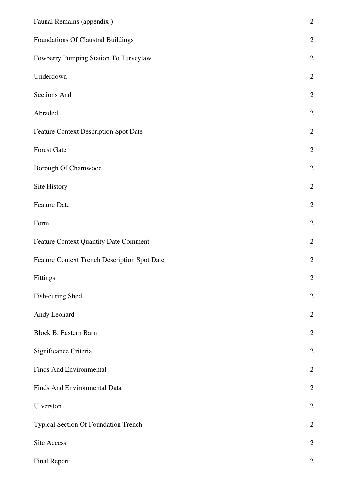| Faunal Remains (appendix)                    | $\overline{c}$ |
|----------------------------------------------|----------------|
| Foundations Of Claustral Buildings           | $\overline{c}$ |
| Fowberry Pumping Station To Turveylaw        | $\overline{c}$ |
| Underdown                                    | $\overline{c}$ |
| Sections And                                 | $\overline{c}$ |
| Abraded                                      | $\overline{c}$ |
| <b>Feature Context Description Spot Date</b> | $\overline{c}$ |
| <b>Forest Gate</b>                           | $\overline{2}$ |
| Borough Of Charnwood                         | $\overline{2}$ |
| Site History                                 | $\overline{c}$ |
| Feature Date                                 | $\overline{c}$ |
| Form                                         | $\overline{2}$ |
| <b>Feature Context Quantity Date Comment</b> | $\overline{c}$ |
| Feature Context Trench Description Spot Date | $\overline{2}$ |
| Fittings                                     | $\overline{2}$ |
| Fish-curing Shed                             | $\overline{c}$ |
| Andy Leonard                                 | $\overline{c}$ |
| Block B, Eastern Barn                        | $\overline{2}$ |
| Significance Criteria                        | $\overline{2}$ |
| <b>Finds And Environmental</b>               | $\overline{2}$ |
| Finds And Environmental Data                 | $\mathbf{2}$   |
| Ulverston                                    | $\mathbf{2}$   |
| Typical Section Of Foundation Trench         | $\overline{2}$ |
| Site Access                                  | $\overline{2}$ |
| Final Report:                                | $\overline{2}$ |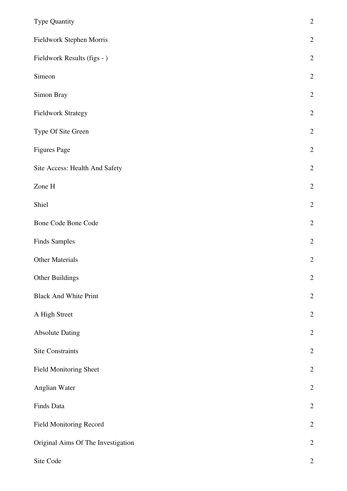| Type Quantity                      | $\overline{2}$   |
|------------------------------------|------------------|
| Fieldwork Stephen Morris           | $\sqrt{2}$       |
| Fieldwork Results (figs - )        | $\sqrt{2}$       |
| Simeon                             | $\sqrt{2}$       |
| Simon Bray                         | $\sqrt{2}$       |
| <b>Fieldwork Strategy</b>          | $\overline{2}$   |
| Type Of Site Green                 | $\sqrt{2}$       |
| <b>Figures Page</b>                | $\sqrt{2}$       |
| Site Access: Health And Safety     | $\sqrt{2}$       |
| Zone H                             | $\sqrt{2}$       |
| Shiel                              | $\mathbf{2}$     |
| <b>Bone Code Bone Code</b>         | $\sqrt{2}$       |
| <b>Finds Samples</b>               | $\sqrt{2}$       |
| <b>Other Materials</b>             | $\overline{2}$   |
| Other Buildings                    | $\overline{2}$   |
| <b>Black And White Print</b>       | $\sqrt{2}$       |
| A High Street                      | $\sqrt{2}$       |
| <b>Absolute Dating</b>             | $\sqrt{2}$       |
| Site Constraints                   | $\sqrt{2}$       |
| <b>Field Monitoring Sheet</b>      | $\sqrt{2}$       |
| Anglian Water                      | $\sqrt{2}$       |
| Finds Data                         | $\sqrt{2}$       |
| <b>Field Monitoring Record</b>     | $\overline{2}$   |
| Original Aims Of The Investigation | $\sqrt{2}$       |
| Site Code                          | $\boldsymbol{2}$ |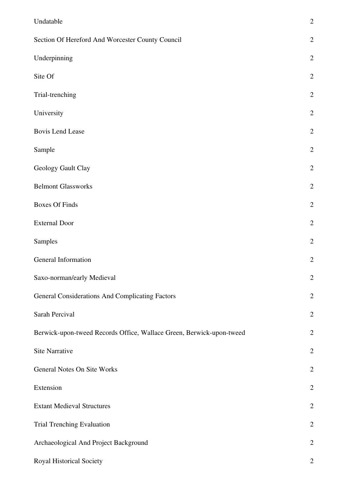| Undatable                                                            | $\sqrt{2}$     |
|----------------------------------------------------------------------|----------------|
| Section Of Hereford And Worcester County Council                     | $\sqrt{2}$     |
| Underpinning                                                         | $\sqrt{2}$     |
| Site Of                                                              | $\overline{2}$ |
| Trial-trenching                                                      | $\sqrt{2}$     |
| University                                                           | $\sqrt{2}$     |
| <b>Bovis Lend Lease</b>                                              | $\sqrt{2}$     |
| Sample                                                               | $\sqrt{2}$     |
| Geology Gault Clay                                                   | $\sqrt{2}$     |
| <b>Belmont Glassworks</b>                                            | $\sqrt{2}$     |
| <b>Boxes Of Finds</b>                                                | $\sqrt{2}$     |
| <b>External Door</b>                                                 | $\sqrt{2}$     |
| Samples                                                              | $\sqrt{2}$     |
| General Information                                                  | $\overline{2}$ |
| Saxo-norman/early Medieval                                           | $\overline{2}$ |
| General Considerations And Complicating Factors                      | $\mathbf{2}$   |
| Sarah Percival                                                       | $\sqrt{2}$     |
| Berwick-upon-tweed Records Office, Wallace Green, Berwick-upon-tweed | $\mathbf{2}$   |
| Site Narrative                                                       | $\mathbf{2}$   |
| General Notes On Site Works                                          | $\sqrt{2}$     |
| Extension                                                            | $\mathbf{2}$   |
| <b>Extant Medieval Structures</b>                                    | $\sqrt{2}$     |
| Trial Trenching Evaluation                                           | $\mathbf{2}$   |
| Archaeological And Project Background                                | $\overline{2}$ |
| Royal Historical Society                                             | $\mathbf{2}$   |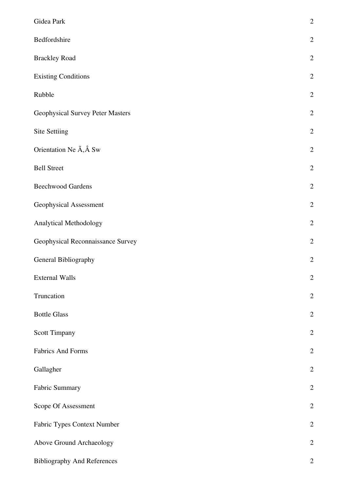| Gidea Park                              | $\overline{2}$ |
|-----------------------------------------|----------------|
| Bedfordshire                            | $\overline{c}$ |
| <b>Brackley Road</b>                    | $\overline{2}$ |
| <b>Existing Conditions</b>              | $\overline{2}$ |
| Rubble                                  | $\overline{2}$ |
| <b>Geophysical Survey Peter Masters</b> | $\overline{2}$ |
| <b>Site Settiing</b>                    | $\overline{2}$ |
| Orientation Ne A, A Sw                  | $\overline{2}$ |
| <b>Bell Street</b>                      | $\overline{2}$ |
| <b>Beechwood Gardens</b>                | $\overline{2}$ |
| Geophysical Assessment                  | $\overline{2}$ |
| Analytical Methodology                  | $\overline{2}$ |
| Geophysical Reconnaissance Survey       | $\overline{c}$ |
| General Bibliography                    | $\overline{2}$ |
| <b>External Walls</b>                   | $\overline{2}$ |
| Truncation                              | $\overline{c}$ |
| <b>Bottle Glass</b>                     | $\overline{c}$ |
| Scott Timpany                           | $\overline{2}$ |
| <b>Fabrics And Forms</b>                | $\mathbf{2}$   |
| Gallagher                               | $\overline{c}$ |
| Fabric Summary                          | $\overline{2}$ |
| Scope Of Assessment                     | $\overline{2}$ |
| Fabric Types Context Number             | $\overline{2}$ |
| Above Ground Archaeology                | $\overline{2}$ |
| <b>Bibliography And References</b>      | $\overline{2}$ |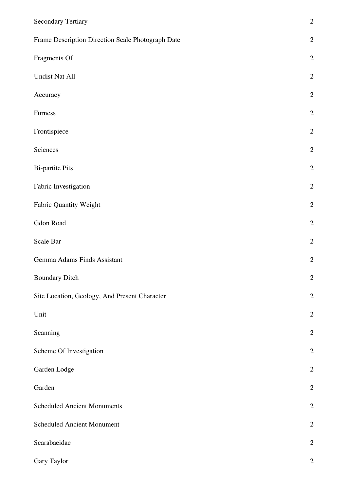| <b>Secondary Tertiary</b>                         | $\overline{2}$ |
|---------------------------------------------------|----------------|
| Frame Description Direction Scale Photograph Date | $\sqrt{2}$     |
| Fragments Of                                      | $\sqrt{2}$     |
| <b>Undist Nat All</b>                             | $\sqrt{2}$     |
| Accuracy                                          | $\sqrt{2}$     |
| Furness                                           | $\overline{2}$ |
| Frontispiece                                      | $\sqrt{2}$     |
| Sciences                                          | $\sqrt{2}$     |
| <b>Bi-partite Pits</b>                            | $\overline{2}$ |
| Fabric Investigation                              | $\overline{2}$ |
| Fabric Quantity Weight                            | $\mathbf{2}$   |
| Gdon Road                                         | $\sqrt{2}$     |
| Scale Bar                                         | $\sqrt{2}$     |
| Gemma Adams Finds Assistant                       | $\sqrt{2}$     |
| <b>Boundary Ditch</b>                             | $\overline{2}$ |
| Site Location, Geology, And Present Character     | $\sqrt{2}$     |
| Unit                                              | $\sqrt{2}$     |
| Scanning                                          | $\sqrt{2}$     |
| Scheme Of Investigation                           | $\sqrt{2}$     |
| Garden Lodge                                      | $\sqrt{2}$     |
| Garden                                            | $\sqrt{2}$     |
| <b>Scheduled Ancient Monuments</b>                | $\sqrt{2}$     |
| <b>Scheduled Ancient Monument</b>                 | $\overline{2}$ |
| Scarabaeidae                                      | $\sqrt{2}$     |
| Gary Taylor                                       | $\mathbf{2}$   |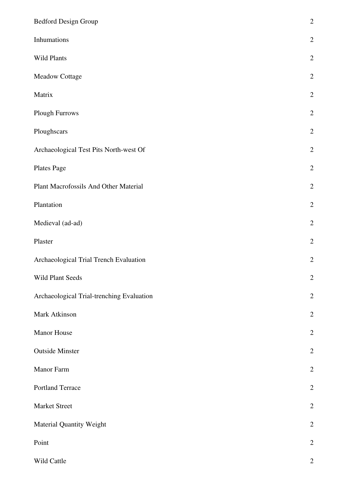| Bedford Design Group                      | $\overline{c}$ |
|-------------------------------------------|----------------|
| Inhumations                               | $\overline{c}$ |
| Wild Plants                               | $\overline{2}$ |
| Meadow Cottage                            | $\overline{2}$ |
| Matrix                                    | $\overline{c}$ |
| Plough Furrows                            | $\overline{c}$ |
| Ploughscars                               | $\overline{2}$ |
| Archaeological Test Pits North-west Of    | $\overline{c}$ |
| Plates Page                               | $\overline{2}$ |
| Plant Macrofossils And Other Material     | $\overline{c}$ |
| Plantation                                | $\overline{c}$ |
| Medieval (ad-ad)                          | $\overline{c}$ |
| Plaster                                   | $\overline{c}$ |
| Archaeological Trial Trench Evaluation    | $\overline{c}$ |
| <b>Wild Plant Seeds</b>                   | $\overline{2}$ |
| Archaeological Trial-trenching Evaluation | $\overline{2}$ |
| Mark Atkinson                             | $\overline{2}$ |
| Manor House                               | $\overline{2}$ |
| <b>Outside Minster</b>                    | $\overline{2}$ |
| Manor Farm                                | $\overline{2}$ |
| Portland Terrace                          | $\overline{2}$ |
| Market Street                             | $\overline{c}$ |
| Material Quantity Weight                  | $\overline{c}$ |
| Point                                     | $\overline{2}$ |
| Wild Cattle                               | $\overline{c}$ |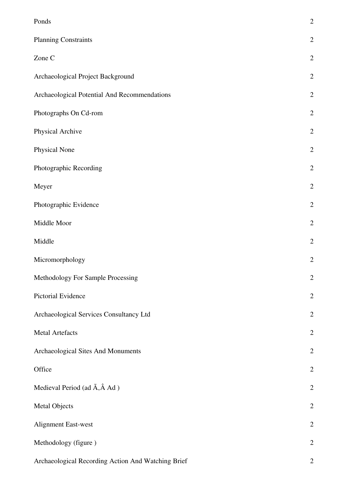| Ponds                                              | $\overline{c}$ |
|----------------------------------------------------|----------------|
| <b>Planning Constraints</b>                        | $\overline{c}$ |
| Zone C                                             | $\overline{c}$ |
| Archaeological Project Background                  | $\overline{c}$ |
| Archaeological Potential And Recommendations       | $\overline{2}$ |
| Photographs On Cd-rom                              | $\overline{2}$ |
| Physical Archive                                   | $\overline{c}$ |
| Physical None                                      | $\overline{2}$ |
| Photographic Recording                             | $\overline{2}$ |
| Meyer                                              | $\overline{c}$ |
| Photographic Evidence                              | $\overline{c}$ |
| Middle Moor                                        | $\overline{c}$ |
| Middle                                             | $\overline{2}$ |
| Micromorphology                                    | $\overline{c}$ |
| Methodology For Sample Processing                  | $\mathbf{2}$   |
| Pictorial Evidence                                 | $\overline{c}$ |
| Archaeological Services Consultancy Ltd            | $\overline{c}$ |
| <b>Metal Artefacts</b>                             | $\overline{c}$ |
| Archaeological Sites And Monuments                 | $\overline{c}$ |
| Office                                             | $\overline{c}$ |
| Medieval Period (ad $\tilde{A}$ , $\hat{A}$ Ad )   | $\overline{c}$ |
| <b>Metal Objects</b>                               | $\overline{2}$ |
| Alignment East-west                                | $\overline{2}$ |
| Methodology (figure)                               | $\overline{c}$ |
| Archaeological Recording Action And Watching Brief | $\overline{2}$ |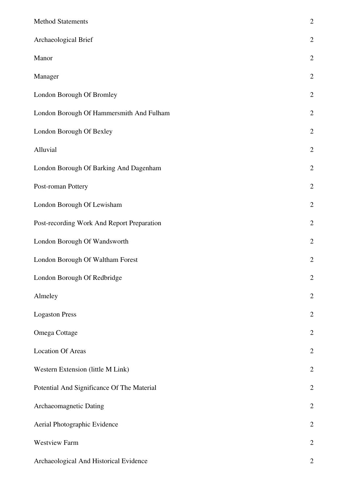| <b>Method Statements</b>                   | $\overline{c}$ |
|--------------------------------------------|----------------|
| Archaeological Brief                       | $\overline{c}$ |
| Manor                                      | $\overline{2}$ |
| Manager                                    | $\overline{2}$ |
| London Borough Of Bromley                  | $\mathbf{2}$   |
| London Borough Of Hammersmith And Fulham   | $\overline{2}$ |
| London Borough Of Bexley                   | $\overline{2}$ |
| Alluvial                                   | $\overline{2}$ |
| London Borough Of Barking And Dagenham     | $\overline{2}$ |
| Post-roman Pottery                         | $\overline{2}$ |
| London Borough Of Lewisham                 | $\overline{2}$ |
| Post-recording Work And Report Preparation | $\overline{2}$ |
| London Borough Of Wandsworth               | $\mathbf{2}$   |
| London Borough Of Waltham Forest           | $\overline{2}$ |
| London Borough Of Redbridge                | $\overline{2}$ |
| Almeley                                    | $\overline{2}$ |
| <b>Logaston Press</b>                      | $\overline{c}$ |
| Omega Cottage                              | $\overline{c}$ |
| <b>Location Of Areas</b>                   | $\overline{c}$ |
| Western Extension (little M Link)          | $\overline{2}$ |
| Potential And Significance Of The Material | $\mathbf{2}$   |
| Archaeomagnetic Dating                     | $\overline{2}$ |
| Aerial Photographic Evidence               | $\overline{2}$ |
| <b>Westview Farm</b>                       | $\overline{2}$ |
| Archaeological And Historical Evidence     | $\overline{2}$ |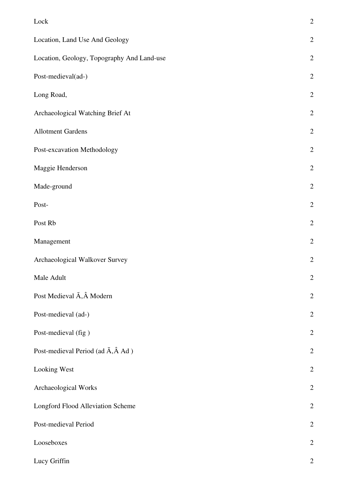| Lock                                                  | $\overline{c}$ |
|-------------------------------------------------------|----------------|
| Location, Land Use And Geology                        | $\overline{c}$ |
| Location, Geology, Topography And Land-use            | $\overline{2}$ |
| Post-medieval(ad-)                                    | $\overline{2}$ |
| Long Road,                                            | $\overline{2}$ |
| Archaeological Watching Brief At                      | $\overline{2}$ |
| <b>Allotment Gardens</b>                              | $\overline{2}$ |
| Post-excavation Methodology                           | $\overline{2}$ |
| Maggie Henderson                                      | $\overline{2}$ |
| Made-ground                                           | $\overline{2}$ |
| Post-                                                 | $\overline{2}$ |
| Post Rb                                               | $\overline{2}$ |
| Management                                            | $\overline{2}$ |
| Archaeological Walkover Survey                        | $\overline{2}$ |
| Male Adult                                            | $\overline{2}$ |
| Post Medieval Ã, Â Modern                             | $\overline{2}$ |
| Post-medieval (ad-)                                   | $\overline{2}$ |
| Post-medieval (fig)                                   | $\overline{2}$ |
| Post-medieval Period (ad $\tilde{A}$ , $\hat{A}$ Ad ) | $\overline{c}$ |
| Looking West                                          | $\overline{2}$ |
| Archaeological Works                                  | $\overline{2}$ |
| Longford Flood Alleviation Scheme                     | $\overline{2}$ |
| Post-medieval Period                                  | $\overline{2}$ |
| Looseboxes                                            | $\overline{2}$ |
| Lucy Griffin                                          | $\overline{2}$ |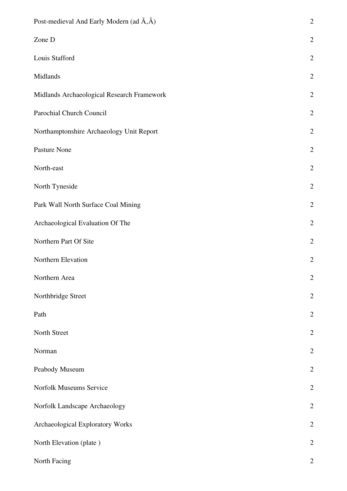| Post-medieval And Early Modern (ad $\tilde{A}, \hat{A}$ ) | $\overline{c}$ |
|-----------------------------------------------------------|----------------|
| Zone D                                                    | $\overline{2}$ |
| Louis Stafford                                            | $\overline{2}$ |
| Midlands                                                  | $\overline{2}$ |
| Midlands Archaeological Research Framework                | $\overline{c}$ |
| Parochial Church Council                                  | $\overline{2}$ |
| Northamptonshire Archaeology Unit Report                  | $\mathbf{2}$   |
| Pasture None                                              | $\overline{2}$ |
| North-east                                                | $\mathbf{2}$   |
| North Tyneside                                            | $\overline{2}$ |
| Park Wall North Surface Coal Mining                       | $\overline{2}$ |
| Archaeological Evaluation Of The                          | $\overline{2}$ |
| Northern Part Of Site                                     | $\overline{2}$ |
| Northern Elevation                                        | $\overline{2}$ |
| Northern Area                                             | $\mathbf{2}$   |
| Northbridge Street                                        | $\overline{2}$ |
| Path                                                      | $\overline{2}$ |
| North Street                                              | $\overline{2}$ |
| Norman                                                    | $\overline{2}$ |
| Peabody Museum                                            | $\overline{2}$ |
| Norfolk Museums Service                                   | $\overline{2}$ |
| Norfolk Landscape Archaeology                             | $\overline{c}$ |
| Archaeological Exploratory Works                          | $\overline{2}$ |
| North Elevation (plate)                                   | $\overline{c}$ |
| North Facing                                              | $\overline{2}$ |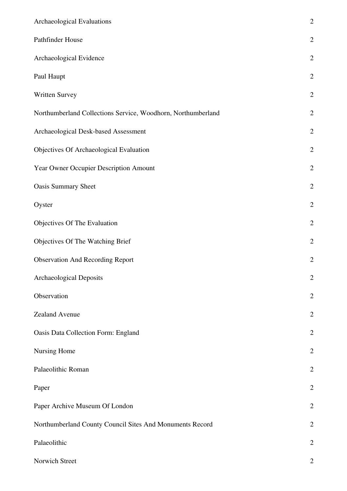| Archaeological Evaluations                                   | $\overline{c}$ |
|--------------------------------------------------------------|----------------|
| Pathfinder House                                             | $\overline{2}$ |
| Archaeological Evidence                                      | $\overline{c}$ |
| Paul Haupt                                                   | $\overline{2}$ |
| Written Survey                                               | $\overline{2}$ |
| Northumberland Collections Service, Woodhorn, Northumberland | $\overline{c}$ |
| Archaeological Desk-based Assessment                         | $\overline{2}$ |
| Objectives Of Archaeological Evaluation                      | $\overline{2}$ |
| Year Owner Occupier Description Amount                       | $\overline{2}$ |
| <b>Oasis Summary Sheet</b>                                   | $\overline{2}$ |
| Oyster                                                       | $\overline{c}$ |
| Objectives Of The Evaluation                                 | $\overline{c}$ |
| Objectives Of The Watching Brief                             | $\overline{2}$ |
| <b>Observation And Recording Report</b>                      | $\overline{c}$ |
| <b>Archaeological Deposits</b>                               | $\overline{c}$ |
| Observation                                                  | $\mathbf{2}$   |
| Zealand Avenue                                               | $\overline{2}$ |
| Oasis Data Collection Form: England                          | $\overline{2}$ |
| Nursing Home                                                 | $\overline{2}$ |
| Palaeolithic Roman                                           | $\overline{2}$ |
| Paper                                                        | $\overline{2}$ |
| Paper Archive Museum Of London                               | $\overline{2}$ |
| Northumberland County Council Sites And Monuments Record     | $\overline{2}$ |
| Palaeolithic                                                 | $\overline{2}$ |
| Norwich Street                                               | $\overline{c}$ |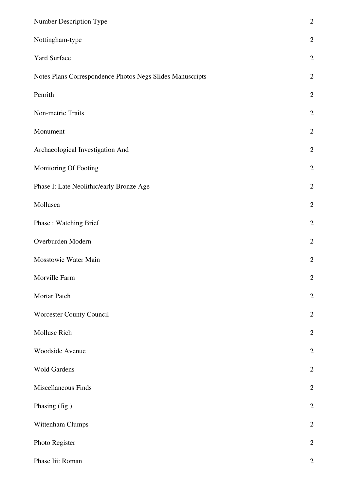| Number Description Type                                   | $\overline{2}$   |
|-----------------------------------------------------------|------------------|
| Nottingham-type                                           | $\sqrt{2}$       |
| <b>Yard Surface</b>                                       | $\overline{2}$   |
| Notes Plans Correspondence Photos Negs Slides Manuscripts | $\mathbf{2}$     |
| Penrith                                                   | $\sqrt{2}$       |
| Non-metric Traits                                         | $\sqrt{2}$       |
| Monument                                                  | $\sqrt{2}$       |
| Archaeological Investigation And                          | $\overline{2}$   |
| Monitoring Of Footing                                     | $\sqrt{2}$       |
| Phase I: Late Neolithic/early Bronze Age                  | $\sqrt{2}$       |
| Mollusca                                                  | $\overline{2}$   |
| Phase: Watching Brief                                     | $\sqrt{2}$       |
| Overburden Modern                                         | $\sqrt{2}$       |
| Mosstowie Water Main                                      | $\sqrt{2}$       |
| Morville Farm                                             | $\boldsymbol{2}$ |
| Mortar Patch                                              | $\sqrt{2}$       |
| Worcester County Council                                  | $\mathbf{2}$     |
| Mollusc Rich                                              | $\sqrt{2}$       |
| Woodside Avenue                                           | $\sqrt{2}$       |
| <b>Wold Gardens</b>                                       | $\overline{2}$   |
| Miscellaneous Finds                                       | $\sqrt{2}$       |
| Phasing (fig)                                             | $\sqrt{2}$       |
| Wittenham Clumps                                          | $\sqrt{2}$       |
| Photo Register                                            | $\sqrt{2}$       |
| Phase Iii: Roman                                          | $\mathbf{2}$     |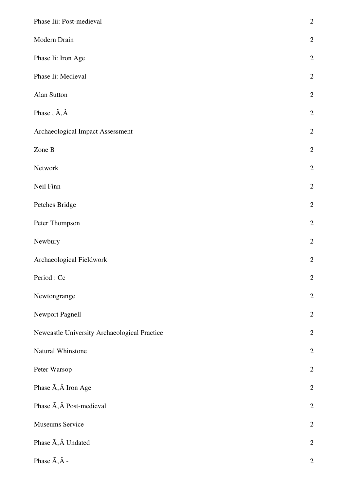| Phase Iii: Post-medieval                     | $\overline{c}$ |
|----------------------------------------------|----------------|
| Modern Drain                                 | $\overline{c}$ |
| Phase Ii: Iron Age                           | $\overline{2}$ |
| Phase Ii: Medieval                           | $\overline{2}$ |
| Alan Sutton                                  | $\overline{c}$ |
| Phase, $\tilde{A}, \hat{A}$                  | $\overline{c}$ |
| Archaeological Impact Assessment             | $\overline{c}$ |
| Zone B                                       | $\overline{2}$ |
| Network                                      | $\overline{c}$ |
| Neil Finn                                    | $\overline{c}$ |
| Petches Bridge                               | $\overline{c}$ |
| Peter Thompson                               | $\overline{c}$ |
| Newbury                                      | $\overline{c}$ |
| Archaeological Fieldwork                     | $\overline{c}$ |
| Period: Cc                                   | $\overline{c}$ |
| Newtongrange                                 | $\overline{c}$ |
| Newport Pagnell                              | $\overline{c}$ |
| Newcastle University Archaeological Practice | $\overline{c}$ |
| Natural Whinstone                            | $\overline{c}$ |
| Peter Warsop                                 | $\overline{2}$ |
| Phase $\tilde{A}$ , $\hat{A}$ Iron Age       | $\overline{c}$ |
| Phase $\tilde{A}$ , $\hat{A}$ Post-medieval  | $\overline{c}$ |
| Museums Service                              | $\overline{c}$ |
| Phase $\tilde{A}$ , $\hat{A}$ Undated        | $\overline{c}$ |
| Phase $\tilde{A}$ , $\hat{A}$ -              | $\mathbf{2}$   |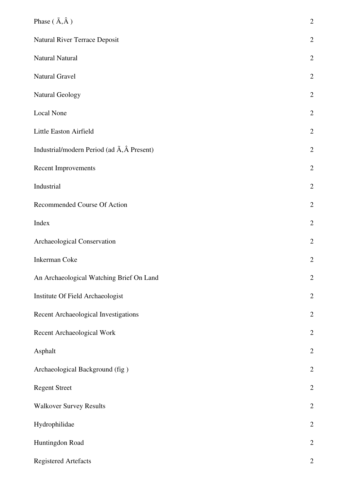| Phase $(\tilde{A}, \hat{A})$                                  | $\overline{c}$   |
|---------------------------------------------------------------|------------------|
| Natural River Terrace Deposit                                 | $\overline{2}$   |
| Natural Natural                                               | $\overline{2}$   |
| Natural Gravel                                                | $\overline{2}$   |
| <b>Natural Geology</b>                                        | $\overline{c}$   |
| Local None                                                    | $\overline{2}$   |
| Little Easton Airfield                                        | $\mathbf{2}$     |
| Industrial/modern Period (ad $\tilde{A}$ , $\hat{A}$ Present) | $\overline{2}$   |
| Recent Improvements                                           | $\overline{2}$   |
| Industrial                                                    | $\overline{2}$   |
| Recommended Course Of Action                                  | $\overline{2}$   |
| Index                                                         | $\overline{2}$   |
| Archaeological Conservation                                   | $\overline{c}$   |
| <b>Inkerman Coke</b>                                          | $\overline{2}$   |
| An Archaeological Watching Brief On Land                      | $\overline{2}$   |
| Institute Of Field Archaeologist                              | $\overline{c}$   |
| Recent Archaeological Investigations                          | $\overline{2}$   |
| Recent Archaeological Work                                    | $\overline{c}$   |
| Asphalt                                                       | $\mathbf{2}$     |
| Archaeological Background (fig)                               | $\overline{c}$   |
| <b>Regent Street</b>                                          | $\overline{2}$   |
| <b>Walkover Survey Results</b>                                | $\overline{c}$   |
| Hydrophilidae                                                 | $\overline{2}$   |
| Huntingdon Road                                               | $\boldsymbol{2}$ |
| <b>Registered Artefacts</b>                                   | $\overline{c}$   |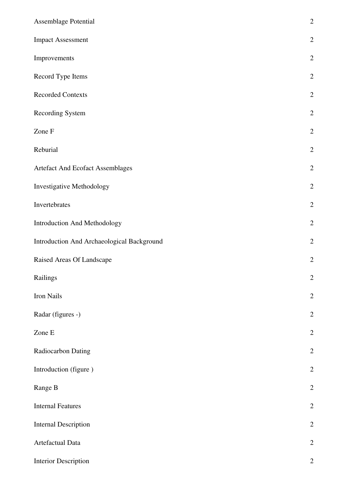| Assemblage Potential                       | $\overline{2}$ |
|--------------------------------------------|----------------|
| <b>Impact Assessment</b>                   | $\overline{c}$ |
| Improvements                               | $\overline{2}$ |
| Record Type Items                          | $\mathbf{2}$   |
| <b>Recorded Contexts</b>                   | $\overline{2}$ |
| Recording System                           | $\overline{2}$ |
| Zone F                                     | $\overline{2}$ |
| Reburial                                   | $\overline{2}$ |
| Artefact And Ecofact Assemblages           | $\overline{2}$ |
| Investigative Methodology                  | $\overline{2}$ |
| Invertebrates                              | $\overline{2}$ |
| Introduction And Methodology               | $\overline{2}$ |
| Introduction And Archaeological Background | $\overline{c}$ |
| Raised Areas Of Landscape                  | $\overline{2}$ |
| Railings                                   | $\overline{2}$ |
| Iron Nails                                 | $\overline{2}$ |
| Radar (figures -)                          | $\overline{c}$ |
| Zone E                                     | $\overline{2}$ |
| Radiocarbon Dating                         | $\overline{c}$ |
| Introduction (figure)                      | $\overline{2}$ |
| Range B                                    | $\overline{c}$ |
| <b>Internal Features</b>                   | $\overline{2}$ |
| <b>Internal Description</b>                | $\overline{2}$ |
| Artefactual Data                           | $\mathbf{2}$   |
| <b>Interior Description</b>                | $\overline{2}$ |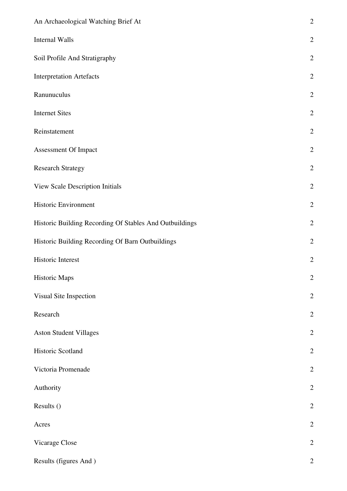| An Archaeological Watching Brief At                     | $\overline{c}$ |
|---------------------------------------------------------|----------------|
| Internal Walls                                          | $\overline{2}$ |
| Soil Profile And Stratigraphy                           | $\overline{2}$ |
| <b>Interpretation Artefacts</b>                         | $\overline{2}$ |
| Ranunuculus                                             | $\overline{c}$ |
| <b>Internet Sites</b>                                   | $\overline{2}$ |
| Reinstatement                                           | $\overline{c}$ |
| Assessment Of Impact                                    | $\overline{2}$ |
| <b>Research Strategy</b>                                | $\overline{c}$ |
| View Scale Description Initials                         | $\overline{2}$ |
| Historic Environment                                    | $\overline{2}$ |
| Historic Building Recording Of Stables And Outbuildings | $\overline{2}$ |
| Historic Building Recording Of Barn Outbuildings        | $\overline{2}$ |
| Historic Interest                                       | $\overline{2}$ |
| Historic Maps                                           | $\overline{c}$ |
| Visual Site Inspection                                  | $\overline{2}$ |
| Research                                                | $\overline{2}$ |
| <b>Aston Student Villages</b>                           | $\overline{c}$ |
| Historic Scotland                                       | $\overline{c}$ |
| Victoria Promenade                                      | $\overline{2}$ |
| Authority                                               | $\overline{2}$ |
| Results ()                                              | $\overline{c}$ |
| Acres                                                   | $\overline{2}$ |
| Vicarage Close                                          | $\overline{c}$ |
| Results (figures And)                                   | $\overline{2}$ |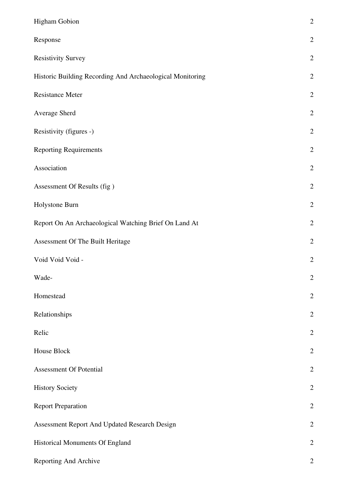| Higham Gobion                                             | $\overline{2}$   |
|-----------------------------------------------------------|------------------|
| Response                                                  | $\overline{2}$   |
| <b>Resistivity Survey</b>                                 | $\overline{2}$   |
| Historic Building Recording And Archaeological Monitoring | $\overline{2}$   |
| <b>Resistance Meter</b>                                   | $\overline{2}$   |
| Average Sherd                                             | $\overline{2}$   |
| Resistivity (figures -)                                   | $\overline{2}$   |
| <b>Reporting Requirements</b>                             | $\overline{c}$   |
| Association                                               | $\overline{2}$   |
| Assessment Of Results (fig)                               | $\overline{c}$   |
| Holystone Burn                                            | $\overline{2}$   |
| Report On An Archaeological Watching Brief On Land At     | $\boldsymbol{2}$ |
| Assessment Of The Built Heritage                          | $\overline{2}$   |
| Void Void Void -                                          | $\overline{2}$   |
| Wade-                                                     | $\overline{2}$   |
| Homestead                                                 | $\overline{2}$   |
| Relationships                                             | $\overline{2}$   |
| Relic                                                     | $\overline{2}$   |
| House Block                                               | $\overline{2}$   |
| <b>Assessment Of Potential</b>                            | $\overline{2}$   |
| <b>History Society</b>                                    | $\overline{2}$   |
| <b>Report Preparation</b>                                 | $\overline{2}$   |
| Assessment Report And Updated Research Design             | $\overline{2}$   |
| Historical Monuments Of England                           | $\mathbf{2}$     |
| Reporting And Archive                                     | $\overline{2}$   |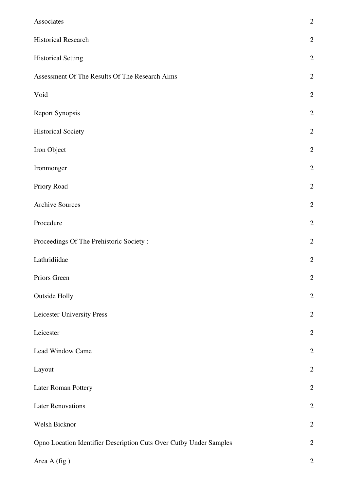| Associates                                                         | $\overline{c}$ |
|--------------------------------------------------------------------|----------------|
| <b>Historical Research</b>                                         | $\overline{c}$ |
| <b>Historical Setting</b>                                          | $\overline{2}$ |
| Assessment Of The Results Of The Research Aims                     | $\overline{2}$ |
| Void                                                               | $\overline{c}$ |
| <b>Report Synopsis</b>                                             | $\overline{2}$ |
| <b>Historical Society</b>                                          | $\overline{2}$ |
| Iron Object                                                        | $\overline{c}$ |
| Ironmonger                                                         | $\overline{c}$ |
| Priory Road                                                        | $\overline{c}$ |
| <b>Archive Sources</b>                                             | $\overline{c}$ |
| Procedure                                                          | $\overline{2}$ |
| Proceedings Of The Prehistoric Society:                            | $\overline{2}$ |
| Lathridiidae                                                       | $\overline{2}$ |
| Priors Green                                                       | $\overline{c}$ |
| <b>Outside Holly</b>                                               | $\overline{c}$ |
| Leicester University Press                                         | $\overline{c}$ |
| Leicester                                                          | $\overline{2}$ |
| Lead Window Came                                                   | $\overline{c}$ |
| Layout                                                             | $\overline{2}$ |
| Later Roman Pottery                                                | $\overline{2}$ |
| <b>Later Renovations</b>                                           | $\overline{2}$ |
| Welsh Bicknor                                                      | $\overline{2}$ |
| Opno Location Identifier Description Cuts Over Cutby Under Samples | $\overline{2}$ |
| Area A (fig)                                                       | $\overline{c}$ |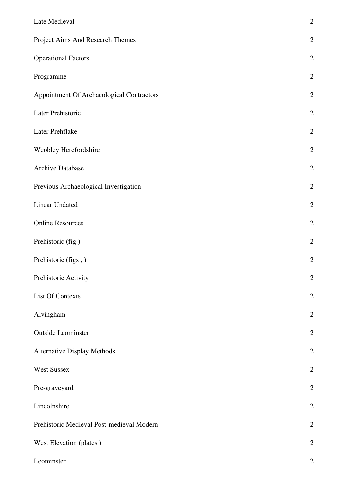| Late Medieval                             | $\overline{c}$ |
|-------------------------------------------|----------------|
| Project Aims And Research Themes          | $\overline{2}$ |
| <b>Operational Factors</b>                | $\overline{c}$ |
| Programme                                 | $\overline{2}$ |
| Appointment Of Archaeological Contractors | $\overline{2}$ |
| Later Prehistoric                         | $\overline{2}$ |
| Later Prehflake                           | $\overline{2}$ |
| Weobley Herefordshire                     | $\overline{c}$ |
| Archive Database                          | $\overline{c}$ |
| Previous Archaeological Investigation     | $\overline{c}$ |
| <b>Linear Undated</b>                     | $\overline{c}$ |
| <b>Online Resources</b>                   | $\overline{2}$ |
| Prehistoric (fig)                         | $\overline{c}$ |
| Prehistoric (figs,)                       | $\overline{c}$ |
| Prehistoric Activity                      | $\overline{c}$ |
| <b>List Of Contexts</b>                   | $\overline{2}$ |
| Alvingham                                 | $\overline{2}$ |
| <b>Outside Leominster</b>                 | $\overline{2}$ |
| <b>Alternative Display Methods</b>        | $\overline{2}$ |
| <b>West Sussex</b>                        | $\overline{2}$ |
| Pre-graveyard                             | $\overline{2}$ |
| Lincolnshire                              | $\overline{c}$ |
| Prehistoric Medieval Post-medieval Modern | $\overline{2}$ |
| West Elevation (plates)                   | $\overline{2}$ |
| Leominster                                | $\overline{2}$ |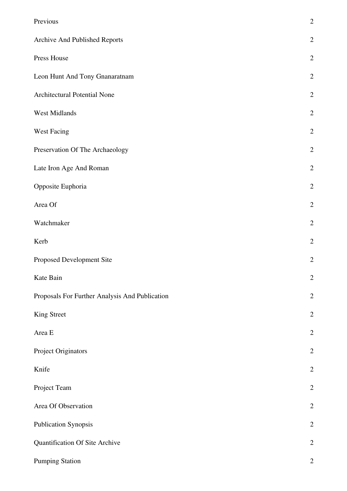| Previous                                       | $\overline{2}$ |
|------------------------------------------------|----------------|
| Archive And Published Reports                  | $\overline{2}$ |
| Press House                                    | $\overline{2}$ |
| Leon Hunt And Tony Gnanaratnam                 | $\mathbf{2}$   |
| Architectural Potential None                   | $\overline{2}$ |
| West Midlands                                  | $\overline{2}$ |
| <b>West Facing</b>                             | $\overline{2}$ |
| Preservation Of The Archaeology                | $\overline{2}$ |
| Late Iron Age And Roman                        | $\overline{2}$ |
| Opposite Euphoria                              | $\overline{2}$ |
| Area Of                                        | $\overline{2}$ |
| Watchmaker                                     | $\overline{2}$ |
| Kerb                                           | $\overline{c}$ |
| Proposed Development Site                      | $\overline{2}$ |
| Kate Bain                                      | $\overline{2}$ |
| Proposals For Further Analysis And Publication | $\overline{2}$ |
| King Street                                    | $\overline{c}$ |
| Area E                                         | $\overline{2}$ |
| Project Originators                            | $\overline{c}$ |
| Knife                                          | $\overline{2}$ |
| Project Team                                   | $\mathbf{2}$   |
| Area Of Observation                            | $\overline{2}$ |
| <b>Publication Synopsis</b>                    | $\overline{2}$ |
| Quantification Of Site Archive                 | $\mathbf{2}$   |
| <b>Pumping Station</b>                         | $\overline{2}$ |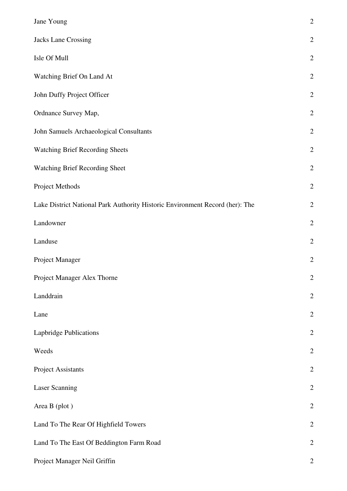| Jane Young                                                                   | $\overline{c}$ |
|------------------------------------------------------------------------------|----------------|
| Jacks Lane Crossing                                                          | $\overline{2}$ |
| Isle Of Mull                                                                 | $\overline{2}$ |
| Watching Brief On Land At                                                    | $\overline{c}$ |
| John Duffy Project Officer                                                   | $\overline{c}$ |
| Ordnance Survey Map,                                                         | $\overline{c}$ |
| John Samuels Archaeological Consultants                                      | $\overline{2}$ |
| <b>Watching Brief Recording Sheets</b>                                       | $\overline{c}$ |
| Watching Brief Recording Sheet                                               | $\overline{c}$ |
| Project Methods                                                              | $\overline{2}$ |
| Lake District National Park Authority Historic Environment Record (her): The | $\overline{2}$ |
| Landowner                                                                    | $\overline{2}$ |
| Landuse                                                                      | $\overline{c}$ |
| Project Manager                                                              | $\overline{c}$ |
| Project Manager Alex Thorne                                                  | $\overline{2}$ |
| Landdrain                                                                    | $\mathbf{2}$   |
| Lane                                                                         | $\overline{c}$ |
| Lapbridge Publications                                                       | $\overline{c}$ |
| Weeds                                                                        | $\overline{2}$ |
| <b>Project Assistants</b>                                                    | $\overline{2}$ |
| Laser Scanning                                                               | $\overline{c}$ |
| Area B (plot)                                                                | $\overline{c}$ |
| Land To The Rear Of Highfield Towers                                         | $\overline{c}$ |
| Land To The East Of Beddington Farm Road                                     | $\overline{2}$ |
| Project Manager Neil Griffin                                                 | $\overline{2}$ |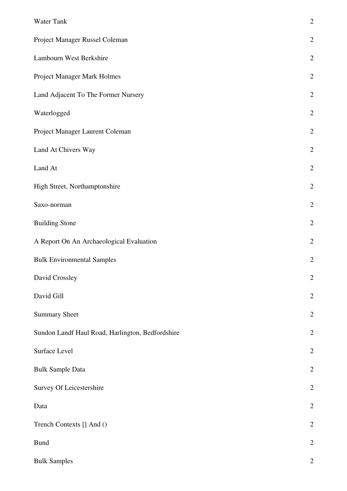| Water Tank                                       | $\overline{c}$ |
|--------------------------------------------------|----------------|
| Project Manager Russel Coleman                   | $\overline{c}$ |
| Lambourn West Berkshire                          | $\overline{c}$ |
| Project Manager Mark Holmes                      | $\overline{2}$ |
| Land Adjacent To The Former Nursery              | $\overline{c}$ |
| Waterlogged                                      | $\overline{c}$ |
| Project Manager Laurent Coleman                  | $\overline{c}$ |
| Land At Chivers Way                              | $\overline{c}$ |
| Land At                                          | $\overline{c}$ |
| High Street, Northamptonshire                    | $\overline{c}$ |
| Saxo-norman                                      | $\overline{c}$ |
| <b>Building Stone</b>                            | $\overline{c}$ |
| A Report On An Archaeological Evaluation         | $\overline{2}$ |
| <b>Bulk Environmental Samples</b>                | $\overline{c}$ |
| David Crossley                                   | $\overline{c}$ |
| David Gill                                       | $\overline{2}$ |
| <b>Summary Sheet</b>                             | $\overline{2}$ |
| Sundon Landf Haul Road, Harlington, Bedfordshire | $\overline{2}$ |
| Surface Level                                    | $\overline{c}$ |
| <b>Bulk Sample Data</b>                          | $\overline{2}$ |
| Survey Of Leicestershire                         | $\overline{2}$ |
| Data                                             | $\overline{c}$ |
| Trench Contexts [] And ()                        | $\overline{c}$ |
| <b>Bund</b>                                      | $\overline{c}$ |
| <b>Bulk Samples</b>                              | $\overline{2}$ |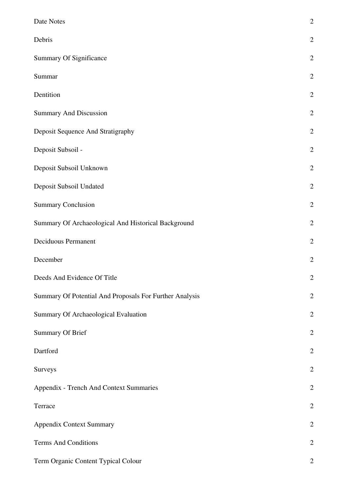| Date Notes                                              | $\overline{2}$ |
|---------------------------------------------------------|----------------|
| Debris                                                  | $\overline{2}$ |
| Summary Of Significance                                 | $\overline{2}$ |
| Summar                                                  | $\overline{2}$ |
| Dentition                                               | $\overline{2}$ |
| <b>Summary And Discussion</b>                           | $\overline{2}$ |
| Deposit Sequence And Stratigraphy                       | $\overline{2}$ |
| Deposit Subsoil -                                       | $\overline{2}$ |
| Deposit Subsoil Unknown                                 | $\overline{2}$ |
| Deposit Subsoil Undated                                 | $\overline{2}$ |
| <b>Summary Conclusion</b>                               | $\overline{2}$ |
| Summary Of Archaeological And Historical Background     | $\mathbf{2}$   |
| <b>Deciduous Permanent</b>                              | $\mathbf{2}$   |
| December                                                | $\overline{2}$ |
| Deeds And Evidence Of Title                             | $\overline{2}$ |
| Summary Of Potential And Proposals For Further Analysis | $\overline{2}$ |
| Summary Of Archaeological Evaluation                    | $\overline{2}$ |
| <b>Summary Of Brief</b>                                 | $\overline{2}$ |
| Dartford                                                | $\overline{2}$ |
| Surveys                                                 | $\overline{2}$ |
| Appendix - Trench And Context Summaries                 | $\overline{2}$ |
| Terrace                                                 | $\overline{2}$ |
| <b>Appendix Context Summary</b>                         | $\overline{2}$ |
| <b>Terms And Conditions</b>                             | $\mathbf{2}$   |
| Term Organic Content Typical Colour                     | $\overline{2}$ |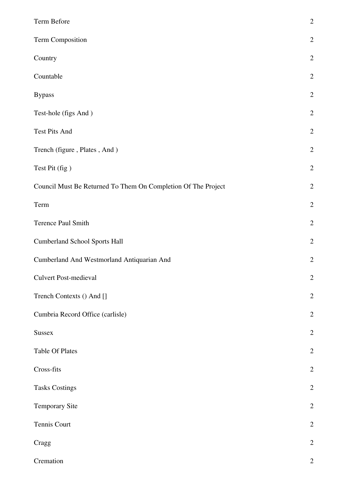| Term Before                                                   | $\overline{c}$ |
|---------------------------------------------------------------|----------------|
| Term Composition                                              | $\overline{c}$ |
| Country                                                       | $\overline{c}$ |
| Countable                                                     | $\overline{c}$ |
| <b>Bypass</b>                                                 | $\overline{c}$ |
| Test-hole (figs And)                                          | $\overline{c}$ |
| Test Pits And                                                 | $\overline{c}$ |
| Trench (figure, Plates, And)                                  | $\overline{2}$ |
| Test Pit (fig)                                                | $\overline{c}$ |
| Council Must Be Returned To Them On Completion Of The Project | $\overline{c}$ |
| Term                                                          | $\overline{2}$ |
| Terence Paul Smith                                            | $\overline{c}$ |
| <b>Cumberland School Sports Hall</b>                          | $\overline{c}$ |
| Cumberland And Westmorland Antiquarian And                    | $\overline{c}$ |
| <b>Culvert Post-medieval</b>                                  | $\overline{2}$ |
| Trench Contexts () And []                                     | $\overline{c}$ |
| Cumbria Record Office (carlisle)                              | $\overline{c}$ |
| <b>Sussex</b>                                                 | $\overline{c}$ |
| <b>Table Of Plates</b>                                        | $\overline{c}$ |
| Cross-fits                                                    | $\overline{c}$ |
| <b>Tasks Costings</b>                                         | $\overline{c}$ |
| <b>Temporary Site</b>                                         | $\overline{c}$ |
| Tennis Court                                                  | $\overline{c}$ |
| Cragg                                                         | $\overline{c}$ |
| Cremation                                                     | $\overline{2}$ |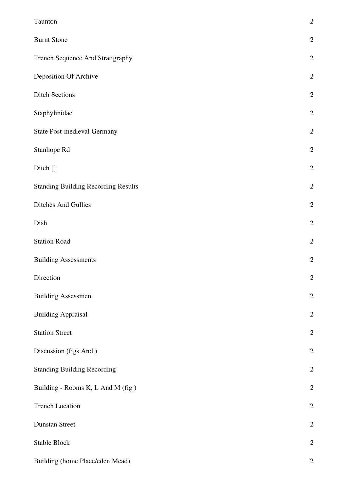| Taunton                                    | $\overline{c}$   |
|--------------------------------------------|------------------|
| <b>Burnt Stone</b>                         | $\overline{2}$   |
| Trench Sequence And Stratigraphy           | $\overline{c}$   |
| Deposition Of Archive                      | $\overline{2}$   |
| <b>Ditch Sections</b>                      | $\overline{2}$   |
| Staphylinidae                              | $\overline{2}$   |
| <b>State Post-medieval Germany</b>         | $\overline{2}$   |
| Stanhope Rd                                | $\overline{2}$   |
| Ditch []                                   | $\overline{2}$   |
| <b>Standing Building Recording Results</b> | $\overline{2}$   |
| <b>Ditches And Gullies</b>                 | $\overline{2}$   |
| Dish                                       | $\overline{c}$   |
| <b>Station Road</b>                        | $\overline{c}$   |
| <b>Building Assessments</b>                | $\overline{2}$   |
| Direction                                  | $\overline{2}$   |
| <b>Building Assessment</b>                 | $\overline{c}$   |
| <b>Building Appraisal</b>                  | $\overline{2}$   |
| <b>Station Street</b>                      | $\overline{2}$   |
| Discussion (figs And)                      | $\overline{2}$   |
| <b>Standing Building Recording</b>         | $\overline{c}$   |
| Building - Rooms K, L And M (fig)          | $\overline{2}$   |
| <b>Trench Location</b>                     | $\overline{2}$   |
| <b>Dunstan Street</b>                      | $\overline{2}$   |
| <b>Stable Block</b>                        | $\overline{2}$   |
| Building (home Place/eden Mead)            | $\boldsymbol{2}$ |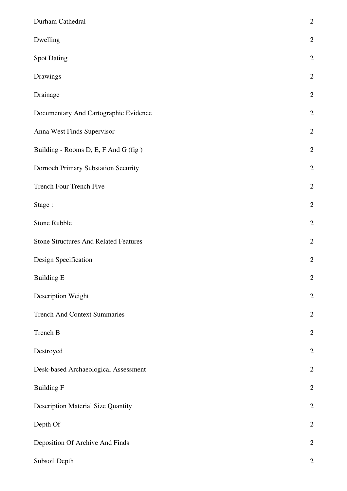| Durham Cathedral                             | $\overline{c}$ |
|----------------------------------------------|----------------|
| Dwelling                                     | $\overline{2}$ |
| <b>Spot Dating</b>                           | $\overline{2}$ |
| Drawings                                     | $\overline{2}$ |
| Drainage                                     | $\overline{c}$ |
| Documentary And Cartographic Evidence        | $\overline{2}$ |
| Anna West Finds Supervisor                   | $\overline{2}$ |
| Building - Rooms D, E, F And G (fig)         | $\overline{c}$ |
| Dornoch Primary Substation Security          | $\overline{c}$ |
| Trench Four Trench Five                      | $\overline{2}$ |
| Stage:                                       | $\overline{2}$ |
| Stone Rubble                                 | $\overline{c}$ |
| <b>Stone Structures And Related Features</b> | $\overline{c}$ |
| Design Specification                         | $\overline{c}$ |
| <b>Building E</b>                            | $\overline{2}$ |
| Description Weight                           | $\overline{c}$ |
| <b>Trench And Context Summaries</b>          | $\overline{2}$ |
| Trench B                                     | $\overline{2}$ |
| Destroyed                                    | $\overline{2}$ |
| Desk-based Archaeological Assessment         | $\overline{2}$ |
| <b>Building F</b>                            | $\overline{c}$ |
| <b>Description Material Size Quantity</b>    | $\overline{c}$ |
| Depth Of                                     | $\overline{c}$ |
| Deposition Of Archive And Finds              | $\overline{2}$ |
| Subsoil Depth                                | $\overline{c}$ |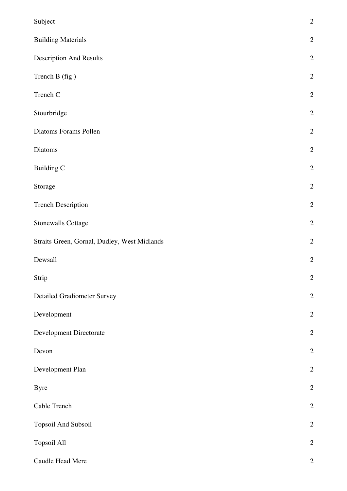| Subject                                      | $\sqrt{2}$     |
|----------------------------------------------|----------------|
| <b>Building Materials</b>                    | $\sqrt{2}$     |
| <b>Description And Results</b>               | $\sqrt{2}$     |
| Trench B (fig)                               | $\sqrt{2}$     |
| Trench C                                     | $\sqrt{2}$     |
| Stourbridge                                  | $\sqrt{2}$     |
| Diatoms Forams Pollen                        | $\sqrt{2}$     |
| Diatoms                                      | $\sqrt{2}$     |
| <b>Building C</b>                            | $\overline{2}$ |
| Storage                                      | $\sqrt{2}$     |
| <b>Trench Description</b>                    | $\sqrt{2}$     |
| <b>Stonewalls Cottage</b>                    | $\sqrt{2}$     |
| Straits Green, Gornal, Dudley, West Midlands | $\sqrt{2}$     |
| Dewsall                                      | $\sqrt{2}$     |
| Strip                                        | $\overline{2}$ |
| <b>Detailed Gradiometer Survey</b>           | $\sqrt{2}$     |
| Development                                  | $\sqrt{2}$     |
| Development Directorate                      | $\sqrt{2}$     |
| Devon                                        | $\sqrt{2}$     |
| Development Plan                             | $\sqrt{2}$     |
| <b>Byre</b>                                  | $\sqrt{2}$     |
| Cable Trench                                 | $\sqrt{2}$     |
| Topsoil And Subsoil                          | $\sqrt{2}$     |
| Topsoil All                                  | $\sqrt{2}$     |
| Caudle Head Mere                             | $\mathbf{2}$   |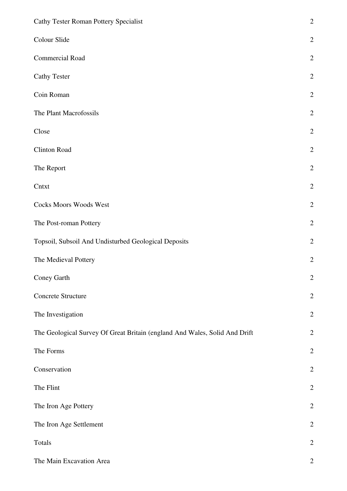| Cathy Tester Roman Pottery Specialist                                      | $\overline{2}$ |
|----------------------------------------------------------------------------|----------------|
| Colour Slide                                                               | $\sqrt{2}$     |
| <b>Commercial Road</b>                                                     | $\mathbf{2}$   |
| <b>Cathy Tester</b>                                                        | $\sqrt{2}$     |
| Coin Roman                                                                 | $\sqrt{2}$     |
| The Plant Macrofossils                                                     | $\sqrt{2}$     |
| Close                                                                      | $\sqrt{2}$     |
| Clinton Road                                                               | $\mathbf{2}$   |
| The Report                                                                 | $\sqrt{2}$     |
| Cntxt                                                                      | $\sqrt{2}$     |
| <b>Cocks Moors Woods West</b>                                              | $\mathbf{2}$   |
| The Post-roman Pottery                                                     | $\sqrt{2}$     |
| Topsoil, Subsoil And Undisturbed Geological Deposits                       | $\sqrt{2}$     |
| The Medieval Pottery                                                       | $\sqrt{2}$     |
| Coney Garth                                                                | $\overline{c}$ |
| Concrete Structure                                                         | $\mathbf{2}$   |
| The Investigation                                                          | $\sqrt{2}$     |
| The Geological Survey Of Great Britain (england And Wales, Solid And Drift | $\sqrt{2}$     |
| The Forms                                                                  | $\sqrt{2}$     |
| Conservation                                                               | $\mathbf{2}$   |
| The Flint                                                                  | $\sqrt{2}$     |
| The Iron Age Pottery                                                       | $\sqrt{2}$     |
| The Iron Age Settlement                                                    | $\sqrt{2}$     |
| Totals                                                                     | $\sqrt{2}$     |
| The Main Excavation Area                                                   | $\mathbf{2}$   |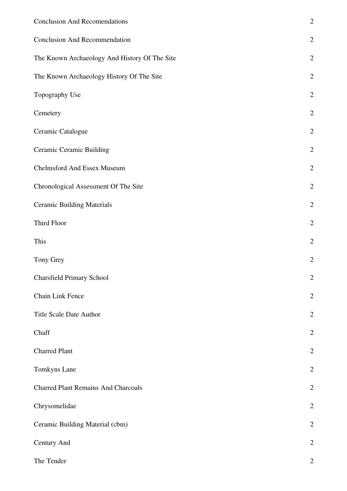| <b>Conclusion And Recomendations</b>          | $\overline{2}$ |
|-----------------------------------------------|----------------|
| <b>Conclusion And Recommendation</b>          | $\overline{2}$ |
| The Known Archaeology And History Of The Site | $\overline{2}$ |
| The Known Archaeology History Of The Site     | $\overline{c}$ |
| Topography Use                                | $\overline{c}$ |
| Cemetery                                      | $\overline{c}$ |
| Ceramic Catalogue                             | $\overline{c}$ |
| <b>Ceramic Ceramic Building</b>               | $\overline{c}$ |
| <b>Chelmsford And Essex Museum</b>            | $\overline{c}$ |
| Chronological Assessment Of The Site          | $\overline{c}$ |
| <b>Ceramic Building Materials</b>             | $\overline{c}$ |
| Third Floor                                   | $\overline{c}$ |
| This                                          | $\overline{2}$ |
| Tony Grey                                     | $\overline{2}$ |
| <b>Charsfield Primary School</b>              | $\mathbf{2}$   |
| Chain Link Fence                              | $\overline{2}$ |
| Title Scale Date Author                       | $\overline{2}$ |
| Chaff                                         | $\overline{2}$ |
| <b>Charred Plant</b>                          | $\overline{2}$ |
| Tomkyns Lane                                  | $\overline{2}$ |
| <b>Charred Plant Remains And Charcoals</b>    | $\overline{c}$ |
| Chrysomelidae                                 | $\overline{2}$ |
| Ceramic Building Material (cbm)               | $\overline{c}$ |
| Century And                                   | $\mathbf{2}$   |
| The Tender                                    | $\overline{2}$ |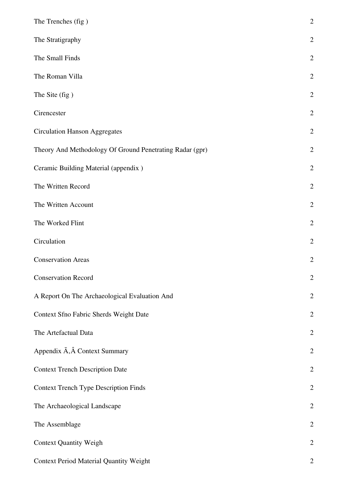| The Trenches (fig)                                       | $\overline{c}$ |
|----------------------------------------------------------|----------------|
| The Stratigraphy                                         | $\overline{c}$ |
| The Small Finds                                          | $\overline{2}$ |
| The Roman Villa                                          | $\overline{2}$ |
| The Site (fig)                                           | $\overline{c}$ |
| Cirencester                                              | $\overline{2}$ |
| <b>Circulation Hanson Aggregates</b>                     | $\overline{2}$ |
| Theory And Methodology Of Ground Penetrating Radar (gpr) | $\overline{2}$ |
| Ceramic Building Material (appendix)                     | $\mathbf{2}$   |
| The Written Record                                       | $\mathbf{2}$   |
| The Written Account                                      | $\overline{2}$ |
| The Worked Flint                                         | $\overline{2}$ |
| Circulation                                              | $\overline{2}$ |
| <b>Conservation Areas</b>                                | $\overline{2}$ |
| <b>Conservation Record</b>                               | $\overline{c}$ |
| A Report On The Archaeological Evaluation And            | $\overline{2}$ |
| Context Sfno Fabric Sherds Weight Date                   | $\overline{2}$ |
| The Artefactual Data                                     | $\overline{2}$ |
| Appendix $\tilde{A}$ , $\hat{A}$ Context Summary         | $\overline{2}$ |
| <b>Context Trench Description Date</b>                   | $\overline{2}$ |
| <b>Context Trench Type Description Finds</b>             | $\overline{2}$ |
| The Archaeological Landscape                             | $\overline{c}$ |
| The Assemblage                                           | $\overline{2}$ |
| <b>Context Quantity Weigh</b>                            | $\mathbf{2}$   |
| <b>Context Period Material Quantity Weight</b>           | $\overline{2}$ |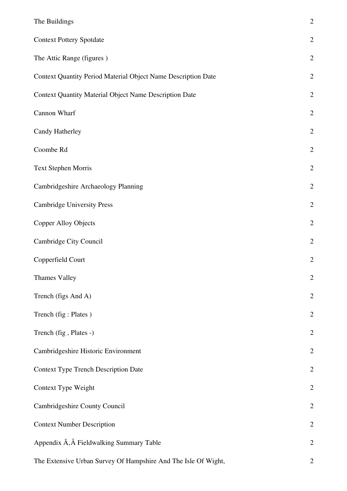| The Buildings                                                  | $\overline{c}$ |
|----------------------------------------------------------------|----------------|
| <b>Context Pottery Spotdate</b>                                | $\overline{2}$ |
| The Attic Range (figures)                                      | $\overline{2}$ |
| Context Quantity Period Material Object Name Description Date  | $\overline{2}$ |
| <b>Context Quantity Material Object Name Description Date</b>  | $\overline{2}$ |
| Cannon Wharf                                                   | $\overline{2}$ |
| Candy Hatherley                                                | $\overline{2}$ |
| Coombe Rd                                                      | $\overline{2}$ |
| <b>Text Stephen Morris</b>                                     | $\overline{2}$ |
| Cambridgeshire Archaeology Planning                            | $\overline{2}$ |
| <b>Cambridge University Press</b>                              | $\overline{2}$ |
| <b>Copper Alloy Objects</b>                                    | $\overline{2}$ |
| Cambridge City Council                                         | $\overline{2}$ |
| Copperfield Court                                              | $\overline{2}$ |
| <b>Thames Valley</b>                                           | $\overline{2}$ |
| Trench (figs And A)                                            | $\overline{c}$ |
| Trench (fig: Plates)                                           | $\overline{2}$ |
| Trench (fig, Plates -)                                         | $\mathbf{2}$   |
| Cambridgeshire Historic Environment                            | $\mathbf{2}$   |
| <b>Context Type Trench Description Date</b>                    | $\overline{2}$ |
| Context Type Weight                                            | $\overline{2}$ |
| Cambridgeshire County Council                                  | $\overline{2}$ |
| <b>Context Number Description</b>                              | $\overline{2}$ |
| Appendix A, A Fieldwalking Summary Table                       | $\overline{2}$ |
| The Extensive Urban Survey Of Hampshire And The Isle Of Wight, | $\overline{2}$ |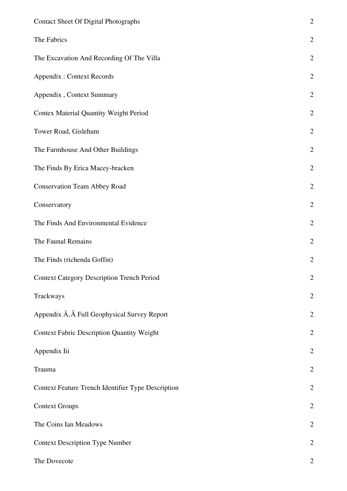| <b>Contact Sheet Of Digital Photographs</b>        | $\overline{c}$ |
|----------------------------------------------------|----------------|
| The Fabrics                                        | $\overline{c}$ |
| The Excavation And Recording Of The Villa          | $\overline{c}$ |
| <b>Appendix: Context Records</b>                   | $\overline{c}$ |
| Appendix, Context Summary                          | $\overline{c}$ |
| <b>Contex Material Quantity Weight Period</b>      | $\overline{c}$ |
| Tower Road, Gisleham                               | $\overline{c}$ |
| The Farmhouse And Other Buildings                  | $\overline{c}$ |
| The Finds By Erica Macey-bracken                   | $\overline{c}$ |
| <b>Conservation Team Abbey Road</b>                | $\overline{c}$ |
| Conservatory                                       | $\overline{c}$ |
| The Finds And Environmental Evidence               | $\overline{c}$ |
| The Faunal Remains                                 | $\overline{c}$ |
| The Finds (richenda Goffin)                        | $\overline{c}$ |
| <b>Context Category Description Trench Period</b>  | $\overline{c}$ |
| Trackways                                          | $\overline{c}$ |
| Appendix A, A Full Geophysical Survey Report       | $\overline{c}$ |
| <b>Context Fabric Description Quantity Weight</b>  | $\overline{c}$ |
| Appendix Iii                                       | $\overline{c}$ |
| Trauma                                             | $\overline{c}$ |
| Context Feature Trench Identifier Type Description | $\overline{c}$ |
| <b>Context Groups</b>                              | $\overline{c}$ |
| The Coins Ian Meadows                              | $\overline{c}$ |
| <b>Context Description Type Number</b>             | $\overline{c}$ |
| The Dovecote                                       | $\overline{c}$ |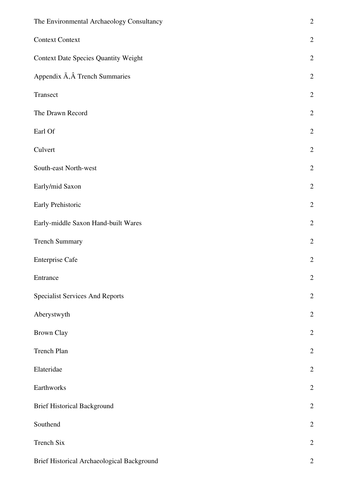| The Environmental Archaeology Consultancy   | $\overline{2}$   |
|---------------------------------------------|------------------|
| <b>Context Context</b>                      | $\overline{2}$   |
| <b>Context Date Species Quantity Weight</b> | $\overline{2}$   |
| Appendix Ã, Trench Summaries                | $\overline{2}$   |
| Transect                                    | $\overline{2}$   |
| The Drawn Record                            | $\overline{2}$   |
| Earl Of                                     | $\overline{c}$   |
| Culvert                                     | $\overline{2}$   |
| South-east North-west                       | $\overline{c}$   |
| Early/mid Saxon                             | $\overline{2}$   |
| Early Prehistoric                           | $\overline{c}$   |
| Early-middle Saxon Hand-built Wares         | $\overline{2}$   |
| <b>Trench Summary</b>                       | $\overline{2}$   |
| <b>Enterprise Cafe</b>                      | $\mathbf{2}$     |
| Entrance                                    | $\boldsymbol{2}$ |
| <b>Specialist Services And Reports</b>      | $\overline{2}$   |
| Aberystwyth                                 | $\overline{2}$   |
| <b>Brown Clay</b>                           | $\overline{2}$   |
| Trench Plan                                 | $\overline{2}$   |
| Elateridae                                  | $\overline{2}$   |
| Earthworks                                  | $\overline{2}$   |
| <b>Brief Historical Background</b>          | $\overline{2}$   |
| Southend                                    | $\overline{2}$   |
| Trench Six                                  | $\overline{c}$   |
| Brief Historical Archaeological Background  | $\mathbf{2}$     |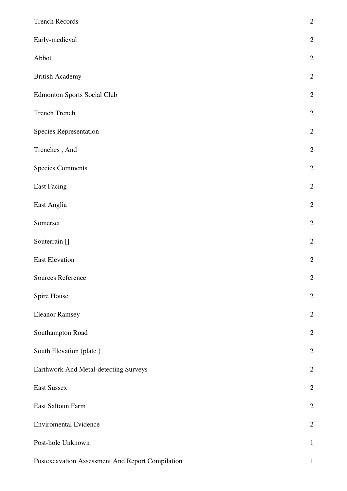| <b>Trench Records</b>                            | $\overline{c}$ |
|--------------------------------------------------|----------------|
| Early-medieval                                   | $\overline{c}$ |
| Abbot                                            | $\overline{c}$ |
| <b>British Academy</b>                           | $\overline{c}$ |
| <b>Edmonton Sports Social Club</b>               | $\overline{2}$ |
| <b>Trench Trench</b>                             | $\overline{2}$ |
| Species Representation                           | $\overline{2}$ |
| Trenches, And                                    | $\overline{2}$ |
| <b>Species Comments</b>                          | $\overline{c}$ |
| <b>East Facing</b>                               | $\overline{2}$ |
| East Anglia                                      | $\overline{2}$ |
| Somerset                                         | $\overline{c}$ |
| Souterrain []                                    | $\overline{c}$ |
| <b>East Elevation</b>                            | $\overline{c}$ |
| Sources Reference                                | $\overline{2}$ |
| Spire House                                      | $\overline{c}$ |
| <b>Eleanor Ramsey</b>                            | $\overline{2}$ |
| Southampton Road                                 | $\overline{c}$ |
| South Elevation (plate)                          | $\overline{2}$ |
| Earthwork And Metal-detecting Surveys            | $\overline{c}$ |
| East Sussex                                      | $\overline{c}$ |
| East Saltoun Farm                                | $\overline{2}$ |
| <b>Enviromental Evidence</b>                     | $\overline{c}$ |
| Post-hole Unknown                                | $\mathbf{1}$   |
| Postexcavation Assessment And Report Compilation | $\mathbf{1}$   |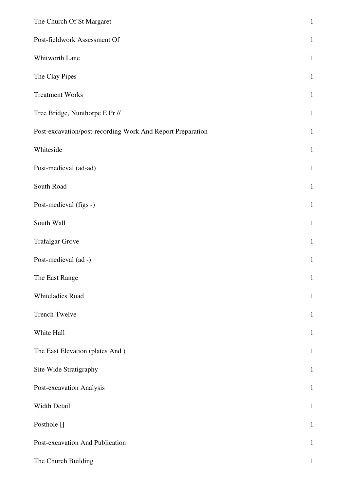| The Church Of St Margaret                                  | $\,1\,$      |
|------------------------------------------------------------|--------------|
| Post-fieldwork Assessment Of                               | $\mathbf{1}$ |
| Whitworth Lane                                             | $\mathbf{1}$ |
| The Clay Pipes                                             | $\mathbf{1}$ |
| <b>Treatment Works</b>                                     | $\mathbf{1}$ |
| Tree Bridge, Nunthorpe E Pr //                             | $\mathbf{1}$ |
| Post-excavation/post-recording Work And Report Preparation | $\mathbf{1}$ |
| Whiteside                                                  | $\mathbf{1}$ |
| Post-medieval (ad-ad)                                      | $\mathbf{1}$ |
| South Road                                                 | $\mathbf{1}$ |
| Post-medieval (figs -)                                     | $\mathbf{1}$ |
| South Wall                                                 | $\mathbf{1}$ |
| <b>Trafalgar Grove</b>                                     | $\mathbf{1}$ |
| Post-medieval (ad -)                                       | $\mathbf{1}$ |
| The East Range                                             | $\mathbf{1}$ |
| Whiteladies Road                                           | $\mathbf{1}$ |
| <b>Trench Twelve</b>                                       | $\mathbf{1}$ |
| White Hall                                                 | $\mathbf{1}$ |
| The East Elevation (plates And)                            | $\mathbf{1}$ |
| Site Wide Stratigraphy                                     | $\mathbf{1}$ |
| Post-excavation Analysis                                   | $\mathbf{1}$ |
| Width Detail                                               | $\mathbf{1}$ |
| Posthole []                                                | $\mathbf{1}$ |
| Post-excavation And Publication                            | $\mathbf{1}$ |
| The Church Building                                        | $\mathbf{1}$ |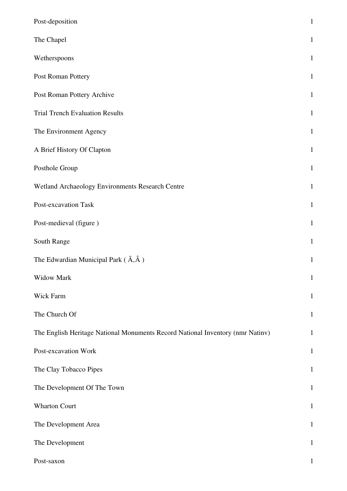| Post-deposition                                                                | $\mathbf 1$  |
|--------------------------------------------------------------------------------|--------------|
| The Chapel                                                                     | $\mathbf{1}$ |
| Wetherspoons                                                                   | $\mathbf{1}$ |
| Post Roman Pottery                                                             | $\mathbf{1}$ |
| Post Roman Pottery Archive                                                     | $\mathbf{1}$ |
| <b>Trial Trench Evaluation Results</b>                                         | $\mathbf{1}$ |
| The Environment Agency                                                         | $\mathbf{1}$ |
| A Brief History Of Clapton                                                     | $\mathbf{1}$ |
| Posthole Group                                                                 | $\mathbf{1}$ |
| Wetland Archaeology Environments Research Centre                               | $\mathbf{1}$ |
| Post-excavation Task                                                           | $\mathbf{1}$ |
| Post-medieval (figure)                                                         | $\mathbf{1}$ |
| South Range                                                                    | $\mathbf{1}$ |
| The Edwardian Municipal Park $(\tilde{A}, \hat{A})$                            | $\mathbf{1}$ |
| Widow Mark                                                                     | $\mathbf{1}$ |
| Wick Farm                                                                      | $\mathbf{1}$ |
| The Church Of                                                                  | $\mathbf{1}$ |
| The English Heritage National Monuments Record National Inventory (nmr Natinv) | $\mathbf{1}$ |
| Post-excavation Work                                                           | $\mathbf{1}$ |
| The Clay Tobacco Pipes                                                         | $\mathbf{1}$ |
| The Development Of The Town                                                    | $\mathbf{1}$ |
| <b>Wharton Court</b>                                                           | $\mathbf{1}$ |
| The Development Area                                                           | $\mathbf{1}$ |
| The Development                                                                | $\mathbf{1}$ |
| Post-saxon                                                                     | $\mathbf{1}$ |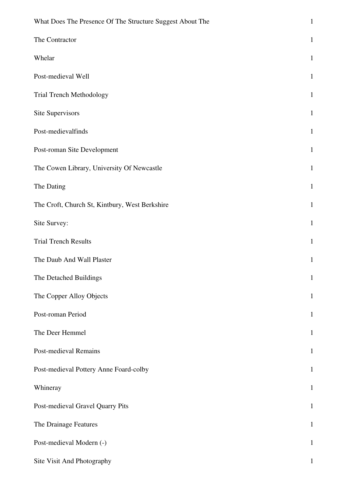| What Does The Presence Of The Structure Suggest About The | $\mathbf{1}$ |
|-----------------------------------------------------------|--------------|
| The Contractor                                            | $\mathbf{1}$ |
| Whelar                                                    | $\mathbf{1}$ |
| Post-medieval Well                                        | $\mathbf{1}$ |
| Trial Trench Methodology                                  | $\mathbf{1}$ |
| Site Supervisors                                          | $\mathbf{1}$ |
| Post-medievalfinds                                        | $\mathbf{1}$ |
| Post-roman Site Development                               | $\mathbf{1}$ |
| The Cowen Library, University Of Newcastle                | $\mathbf{1}$ |
| The Dating                                                | $\mathbf{1}$ |
| The Croft, Church St, Kintbury, West Berkshire            | $\mathbf{1}$ |
| Site Survey:                                              | $\mathbf{1}$ |
| <b>Trial Trench Results</b>                               | $\mathbf{1}$ |
| The Daub And Wall Plaster                                 | $\mathbf{1}$ |
| The Detached Buildings                                    | $\mathbf{1}$ |
| The Copper Alloy Objects                                  | $\mathbf{1}$ |
| Post-roman Period                                         | $\mathbf{1}$ |
| The Deer Hemmel                                           | $\mathbf{1}$ |
| <b>Post-medieval Remains</b>                              | $\mathbf{1}$ |
| Post-medieval Pottery Anne Foard-colby                    | $\mathbf{1}$ |
| Whineray                                                  | $\mathbf{1}$ |
| Post-medieval Gravel Quarry Pits                          | $\mathbf{1}$ |
| The Drainage Features                                     | $\mathbf{1}$ |
| Post-medieval Modern (-)                                  | $\mathbf{1}$ |
| Site Visit And Photography                                | $\mathbf 1$  |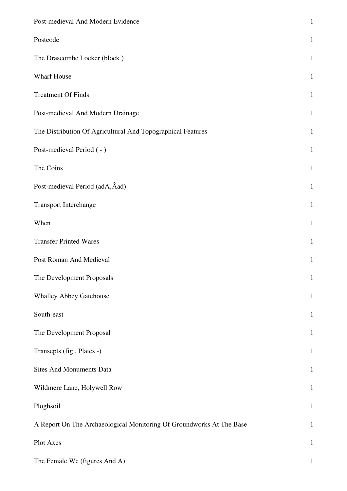| Post-medieval And Modern Evidence                                    | $\mathbf{1}$ |
|----------------------------------------------------------------------|--------------|
| Postcode                                                             | $\mathbf{1}$ |
| The Drascombe Locker (block)                                         | $\mathbf{1}$ |
| Wharf House                                                          | $\mathbf{1}$ |
| <b>Treatment Of Finds</b>                                            | $\mathbf{1}$ |
| Post-medieval And Modern Drainage                                    | $\mathbf{1}$ |
| The Distribution Of Agricultural And Topographical Features          | $\mathbf{1}$ |
| Post-medieval Period (-)                                             | $\mathbf{1}$ |
| The Coins                                                            | $\mathbf{1}$ |
| Post-medieval Period (adA, Aad)                                      | $\mathbf{1}$ |
| Transport Interchange                                                | $\mathbf{1}$ |
| When                                                                 | $\mathbf{1}$ |
| <b>Transfer Printed Wares</b>                                        | $\mathbf{1}$ |
| Post Roman And Medieval                                              | $\mathbf{1}$ |
| The Development Proposals                                            | $\mathbf{1}$ |
| <b>Whalley Abbey Gatehouse</b>                                       | $\mathbf{1}$ |
| South-east                                                           | $\mathbf{1}$ |
| The Development Proposal                                             | $\mathbf{1}$ |
| Transepts (fig, Plates -)                                            | $\mathbf{1}$ |
| <b>Sites And Monuments Data</b>                                      | $\mathbf{1}$ |
| Wildmere Lane, Holywell Row                                          | $\mathbf{1}$ |
| Ploghsoil                                                            | $\mathbf{1}$ |
| A Report On The Archaeological Monitoring Of Groundworks At The Base | $\mathbf{1}$ |
| Plot Axes                                                            | $\mathbf{1}$ |
| The Female Wc (figures And A)                                        | 1            |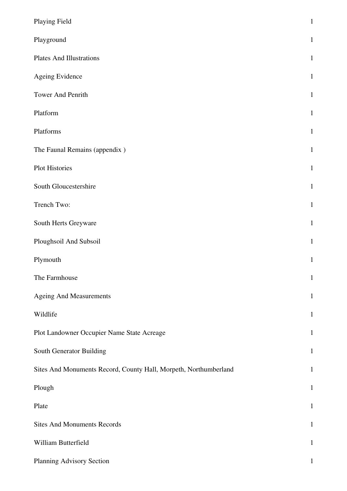| Playing Field                                                    | $\,1\,$      |
|------------------------------------------------------------------|--------------|
| Playground                                                       | $\mathbf{1}$ |
| <b>Plates And Illustrations</b>                                  | $\mathbf{1}$ |
| Ageing Evidence                                                  | $\mathbf{1}$ |
| Tower And Penrith                                                | $\mathbf{1}$ |
| Platform                                                         | $\mathbf{1}$ |
| Platforms                                                        | $\mathbf{1}$ |
| The Faunal Remains (appendix)                                    | $\mathbf{1}$ |
| Plot Histories                                                   | $\mathbf{1}$ |
| South Gloucestershire                                            | $\mathbf{1}$ |
| Trench Two:                                                      | $\mathbf{1}$ |
| South Herts Greyware                                             | $\mathbf{1}$ |
| Ploughsoil And Subsoil                                           | $\mathbf{1}$ |
| Plymouth                                                         | $\mathbf{1}$ |
| The Farmhouse                                                    | $1\,$        |
| <b>Ageing And Measurements</b>                                   | $\mathbf{1}$ |
| Wildlife                                                         | $\mathbf{1}$ |
| Plot Landowner Occupier Name State Acreage                       | $\mathbf{1}$ |
| South Generator Building                                         | $\mathbf{1}$ |
| Sites And Monuments Record, County Hall, Morpeth, Northumberland | $\mathbf{1}$ |
| Plough                                                           | $\mathbf{1}$ |
| Plate                                                            | $\mathbf{1}$ |
| <b>Sites And Monuments Records</b>                               | $\mathbf{1}$ |
| William Butterfield                                              | $\mathbf{1}$ |
| Planning Advisory Section                                        | $\mathbf{1}$ |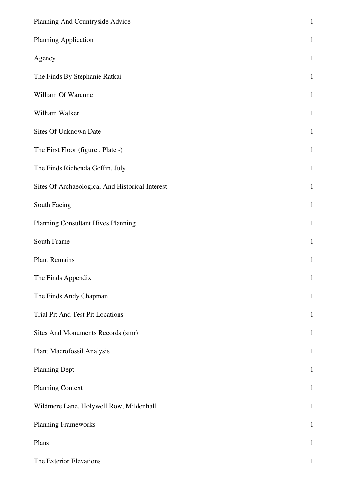| Planning And Countryside Advice                 | $\mathbf 1$  |
|-------------------------------------------------|--------------|
| Planning Application                            | $\mathbf{1}$ |
| Agency                                          | $\mathbf{1}$ |
| The Finds By Stephanie Ratkai                   | $\mathbf{1}$ |
| William Of Warenne                              | $\mathbf{1}$ |
| William Walker                                  | $\mathbf{1}$ |
| Sites Of Unknown Date                           | $\mathbf{1}$ |
| The First Floor (figure, Plate -)               | $\mathbf 1$  |
| The Finds Richenda Goffin, July                 | $\mathbf 1$  |
| Sites Of Archaeological And Historical Interest | $\mathbf 1$  |
| South Facing                                    | $\mathbf{1}$ |
| Planning Consultant Hives Planning              | $\mathbf{1}$ |
| South Frame                                     | $\mathbf 1$  |
| <b>Plant Remains</b>                            | $\mathbf{1}$ |
| The Finds Appendix                              | $\mathbf{1}$ |
| The Finds Andy Chapman                          | $\mathbf{1}$ |
| Trial Pit And Test Pit Locations                | $\mathbf{1}$ |
| Sites And Monuments Records (smr)               | $\mathbf{1}$ |
| Plant Macrofossil Analysis                      | $\mathbf{1}$ |
| <b>Planning Dept</b>                            | $\mathbf{1}$ |
| <b>Planning Context</b>                         | $\mathbf{1}$ |
| Wildmere Lane, Holywell Row, Mildenhall         | $\mathbf{1}$ |
| <b>Planning Frameworks</b>                      | $\mathbf{1}$ |
| Plans                                           | $\mathbf{1}$ |
| The Exterior Elevations                         | $\mathbf{1}$ |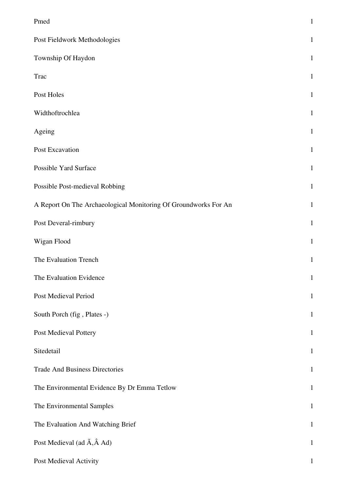| Pmed                                                            | $\mathbf{1}$ |
|-----------------------------------------------------------------|--------------|
| Post Fieldwork Methodologies                                    | $\mathbf{1}$ |
| Township Of Haydon                                              | $\mathbf{1}$ |
| <b>Trac</b>                                                     | $\mathbf{1}$ |
| Post Holes                                                      | $\mathbf{1}$ |
| Widthoftrochlea                                                 | $\mathbf{1}$ |
| Ageing                                                          | $\mathbf{1}$ |
| Post Excavation                                                 | $\mathbf{1}$ |
| Possible Yard Surface                                           | $\mathbf{1}$ |
| Possible Post-medieval Robbing                                  | $\mathbf{1}$ |
| A Report On The Archaeological Monitoring Of Groundworks For An | $\mathbf{1}$ |
| Post Deveral-rimbury                                            | $\mathbf{1}$ |
| Wigan Flood                                                     | $\mathbf{1}$ |
| The Evaluation Trench                                           | $\mathbf{1}$ |
| The Evaluation Evidence                                         | 1            |
| Post Medieval Period                                            | $\mathbf{1}$ |
| South Porch (fig, Plates -)                                     | $\mathbf{1}$ |
| Post Medieval Pottery                                           | $\mathbf{1}$ |
| Sitedetail                                                      | $\mathbf{1}$ |
| <b>Trade And Business Directories</b>                           | $\mathbf{1}$ |
| The Environmental Evidence By Dr Emma Tetlow                    | $\mathbf{1}$ |
| The Environmental Samples                                       | $\mathbf{1}$ |
| The Evaluation And Watching Brief                               | $\mathbf{1}$ |
| Post Medieval (ad $\tilde{A}$ , $\hat{A}$ Ad)                   | $\mathbf{1}$ |
| Post Medieval Activity                                          | 1            |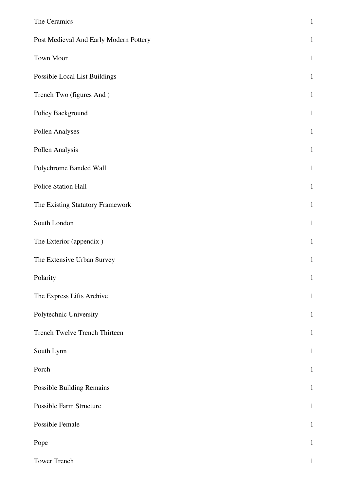| The Ceramics                           | $\mathbf 1$  |
|----------------------------------------|--------------|
| Post Medieval And Early Modern Pottery | $\mathbf{1}$ |
| Town Moor                              | $\mathbf{1}$ |
| Possible Local List Buildings          | $\mathbf{1}$ |
| Trench Two (figures And)               | $\mathbf{1}$ |
| Policy Background                      | $\mathbf{1}$ |
| Pollen Analyses                        | $\mathbf{1}$ |
| Pollen Analysis                        | $\mathbf{1}$ |
| Polychrome Banded Wall                 | $\mathbf{1}$ |
| Police Station Hall                    | $\mathbf{1}$ |
| The Existing Statutory Framework       | $\mathbf{1}$ |
| South London                           | $\mathbf{1}$ |
| The Exterior (appendix)                | $\mathbf{1}$ |
| The Extensive Urban Survey             | $\mathbf{1}$ |
| Polarity                               | $\mathbf{1}$ |
| The Express Lifts Archive              | $\mathbf{1}$ |
| Polytechnic University                 | $\mathbf{1}$ |
| Trench Twelve Trench Thirteen          | $1\,$        |
| South Lynn                             | $\mathbf{1}$ |
| Porch                                  | $\mathbf{1}$ |
| <b>Possible Building Remains</b>       | $\mathbf{1}$ |
| Possible Farm Structure                | $\mathbf{1}$ |
| Possible Female                        | $\mathbf{1}$ |
| Pope                                   | $\mathbf{1}$ |
| Tower Trench                           | $\mathbf{1}$ |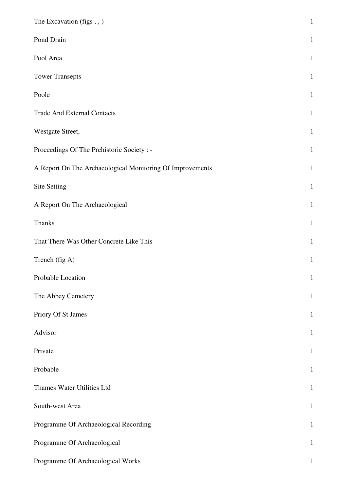| The Excavation (figs,,)                                   | $\mathbf{1}$ |
|-----------------------------------------------------------|--------------|
| Pond Drain                                                | $\mathbf{1}$ |
| Pool Area                                                 | $\mathbf{1}$ |
| <b>Tower Transepts</b>                                    | $\mathbf{1}$ |
| Poole                                                     | $\mathbf{1}$ |
| <b>Trade And External Contacts</b>                        | $\mathbf{1}$ |
| Westgate Street,                                          | $\mathbf{1}$ |
| Proceedings Of The Prehistoric Society : -                | $\mathbf{1}$ |
| A Report On The Archaeological Monitoring Of Improvements | $\mathbf{1}$ |
| Site Setting                                              | $\mathbf{1}$ |
| A Report On The Archaeological                            | $\mathbf{1}$ |
| <b>Thanks</b>                                             | $\mathbf{1}$ |
| That There Was Other Concrete Like This                   | $\mathbf{1}$ |
| Trench (fig A)                                            | $\mathbf{1}$ |
| Probable Location                                         | $\mathbf{1}$ |
| The Abbey Cemetery                                        | $\mathbf{1}$ |
| Priory Of St James                                        | $\mathbf{1}$ |
| Advisor                                                   | $\mathbf{1}$ |
| Private                                                   | $\mathbf{1}$ |
| Probable                                                  | $\mathbf{1}$ |
| Thames Water Utilities Ltd                                | $\mathbf{1}$ |
| South-west Area                                           | $\mathbf{1}$ |
| Programme Of Archaeological Recording                     | $\mathbf{1}$ |
| Programme Of Archaeological                               | $\mathbf{1}$ |
| Programme Of Archaeological Works                         | $\mathbf{1}$ |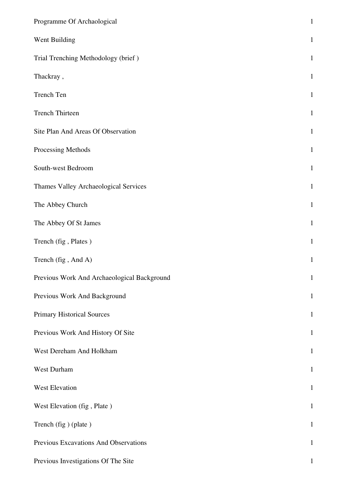| Programme Of Archaological                  | $\mathbf 1$  |
|---------------------------------------------|--------------|
| Went Building                               | $\mathbf{1}$ |
| Trial Trenching Methodology (brief)         | $\mathbf{1}$ |
| Thackray,                                   | $\mathbf{1}$ |
| Trench Ten                                  | $\mathbf{1}$ |
| <b>Trench Thirteen</b>                      | $\mathbf{1}$ |
| Site Plan And Areas Of Observation          | $\mathbf{1}$ |
| Processing Methods                          | $\mathbf{1}$ |
| South-west Bedroom                          | $1\,$        |
| Thames Valley Archaeological Services       | $\mathbf{1}$ |
| The Abbey Church                            | $\mathbf{1}$ |
| The Abbey Of St James                       | $\mathbf{1}$ |
| Trench (fig , Plates )                      | $\mathbf{1}$ |
| Trench (fig, And A)                         | $\mathbf{1}$ |
| Previous Work And Archaeological Background | 1            |
| Previous Work And Background                | $\mathbf{1}$ |
| <b>Primary Historical Sources</b>           | $\mathbf{1}$ |
| Previous Work And History Of Site           | $\mathbf{1}$ |
| West Dereham And Holkham                    | $\mathbf{1}$ |
| West Durham                                 | $\mathbf{1}$ |
| West Elevation                              | $\mathbf{1}$ |
| West Elevation (fig, Plate)                 | $\mathbf{1}$ |
| Trench (fig) (plate)                        | $\mathbf{1}$ |
| Previous Excavations And Observations       | $\mathbf{1}$ |
| Previous Investigations Of The Site         | 1            |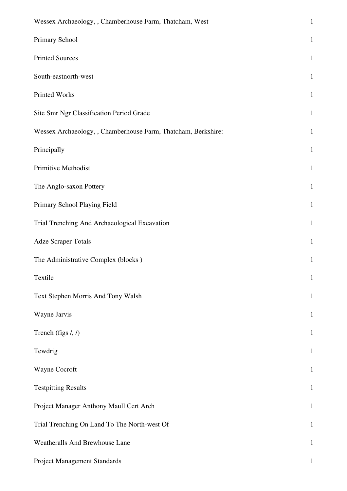| Wessex Archaeology, , Chamberhouse Farm, Thatcham, West       | $\mathbf{1}$ |
|---------------------------------------------------------------|--------------|
| Primary School                                                | $\mathbf{1}$ |
| <b>Printed Sources</b>                                        | $\mathbf{1}$ |
| South-eastnorth-west                                          | $\mathbf{1}$ |
| Printed Works                                                 | $\mathbf{1}$ |
| Site Smr Ngr Classification Period Grade                      | $\mathbf{1}$ |
| Wessex Archaeology, , Chamberhouse Farm, Thatcham, Berkshire: | $\mathbf{1}$ |
| Principally                                                   | $\mathbf{1}$ |
| Primitive Methodist                                           | $\mathbf{1}$ |
| The Anglo-saxon Pottery                                       | $\mathbf{1}$ |
| Primary School Playing Field                                  | $\mathbf{1}$ |
| Trial Trenching And Archaeological Excavation                 | $\mathbf{1}$ |
| <b>Adze Scraper Totals</b>                                    | $\mathbf{1}$ |
| The Administrative Complex (blocks)                           | $\mathbf{1}$ |
| Textile                                                       | $\mathbf{1}$ |
| Text Stephen Morris And Tony Walsh                            | $\mathbf{1}$ |
| Wayne Jarvis                                                  | $\mathbf{1}$ |
| Trench (figs $/$ , $/$ )                                      | $\mathbf{1}$ |
| Tewdrig                                                       | $\mathbf{1}$ |
| Wayne Cocroft                                                 | $\mathbf{1}$ |
| <b>Testpitting Results</b>                                    | $\mathbf 1$  |
| Project Manager Anthony Maull Cert Arch                       | $\mathbf{1}$ |
| Trial Trenching On Land To The North-west Of                  | $\mathbf{1}$ |
| Weatheralls And Brewhouse Lane                                | $\mathbf{1}$ |
| Project Management Standards                                  | $\mathbf{1}$ |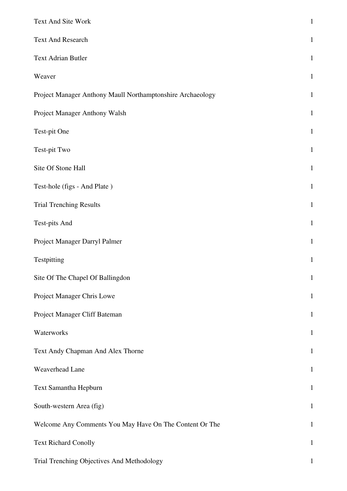| Text And Site Work                                         | $\mathbf{1}$ |
|------------------------------------------------------------|--------------|
| <b>Text And Research</b>                                   | $\mathbf{1}$ |
| <b>Text Adrian Butler</b>                                  | $\mathbf{1}$ |
| Weaver                                                     | $\mathbf{1}$ |
| Project Manager Anthony Maull Northamptonshire Archaeology | $\mathbf{1}$ |
| Project Manager Anthony Walsh                              | $\mathbf{1}$ |
| Test-pit One                                               | $\mathbf{1}$ |
| Test-pit Two                                               | $\mathbf{1}$ |
| Site Of Stone Hall                                         | $\mathbf{1}$ |
| Test-hole (figs - And Plate)                               | $\mathbf{1}$ |
| <b>Trial Trenching Results</b>                             | $\mathbf{1}$ |
| <b>Test-pits And</b>                                       | $\mathbf{1}$ |
| Project Manager Darryl Palmer                              | $\mathbf{1}$ |
| Testpitting                                                | $\mathbf{1}$ |
| Site Of The Chapel Of Ballingdon                           | $\mathbf{1}$ |
| Project Manager Chris Lowe                                 | $\mathbf{1}$ |
| Project Manager Cliff Bateman                              | $\mathbf{1}$ |
| Waterworks                                                 | $\mathbf{1}$ |
| Text Andy Chapman And Alex Thorne                          | $\mathbf{1}$ |
| Weaverhead Lane                                            | $\mathbf{1}$ |
| Text Samantha Hepburn                                      | $\mathbf{1}$ |
| South-western Area (fig)                                   | $\mathbf{1}$ |
| Welcome Any Comments You May Have On The Content Or The    | $\mathbf{1}$ |
| <b>Text Richard Conolly</b>                                | $\mathbf{1}$ |
| Trial Trenching Objectives And Methodology                 | 1            |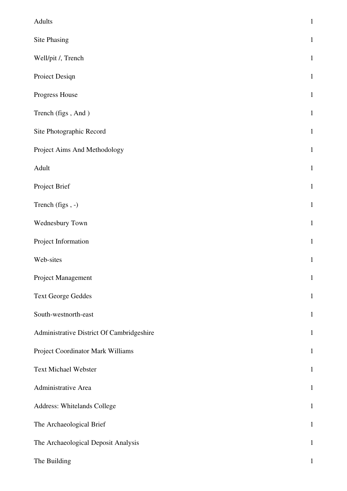| Adults                                    | $\,1\,$      |
|-------------------------------------------|--------------|
| <b>Site Phasing</b>                       | $\mathbf 1$  |
| Well/pit /, Trench                        | $\,1\,$      |
| Proiect Design                            | $1\,$        |
| Progress House                            | $\mathbf{1}$ |
| Trench (figs, And)                        | $\mathbf 1$  |
| Site Photographic Record                  | $\mathbf 1$  |
| Project Aims And Methodology              | $\mathbf{1}$ |
| Adult                                     | $\,1\,$      |
| Project Brief                             | $\mathbf 1$  |
| Trench (figs, -)                          | $\,1\,$      |
| Wednesbury Town                           | $\,1\,$      |
| Project Information                       | $\mathbf{1}$ |
| Web-sites                                 | $\,1\,$      |
| Project Management                        | $\mathbf 1$  |
| <b>Text George Geddes</b>                 | $\mathbf{1}$ |
| South-westnorth-east                      | $\mathbf{1}$ |
| Administrative District Of Cambridgeshire | $\mathbf 1$  |
| Project Coordinator Mark Williams         | $\mathbf 1$  |
| <b>Text Michael Webster</b>               | $\mathbf{1}$ |
| Administrative Area                       | $\mathbf{1}$ |
| Address: Whitelands College               | $\mathbf{1}$ |
| The Archaeological Brief                  | $\mathbf 1$  |
| The Archaeological Deposit Analysis       | $\mathbf 1$  |
| The Building                              | 1            |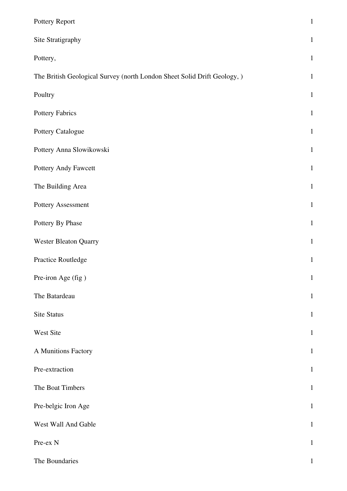| Pottery Report                                                           | $\mathbf 1$  |
|--------------------------------------------------------------------------|--------------|
| Site Stratigraphy                                                        | $\mathbf{1}$ |
| Pottery,                                                                 | $\mathbf{1}$ |
| The British Geological Survey (north London Sheet Solid Drift Geology, ) | $\mathbf{1}$ |
| Poultry                                                                  | $\mathbf{1}$ |
| Pottery Fabrics                                                          | $\mathbf{1}$ |
| Pottery Catalogue                                                        | $\mathbf{1}$ |
| Pottery Anna Slowikowski                                                 | $\mathbf{1}$ |
| Pottery Andy Fawcett                                                     | $\mathbf{1}$ |
| The Building Area                                                        | $\mathbf{1}$ |
| Pottery Assessment                                                       | $\mathbf{1}$ |
| Pottery By Phase                                                         | $\mathbf{1}$ |
| <b>Wester Bleaton Quarry</b>                                             | $\mathbf{1}$ |
| Practice Routledge                                                       | $\mathbf{1}$ |
| Pre-iron Age (fig)                                                       | $\mathbf{1}$ |
| The Batardeau                                                            | $\mathbf{1}$ |
| <b>Site Status</b>                                                       | $\mathbf{1}$ |
| West Site                                                                | $\mathbf{1}$ |
| A Munitions Factory                                                      | $\mathbf{1}$ |
| Pre-extraction                                                           | $\mathbf{1}$ |
| The Boat Timbers                                                         | $\mathbf{1}$ |
| Pre-belgic Iron Age                                                      | $\mathbf{1}$ |
| West Wall And Gable                                                      | $\mathbf{1}$ |
| Pre-ex N                                                                 | $\mathbf{1}$ |
| The Boundaries                                                           | $\mathbf{1}$ |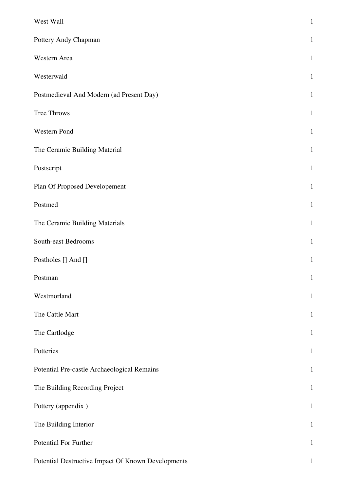| West Wall                                          | $\mathbf{1}$ |
|----------------------------------------------------|--------------|
| Pottery Andy Chapman                               | $\mathbf{1}$ |
| Western Area                                       | $\mathbf{1}$ |
| Westerwald                                         | $\mathbf{1}$ |
| Postmedieval And Modern (ad Present Day)           | $\mathbf{1}$ |
| Tree Throws                                        | $\mathbf{1}$ |
| Western Pond                                       | $\mathbf{1}$ |
| The Ceramic Building Material                      | $\mathbf{1}$ |
| Postscript                                         | $\mathbf{1}$ |
| Plan Of Proposed Developement                      | $\mathbf{1}$ |
| Postmed                                            | $\mathbf{1}$ |
| The Ceramic Building Materials                     | $\mathbf{1}$ |
| South-east Bedrooms                                | $\mathbf{1}$ |
| Postholes [] And []                                | $\mathbf{1}$ |
| Postman                                            | $\mathbf{1}$ |
| Westmorland                                        | $\mathbf{1}$ |
| The Cattle Mart                                    | $\mathbf{1}$ |
| The Cartlodge                                      | $\mathbf{1}$ |
| Potteries                                          | $\mathbf{1}$ |
| Potential Pre-castle Archaeological Remains        | $\mathbf{1}$ |
| The Building Recording Project                     | $\mathbf 1$  |
| Pottery (appendix)                                 | $\mathbf{1}$ |
| The Building Interior                              | $\mathbf{1}$ |
| Potential For Further                              | $\mathbf 1$  |
| Potential Destructive Impact Of Known Developments | $\mathbf{1}$ |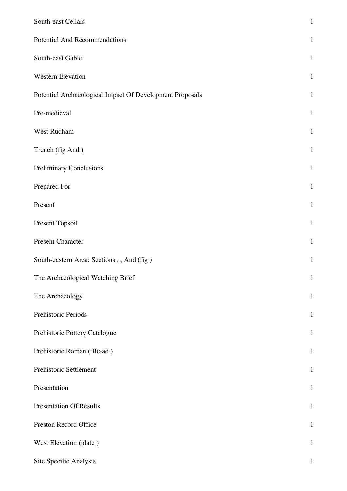| South-east Cellars                                       | $\mathbf{1}$ |
|----------------------------------------------------------|--------------|
| <b>Potential And Recommendations</b>                     | $\mathbf{1}$ |
| South-east Gable                                         | $\mathbf{1}$ |
| Western Elevation                                        | $\mathbf{1}$ |
| Potential Archaeological Impact Of Development Proposals | $\mathbf{1}$ |
| Pre-medieval                                             | $\mathbf{1}$ |
| West Rudham                                              | $\mathbf{1}$ |
| Trench (fig And)                                         | $\mathbf{1}$ |
| <b>Preliminary Conclusions</b>                           | $\mathbf{1}$ |
| Prepared For                                             | $\mathbf{1}$ |
| Present                                                  | $\mathbf{1}$ |
| Present Topsoil                                          | $\mathbf{1}$ |
| <b>Present Character</b>                                 | $\mathbf{1}$ |
| South-eastern Area: Sections, , And (fig)                | $\mathbf{1}$ |
| The Archaeological Watching Brief                        | $\mathbf{1}$ |
| The Archaeology                                          | $\mathbf 1$  |
| Prehistoric Periods                                      | $\mathbf{1}$ |
| Prehistoric Pottery Catalogue                            | $\mathbf{1}$ |
| Prehistoric Roman (Bc-ad)                                | $\mathbf{1}$ |
| Prehistoric Settlement                                   | $\mathbf{1}$ |
| Presentation                                             | $\mathbf{1}$ |
| <b>Presentation Of Results</b>                           | $\mathbf{1}$ |
| Preston Record Office                                    | $\mathbf{1}$ |
| West Elevation (plate)                                   | $\mathbf{1}$ |
| Site Specific Analysis                                   | 1            |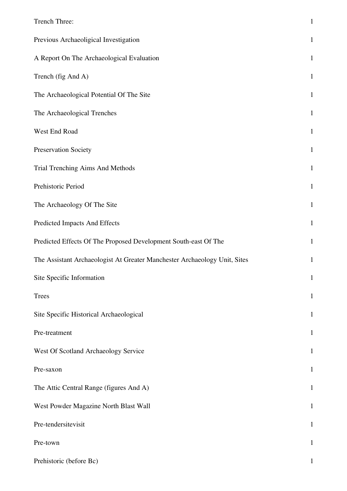| Trench Three:                                                             | $\mathbf{1}$ |
|---------------------------------------------------------------------------|--------------|
| Previous Archaeoligical Investigation                                     | $\mathbf{1}$ |
| A Report On The Archaeological Evaluation                                 | $\mathbf{1}$ |
| Trench (fig And A)                                                        | $\mathbf{1}$ |
| The Archaeological Potential Of The Site                                  | $\mathbf{1}$ |
| The Archaeological Trenches                                               | $\mathbf{1}$ |
| West End Road                                                             | $\mathbf{1}$ |
| Preservation Society                                                      | $\mathbf{1}$ |
| Trial Trenching Aims And Methods                                          | $\mathbf{1}$ |
| Prehistoric Period                                                        | $\mathbf{1}$ |
| The Archaeology Of The Site                                               | $\mathbf{1}$ |
| Predicted Impacts And Effects                                             | $\mathbf{1}$ |
| Predicted Effects Of The Proposed Development South-east Of The           | $\mathbf{1}$ |
| The Assistant Archaeologist At Greater Manchester Archaeology Unit, Sites | $\mathbf{1}$ |
| Site Specific Information                                                 | $\mathbf{1}$ |
| <b>Trees</b>                                                              | $\mathbf 1$  |
| Site Specific Historical Archaeological                                   | $\mathbf{1}$ |
| Pre-treatment                                                             | $\mathbf{1}$ |
| West Of Scotland Archaeology Service                                      | $\mathbf{1}$ |
| Pre-saxon                                                                 | $\mathbf{1}$ |
| The Attic Central Range (figures And A)                                   | $\mathbf{1}$ |
| West Powder Magazine North Blast Wall                                     | $\mathbf{1}$ |
| Pre-tendersitevisit                                                       | $\mathbf{1}$ |
| Pre-town                                                                  | $\mathbf{1}$ |
| Prehistoric (before Bc)                                                   | 1            |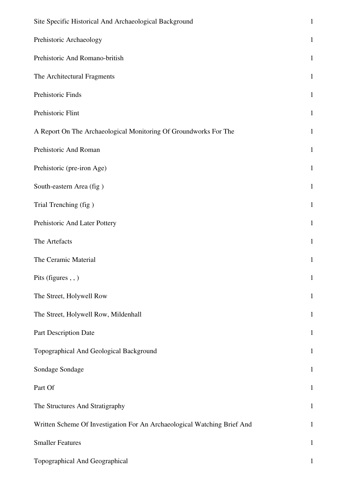| Site Specific Historical And Archaeological Background                   | $\mathbf{1}$ |
|--------------------------------------------------------------------------|--------------|
| Prehistoric Archaeology                                                  | $\mathbf{1}$ |
| Prehistoric And Romano-british                                           | $\mathbf{1}$ |
| The Architectural Fragments                                              | $\mathbf{1}$ |
| Prehistoric Finds                                                        | $\mathbf{1}$ |
| Prehistoric Flint                                                        | $\mathbf{1}$ |
| A Report On The Archaeological Monitoring Of Groundworks For The         | $\mathbf{1}$ |
| Prehistoric And Roman                                                    | $\mathbf{1}$ |
| Prehistoric (pre-iron Age)                                               | $\mathbf{1}$ |
| South-eastern Area (fig)                                                 | $\mathbf{1}$ |
| Trial Trenching (fig)                                                    | $\mathbf{1}$ |
| Prehistoric And Later Pottery                                            | $\mathbf{1}$ |
| The Artefacts                                                            | $\mathbf{1}$ |
| The Ceramic Material                                                     | $\mathbf{1}$ |
| Pits (figures,,)                                                         | $\mathbf{1}$ |
| The Street, Holywell Row                                                 | $\mathbf{1}$ |
| The Street, Holywell Row, Mildenhall                                     | $\mathbf{1}$ |
| Part Description Date                                                    | $\mathbf{1}$ |
| Topographical And Geological Background                                  | $\mathbf{1}$ |
| Sondage Sondage                                                          | $\mathbf{1}$ |
| Part Of                                                                  | $\mathbf{1}$ |
| The Structures And Stratigraphy                                          | $\mathbf{1}$ |
| Written Scheme Of Investigation For An Archaeological Watching Brief And | $\mathbf{1}$ |
| <b>Smaller Features</b>                                                  | $\mathbf{1}$ |
| Topographical And Geographical                                           | 1            |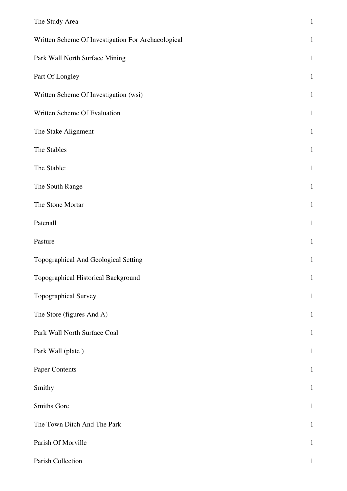| The Study Area                                     | $\mathbf{1}$ |
|----------------------------------------------------|--------------|
| Written Scheme Of Investigation For Archaeological | $\mathbf{1}$ |
| Park Wall North Surface Mining                     | $\mathbf{1}$ |
| Part Of Longley                                    | $\mathbf{1}$ |
| Written Scheme Of Investigation (wsi)              | $\mathbf{1}$ |
| Written Scheme Of Evaluation                       | $\mathbf{1}$ |
| The Stake Alignment                                | $\mathbf{1}$ |
| The Stables                                        | $\mathbf{1}$ |
| The Stable:                                        | $\mathbf{1}$ |
| The South Range                                    | $\mathbf{1}$ |
| The Stone Mortar                                   | $\mathbf{1}$ |
| Patenall                                           | $\mathbf{1}$ |
| Pasture                                            | $\mathbf{1}$ |
| Topographical And Geological Setting               | $\mathbf{1}$ |
| Topographical Historical Background                | $\mathbf{1}$ |
| Topographical Survey                               | $\mathbf{1}$ |
| The Store (figures And A)                          | $\mathbf{1}$ |
| Park Wall North Surface Coal                       | $\mathbf{1}$ |
| Park Wall (plate)                                  | $\mathbf{1}$ |
| Paper Contents                                     | $\mathbf{1}$ |
| Smithy                                             | $\mathbf{1}$ |
| Smiths Gore                                        | $\mathbf{1}$ |
| The Town Ditch And The Park                        | $\mathbf{1}$ |
| Parish Of Morville                                 | $\mathbf{1}$ |
| Parish Collection                                  |              |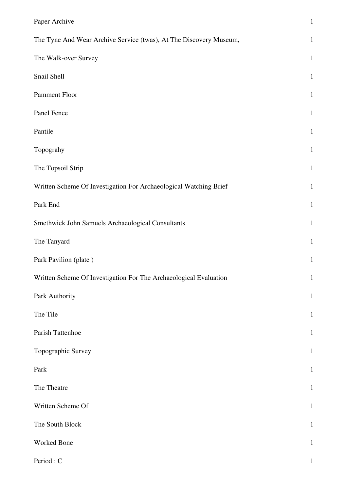| Paper Archive                                                      | $\mathbf{1}$ |
|--------------------------------------------------------------------|--------------|
| The Tyne And Wear Archive Service (twas), At The Discovery Museum, | $\mathbf{1}$ |
| The Walk-over Survey                                               | $\mathbf{1}$ |
| Snail Shell                                                        | $\mathbf{1}$ |
| Pamment Floor                                                      | $\mathbf{1}$ |
| Panel Fence                                                        | $\mathbf{1}$ |
| Pantile                                                            | $\mathbf 1$  |
| Topograhy                                                          | $\mathbf{1}$ |
| The Topsoil Strip                                                  | $\mathbf{1}$ |
| Written Scheme Of Investigation For Archaeological Watching Brief  | $\mathbf{1}$ |
| Park End                                                           | $\mathbf{1}$ |
| Smethwick John Samuels Archaeological Consultants                  | $\mathbf{1}$ |
| The Tanyard                                                        | $\mathbf{1}$ |
| Park Pavilion (plate)                                              | $\mathbf{1}$ |
| Written Scheme Of Investigation For The Archaeological Evaluation  | $\mathbf{1}$ |
| Park Authority                                                     | $\mathbf{1}$ |
| The Tile                                                           | $\mathbf{1}$ |
| Parish Tattenhoe                                                   | $\mathbf{1}$ |
| Topographic Survey                                                 | $\mathbf{1}$ |
| Park                                                               | $\mathbf{1}$ |
| The Theatre                                                        | $\mathbf{1}$ |
| Written Scheme Of                                                  | $\mathbf{1}$ |
| The South Block                                                    | $\mathbf{1}$ |
| Worked Bone                                                        | $\,1$        |
| Period: C                                                          | $\mathbf 1$  |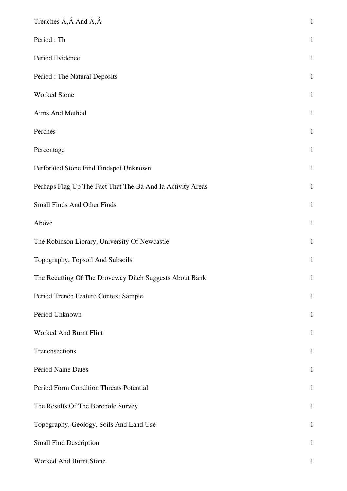| Trenches $\tilde{A}$ , $\hat{A}$ And $\tilde{A}$ , $\hat{A}$ | $\mathbf 1$  |
|--------------------------------------------------------------|--------------|
| Period: Th                                                   | $\mathbf{1}$ |
| Period Evidence                                              | $\mathbf{1}$ |
| Period : The Natural Deposits                                | $\mathbf{1}$ |
| Worked Stone                                                 | $\mathbf{1}$ |
| Aims And Method                                              | $\mathbf{1}$ |
| Perches                                                      | $\mathbf{1}$ |
| Percentage                                                   | $\mathbf{1}$ |
| Perforated Stone Find Findspot Unknown                       | $\mathbf{1}$ |
| Perhaps Flag Up The Fact That The Ba And Ia Activity Areas   | $\mathbf{1}$ |
| <b>Small Finds And Other Finds</b>                           | $\mathbf{1}$ |
| Above                                                        | $\mathbf{1}$ |
| The Robinson Library, University Of Newcastle                | $\mathbf{1}$ |
| Topography, Topsoil And Subsoils                             | $\mathbf{1}$ |
| The Recutting Of The Droveway Ditch Suggests About Bank      | $\mathbf{1}$ |
| Period Trench Feature Context Sample                         | $\mathbf{1}$ |
| Period Unknown                                               | $\mathbf{1}$ |
| Worked And Burnt Flint                                       | $\mathbf{1}$ |
| Trenchsections                                               | $\mathbf{1}$ |
| Period Name Dates                                            | $\mathbf{1}$ |
| Period Form Condition Threats Potential                      | $\mathbf{1}$ |
| The Results Of The Borehole Survey                           | $\mathbf{1}$ |
| Topography, Geology, Soils And Land Use                      | $\mathbf{1}$ |
| <b>Small Find Description</b>                                | $\mathbf{1}$ |
| Worked And Burnt Stone                                       | $\mathbf{1}$ |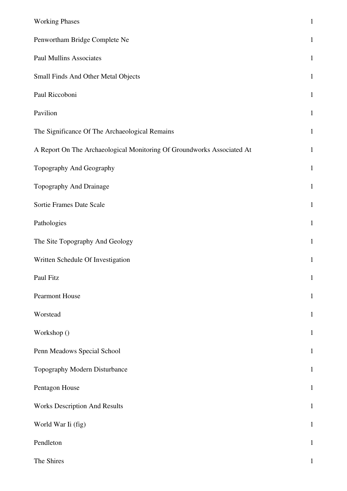| <b>Working Phases</b>                                                  | $\mathbf 1$  |
|------------------------------------------------------------------------|--------------|
| Penwortham Bridge Complete Ne                                          | $\mathbf{1}$ |
| <b>Paul Mullins Associates</b>                                         | $\mathbf{1}$ |
| Small Finds And Other Metal Objects                                    | $\mathbf{1}$ |
| Paul Riccoboni                                                         | $\mathbf 1$  |
| Pavilion                                                               | $\mathbf 1$  |
| The Significance Of The Archaeological Remains                         | $\mathbf{1}$ |
| A Report On The Archaeological Monitoring Of Groundworks Associated At | $\mathbf{1}$ |
| Topography And Geography                                               | $\mathbf{1}$ |
| Topography And Drainage                                                | $\mathbf 1$  |
| Sortie Frames Date Scale                                               | $\mathbf{1}$ |
| Pathologies                                                            | $\mathbf{1}$ |
| The Site Topography And Geology                                        | $\mathbf 1$  |
| Written Schedule Of Investigation                                      | $\mathbf{1}$ |
| Paul Fitz                                                              | $\mathbf{1}$ |
| <b>Pearmont House</b>                                                  | $\mathbf{1}$ |
| Worstead                                                               | $\mathbf{1}$ |
| Workshop ()                                                            | $\mathbf 1$  |
| Penn Meadows Special School                                            | $\mathbf{1}$ |
| Topography Modern Disturbance                                          | $\mathbf{1}$ |
| Pentagon House                                                         | $\mathbf{1}$ |
| <b>Works Description And Results</b>                                   | $\mathbf{1}$ |
| World War Ii (fig)                                                     | $\mathbf{1}$ |
| Pendleton                                                              | $\mathbf{1}$ |
| The Shires                                                             | $\mathbf{1}$ |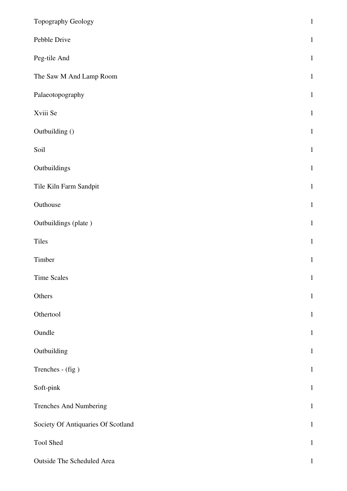| Topography Geology                 | $\mathbf 1$  |
|------------------------------------|--------------|
| Pebble Drive                       | $\mathbf{1}$ |
| Peg-tile And                       | $1\,$        |
| The Saw M And Lamp Room            | $\,1\,$      |
| Palaeotopography                   | $\mathbf{1}$ |
| Xviii Se                           | $\mathbf 1$  |
| Outbuilding ()                     | $\mathbf{1}$ |
| Soil                               | $\,1\,$      |
| Outbuildings                       | $\,1\,$      |
| Tile Kiln Farm Sandpit             | $\mathbf{1}$ |
| Outhouse                           | $\,1\,$      |
| Outbuildings (plate)               | $\mathbf{1}$ |
| Tiles                              | $1\,$        |
| Timber                             | $\mathbf{1}$ |
| <b>Time Scales</b>                 | $\mathbf{1}$ |
| Others                             | $\mathbf{1}$ |
| Othertool                          | $\mathbf{1}$ |
| Oundle                             | $\mathbf{1}$ |
| Outbuilding                        | $\mathbf{1}$ |
| Trenches - (fig)                   | $\mathbf{1}$ |
| Soft-pink                          | $\,1\,$      |
| Trenches And Numbering             | $\mathbf{1}$ |
| Society Of Antiquaries Of Scotland | $1\,$        |
| Tool Shed                          | $\mathbf{1}$ |
| Outside The Scheduled Area         | $\mathbf{1}$ |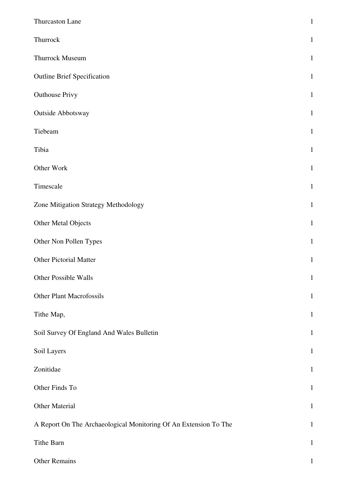| Thurcaston Lane                                                  | $\mathbf{1}$ |
|------------------------------------------------------------------|--------------|
| Thurrock                                                         | $\mathbf{1}$ |
| Thurrock Museum                                                  | $\mathbf{1}$ |
| <b>Outline Brief Specification</b>                               | $\mathbf{1}$ |
| <b>Outhouse Privy</b>                                            | $\mathbf{1}$ |
| Outside Abbotsway                                                | $\mathbf{1}$ |
| Tiebeam                                                          | $\mathbf{1}$ |
| Tibia                                                            | $\mathbf{1}$ |
| Other Work                                                       | $\mathbf{1}$ |
| Timescale                                                        | $\mathbf{1}$ |
| Zone Mitigation Strategy Methodology                             | $\mathbf{1}$ |
| Other Metal Objects                                              | $\mathbf{1}$ |
| Other Non Pollen Types                                           | $\mathbf{1}$ |
| <b>Other Pictorial Matter</b>                                    | $\mathbf{1}$ |
| Other Possible Walls                                             | $\mathbf{1}$ |
| <b>Other Plant Macrofossils</b>                                  | $\mathbf{1}$ |
| Tithe Map,                                                       | $\mathbf{1}$ |
| Soil Survey Of England And Wales Bulletin                        | $\mathbf{1}$ |
| Soil Layers                                                      | $\mathbf{1}$ |
| Zonitidae                                                        | $\mathbf{1}$ |
| Other Finds To                                                   | $\mathbf{1}$ |
| Other Material                                                   | $\mathbf{1}$ |
| A Report On The Archaeological Monitoring Of An Extension To The | $\mathbf{1}$ |
| Tithe Barn                                                       | $\mathbf{1}$ |
| Other Remains                                                    | 1            |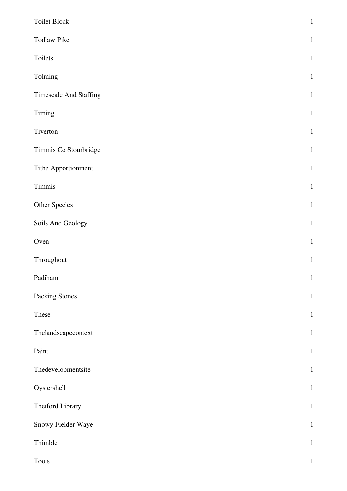| Toilet Block                  | $\,1\,$      |
|-------------------------------|--------------|
| <b>Todlaw Pike</b>            | $\mathbf{1}$ |
| Toilets                       | $\mathbf{1}$ |
| Tolming                       | $\mathbf{1}$ |
| <b>Timescale And Staffing</b> | $\mathbf{1}$ |
| Timing                        | $\mathbf 1$  |
| Tiverton                      | $\mathbf{1}$ |
| Timmis Co Stourbridge         | $\mathbf{1}$ |
| Tithe Apportionment           | $\mathbf{1}$ |
| Timmis                        | $\mathbf{1}$ |
| Other Species                 | $\mathbf{1}$ |
| Soils And Geology             | $\mathbf{1}$ |
| Oven                          | $\mathbf{1}$ |
| Throughout                    | $\mathbf 1$  |
| Padiham                       | $\mathbf 1$  |
| <b>Packing Stones</b>         | $\mathbf 1$  |
| These                         | $\mathbf 1$  |
| Thelandscapecontext           | $\mathbf 1$  |
| Paint                         | $\mathbf{1}$ |
| Thedevelopmentsite            | $\mathbf 1$  |
| Oystershell                   | $\mathbf{1}$ |
| Thetford Library              | $\mathbf{1}$ |
| Snowy Fielder Waye            | $\mathbf 1$  |
| Thimble                       | $\mathbf{1}$ |
| <b>Tools</b>                  | $\,1\,$      |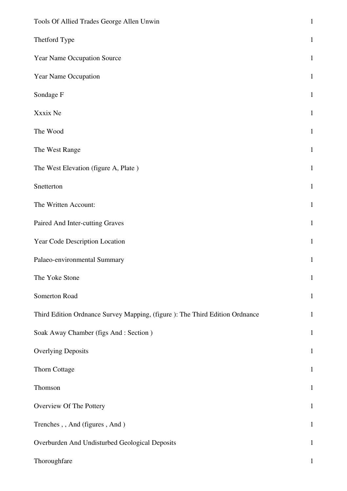| Tools Of Allied Trades George Allen Unwin                                    | $\mathbf{1}$ |
|------------------------------------------------------------------------------|--------------|
| Thetford Type                                                                | $\mathbf{1}$ |
| Year Name Occupation Source                                                  | $\mathbf{1}$ |
| Year Name Occupation                                                         | $\mathbf{1}$ |
| Sondage F                                                                    | $\mathbf{1}$ |
| Xxxix Ne                                                                     | $\mathbf{1}$ |
| The Wood                                                                     | $\mathbf{1}$ |
| The West Range                                                               | $\mathbf{1}$ |
| The West Elevation (figure A, Plate)                                         | $\mathbf{1}$ |
| Snetterton                                                                   | $\mathbf{1}$ |
| The Written Account:                                                         | $\mathbf{1}$ |
| Paired And Inter-cutting Graves                                              | $\mathbf{1}$ |
| Year Code Description Location                                               | $\mathbf{1}$ |
| Palaeo-environmental Summary                                                 | $\mathbf{1}$ |
| The Yoke Stone                                                               | $\mathbf{1}$ |
| Somerton Road                                                                | $\mathbf{1}$ |
| Third Edition Ordnance Survey Mapping, (figure ): The Third Edition Ordnance | $\mathbf{1}$ |
| Soak Away Chamber (figs And: Section)                                        | $\mathbf{1}$ |
| <b>Overlying Deposits</b>                                                    | $\mathbf{1}$ |
| Thorn Cottage                                                                | $\mathbf{1}$ |
| Thomson                                                                      | $\mathbf{1}$ |
| Overview Of The Pottery                                                      | $\mathbf{1}$ |
| Trenches,, And (figures, And)                                                | $\mathbf{1}$ |
| Overburden And Undisturbed Geological Deposits                               | $\mathbf{1}$ |
| Thoroughfare                                                                 | $\mathbf{1}$ |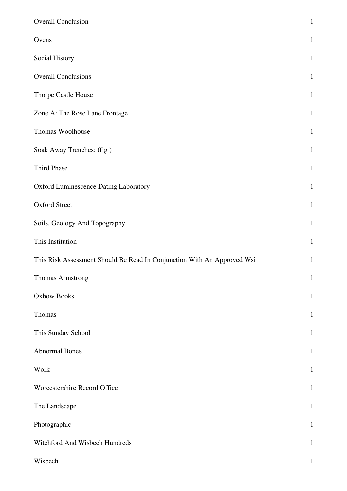| <b>Overall Conclusion</b>                                               | $\mathbf{1}$ |
|-------------------------------------------------------------------------|--------------|
| Ovens                                                                   | $\mathbf{1}$ |
| Social History                                                          | $\mathbf{1}$ |
| <b>Overall Conclusions</b>                                              | $\mathbf{1}$ |
| Thorpe Castle House                                                     | $\mathbf{1}$ |
| Zone A: The Rose Lane Frontage                                          | $\mathbf{1}$ |
| Thomas Woolhouse                                                        | $\mathbf{1}$ |
| Soak Away Trenches: (fig)                                               | $\mathbf{1}$ |
| <b>Third Phase</b>                                                      | $\mathbf{1}$ |
| Oxford Luminescence Dating Laboratory                                   | $\mathbf{1}$ |
| <b>Oxford Street</b>                                                    | $\mathbf{1}$ |
| Soils, Geology And Topography                                           | $\mathbf{1}$ |
| This Institution                                                        | $\mathbf{1}$ |
| This Risk Assessment Should Be Read In Conjunction With An Approved Wsi | $\mathbf{1}$ |
| <b>Thomas Armstrong</b>                                                 | $\mathbf 1$  |
| <b>Oxbow Books</b>                                                      | $\mathbf{1}$ |
| Thomas                                                                  | $\mathbf{1}$ |
| This Sunday School                                                      | $\mathbf{1}$ |
| <b>Abnormal Bones</b>                                                   | $\mathbf{1}$ |
| Work                                                                    | $\mathbf{1}$ |
| Worcestershire Record Office                                            | $\mathbf{1}$ |
| The Landscape                                                           | $\mathbf{1}$ |
| Photographic                                                            | $\mathbf{1}$ |
| Witchford And Wisbech Hundreds                                          | $\mathbf{1}$ |
| Wisbech                                                                 | $\mathbf 1$  |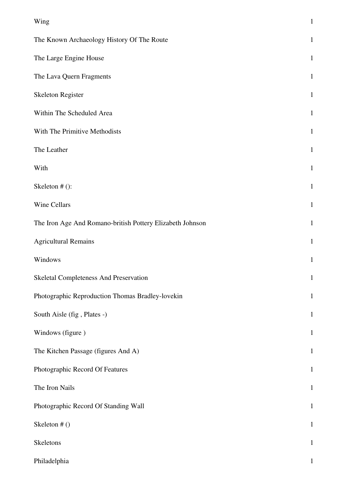| Wing                                                      | $\mathbf{1}$ |
|-----------------------------------------------------------|--------------|
| The Known Archaeology History Of The Route                | $\mathbf{1}$ |
| The Large Engine House                                    | $\mathbf{1}$ |
| The Lava Quern Fragments                                  | $\mathbf{1}$ |
| Skeleton Register                                         | $\mathbf{1}$ |
| Within The Scheduled Area                                 | $\mathbf{1}$ |
| With The Primitive Methodists                             | $\mathbf{1}$ |
| The Leather                                               | $\mathbf 1$  |
| With                                                      | $\mathbf{1}$ |
| Skeleton # ():                                            | $\mathbf{1}$ |
| Wine Cellars                                              | $\mathbf{1}$ |
| The Iron Age And Romano-british Pottery Elizabeth Johnson | $\mathbf{1}$ |
| <b>Agricultural Remains</b>                               | $\mathbf{1}$ |
| Windows                                                   | $\mathbf{1}$ |
| <b>Skeletal Completeness And Preservation</b>             | $\mathbf{1}$ |
| Photographic Reproduction Thomas Bradley-lovekin          | $\mathbf{1}$ |
| South Aisle (fig, Plates -)                               | $\mathbf 1$  |
| Windows (figure)                                          | $\mathbf{1}$ |
| The Kitchen Passage (figures And A)                       | $\mathbf{1}$ |
| Photographic Record Of Features                           | $\mathbf{1}$ |
| The Iron Nails                                            | $\mathbf{1}$ |
| Photographic Record Of Standing Wall                      | $\mathbf 1$  |
| Skeleton # ()                                             | $\mathbf{1}$ |
| Skeletons                                                 | $\mathbf{1}$ |
| Philadelphia                                              | $\mathbf{1}$ |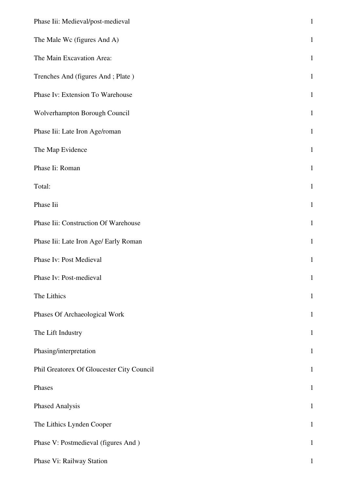| Phase Iii: Medieval/post-medieval         | $\,1\,$      |
|-------------------------------------------|--------------|
| The Male Wc (figures And A)               | $\mathbf 1$  |
| The Main Excavation Area:                 | $\mathbf{1}$ |
| Trenches And (figures And; Plate)         | $\mathbf{1}$ |
| Phase Iv: Extension To Warehouse          | $\mathbf 1$  |
| Wolverhampton Borough Council             | $1\,$        |
| Phase Iii: Late Iron Age/roman            | $\mathbf{1}$ |
| The Map Evidence                          | $\mathbf 1$  |
| Phase Ii: Roman                           | $\mathbf{1}$ |
| Total:                                    | $\mathbf 1$  |
| Phase Iii                                 | $\,1\,$      |
| Phase Iii: Construction Of Warehouse      | $\mathbf{1}$ |
| Phase Iii: Late Iron Age/ Early Roman     | $\mathbf{1}$ |
| Phase Iv: Post Medieval                   | $\mathbf{1}$ |
| Phase Iv: Post-medieval                   | $\mathbf{1}$ |
| The Lithics                               | $\mathbf{1}$ |
| Phases Of Archaeological Work             | $\mathbf{1}$ |
| The Lift Industry                         | $\mathbf{1}$ |
| Phasing/interpretation                    | $\mathbf{1}$ |
| Phil Greatorex Of Gloucester City Council | $\mathbf{1}$ |
| Phases                                    | $\mathbf{1}$ |
| Phased Analysis                           | $\mathbf{1}$ |
| The Lithics Lynden Cooper                 | $\mathbf{1}$ |
| Phase V: Postmedieval (figures And)       | $\mathbf{1}$ |
| Phase Vi: Railway Station                 | $\mathbf{1}$ |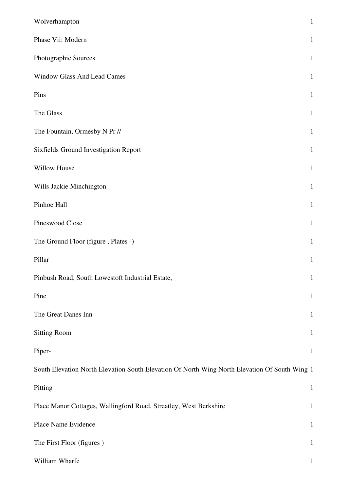| Wolverhampton                                                                                 | $\mathbf{1}$ |
|-----------------------------------------------------------------------------------------------|--------------|
| Phase Vii: Modern                                                                             | $\mathbf{1}$ |
| Photographic Sources                                                                          | $\mathbf{1}$ |
| <b>Window Glass And Lead Cames</b>                                                            | $\mathbf{1}$ |
| Pins                                                                                          | $\mathbf{1}$ |
| The Glass                                                                                     | $\mathbf{1}$ |
| The Fountain, Ormesby N Pr //                                                                 | $\mathbf{1}$ |
| Sixfields Ground Investigation Report                                                         | $\mathbf{1}$ |
| Willow House                                                                                  | $\mathbf{1}$ |
| Wills Jackie Minchington                                                                      | $\mathbf{1}$ |
| Pinhoe Hall                                                                                   | $\mathbf{1}$ |
| Pineswood Close                                                                               | $\mathbf{1}$ |
| The Ground Floor (figure, Plates -)                                                           | $\mathbf{1}$ |
| Pillar                                                                                        | $\mathbf{1}$ |
| Pinbush Road, South Lowestoft Industrial Estate,                                              | $\mathbf{1}$ |
| Pine                                                                                          | $\mathbf{1}$ |
| The Great Danes Inn                                                                           | $\mathbf{1}$ |
| <b>Sitting Room</b>                                                                           | $\mathbf{1}$ |
| Piper-                                                                                        | $\mathbf{1}$ |
| South Elevation North Elevation South Elevation Of North Wing North Elevation Of South Wing 1 |              |
| Pitting                                                                                       | $\mathbf{1}$ |
| Place Manor Cottages, Wallingford Road, Streatley, West Berkshire                             | $\mathbf{1}$ |
| Place Name Evidence                                                                           | $\mathbf{1}$ |
| The First Floor (figures)                                                                     | $\mathbf{1}$ |
| William Wharfe                                                                                | $\mathbf{1}$ |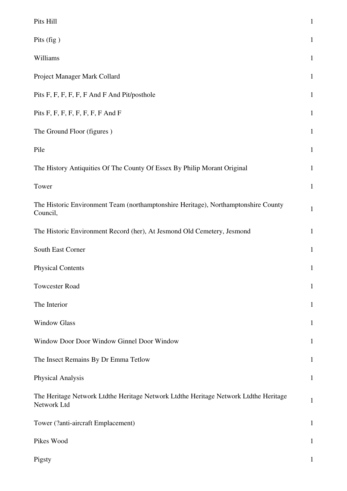| Pits Hill                                                                                           | $\,1\,$      |
|-----------------------------------------------------------------------------------------------------|--------------|
| Pits (fig)                                                                                          | $\mathbf{1}$ |
| Williams                                                                                            | $\mathbf{1}$ |
| Project Manager Mark Collard                                                                        | $\mathbf{1}$ |
| Pits F, F, F, F, F, F And F And Pit/posthole                                                        | $\mathbf{1}$ |
| Pits F, F, F, F, F, F, F, F And F                                                                   | $\mathbf{1}$ |
| The Ground Floor (figures)                                                                          | $\mathbf{1}$ |
| Pile                                                                                                | $\mathbf{1}$ |
| The History Antiquities Of The County Of Essex By Philip Morant Original                            | $\mathbf{1}$ |
| Tower                                                                                               | $\mathbf{1}$ |
| The Historic Environment Team (northamptonshire Heritage), Northamptonshire County<br>Council,      | $\mathbf{1}$ |
| The Historic Environment Record (her), At Jesmond Old Cemetery, Jesmond                             | $\mathbf{1}$ |
| South East Corner                                                                                   | $\mathbf{1}$ |
| <b>Physical Contents</b>                                                                            | $\mathbf{1}$ |
| <b>Towcester Road</b>                                                                               | $\mathbf{1}$ |
| The Interior                                                                                        | $\mathbf{1}$ |
| <b>Window Glass</b>                                                                                 | 1            |
| Window Door Door Window Ginnel Door Window                                                          | $\mathbf{1}$ |
| The Insect Remains By Dr Emma Tetlow                                                                | $\mathbf{1}$ |
| <b>Physical Analysis</b>                                                                            | $\mathbf{1}$ |
| The Heritage Network Ltdthe Heritage Network Ltdthe Heritage Network Ltdthe Heritage<br>Network Ltd | $\mathbf{1}$ |
| Tower (?anti-aircraft Emplacement)                                                                  | $\mathbf{1}$ |
| Pikes Wood                                                                                          | $\mathbf{1}$ |
| Pigsty                                                                                              | 1            |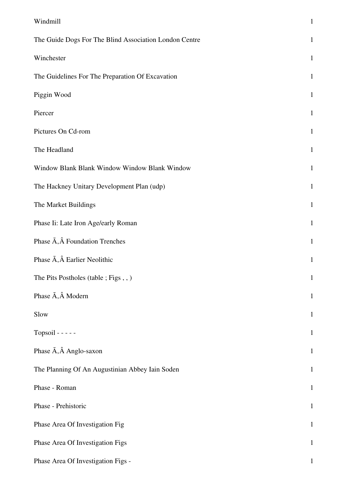| Windmill                                               | $\mathbf{1}$ |
|--------------------------------------------------------|--------------|
| The Guide Dogs For The Blind Association London Centre | $\mathbf{1}$ |
| Winchester                                             | $\mathbf{1}$ |
| The Guidelines For The Preparation Of Excavation       | $\mathbf{1}$ |
| Piggin Wood                                            | $\mathbf{1}$ |
| Piercer                                                | $\mathbf{1}$ |
| Pictures On Cd-rom                                     | $\mathbf{1}$ |
| The Headland                                           | $\mathbf{1}$ |
| Window Blank Blank Window Window Blank Window          | $\mathbf{1}$ |
| The Hackney Unitary Development Plan (udp)             | $\mathbf{1}$ |
| The Market Buildings                                   | $\mathbf{1}$ |
| Phase Ii: Late Iron Age/early Roman                    | $\mathbf{1}$ |
| Phase $\tilde{A}$ , $\hat{A}$ Foundation Trenches      | $\mathbf{1}$ |
| Phase $\tilde{A}$ , $\hat{A}$ Earlier Neolithic        | $\mathbf{1}$ |
| The Pits Postholes (table; Figs,,)                     | $\mathbf{1}$ |
| Phase $\tilde{A}$ , $\hat{A}$ Modern                   | $\mathbf{1}$ |
| Slow                                                   | $\mathbf{1}$ |
| Topsoil - - - - -                                      | $\mathbf{1}$ |
| Phase $\tilde{A}$ , $\hat{A}$ Anglo-saxon              | $\mathbf{1}$ |
| The Planning Of An Augustinian Abbey Iain Soden        | $\mathbf{1}$ |
| Phase - Roman                                          | $\mathbf{1}$ |
| Phase - Prehistoric                                    | $\mathbf{1}$ |
| Phase Area Of Investigation Fig                        | $\mathbf{1}$ |
| Phase Area Of Investigation Figs                       | $\mathbf{1}$ |
| Phase Area Of Investigation Figs -                     | $\mathbf{1}$ |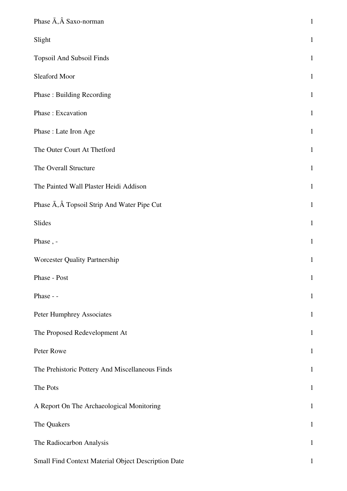| Phase $\tilde{A}$ , $\hat{A}$ Saxo-norman                      | $\mathbf 1$  |
|----------------------------------------------------------------|--------------|
| Slight                                                         | $\mathbf{1}$ |
| Topsoil And Subsoil Finds                                      | $\mathbf{1}$ |
| Sleaford Moor                                                  | $\mathbf{1}$ |
| <b>Phase: Building Recording</b>                               | $\mathbf{1}$ |
| Phase: Excavation                                              | $\mathbf{1}$ |
| Phase: Late Iron Age                                           | $\mathbf{1}$ |
| The Outer Court At Thetford                                    | $\mathbf{1}$ |
| The Overall Structure                                          | $\mathbf 1$  |
| The Painted Wall Plaster Heidi Addison                         | $\mathbf{1}$ |
| Phase $\tilde{A}$ , $\hat{A}$ Topsoil Strip And Water Pipe Cut | $\mathbf{1}$ |
| Slides                                                         | $\mathbf{1}$ |
| Phase, -                                                       | $\mathbf 1$  |
| Worcester Quality Partnership                                  | $\mathbf{1}$ |
| Phase - Post                                                   | $\mathbf{1}$ |
| Phase - -                                                      | $\mathbf{1}$ |
| <b>Peter Humphrey Associates</b>                               | $\mathbf{1}$ |
| The Proposed Redevelopment At                                  | $\mathbf 1$  |
| Peter Rowe                                                     | $\mathbf{1}$ |
| The Prehistoric Pottery And Miscellaneous Finds                | $\mathbf{1}$ |
| The Pots                                                       | $\mathbf{1}$ |
| A Report On The Archaeological Monitoring                      | $\mathbf{1}$ |
| The Quakers                                                    | $\mathbf{1}$ |
| The Radiocarbon Analysis                                       | $\mathbf{1}$ |
| Small Find Context Material Object Description Date            | $\mathbf{1}$ |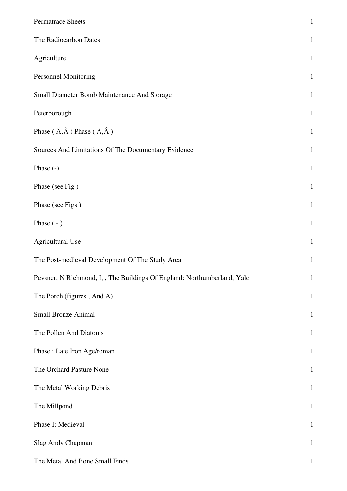| Permatrace Sheets                                                        | $\mathbf{1}$ |
|--------------------------------------------------------------------------|--------------|
| The Radiocarbon Dates                                                    | $\mathbf{1}$ |
| Agriculture                                                              | $\mathbf{1}$ |
| Personnel Monitoring                                                     | $\mathbf{1}$ |
| Small Diameter Bomb Maintenance And Storage                              | $\mathbf{1}$ |
| Peterborough                                                             | $\mathbf{1}$ |
| Phase ( $\tilde{A}, \hat{A}$ ) Phase ( $\tilde{A}, \hat{A}$ )            | $\mathbf{1}$ |
| Sources And Limitations Of The Documentary Evidence                      | $\mathbf{1}$ |
| Phase (-)                                                                | $\mathbf{1}$ |
| Phase (see Fig.)                                                         | $\mathbf{1}$ |
| Phase (see Figs)                                                         | $\mathbf{1}$ |
| Phase $(-)$                                                              | $\mathbf{1}$ |
| Agricultural Use                                                         | $\mathbf{1}$ |
| The Post-medieval Development Of The Study Area                          | $\mathbf{1}$ |
| Pevsner, N Richmond, I, , The Buildings Of England: Northumberland, Yale | 1            |
| The Porch (figures, And A)                                               | $\mathbf{1}$ |
| Small Bronze Animal                                                      | $\mathbf{1}$ |
| The Pollen And Diatoms                                                   | $\mathbf{1}$ |
| Phase : Late Iron Age/roman                                              | $\mathbf{1}$ |
| The Orchard Pasture None                                                 | $\mathbf{1}$ |
| The Metal Working Debris                                                 | $\mathbf{1}$ |
| The Millpond                                                             | $\mathbf{1}$ |
| Phase I: Medieval                                                        | $\mathbf{1}$ |
| Slag Andy Chapman                                                        | $\mathbf{1}$ |
| The Metal And Bone Small Finds                                           | $\mathbf 1$  |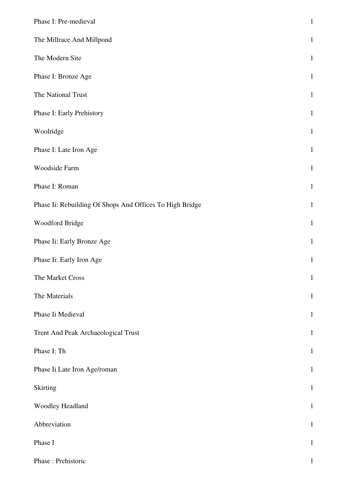| Phase I: Pre-medieval                                    | $1\,$        |
|----------------------------------------------------------|--------------|
| The Millrace And Millpond                                | $\mathbf{1}$ |
| The Modern Site                                          | $\mathbf{1}$ |
| Phase I: Bronze Age                                      | $\mathbf{1}$ |
| The National Trust                                       | $\mathbf{1}$ |
| Phase I: Early Prehistory                                | $\mathbf{1}$ |
| Woolridge                                                | $\mathbf{1}$ |
| Phase I: Late Iron Age                                   | $\mathbf{1}$ |
| Woodside Farm                                            | $\mathbf{1}$ |
| Phase I: Roman                                           | $\mathbf{1}$ |
| Phase Ii: Rebuilding Of Shops And Offices To High Bridge | $\mathbf{1}$ |
| Woodford Bridge                                          | $\mathbf{1}$ |
| Phase Ii: Early Bronze Age                               | $\mathbf{1}$ |
| Phase Ii: Early Iron Age                                 | $\mathbf{1}$ |
| The Market Cross                                         | $\mathbf{1}$ |
| The Materials                                            | $\mathbf{1}$ |
| Phase Ii Medieval                                        | $\mathbf{1}$ |
| Trent And Peak Archaeological Trust                      | $\mathbf{1}$ |
| Phase I: Th                                              | $\mathbf{1}$ |
| Phase Ii Late Iron Age/roman                             | $\mathbf{1}$ |
| Skirting                                                 | $\mathbf{1}$ |
| Woodley Headland                                         | $\mathbf{1}$ |
| Abbreviation                                             | $\mathbf{1}$ |
| Phase I                                                  | $\mathbf{1}$ |
| Phase: Prehistoric                                       | $\mathbf{1}$ |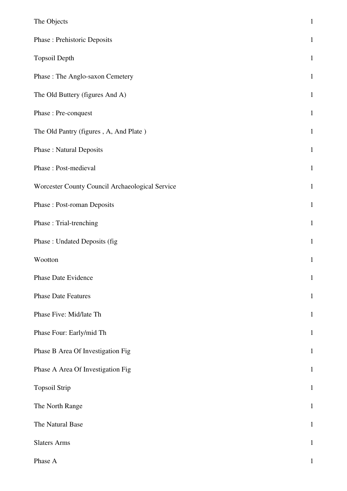| The Objects                                     | $\mathbf{1}$ |
|-------------------------------------------------|--------------|
| Phase : Prehistoric Deposits                    | $\mathbf{1}$ |
| <b>Topsoil Depth</b>                            | $\mathbf{1}$ |
| Phase : The Anglo-saxon Cemetery                | $\mathbf{1}$ |
| The Old Buttery (figures And A)                 | $\mathbf{1}$ |
| Phase: Pre-conquest                             | $\mathbf{1}$ |
| The Old Pantry (figures, A, And Plate)          | $\mathbf{1}$ |
| <b>Phase: Natural Deposits</b>                  | $\mathbf{1}$ |
| Phase: Post-medieval                            | $\mathbf{1}$ |
| Worcester County Council Archaeological Service | $\mathbf{1}$ |
| <b>Phase: Post-roman Deposits</b>               | $\mathbf{1}$ |
| Phase: Trial-trenching                          | $\mathbf{1}$ |
| Phase: Undated Deposits (fig.                   | $\mathbf{1}$ |
| Wootton                                         | $\mathbf{1}$ |
| Phase Date Evidence                             | $\mathbf{1}$ |
| <b>Phase Date Features</b>                      | $\mathbf{1}$ |
| Phase Five: Mid/late Th                         | $\mathbf{1}$ |
| Phase Four: Early/mid Th                        | $\mathbf{1}$ |
| Phase B Area Of Investigation Fig               | $\mathbf{1}$ |
| Phase A Area Of Investigation Fig               | $\mathbf{1}$ |
| <b>Topsoil Strip</b>                            | $\mathbf{1}$ |
| The North Range                                 | $\mathbf{1}$ |
| The Natural Base                                | $\mathbf{1}$ |
| <b>Slaters Arms</b>                             | $\mathbf{1}$ |
| Phase A                                         | $\mathbf 1$  |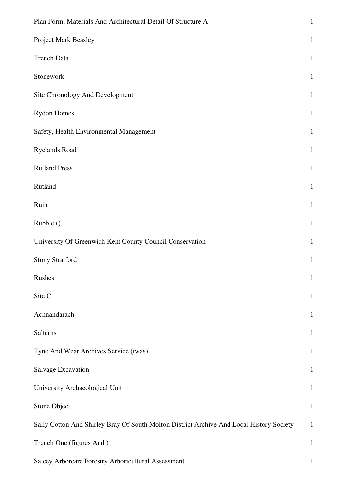| Plan Form, Materials And Architectural Detail Of Structure A                             | $\mathbf{1}$ |
|------------------------------------------------------------------------------------------|--------------|
| Project Mark Beasley                                                                     | $\mathbf{1}$ |
| <b>Trench Data</b>                                                                       | $\mathbf{1}$ |
| Stonework                                                                                | $\mathbf{1}$ |
| Site Chronology And Development                                                          | $\mathbf{1}$ |
| Rydon Homes                                                                              | $\mathbf{1}$ |
| Safety, Health Environmental Management                                                  | $\mathbf{1}$ |
| Ryelands Road                                                                            | $\mathbf{1}$ |
| <b>Rutland Press</b>                                                                     | $\mathbf{1}$ |
| Rutland                                                                                  | $\mathbf{1}$ |
| Ruin                                                                                     | $\mathbf{1}$ |
| Rubble ()                                                                                | $\mathbf{1}$ |
| University Of Greenwich Kent County Council Conservation                                 | $\mathbf{1}$ |
| <b>Stony Stratford</b>                                                                   | $\mathbf{1}$ |
| Rushes                                                                                   | $\mathbf{1}$ |
| Site C                                                                                   | $\mathbf{1}$ |
| Achnandarach                                                                             | $\mathbf{1}$ |
| Salterns                                                                                 | $\mathbf{1}$ |
| Tyne And Wear Archives Service (twas)                                                    | $\mathbf{1}$ |
| <b>Salvage Excavation</b>                                                                | $\mathbf{1}$ |
| University Archaeological Unit                                                           | $\mathbf{1}$ |
| Stone Object                                                                             | $\mathbf{1}$ |
| Sally Cotton And Shirley Bray Of South Molton District Archive And Local History Society | $\mathbf{1}$ |
| Trench One (figures And)                                                                 | $\mathbf{1}$ |
| Salcey Arborcare Forestry Arboricultural Assessment                                      | 1            |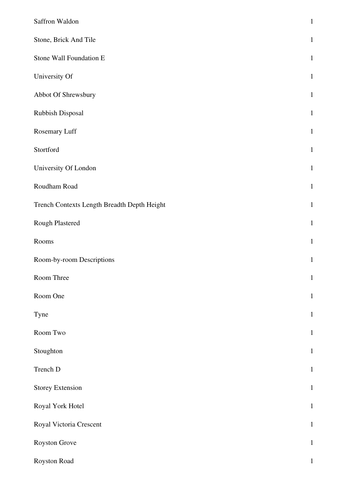| Saffron Waldon                              | $\mathbf{1}$ |
|---------------------------------------------|--------------|
| Stone, Brick And Tile                       | $\mathbf{1}$ |
| Stone Wall Foundation E                     | $\mathbf{1}$ |
| University Of                               | $\mathbf{1}$ |
| Abbot Of Shrewsbury                         | $\mathbf{1}$ |
| Rubbish Disposal                            | $\mathbf{1}$ |
| Rosemary Luff                               | $\mathbf{1}$ |
| Stortford                                   | $\mathbf{1}$ |
| University Of London                        | $\mathbf{1}$ |
| Roudham Road                                | $\mathbf{1}$ |
| Trench Contexts Length Breadth Depth Height | $\mathbf{1}$ |
| Rough Plastered                             | $\mathbf{1}$ |
| Rooms                                       | $\mathbf{1}$ |
| Room-by-room Descriptions                   | $\mathbf{1}$ |
| Room Three                                  | $\mathbf{1}$ |
| Room One                                    | $\mathbf{1}$ |
| Tyne                                        | $\mathbf{1}$ |
| Room Two                                    | $\mathbf{1}$ |
| Stoughton                                   | $\mathbf{1}$ |
| Trench D                                    | $\mathbf{1}$ |
| <b>Storey Extension</b>                     | $\mathbf{1}$ |
| Royal York Hotel                            | $\mathbf{1}$ |
| Royal Victoria Crescent                     | $\mathbf{1}$ |
| Royston Grove                               | $\mathbf{1}$ |
| Royston Road                                | $\mathbf{1}$ |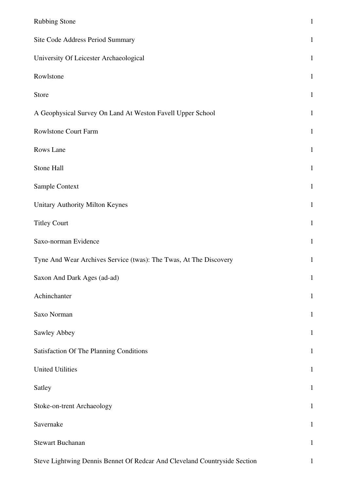| <b>Rubbing Stone</b>                                                      | $\mathbf{1}$ |
|---------------------------------------------------------------------------|--------------|
| Site Code Address Period Summary                                          | $\mathbf{1}$ |
| University Of Leicester Archaeological                                    | $\mathbf{1}$ |
| Rowlstone                                                                 | $\mathbf{1}$ |
| Store                                                                     | $\mathbf{1}$ |
| A Geophysical Survey On Land At Weston Favell Upper School                | $\mathbf{1}$ |
| Rowlstone Court Farm                                                      | $\mathbf{1}$ |
| Rows Lane                                                                 | $\mathbf{1}$ |
| Stone Hall                                                                | $\mathbf{1}$ |
| Sample Context                                                            | $\mathbf{1}$ |
| Unitary Authority Milton Keynes                                           | $\mathbf{1}$ |
| <b>Titley Court</b>                                                       | $\mathbf{1}$ |
| Saxo-norman Evidence                                                      | $\mathbf{1}$ |
| Tyne And Wear Archives Service (twas): The Twas, At The Discovery         | $\mathbf{1}$ |
| Saxon And Dark Ages (ad-ad)                                               | $\mathbf{1}$ |
| Achinchanter                                                              | $\mathbf{1}$ |
| Saxo Norman                                                               | $\mathbf{1}$ |
| Sawley Abbey                                                              | $\mathbf{1}$ |
| <b>Satisfaction Of The Planning Conditions</b>                            | $\mathbf{1}$ |
| <b>United Utilities</b>                                                   | $\mathbf{1}$ |
| Satley                                                                    | $\mathbf{1}$ |
| Stoke-on-trent Archaeology                                                | 1            |
| Savernake                                                                 | $\mathbf{1}$ |
| <b>Stewart Buchanan</b>                                                   | $\mathbf{1}$ |
| Steve Lightwing Dennis Bennet Of Redcar And Cleveland Countryside Section | $\mathbf{1}$ |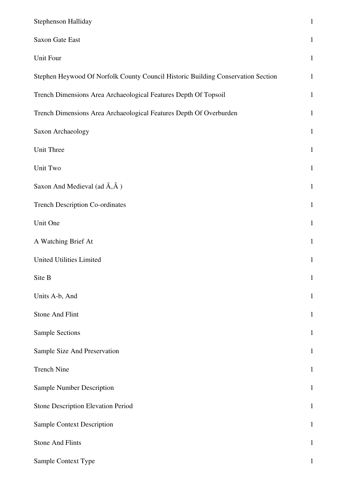| Stephenson Halliday                                                              | $\mathbf 1$  |
|----------------------------------------------------------------------------------|--------------|
| Saxon Gate East                                                                  | $\mathbf{1}$ |
| Unit Four                                                                        | $\mathbf{1}$ |
| Stephen Heywood Of Norfolk County Council Historic Building Conservation Section | $\mathbf{1}$ |
| Trench Dimensions Area Archaeological Features Depth Of Topsoil                  | $\mathbf{1}$ |
| Trench Dimensions Area Archaeological Features Depth Of Overburden               | $\mathbf{1}$ |
| Saxon Archaeology                                                                | $\mathbf{1}$ |
| Unit Three                                                                       | $\mathbf{1}$ |
| Unit Two                                                                         | $\mathbf{1}$ |
| Saxon And Medieval (ad $\tilde{A}, \hat{A}$ )                                    | $\mathbf{1}$ |
| <b>Trench Description Co-ordinates</b>                                           | $\mathbf{1}$ |
| Unit One                                                                         | $\mathbf{1}$ |
| A Watching Brief At                                                              | $\mathbf{1}$ |
| <b>United Utilities Limited</b>                                                  | $\mathbf{1}$ |
| Site B                                                                           | $\mathbf{1}$ |
| Units A-b, And                                                                   | $\mathbf 1$  |
| <b>Stone And Flint</b>                                                           | $\mathbf{1}$ |
| <b>Sample Sections</b>                                                           | $\mathbf{1}$ |
| Sample Size And Preservation                                                     | $\mathbf{1}$ |
| <b>Trench Nine</b>                                                               | $\mathbf{1}$ |
| <b>Sample Number Description</b>                                                 | $\mathbf{1}$ |
| <b>Stone Description Elevation Period</b>                                        | $\mathbf{1}$ |
| <b>Sample Context Description</b>                                                | $\mathbf{1}$ |
| <b>Stone And Flints</b>                                                          | $\mathbf{1}$ |
| Sample Context Type                                                              | 1            |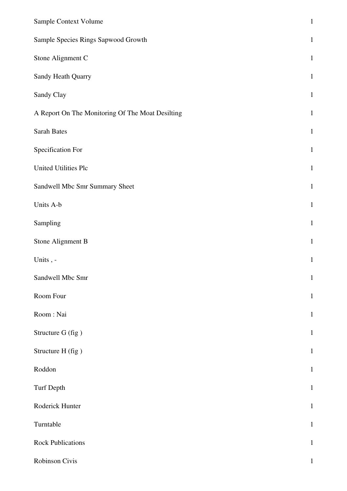| Sample Context Volume                            | $\,1\,$      |
|--------------------------------------------------|--------------|
| Sample Species Rings Sapwood Growth              | $\mathbf{1}$ |
| Stone Alignment C                                | $\mathbf{1}$ |
| Sandy Heath Quarry                               | $\mathbf{1}$ |
| Sandy Clay                                       | $\mathbf{1}$ |
| A Report On The Monitoring Of The Moat Desilting | $\mathbf{1}$ |
| <b>Sarah Bates</b>                               | $\mathbf{1}$ |
| Specification For                                | $\mathbf{1}$ |
| United Utilities Plc                             | $\mathbf{1}$ |
| Sandwell Mbc Smr Summary Sheet                   | $\mathbf{1}$ |
| Units A-b                                        | $\mathbf{1}$ |
| Sampling                                         | $\mathbf{1}$ |
| Stone Alignment B                                | $\mathbf{1}$ |
| Units, -                                         | $\mathbf{1}$ |
| Sandwell Mbc Smr                                 | $\mathbf{1}$ |
| Room Four                                        | $\mathbf{1}$ |
| Room: Nai                                        | $\mathbf{1}$ |
| Structure G (fig)                                | $\mathbf{1}$ |
| Structure H (fig)                                | $\mathbf{1}$ |
| Roddon                                           | $\mathbf{1}$ |
| Turf Depth                                       | $\mathbf{1}$ |
| Roderick Hunter                                  | $\mathbf{1}$ |
| Turntable                                        | $\mathbf{1}$ |
| <b>Rock Publications</b>                         | $\mathbf{1}$ |
| Robinson Civis                                   | $\mathbf{1}$ |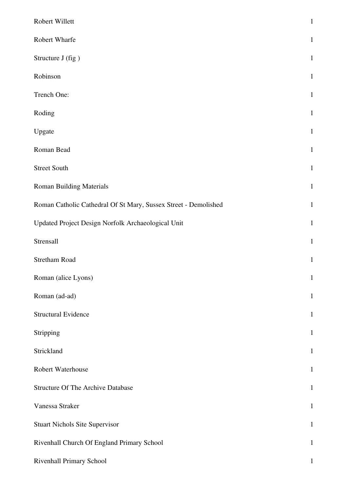| Robert Willett                                                  | $\,1\,$      |
|-----------------------------------------------------------------|--------------|
| Robert Wharfe                                                   | $\mathbf{1}$ |
| Structure J (fig)                                               | $\mathbf{1}$ |
| Robinson                                                        | $\mathbf{1}$ |
| Trench One:                                                     | $\mathbf{1}$ |
| Roding                                                          | $\mathbf{1}$ |
| Upgate                                                          | $\mathbf{1}$ |
| Roman Bead                                                      | $\mathbf{1}$ |
| <b>Street South</b>                                             | $\mathbf{1}$ |
| <b>Roman Building Materials</b>                                 | $\mathbf{1}$ |
| Roman Catholic Cathedral Of St Mary, Sussex Street - Demolished | $\mathbf{1}$ |
| Updated Project Design Norfolk Archaeological Unit              | $\mathbf{1}$ |
| Strensall                                                       | $\mathbf{1}$ |
| <b>Stretham Road</b>                                            | $1\,$        |
| Roman (alice Lyons)                                             | $\mathbf{1}$ |
| Roman (ad-ad)                                                   | $\mathbf{1}$ |
| <b>Structural Evidence</b>                                      | $\mathbf{1}$ |
| Stripping                                                       | $\mathbf{1}$ |
| Strickland                                                      | $\mathbf{1}$ |
| Robert Waterhouse                                               | $\mathbf{1}$ |
| <b>Structure Of The Archive Database</b>                        | $\mathbf{1}$ |
| Vanessa Straker                                                 | $\mathbf{1}$ |
| <b>Stuart Nichols Site Supervisor</b>                           | $\mathbf{1}$ |
| Rivenhall Church Of England Primary School                      | $\mathbf{1}$ |
| Rivenhall Primary School                                        | $\mathbf{1}$ |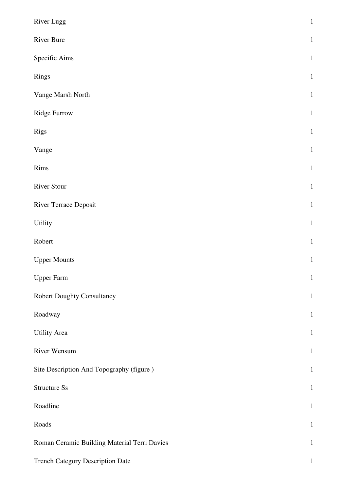| River Lugg                                   | $\mathbf 1$  |
|----------------------------------------------|--------------|
| <b>River Bure</b>                            | $\mathbf{1}$ |
| Specific Aims                                | $\,1\,$      |
| Rings                                        | $\,1\,$      |
| Vange Marsh North                            | $\,1\,$      |
| Ridge Furrow                                 | $\,1\,$      |
| Rigs                                         | $\,1\,$      |
| Vange                                        | $\,1\,$      |
| Rims                                         | $\,1\,$      |
| <b>River Stour</b>                           | $\,1\,$      |
| River Terrace Deposit                        | $\mathbf 1$  |
| Utility                                      | $\mathbf{1}$ |
| Robert                                       | $\,1\,$      |
| <b>Upper Mounts</b>                          | $\,1\,$      |
| <b>Upper Farm</b>                            | $\mathbf{1}$ |
| <b>Robert Doughty Consultancy</b>            | $\mathbf{1}$ |
| Roadway                                      | $\mathbf{1}$ |
| <b>Utility Area</b>                          | $\mathbf{1}$ |
| River Wensum                                 | $\mathbf{1}$ |
| Site Description And Topography (figure)     | $\mathbf{1}$ |
| Structure Ss                                 | $\mathbf 1$  |
| Roadline                                     | $\mathbf{1}$ |
| Roads                                        | $\mathbf{1}$ |
| Roman Ceramic Building Material Terri Davies | $\mathbf{1}$ |
| <b>Trench Category Description Date</b>      | $\mathbf{1}$ |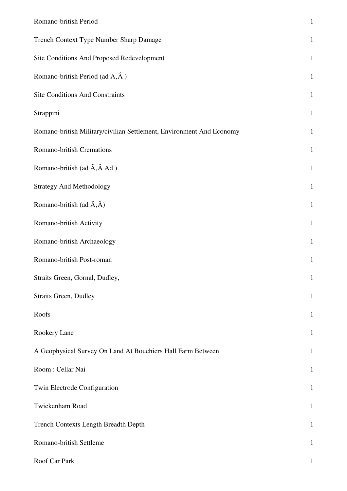| Romano-british Period                                                | $\mathbf{1}$ |
|----------------------------------------------------------------------|--------------|
| Trench Context Type Number Sharp Damage                              | $\mathbf{1}$ |
| Site Conditions And Proposed Redevelopment                           | $\mathbf{1}$ |
| Romano-british Period (ad $\tilde{A}$ , $\hat{A}$ )                  | $\mathbf 1$  |
| <b>Site Conditions And Constraints</b>                               | $\mathbf{1}$ |
| Strappini                                                            | $\mathbf{1}$ |
| Romano-british Military/civilian Settlement, Environment And Economy | $\mathbf{1}$ |
| Romano-british Cremations                                            | $\mathbf{1}$ |
| Romano-british (ad $\tilde{A}$ , $\hat{A}$ Ad )                      | $\mathbf{1}$ |
| <b>Strategy And Methodology</b>                                      | $\mathbf{1}$ |
| Romano-british (ad $\tilde{A}, \hat{A}$ )                            | $\mathbf{1}$ |
| Romano-british Activity                                              | $\mathbf{1}$ |
| Romano-british Archaeology                                           | $\mathbf{1}$ |
| Romano-british Post-roman                                            | $\mathbf{1}$ |
| Straits Green, Gornal, Dudley,                                       | $\mathbf{1}$ |
| <b>Straits Green, Dudley</b>                                         | $\mathbf{1}$ |
| Roofs                                                                | $\mathbf{1}$ |
| Rookery Lane                                                         | $\mathbf{1}$ |
| A Geophysical Survey On Land At Bouchiers Hall Farm Between          | $\mathbf{1}$ |
| Room: Cellar Nai                                                     | $\mathbf{1}$ |
| Twin Electrode Configuration                                         | $\mathbf{1}$ |
| Twickenham Road                                                      | $\mathbf{1}$ |
| Trench Contexts Length Breadth Depth                                 | $\mathbf{1}$ |
| Romano-british Settleme                                              | $\mathbf{1}$ |
| Roof Car Park                                                        | 1            |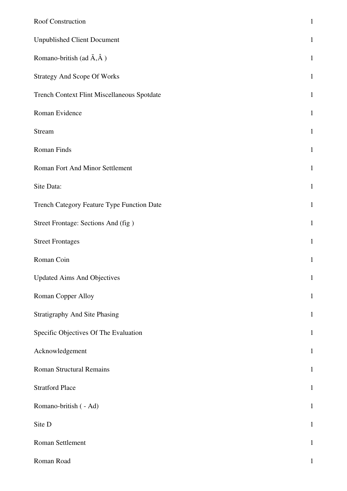| Roof Construction                           | $\mathbf{1}$ |
|---------------------------------------------|--------------|
| <b>Unpublished Client Document</b>          | $\mathbf{1}$ |
| Romano-british (ad $\tilde{A}, \hat{A}$ )   | $\mathbf{1}$ |
| <b>Strategy And Scope Of Works</b>          | $\mathbf{1}$ |
| Trench Context Flint Miscellaneous Spotdate | $\mathbf{1}$ |
| Roman Evidence                              | $\mathbf{1}$ |
| Stream                                      | $\mathbf{1}$ |
| Roman Finds                                 | $\mathbf{1}$ |
| Roman Fort And Minor Settlement             | $\mathbf{1}$ |
| Site Data:                                  | $\mathbf{1}$ |
| Trench Category Feature Type Function Date  | $\mathbf{1}$ |
| Street Frontage: Sections And (fig)         | $\mathbf{1}$ |
| <b>Street Frontages</b>                     | $\mathbf{1}$ |
| Roman Coin                                  | $\mathbf{1}$ |
| <b>Updated Aims And Objectives</b>          | $\mathbf{1}$ |
| Roman Copper Alloy                          | $\mathbf{1}$ |
| <b>Stratigraphy And Site Phasing</b>        | $\mathbf{1}$ |
| Specific Objectives Of The Evaluation       | $\mathbf{1}$ |
| Acknowledgement                             | $\mathbf{1}$ |
| <b>Roman Structural Remains</b>             | $\mathbf{1}$ |
| <b>Stratford Place</b>                      | $\mathbf{1}$ |
| Romano-british ( - Ad)                      | $\mathbf{1}$ |
| Site D                                      | $\mathbf{1}$ |
| Roman Settlement                            | $\mathbf{1}$ |
| Roman Road                                  | $\mathbf{1}$ |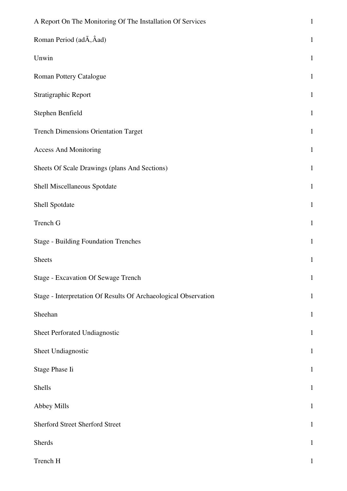| A Report On The Monitoring Of The Installation Of Services      | $\mathbf{1}$ |
|-----------------------------------------------------------------|--------------|
| Roman Period (adÃ, Âad)                                         | $\mathbf{1}$ |
| Unwin                                                           | $\mathbf{1}$ |
| Roman Pottery Catalogue                                         | $\mathbf{1}$ |
| Stratigraphic Report                                            | $\mathbf{1}$ |
| Stephen Benfield                                                | $\mathbf{1}$ |
| <b>Trench Dimensions Orientation Target</b>                     | $\mathbf{1}$ |
| <b>Access And Monitoring</b>                                    | $\mathbf{1}$ |
| Sheets Of Scale Drawings (plans And Sections)                   | $\mathbf{1}$ |
| Shell Miscellaneous Spotdate                                    | $\mathbf{1}$ |
| Shell Spotdate                                                  | $\mathbf{1}$ |
| Trench G                                                        | $\mathbf{1}$ |
| <b>Stage - Building Foundation Trenches</b>                     | $\mathbf{1}$ |
| <b>Sheets</b>                                                   | $\mathbf{1}$ |
| <b>Stage - Excavation Of Sewage Trench</b>                      | $\mathbf{1}$ |
| Stage - Interpretation Of Results Of Archaeological Observation | $\mathbf{1}$ |
| Sheehan                                                         | $\mathbf{1}$ |
| Sheet Perforated Undiagnostic                                   | $\mathbf{1}$ |
| Sheet Undiagnostic                                              | $\mathbf{1}$ |
| Stage Phase Ii                                                  | $\mathbf 1$  |
| Shells                                                          | $\mathbf{1}$ |
| Abbey Mills                                                     | $\mathbf{1}$ |
| <b>Sherford Street Sherford Street</b>                          | $\mathbf{1}$ |
| Sherds                                                          | $\mathbf{1}$ |
| Trench H                                                        | $\mathbf{1}$ |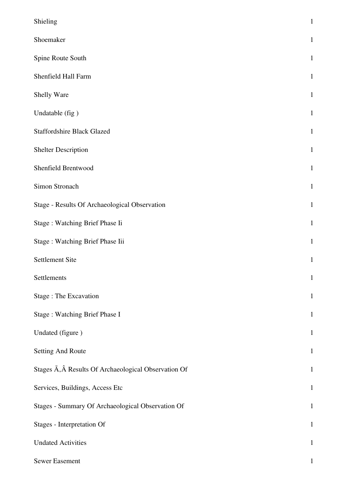| Shieling                                             | $\mathbf{1}$ |
|------------------------------------------------------|--------------|
| Shoemaker                                            | $\mathbf{1}$ |
| Spine Route South                                    | $\mathbf{1}$ |
| Shenfield Hall Farm                                  | $\mathbf{1}$ |
| Shelly Ware                                          | $\mathbf{1}$ |
| Undatable (fig)                                      | $\mathbf{1}$ |
| <b>Staffordshire Black Glazed</b>                    | $\mathbf{1}$ |
| <b>Shelter Description</b>                           | $\mathbf{1}$ |
| Shenfield Brentwood                                  | $\mathbf{1}$ |
| Simon Stronach                                       | $\mathbf{1}$ |
| Stage - Results Of Archaeological Observation        | $\mathbf{1}$ |
| Stage: Watching Brief Phase Ii                       | $\mathbf{1}$ |
| Stage: Watching Brief Phase Iii                      | $\mathbf{1}$ |
| <b>Settlement Site</b>                               | $\mathbf{1}$ |
| Settlements                                          | $\,1\,$      |
| Stage: The Excavation                                | $\mathbf{1}$ |
| Stage: Watching Brief Phase I                        | $\mathbf{1}$ |
| Undated (figure)                                     | $\mathbf{1}$ |
| <b>Setting And Route</b>                             | $\mathbf{1}$ |
| Stages Ä, Â Results Of Archaeological Observation Of | $\,1\,$      |
| Services, Buildings, Access Etc                      | $\,1\,$      |
| Stages - Summary Of Archaeological Observation Of    | $\mathbf{1}$ |
| Stages - Interpretation Of                           | $\mathbf 1$  |
| <b>Undated Activities</b>                            | $\mathbf 1$  |
| Sewer Easement                                       | $\mathbf 1$  |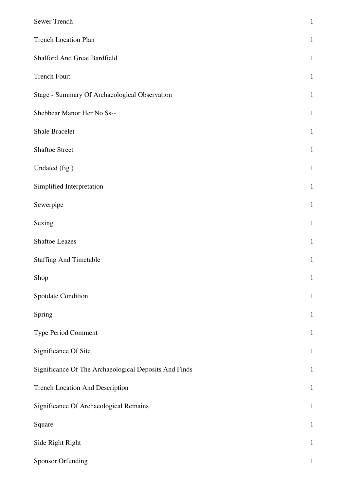| Sewer Trench                                          | $\mathbf{1}$ |
|-------------------------------------------------------|--------------|
| <b>Trench Location Plan</b>                           | $\mathbf{1}$ |
| Shalford And Great Bardfield                          | $\mathbf{1}$ |
| Trench Four:                                          | $\mathbf{1}$ |
| Stage - Summary Of Archaeological Observation         | $\mathbf{1}$ |
| Shebbear Manor Her No Ss--                            | $\mathbf{1}$ |
| <b>Shale Bracelet</b>                                 | $\mathbf{1}$ |
| <b>Shaftoe Street</b>                                 | $\mathbf{1}$ |
| Undated (fig)                                         | $\mathbf{1}$ |
| Simplified Interpretation                             | $\mathbf{1}$ |
| Sewerpipe                                             | $\mathbf{1}$ |
| Sexing                                                | $\mathbf{1}$ |
| Shaftoe Leazes                                        | $\mathbf 1$  |
| <b>Staffing And Timetable</b>                         | $\mathbf{1}$ |
| Shop                                                  | $\mathbf{1}$ |
| Spotdate Condition                                    | $\mathbf{1}$ |
| Spring                                                | $\,1\,$      |
| Type Period Comment                                   | $\mathbf{1}$ |
| Significance Of Site                                  | $\mathbf{1}$ |
| Significance Of The Archaeological Deposits And Finds | $\mathbf{1}$ |
| Trench Location And Description                       | $\mathbf{1}$ |
| Significance Of Archaeological Remains                | $\mathbf{1}$ |
| Square                                                | $1\,$        |
| Side Right Right                                      | $\mathbf{1}$ |
| <b>Sponsor Orfunding</b>                              | $\mathbf{1}$ |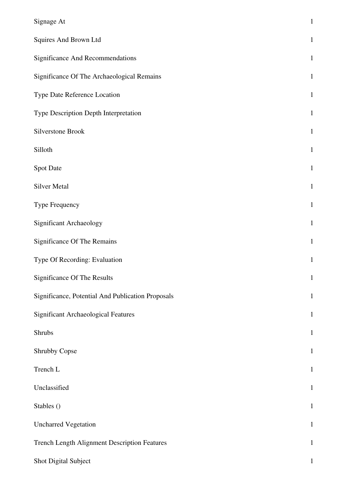| Signage At                                        | $\mathbf 1$  |
|---------------------------------------------------|--------------|
| Squires And Brown Ltd                             | $\mathbf 1$  |
| <b>Significance And Recommendations</b>           | $\mathbf 1$  |
| Significance Of The Archaeological Remains        | $\mathbf{1}$ |
| Type Date Reference Location                      | $\mathbf{1}$ |
| Type Description Depth Interpretation             | $\,1\,$      |
| Silverstone Brook                                 | $\mathbf{1}$ |
| Silloth                                           | $\mathbf 1$  |
| <b>Spot Date</b>                                  | $\mathbf 1$  |
| Silver Metal                                      | $\mathbf 1$  |
| Type Frequency                                    | $\mathbf{1}$ |
| <b>Significant Archaeology</b>                    | $\mathbf{1}$ |
| Significance Of The Remains                       | $\mathbf 1$  |
| Type Of Recording: Evaluation                     | $\mathbf{1}$ |
| Significance Of The Results                       | $\mathbf{1}$ |
| Significance, Potential And Publication Proposals | $\mathbf{1}$ |
| <b>Significant Archaeological Features</b>        | $\mathbf 1$  |
| Shrubs                                            | $\mathbf 1$  |
| Shrubby Copse                                     | $\mathbf{1}$ |
| Trench L                                          | $\mathbf{1}$ |
| Unclassified                                      | $\mathbf{1}$ |
| Stables ()                                        | $\mathbf 1$  |
| <b>Uncharred Vegetation</b>                       | $\mathbf 1$  |
| Trench Length Alignment Description Features      | $\mathbf{1}$ |
| Shot Digital Subject                              | $\mathbf{1}$ |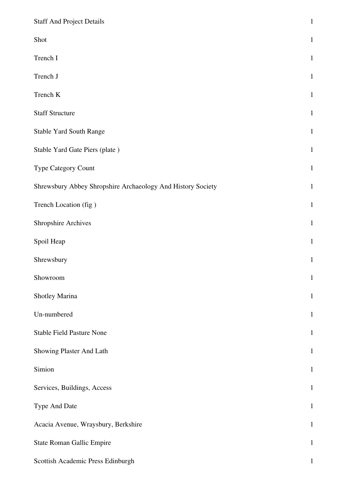| <b>Staff And Project Details</b>                            | $\mathbf{1}$ |
|-------------------------------------------------------------|--------------|
| Shot                                                        | $\mathbf{1}$ |
| Trench I                                                    | $\mathbf{1}$ |
| Trench J                                                    | $\mathbf{1}$ |
| Trench K                                                    | $\mathbf{1}$ |
| <b>Staff Structure</b>                                      | $\mathbf{1}$ |
| <b>Stable Yard South Range</b>                              | $\mathbf{1}$ |
| Stable Yard Gate Piers (plate)                              | $\mathbf{1}$ |
| Type Category Count                                         | $\mathbf{1}$ |
| Shrewsbury Abbey Shropshire Archaeology And History Society | $\mathbf{1}$ |
| Trench Location (fig)                                       | $\mathbf{1}$ |
| <b>Shropshire Archives</b>                                  | $\mathbf{1}$ |
| Spoil Heap                                                  | $\mathbf{1}$ |
| Shrewsbury                                                  | $\mathbf{1}$ |
| Showroom                                                    | $\mathbf{1}$ |
| Shotley Marina                                              | $\mathbf{1}$ |
| Un-numbered                                                 | $\mathbf{1}$ |
| <b>Stable Field Pasture None</b>                            | $\mathbf{1}$ |
| Showing Plaster And Lath                                    | $\mathbf{1}$ |
| Simion                                                      | $\mathbf{1}$ |
| Services, Buildings, Access                                 | $\mathbf{1}$ |
| Type And Date                                               | $\mathbf{1}$ |
| Acacia Avenue, Wraysbury, Berkshire                         | $\mathbf{1}$ |
| <b>State Roman Gallic Empire</b>                            | $\mathbf{1}$ |
| Scottish Academic Press Edinburgh                           | $\mathbf{1}$ |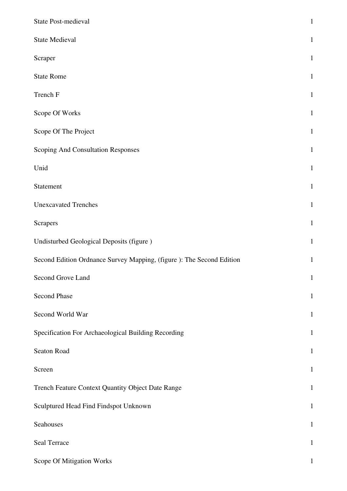| State Post-medieval                                                   | $\mathbf{1}$ |
|-----------------------------------------------------------------------|--------------|
| <b>State Medieval</b>                                                 | $\mathbf{1}$ |
| Scraper                                                               | $\mathbf{1}$ |
| <b>State Rome</b>                                                     | $\mathbf{1}$ |
| Trench F                                                              | $\mathbf{1}$ |
| Scope Of Works                                                        | $\mathbf{1}$ |
| Scope Of The Project                                                  | $\mathbf{1}$ |
| Scoping And Consultation Responses                                    | $\mathbf{1}$ |
| Unid                                                                  | $\mathbf{1}$ |
| Statement                                                             | $\mathbf{1}$ |
| <b>Unexcavated Trenches</b>                                           | $\mathbf{1}$ |
| Scrapers                                                              | $\mathbf{1}$ |
| Undisturbed Geological Deposits (figure)                              | $\mathbf{1}$ |
| Second Edition Ordnance Survey Mapping, (figure ): The Second Edition | $\mathbf{1}$ |
| Second Grove Land                                                     | $\mathbf{1}$ |
| Second Phase                                                          | $\mathbf{1}$ |
| Second World War                                                      | $\mathbf{1}$ |
| Specification For Archaeological Building Recording                   | $\mathbf{1}$ |
| Seaton Road                                                           | $\mathbf{1}$ |
| Screen                                                                | $\mathbf{1}$ |
| Trench Feature Context Quantity Object Date Range                     | $\mathbf{1}$ |
| Sculptured Head Find Findspot Unknown                                 | $\mathbf{1}$ |
| Seahouses                                                             | $\mathbf{1}$ |
| Seal Terrace                                                          | $\mathbf{1}$ |
| Scope Of Mitigation Works                                             | $\mathbf{1}$ |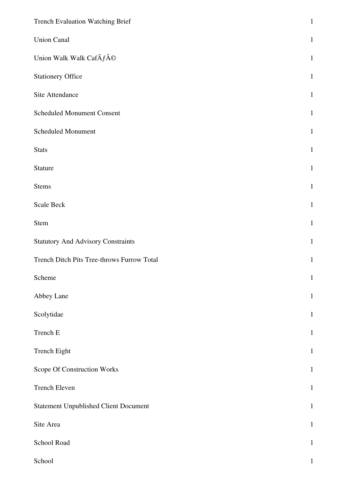| Trench Evaluation Watching Brief             | $\mathbf 1$  |
|----------------------------------------------|--------------|
| <b>Union Canal</b>                           | $\mathbf{1}$ |
| Union Walk Walk CafÃf©                       | $\mathbf{1}$ |
| <b>Stationery Office</b>                     | $\mathbf{1}$ |
| Site Attendance                              | $\mathbf{1}$ |
| <b>Scheduled Monument Consent</b>            | $\mathbf{1}$ |
| Scheduled Monument                           | $\mathbf{1}$ |
| <b>Stats</b>                                 | $\mathbf{1}$ |
| Stature                                      | $\mathbf{1}$ |
| <b>Stems</b>                                 | $\mathbf{1}$ |
| Scale Beck                                   | $\mathbf{1}$ |
| Stem                                         | $\mathbf{1}$ |
| <b>Statutory And Advisory Constraints</b>    | $\mathbf{1}$ |
| Trench Ditch Pits Tree-throws Furrow Total   | $\mathbf{1}$ |
| Scheme                                       | $\mathbf{1}$ |
| Abbey Lane                                   | $\mathbf{1}$ |
| Scolytidae                                   | $\mathbf{1}$ |
| Trench E                                     | $\mathbf{1}$ |
| Trench Eight                                 | $\mathbf{1}$ |
| Scope Of Construction Works                  | $\mathbf{1}$ |
| Trench Eleven                                | $\mathbf{1}$ |
| <b>Statement Unpublished Client Document</b> | $\mathbf{1}$ |
| Site Area                                    | $\mathbf{1}$ |
| School Road                                  | $\mathbf{1}$ |
| School                                       | $\mathbf{1}$ |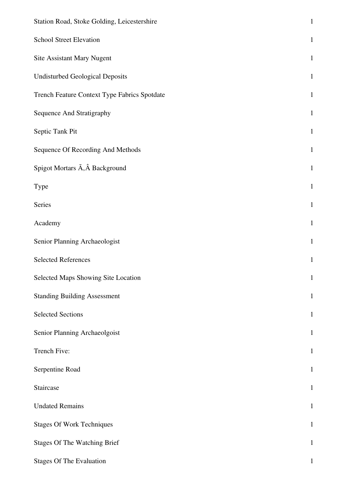| Station Road, Stoke Golding, Leicestershire  | $\mathbf{1}$ |
|----------------------------------------------|--------------|
| <b>School Street Elevation</b>               | $\mathbf{1}$ |
| <b>Site Assistant Mary Nugent</b>            | $\mathbf{1}$ |
| <b>Undisturbed Geological Deposits</b>       | $\mathbf{1}$ |
| Trench Feature Context Type Fabrics Spotdate | $\mathbf{1}$ |
| Sequence And Stratigraphy                    | $\mathbf{1}$ |
| Septic Tank Pit                              | $\mathbf{1}$ |
| Sequence Of Recording And Methods            | $\mathbf{1}$ |
| Spigot Mortars A, A Background               | $\mathbf{1}$ |
| Type                                         | $\mathbf{1}$ |
| Series                                       | $\mathbf{1}$ |
| Academy                                      | $\mathbf{1}$ |
| Senior Planning Archaeologist                | $\mathbf{1}$ |
| <b>Selected References</b>                   | $\mathbf{1}$ |
| Selected Maps Showing Site Location          | $\mathbf{1}$ |
| <b>Standing Building Assessment</b>          | $\mathbf 1$  |
| <b>Selected Sections</b>                     | $\mathbf{1}$ |
| Senior Planning Archaeolgoist                | $\mathbf{1}$ |
| Trench Five:                                 | $\mathbf{1}$ |
| Serpentine Road                              | $\mathbf{1}$ |
| Staircase                                    | $\mathbf{1}$ |
| <b>Undated Remains</b>                       | $\mathbf{1}$ |
| <b>Stages Of Work Techniques</b>             | $\mathbf{1}$ |
| <b>Stages Of The Watching Brief</b>          | $\mathbf{1}$ |
| <b>Stages Of The Evaluation</b>              | $\mathbf{1}$ |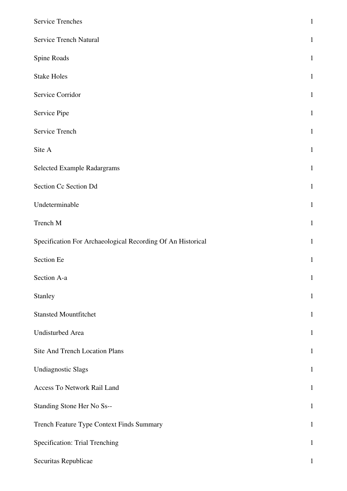| <b>Service Trenches</b>                                     | $\mathbf{1}$ |
|-------------------------------------------------------------|--------------|
| Service Trench Natural                                      | $\mathbf{1}$ |
| Spine Roads                                                 | $\mathbf{1}$ |
| <b>Stake Holes</b>                                          | $\mathbf{1}$ |
| Service Corridor                                            | $\mathbf{1}$ |
| Service Pipe                                                | $\mathbf{1}$ |
| Service Trench                                              | $\mathbf{1}$ |
| Site A                                                      | $\mathbf{1}$ |
| Selected Example Radargrams                                 | $\mathbf{1}$ |
| Section Cc Section Dd                                       | $\mathbf{1}$ |
| Undeterminable                                              | $\mathbf{1}$ |
| Trench M                                                    | $\mathbf{1}$ |
| Specification For Archaeological Recording Of An Historical | $\mathbf{1}$ |
| Section Ee                                                  | $\mathbf{1}$ |
| Section A-a                                                 | $\mathbf{1}$ |
| Stanley                                                     | $\mathbf{1}$ |
| <b>Stansted Mountfitchet</b>                                | $\mathbf{1}$ |
| Undisturbed Area                                            | $\mathbf{1}$ |
| Site And Trench Location Plans                              | $\mathbf{1}$ |
| <b>Undiagnostic Slags</b>                                   | $\mathbf{1}$ |
| Access To Network Rail Land                                 | $\mathbf{1}$ |
| Standing Stone Her No Ss--                                  | $\mathbf{1}$ |
| Trench Feature Type Context Finds Summary                   | $\mathbf{1}$ |
| Specification: Trial Trenching                              | $\mathbf{1}$ |
| Securitas Republicae                                        | $\mathbf{1}$ |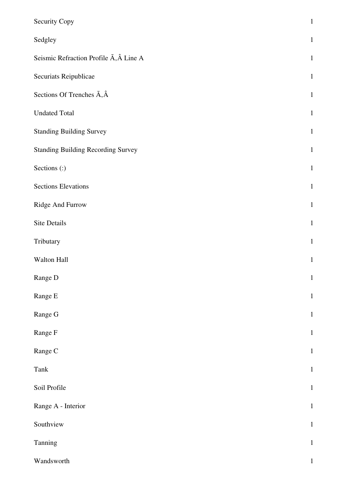| Security Copy                                             | $\,1\,$      |
|-----------------------------------------------------------|--------------|
| Sedgley                                                   | $\mathbf{1}$ |
| Seismic Refraction Profile $\tilde{A}$ , $\hat{A}$ Line A | $\mathbf{1}$ |
| Securiats Reipublicae                                     | $\mathbf{1}$ |
| Sections Of Trenches $\tilde{A}, \hat{A}$                 | $\mathbf{1}$ |
| <b>Undated Total</b>                                      | $\mathbf{1}$ |
| <b>Standing Building Survey</b>                           | $\mathbf{1}$ |
| <b>Standing Building Recording Survey</b>                 | $\mathbf{1}$ |
| Sections (:)                                              | $\mathbf{1}$ |
| <b>Sections Elevations</b>                                | $\mathbf{1}$ |
| Ridge And Furrow                                          | $\mathbf{1}$ |
| Site Details                                              | $\mathbf{1}$ |
| Tributary                                                 | $\mathbf{1}$ |
| Walton Hall                                               | $\mathbf 1$  |
| Range D                                                   | $\mathbf{1}$ |
| Range E                                                   | $\mathbf 1$  |
| Range G                                                   | $\,1\,$      |
| Range F                                                   | $\mathbf{1}$ |
| Range C                                                   | $\mathbf{1}$ |
| Tank                                                      | $\mathbf 1$  |
| Soil Profile                                              | $\mathbf{1}$ |
| Range A - Interior                                        | $\mathbf{1}$ |
| Southview                                                 | $\mathbf 1$  |
| Tanning                                                   | $\mathbf 1$  |
| Wandsworth                                                | $\mathbf{1}$ |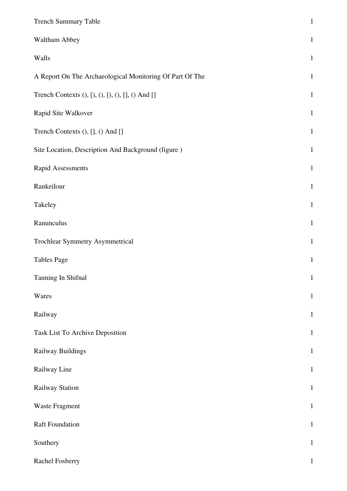| <b>Trench Summary Table</b>                              | $\,1\,$      |
|----------------------------------------------------------|--------------|
| Waltham Abbey                                            | $\mathbf{1}$ |
| Walls                                                    | $\mathbf{1}$ |
| A Report On The Archaeological Monitoring Of Part Of The | $\mathbf{1}$ |
| Trench Contexts (), [), (), [), (), [], () And []        | $\mathbf{1}$ |
| Rapid Site Walkover                                      | $\mathbf{1}$ |
| Trench Contexts (), [], () And []                        | $\mathbf{1}$ |
| Site Location, Description And Background (figure)       | $\mathbf{1}$ |
| Rapid Assessments                                        | $\mathbf{1}$ |
| Rankeilour                                               | $\mathbf{1}$ |
| Takeley                                                  | $\mathbf{1}$ |
| Ranunculus                                               | $\mathbf{1}$ |
| Trochlear Symmetry Asymmetrical                          | $\mathbf{1}$ |
| <b>Tables Page</b>                                       | $\mathbf{1}$ |
| Tanning In Shifnal                                       | $\mathbf{1}$ |
| Wares                                                    | $\mathbf{1}$ |
| Railway                                                  | $\mathbf{1}$ |
| Task List To Archive Deposition                          | $\mathbf{1}$ |
| Railway Buildings                                        | $\mathbf{1}$ |
| Railway Line                                             | $\mathbf{1}$ |
| Railway Station                                          | $\mathbf{1}$ |
| Waste Fragment                                           | $\mathbf{1}$ |
| <b>Raft Foundation</b>                                   | $\mathbf{1}$ |
| Southery                                                 | $\mathbf{1}$ |
| Rachel Fosberry                                          | $\mathbf{1}$ |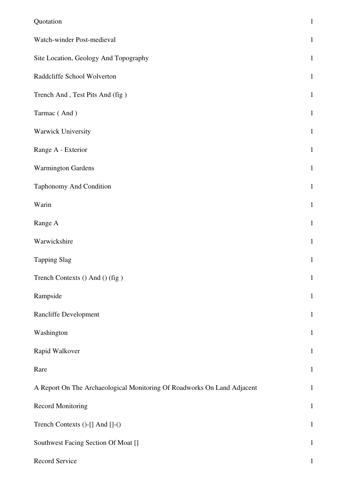| Quotation                                                               | $\mathbf{1}$ |
|-------------------------------------------------------------------------|--------------|
| Watch-winder Post-medieval                                              | $\mathbf{1}$ |
| Site Location, Geology And Topography                                   | $\mathbf{1}$ |
| Raddcliffe School Wolverton                                             | $\mathbf{1}$ |
| Trench And, Test Pits And (fig)                                         | $\mathbf{1}$ |
| Tarmac (And)                                                            | $\mathbf{1}$ |
| Warwick University                                                      | $\mathbf{1}$ |
| Range A - Exterior                                                      | $\mathbf{1}$ |
| <b>Warmington Gardens</b>                                               | $\mathbf{1}$ |
| Taphonomy And Condition                                                 | $\mathbf{1}$ |
| Warin                                                                   | $\mathbf{1}$ |
| Range A                                                                 | $\mathbf{1}$ |
| Warwickshire                                                            | $\mathbf{1}$ |
| <b>Tapping Slag</b>                                                     | $\mathbf{1}$ |
| Trench Contexts () And () (fig)                                         | $\mathbf{1}$ |
| Rampside                                                                | $\mathbf{1}$ |
| Rancliffe Development                                                   | $\mathbf{1}$ |
| Washington                                                              | $\mathbf{1}$ |
| Rapid Walkover                                                          | $\mathbf{1}$ |
| Rare                                                                    | $\mathbf{1}$ |
| A Report On The Archaeological Monitoring Of Roadworks On Land Adjacent | $\mathbf{1}$ |
| <b>Record Monitoring</b>                                                | $\mathbf{1}$ |
| Trench Contexts ()-[] And []-()                                         | $\mathbf{1}$ |
| Southwest Facing Section Of Moat []                                     | $\mathbf{1}$ |
| Record Service                                                          | $\mathbf{1}$ |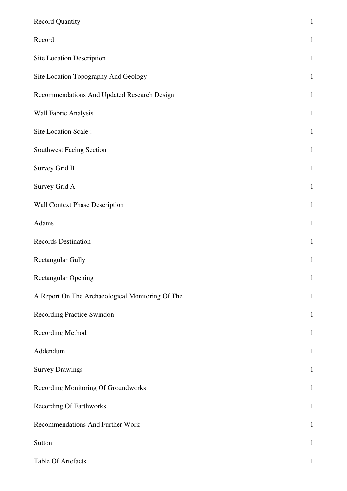| <b>Record Quantity</b>                           | $\mathbf 1$  |
|--------------------------------------------------|--------------|
| Record                                           | $\mathbf{1}$ |
| Site Location Description                        | $\mathbf 1$  |
| Site Location Topography And Geology             | $\mathbf 1$  |
| Recommendations And Updated Research Design      | $\mathbf 1$  |
| Wall Fabric Analysis                             | $\,1\,$      |
| Site Location Scale:                             | $\mathbf{1}$ |
| Southwest Facing Section                         | $\mathbf 1$  |
| Survey Grid B                                    | $\,1\,$      |
| Survey Grid A                                    | $\mathbf{1}$ |
| Wall Context Phase Description                   | $\mathbf 1$  |
| Adams                                            | $1\,$        |
| Records Destination                              | $\mathbf 1$  |
| Rectangular Gully                                | $\mathbf{1}$ |
| <b>Rectangular Opening</b>                       | $\mathbf{1}$ |
| A Report On The Archaeological Monitoring Of The | $\mathbf{1}$ |
| Recording Practice Swindon                       | $\mathbf{1}$ |
| Recording Method                                 | $\mathbf{1}$ |
| Addendum                                         | $\mathbf{1}$ |
| <b>Survey Drawings</b>                           | $\mathbf{1}$ |
| Recording Monitoring Of Groundworks              | $1\,$        |
| <b>Recording Of Earthworks</b>                   | $\mathbf{1}$ |
| Recommendations And Further Work                 | $\mathbf{1}$ |
| Sutton                                           | $\mathbf{1}$ |
| Table Of Artefacts                               | $\mathbf{1}$ |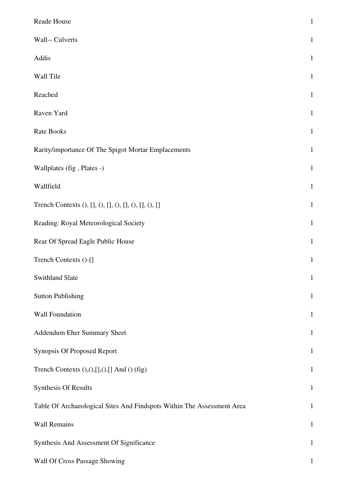| Reade House                                                            | $\mathbf{1}$ |
|------------------------------------------------------------------------|--------------|
| Wall-- Culverts                                                        | $\mathbf{1}$ |
| Addis                                                                  | $\mathbf{1}$ |
| Wall Tile                                                              | $\mathbf{1}$ |
| Reached                                                                | $\mathbf{1}$ |
| Raven Yard                                                             | $\mathbf{1}$ |
| Rate Books                                                             | $\mathbf{1}$ |
| Rarity/importance Of The Spigot Mortar Emplacements                    | $\mathbf{1}$ |
| Wallplates (fig, Plates -)                                             | $\mathbf{1}$ |
| Wallfield                                                              | $\mathbf{1}$ |
| Trench Contexts (), [], (), [], (), [], (), [], (), []                 | $\mathbf{1}$ |
| Reading: Royal Meteorological Society                                  | $\mathbf{1}$ |
| Rear Of Spread Eagle Public House                                      | $\mathbf{1}$ |
| Trench Contexts ()-[]                                                  | $\mathbf{1}$ |
| <b>Swithland Slate</b>                                                 | $\mathbf{1}$ |
| <b>Sutton Publishing</b>                                               | $\mathbf{1}$ |
| Wall Foundation                                                        | $\mathbf{1}$ |
| Addendum Eher Summary Sheet                                            | $\mathbf{1}$ |
| Synopsis Of Proposed Report                                            | $\mathbf{1}$ |
| Trench Contexts (),(),[],(),[] And () (fig)                            | $\mathbf{1}$ |
| Synthesis Of Results                                                   | $\mathbf{1}$ |
| Table Of Archaeological Sites And Findspots Within The Assessment Area | $\mathbf{1}$ |
| <b>Wall Remains</b>                                                    | $\mathbf{1}$ |
| Synthesis And Assessment Of Significance                               | $\mathbf{1}$ |
| Wall Of Cross Passage Showing                                          | $\mathbf{1}$ |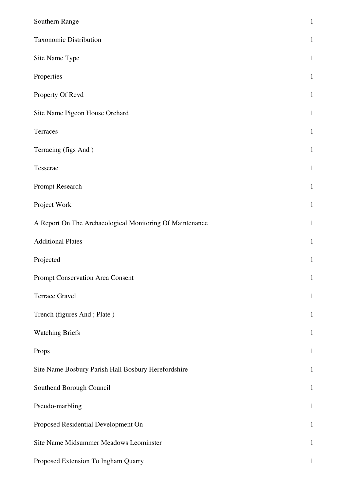| Southern Range                                           | $\mathbf{1}$ |
|----------------------------------------------------------|--------------|
| Taxonomic Distribution                                   | $\mathbf{1}$ |
| Site Name Type                                           | $\mathbf{1}$ |
| Properties                                               | $\mathbf{1}$ |
| Property Of Revd                                         | $\mathbf{1}$ |
| Site Name Pigeon House Orchard                           | $\mathbf{1}$ |
| Terraces                                                 | $\mathbf{1}$ |
| Terracing (figs And)                                     | $\mathbf{1}$ |
| Tesserae                                                 | $\mathbf{1}$ |
| Prompt Research                                          | $\mathbf{1}$ |
| Project Work                                             | $\mathbf{1}$ |
| A Report On The Archaeological Monitoring Of Maintenance | $\mathbf{1}$ |
| <b>Additional Plates</b>                                 | $\mathbf{1}$ |
| Projected                                                | $\mathbf{1}$ |
| Prompt Conservation Area Consent                         | $\mathbf{1}$ |
| Terrace Gravel                                           | $\mathbf{1}$ |
| Trench (figures And; Plate)                              | $\mathbf{1}$ |
| <b>Watching Briefs</b>                                   | $\mathbf{1}$ |
| Props                                                    | $\mathbf{1}$ |
| Site Name Bosbury Parish Hall Bosbury Herefordshire      | $\mathbf{1}$ |
| Southend Borough Council                                 | $\mathbf{1}$ |
| Pseudo-marbling                                          | $\mathbf{1}$ |
| Proposed Residential Development On                      | $\mathbf{1}$ |
| Site Name Midsummer Meadows Leominster                   | $\mathbf{1}$ |
| Proposed Extension To Ingham Quarry                      | $\mathbf{1}$ |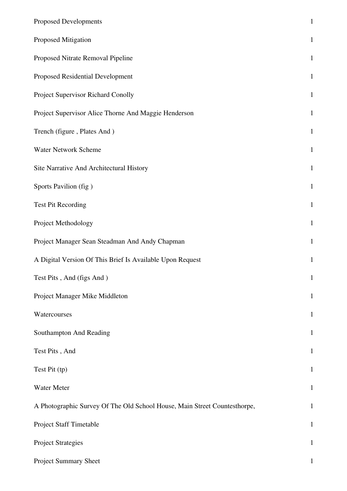| <b>Proposed Developments</b>                                              | $\mathbf{1}$ |
|---------------------------------------------------------------------------|--------------|
| Proposed Mitigation                                                       | $\mathbf{1}$ |
| Proposed Nitrate Removal Pipeline                                         | $\mathbf{1}$ |
| Proposed Residential Development                                          | $\mathbf{1}$ |
| Project Supervisor Richard Conolly                                        | $\mathbf{1}$ |
| Project Supervisor Alice Thorne And Maggie Henderson                      | $\mathbf{1}$ |
| Trench (figure, Plates And)                                               | $\mathbf{1}$ |
| Water Network Scheme                                                      | $\mathbf{1}$ |
| Site Narrative And Architectural History                                  | $\mathbf{1}$ |
| Sports Pavilion (fig)                                                     | $\mathbf{1}$ |
| <b>Test Pit Recording</b>                                                 | $\mathbf{1}$ |
| Project Methodology                                                       | $\mathbf{1}$ |
| Project Manager Sean Steadman And Andy Chapman                            | $\mathbf{1}$ |
| A Digital Version Of This Brief Is Available Upon Request                 | $\mathbf{1}$ |
| Test Pits, And (figs And)                                                 | $\mathbf{1}$ |
| Project Manager Mike Middleton                                            | $\mathbf{1}$ |
| Watercourses                                                              | $\mathbf{1}$ |
| Southampton And Reading                                                   | $\mathbf{1}$ |
| Test Pits, And                                                            | $\mathbf{1}$ |
| Test Pit (tp)                                                             | $\mathbf{1}$ |
| Water Meter                                                               | $\mathbf{1}$ |
| A Photographic Survey Of The Old School House, Main Street Countesthorpe, | $\mathbf{1}$ |
| Project Staff Timetable                                                   | $1\,$        |
| <b>Project Strategies</b>                                                 | $\mathbf{1}$ |
| Project Summary Sheet                                                     | $\mathbf{1}$ |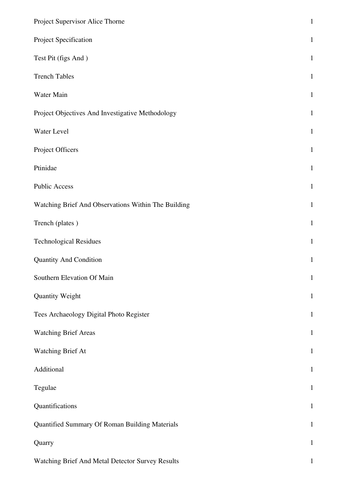| Project Supervisor Alice Thorne                     | $\,1\,$      |
|-----------------------------------------------------|--------------|
| Project Specification                               | $\mathbf 1$  |
| Test Pit (figs And)                                 | $\mathbf{1}$ |
| <b>Trench Tables</b>                                | $\mathbf{1}$ |
| Water Main                                          | $\mathbf 1$  |
| Project Objectives And Investigative Methodology    | $\mathbf 1$  |
| Water Level                                         | $\mathbf{1}$ |
| Project Officers                                    | $\mathbf 1$  |
| Ptinidae                                            | $1\,$        |
| <b>Public Access</b>                                | $\mathbf 1$  |
| Watching Brief And Observations Within The Building | $\mathbf{1}$ |
| Trench (plates)                                     | $\mathbf{1}$ |
| <b>Technological Residues</b>                       | $\mathbf{1}$ |
| <b>Quantity And Condition</b>                       | $\,1\,$      |
| Southern Elevation Of Main                          | $\mathbf 1$  |
| Quantity Weight                                     | $\mathbf 1$  |
| Tees Archaeology Digital Photo Register             | $\mathbf{1}$ |
| <b>Watching Brief Areas</b>                         | $\mathbf{1}$ |
| Watching Brief At                                   | $\mathbf{1}$ |
| Additional                                          | $\mathbf{1}$ |
| Tegulae                                             | $\mathbf{1}$ |
| Quantifications                                     | $\mathbf{1}$ |
| Quantified Summary Of Roman Building Materials      | $\mathbf 1$  |
| Quarry                                              | $\mathbf{1}$ |
| Watching Brief And Metal Detector Survey Results    | $\mathbf{1}$ |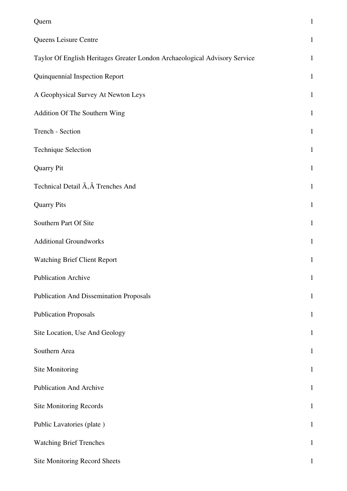| Quern                                                                      | $\mathbf{1}$ |
|----------------------------------------------------------------------------|--------------|
| Queens Leisure Centre                                                      | $\mathbf{1}$ |
| Taylor Of English Heritages Greater London Archaeological Advisory Service | $\mathbf{1}$ |
| Quinquennial Inspection Report                                             | $\mathbf{1}$ |
| A Geophysical Survey At Newton Leys                                        | $\mathbf{1}$ |
| Addition Of The Southern Wing                                              | $\mathbf{1}$ |
| Trench - Section                                                           | $\mathbf{1}$ |
| <b>Technique Selection</b>                                                 | $\mathbf{1}$ |
| <b>Quarry Pit</b>                                                          | $\mathbf{1}$ |
| Technical Detail $\tilde{A}$ , $\hat{A}$ Trenches And                      | $\mathbf{1}$ |
| <b>Quarry Pits</b>                                                         | $\mathbf{1}$ |
| Southern Part Of Site                                                      | $\mathbf{1}$ |
| <b>Additional Groundworks</b>                                              | $\mathbf{1}$ |
| <b>Watching Brief Client Report</b>                                        | $\mathbf{1}$ |
| <b>Publication Archive</b>                                                 | $\mathbf{1}$ |
| <b>Publication And Dissemination Proposals</b>                             | $\mathbf{1}$ |
| <b>Publication Proposals</b>                                               | $\mathbf{1}$ |
| Site Location, Use And Geology                                             | $\mathbf{1}$ |
| Southern Area                                                              | $\mathbf{1}$ |
| Site Monitoring                                                            | $\mathbf{1}$ |
| <b>Publication And Archive</b>                                             | $\mathbf{1}$ |
| Site Monitoring Records                                                    | $\mathbf{1}$ |
| Public Lavatories (plate)                                                  | $\mathbf{1}$ |
| <b>Watching Brief Trenches</b>                                             | $\mathbf{1}$ |
| Site Monitoring Record Sheets                                              | $\mathbf{1}$ |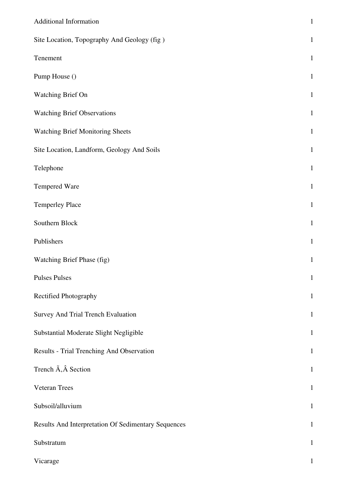| <b>Additional Information</b>                       | $\mathbf 1$  |
|-----------------------------------------------------|--------------|
| Site Location, Topography And Geology (fig)         | $\mathbf 1$  |
| Tenement                                            | $\mathbf{1}$ |
| Pump House ()                                       | $\mathbf 1$  |
| Watching Brief On                                   | $\mathbf 1$  |
| <b>Watching Brief Observations</b>                  | $\mathbf{1}$ |
| <b>Watching Brief Monitoring Sheets</b>             | $\mathbf{1}$ |
| Site Location, Landform, Geology And Soils          | $\mathbf{1}$ |
| Telephone                                           | $\,1\,$      |
| Tempered Ware                                       | $\mathbf{1}$ |
| <b>Temperley Place</b>                              | $\mathbf{1}$ |
| Southern Block                                      | $\mathbf 1$  |
| Publishers                                          | $\mathbf 1$  |
| Watching Brief Phase (fig)                          | $\mathbf{1}$ |
| <b>Pulses Pulses</b>                                | $\mathbf{1}$ |
| Rectified Photography                               | $\mathbf{1}$ |
| Survey And Trial Trench Evaluation                  | $\mathbf{1}$ |
| Substantial Moderate Slight Negligible              | $\mathbf{1}$ |
| Results - Trial Trenching And Observation           | $\mathbf{1}$ |
| Trench $\tilde{A}$ , $\hat{A}$ Section              | $\mathbf{1}$ |
| <b>Veteran Trees</b>                                | $\mathbf{1}$ |
| Subsoil/alluvium                                    | $\mathbf{1}$ |
| Results And Interpretation Of Sedimentary Sequences | $\mathbf{1}$ |
| Substratum                                          | $\mathbf{1}$ |
| Vicarage                                            | 1            |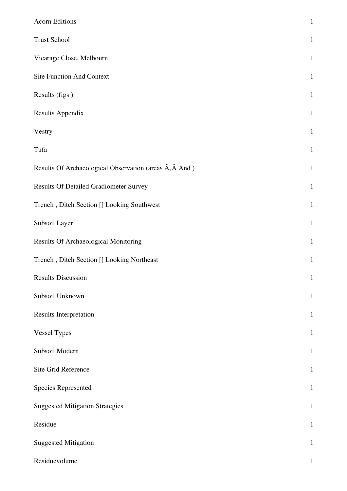| <b>Acorn Editions</b>                                                     | $\mathbf{1}$ |
|---------------------------------------------------------------------------|--------------|
| <b>Trust School</b>                                                       | $\mathbf{1}$ |
| Vicarage Close, Melbourn                                                  | $\mathbf{1}$ |
| <b>Site Function And Context</b>                                          | $\mathbf{1}$ |
| Results (figs)                                                            | $\mathbf{1}$ |
| <b>Results Appendix</b>                                                   | $\mathbf{1}$ |
| Vestry                                                                    | $\mathbf{1}$ |
| Tufa                                                                      | $\mathbf{1}$ |
| Results Of Archaeological Observation (areas $\tilde{A}$ , $\hat{A}$ And) | $\mathbf{1}$ |
| Results Of Detailed Gradiometer Survey                                    | $\mathbf{1}$ |
| Trench, Ditch Section [] Looking Southwest                                | $\mathbf{1}$ |
| Subsoil Layer                                                             | $\mathbf{1}$ |
| Results Of Archaeological Monitoring                                      | $\mathbf{1}$ |
| Trench, Ditch Section [] Looking Northeast                                | $\mathbf{1}$ |
| <b>Results Discussion</b>                                                 | $\mathbf{1}$ |
| Subsoil Unknown                                                           | $\mathbf{1}$ |
| <b>Results Interpretation</b>                                             | $\mathbf{1}$ |
| <b>Vessel Types</b>                                                       | $\mathbf{1}$ |
| Subsoil Modern                                                            | $\mathbf{1}$ |
| Site Grid Reference                                                       | $\mathbf{1}$ |
| <b>Species Represented</b>                                                | $\mathbf{1}$ |
| <b>Suggested Mitigation Strategies</b>                                    | $\mathbf{1}$ |
| Residue                                                                   | $\mathbf{1}$ |
| <b>Suggested Mitigation</b>                                               | $\mathbf{1}$ |
| Residuevolume                                                             | $\mathbf{1}$ |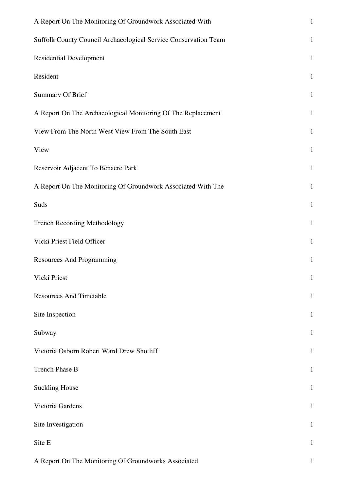| A Report On The Monitoring Of Groundwork Associated With        | $\mathbf 1$  |
|-----------------------------------------------------------------|--------------|
| Suffolk County Council Archaeological Service Conservation Team | $\mathbf 1$  |
| <b>Residential Development</b>                                  | $\mathbf 1$  |
| Resident                                                        | $\mathbf{1}$ |
| <b>Summary Of Brief</b>                                         | $\mathbf{1}$ |
| A Report On The Archaeological Monitoring Of The Replacement    | $\mathbf 1$  |
| View From The North West View From The South East               | $\mathbf{1}$ |
| View                                                            | $\mathbf{1}$ |
| Reservoir Adjacent To Benacre Park                              | $\mathbf 1$  |
| A Report On The Monitoring Of Groundwork Associated With The    | $\mathbf 1$  |
| Suds                                                            | $\mathbf{1}$ |
| <b>Trench Recording Methodology</b>                             | $\mathbf{1}$ |
| Vicki Priest Field Officer                                      | $\mathbf 1$  |
| <b>Resources And Programming</b>                                | $\mathbf{1}$ |
| Vicki Priest                                                    | $\mathbf{1}$ |
| <b>Resources And Timetable</b>                                  | $\mathbf 1$  |
| Site Inspection                                                 | $\mathbf{1}$ |
| Subway                                                          | $\mathbf{1}$ |
| Victoria Osborn Robert Ward Drew Shotliff                       | $\mathbf{1}$ |
| Trench Phase B                                                  | $\mathbf{1}$ |
| <b>Suckling House</b>                                           | $\mathbf{1}$ |
| Victoria Gardens                                                | $\mathbf{1}$ |
| Site Investigation                                              | $\mathbf{1}$ |
| Site E                                                          | $\mathbf{1}$ |
| A Report On The Monitoring Of Groundworks Associated            |              |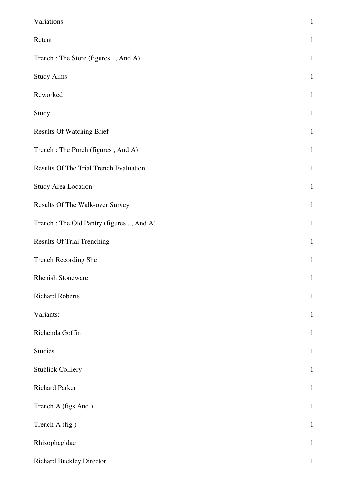| Variations                                | $\mathbf{1}$ |
|-------------------------------------------|--------------|
| Retent                                    | $\mathbf{1}$ |
| Trench: The Store (figures, , And A)      | $\mathbf{1}$ |
| <b>Study Aims</b>                         | $\mathbf{1}$ |
| Reworked                                  | $\mathbf{1}$ |
| Study                                     | $\mathbf{1}$ |
| <b>Results Of Watching Brief</b>          | $\mathbf{1}$ |
| Trench: The Porch (figures, And A)        | $\mathbf{1}$ |
| Results Of The Trial Trench Evaluation    | $\mathbf{1}$ |
| <b>Study Area Location</b>                | $\mathbf{1}$ |
| Results Of The Walk-over Survey           | $\mathbf{1}$ |
| Trench: The Old Pantry (figures, , And A) | $\mathbf{1}$ |
| <b>Results Of Trial Trenching</b>         | $\mathbf{1}$ |
| Trench Recording She                      | $\mathbf{1}$ |
| <b>Rhenish Stoneware</b>                  | $\mathbf 1$  |
| <b>Richard Roberts</b>                    | $\mathbf{1}$ |
| Variants:                                 | $\mathbf{1}$ |
| Richenda Goffin                           | $\mathbf{1}$ |
| <b>Studies</b>                            | $\mathbf{1}$ |
| <b>Stublick Colliery</b>                  | $\mathbf{1}$ |
| <b>Richard Parker</b>                     | $\mathbf{1}$ |
| Trench A (figs And)                       | $\mathbf{1}$ |
| Trench A (fig)                            | $\mathbf{1}$ |
| Rhizophagidae                             | $\mathbf{1}$ |
| <b>Richard Buckley Director</b>           | $\mathbf{1}$ |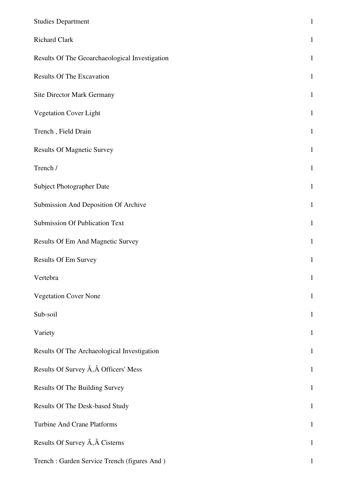| <b>Studies Department</b>                      | $\mathbf 1$  |
|------------------------------------------------|--------------|
| <b>Richard Clark</b>                           | $\mathbf{1}$ |
| Results Of The Geoarchaeological Investigation | $\mathbf{1}$ |
| <b>Results Of The Excavation</b>               | $\mathbf{1}$ |
| Site Director Mark Germany                     | $\mathbf{1}$ |
| Vegetation Cover Light                         | $\mathbf{1}$ |
| Trench, Field Drain                            | $\mathbf{1}$ |
| <b>Results Of Magnetic Survey</b>              | $\mathbf{1}$ |
| Trench /                                       | $\mathbf{1}$ |
| Subject Photographer Date                      | $\mathbf{1}$ |
| Submission And Deposition Of Archive           | $\mathbf{1}$ |
| <b>Submission Of Publication Text</b>          | $\mathbf{1}$ |
| <b>Results Of Em And Magnetic Survey</b>       | $\mathbf{1}$ |
| Results Of Em Survey                           | $\mathbf{1}$ |
| Vertebra                                       | $\mathbf{1}$ |
| <b>Vegetation Cover None</b>                   | $\mathbf{1}$ |
| Sub-soil                                       | $\mathbf{1}$ |
| Variety                                        | $\mathbf{1}$ |
| Results Of The Archaeological Investigation    | $\mathbf{1}$ |
| Results Of Survey A, A Officers' Mess          | $\mathbf{1}$ |
| Results Of The Building Survey                 | $\mathbf 1$  |
| Results Of The Desk-based Study                | $\mathbf{1}$ |
| <b>Turbine And Crane Platforms</b>             | $\mathbf{1}$ |
| Results Of Survey A, A Cisterns                | $\mathbf{1}$ |
| Trench: Garden Service Trench (figures And)    | $\mathbf{1}$ |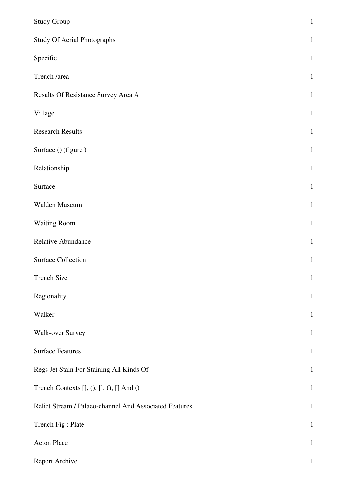| <b>Study Group</b>                                     | $\mathbf 1$  |
|--------------------------------------------------------|--------------|
| <b>Study Of Aerial Photographs</b>                     | $\mathbf{1}$ |
| Specific                                               | $\,1\,$      |
| Trench /area                                           | $\mathbf 1$  |
| Results Of Resistance Survey Area A                    | $\mathbf 1$  |
| Village                                                | $1\,$        |
| <b>Research Results</b>                                | $\mathbf 1$  |
| Surface () (figure)                                    | $1\,$        |
| Relationship                                           | $1\,$        |
| Surface                                                | $\mathbf 1$  |
| Walden Museum                                          | $\,1\,$      |
| <b>Waiting Room</b>                                    | $\,1\,$      |
| Relative Abundance                                     | $\mathbf 1$  |
| <b>Surface Collection</b>                              | $\mathbf{1}$ |
| <b>Trench Size</b>                                     | $\mathbf 1$  |
| Regionality                                            | $\mathbf{1}$ |
| Walker                                                 | $\mathbf{1}$ |
| <b>Walk-over Survey</b>                                | $\mathbf 1$  |
| <b>Surface Features</b>                                | $\mathbf{1}$ |
| Regs Jet Stain For Staining All Kinds Of               | $\mathbf 1$  |
| Trench Contexts [], (), [], (), [] And ()              | $\,1\,$      |
| Relict Stream / Palaeo-channel And Associated Features | $\mathbf{1}$ |
| Trench Fig; Plate                                      | $\mathbf{1}$ |
| <b>Acton Place</b>                                     | $\mathbf 1$  |
| Report Archive                                         | $\mathbf 1$  |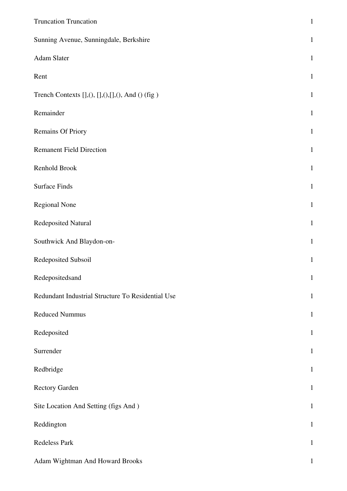| <b>Truncation Truncation</b>                        | $\mathbf{1}$ |
|-----------------------------------------------------|--------------|
| Sunning Avenue, Sunningdale, Berkshire              | $\mathbf{1}$ |
| Adam Slater                                         | $\mathbf{1}$ |
| Rent                                                | $\mathbf{1}$ |
| Trench Contexts $[],(),[],(),[],(),$ And $()$ (fig) | $\mathbf{1}$ |
| Remainder                                           | $\mathbf{1}$ |
| <b>Remains Of Priory</b>                            | $\mathbf{1}$ |
| <b>Remanent Field Direction</b>                     | $\mathbf{1}$ |
| Renhold Brook                                       | $\mathbf{1}$ |
| <b>Surface Finds</b>                                | $\mathbf{1}$ |
| <b>Regional None</b>                                | $\mathbf{1}$ |
| Redeposited Natural                                 | $\mathbf{1}$ |
| Southwick And Blaydon-on-                           | $\mathbf{1}$ |
| Redeposited Subsoil                                 | $\mathbf{1}$ |
| Redepositedsand                                     | $\mathbf{1}$ |
| Redundant Industrial Structure To Residential Use   | $\mathbf{1}$ |
| <b>Reduced Nummus</b>                               | $\mathbf{1}$ |
| Redeposited                                         | $\mathbf{1}$ |
| Surrender                                           | $\mathbf{1}$ |
| Redbridge                                           | $\mathbf{1}$ |
| <b>Rectory Garden</b>                               | $\mathbf{1}$ |
| Site Location And Setting (figs And )               | $\mathbf{1}$ |
| Reddington                                          | $\mathbf{1}$ |
| Redeless Park                                       | $\mathbf{1}$ |
| Adam Wightman And Howard Brooks                     | $\mathbf{1}$ |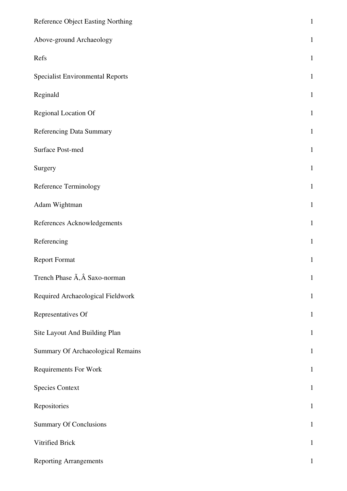| Reference Object Easting Northing                | $\,1\,$      |
|--------------------------------------------------|--------------|
| Above-ground Archaeology                         | $\mathbf{1}$ |
| Refs                                             | $\mathbf{1}$ |
| <b>Specialist Environmental Reports</b>          | $\mathbf{1}$ |
| Reginald                                         | $\,1\,$      |
| Regional Location Of                             | $\,1\,$      |
| Referencing Data Summary                         | $\mathbf{1}$ |
| Surface Post-med                                 | $\mathbf{1}$ |
| Surgery                                          | $\mathbf{1}$ |
| Reference Terminology                            | $\mathbf{1}$ |
| Adam Wightman                                    | $\mathbf 1$  |
| References Acknowledgements                      | $\mathbf{1}$ |
| Referencing                                      | $\mathbf{1}$ |
| <b>Report Format</b>                             | $\mathbf{1}$ |
| Trench Phase $\tilde{A}$ , $\hat{A}$ Saxo-norman | $\mathbf{1}$ |
| Required Archaeological Fieldwork                | $\mathbf{1}$ |
| Representatives Of                               | $\mathbf{1}$ |
| Site Layout And Building Plan                    | $\mathbf{1}$ |
| Summary Of Archaeological Remains                | $\mathbf{1}$ |
| <b>Requirements For Work</b>                     | $\mathbf{1}$ |
| <b>Species Context</b>                           | $\mathbf{1}$ |
| Repositories                                     | $\mathbf{1}$ |
| <b>Summary Of Conclusions</b>                    | $\mathbf 1$  |
| Vitrified Brick                                  | $\mathbf{1}$ |
| <b>Reporting Arrangements</b>                    | 1            |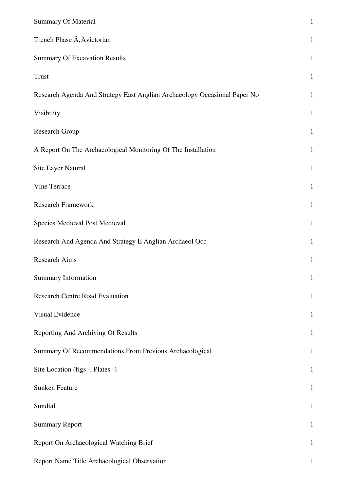| <b>Summary Of Material</b>                                                | $\,1\,$      |
|---------------------------------------------------------------------------|--------------|
| Trench Phase A, Avictorian                                                | $\mathbf{1}$ |
| <b>Summary Of Excavation Results</b>                                      | $\mathbf{1}$ |
| <b>Trust</b>                                                              | $\mathbf{1}$ |
| Research Agenda And Strategy East Anglian Archaeology Occasional Paper No | $\mathbf{1}$ |
| Visibility                                                                | $\mathbf 1$  |
| <b>Research Group</b>                                                     | $\mathbf{1}$ |
| A Report On The Archaeological Monitoring Of The Installation             | $\mathbf{1}$ |
| Site Layer Natural                                                        | $\mathbf{1}$ |
| Vine Terrace                                                              | $\mathbf{1}$ |
| <b>Research Framework</b>                                                 | $\mathbf{1}$ |
| Species Medieval Post Medieval                                            | $\mathbf{1}$ |
| Research And Agenda And Strategy E Anglian Archaeol Occ                   | $\mathbf{1}$ |
| Research Aims                                                             | $\mathbf{1}$ |
| <b>Summary Information</b>                                                | $\mathbf{1}$ |
| <b>Research Centre Road Evaluation</b>                                    | $\mathbf{1}$ |
| Visual Evidence                                                           | $\mathbf{1}$ |
| Reporting And Archiving Of Results                                        | $\mathbf{1}$ |
| Summary Of Recommendations From Previous Archaeological                   | $\mathbf{1}$ |
| Site Location (figs -, Plates -)                                          | $\mathbf{1}$ |
| <b>Sunken Feature</b>                                                     | $\mathbf{1}$ |
| Sundial                                                                   | $\mathbf{1}$ |
| <b>Summary Report</b>                                                     | $\mathbf{1}$ |
| Report On Archaeological Watching Brief                                   | $\mathbf{1}$ |
| Report Name Title Archaeological Observation                              | 1            |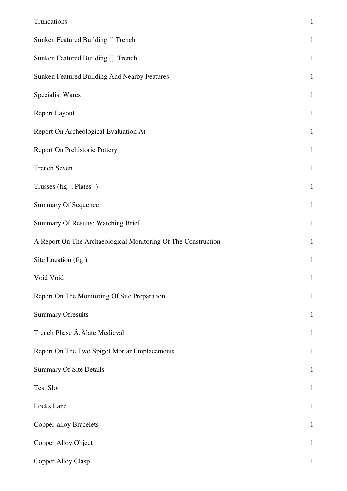| Truncations                                                   | $\,1\,$      |
|---------------------------------------------------------------|--------------|
| Sunken Featured Building [] Trench                            | $\mathbf 1$  |
| Sunken Featured Building [], Trench                           | $\mathbf{1}$ |
| Sunken Featured Building And Nearby Features                  | $\mathbf{1}$ |
| <b>Specialist Wares</b>                                       | $\mathbf{1}$ |
| <b>Report Layout</b>                                          | $\mathbf{1}$ |
| Report On Archeological Evaluation At                         | $\mathbf{1}$ |
| Report On Prehistoric Pottery                                 | $\mathbf{1}$ |
| <b>Trench Seven</b>                                           | $\mathbf{1}$ |
| Trusses (fig -, Plates -)                                     | $\mathbf{1}$ |
| <b>Summary Of Sequence</b>                                    | $\mathbf{1}$ |
| Summary Of Results: Watching Brief                            | $\mathbf{1}$ |
| A Report On The Archaeological Monitoring Of The Construction | $\mathbf{1}$ |
| Site Location (fig)                                           | $\mathbf{1}$ |
| Void Void                                                     | $\mathbf{1}$ |
| Report On The Monitoring Of Site Preparation                  | $\mathbf{1}$ |
| <b>Summary Ofresults</b>                                      | $\mathbf{1}$ |
| Trench Phase A, Âlate Medieval                                | $\mathbf{1}$ |
| Report On The Two Spigot Mortar Emplacements                  | $\mathbf{1}$ |
| <b>Summary Of Site Details</b>                                | $\mathbf{1}$ |
| <b>Test Slot</b>                                              | $\mathbf{1}$ |
| Locks Lane                                                    | $\mathbf{1}$ |
| <b>Copper-alloy Bracelets</b>                                 | $\mathbf{1}$ |
| Copper Alloy Object                                           | $\mathbf{1}$ |
| Copper Alloy Clasp                                            | 1            |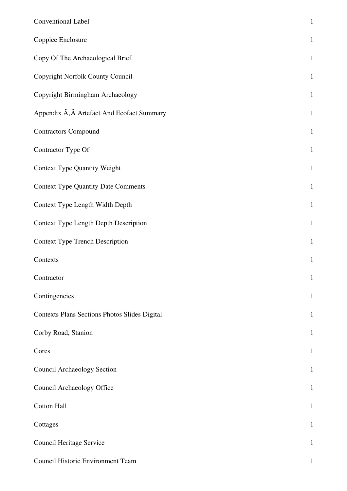| Conventional Label                            | $\mathbf 1$  |
|-----------------------------------------------|--------------|
| Coppice Enclosure                             | $\mathbf{1}$ |
| Copy Of The Archaeological Brief              | $\mathbf{1}$ |
| Copyright Norfolk County Council              | $\mathbf{1}$ |
| Copyright Birmingham Archaeology              | $\mathbf{1}$ |
| Appendix A, A Artefact And Ecofact Summary    | $\mathbf{1}$ |
| <b>Contractors Compound</b>                   | $\mathbf{1}$ |
| Contractor Type Of                            | $\mathbf{1}$ |
| <b>Context Type Quantity Weight</b>           | $\mathbf{1}$ |
| <b>Context Type Quantity Date Comments</b>    | $\mathbf{1}$ |
| Context Type Length Width Depth               | $\mathbf{1}$ |
| <b>Context Type Length Depth Description</b>  | $\mathbf{1}$ |
| <b>Context Type Trench Description</b>        | $\,1$        |
| Contexts                                      | $\mathbf{1}$ |
| Contractor                                    | $\mathbf{1}$ |
| Contingencies                                 | $\mathbf 1$  |
| Contexts Plans Sections Photos Slides Digital | $\mathbf{1}$ |
| Corby Road, Stanion                           | $\mathbf{1}$ |
| Cores                                         | $\mathbf{1}$ |
| <b>Council Archaeology Section</b>            | $\mathbf{1}$ |
| Council Archaeology Office                    | $\mathbf{1}$ |
| <b>Cotton Hall</b>                            | $\mathbf{1}$ |
| Cottages                                      | $\mathbf{1}$ |
| Council Heritage Service                      | $\mathbf{1}$ |
| Council Historic Environment Team             | 1            |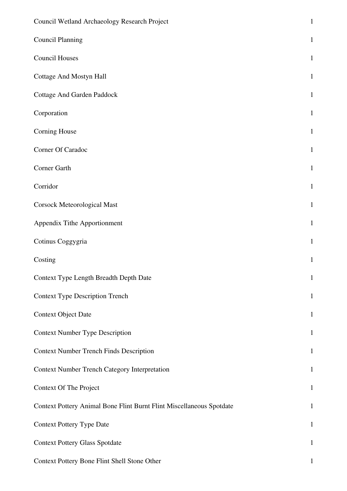| Council Wetland Archaeology Research Project                         | $\mathbf{1}$ |
|----------------------------------------------------------------------|--------------|
| <b>Council Planning</b>                                              | $\mathbf{1}$ |
| <b>Council Houses</b>                                                | $\mathbf{1}$ |
| Cottage And Mostyn Hall                                              | $\mathbf{1}$ |
| <b>Cottage And Garden Paddock</b>                                    | $\mathbf{1}$ |
| Corporation                                                          | $\mathbf{1}$ |
| Corning House                                                        | $\mathbf{1}$ |
| Corner Of Caradoc                                                    | $\mathbf{1}$ |
| Corner Garth                                                         | $\mathbf{1}$ |
| Corridor                                                             | $\mathbf{1}$ |
| <b>Corsock Meteorological Mast</b>                                   | $\mathbf{1}$ |
| Appendix Tithe Apportionment                                         | $\mathbf{1}$ |
| Cotinus Coggygria                                                    | $\mathbf{1}$ |
| Costing                                                              | $\mathbf{1}$ |
| Context Type Length Breadth Depth Date                               | $\mathbf{1}$ |
| <b>Context Type Description Trench</b>                               | $\mathbf{1}$ |
| <b>Context Object Date</b>                                           | $\mathbf{1}$ |
| <b>Context Number Type Description</b>                               | $\mathbf{1}$ |
| <b>Context Number Trench Finds Description</b>                       | $\mathbf{1}$ |
| <b>Context Number Trench Category Interpretation</b>                 | $\mathbf{1}$ |
| Context Of The Project                                               | $\mathbf{1}$ |
| Context Pottery Animal Bone Flint Burnt Flint Miscellaneous Spotdate | $\mathbf{1}$ |
| <b>Context Pottery Type Date</b>                                     | $\mathbf{1}$ |
| <b>Context Pottery Glass Spotdate</b>                                | $\mathbf{1}$ |
| Context Pottery Bone Flint Shell Stone Other                         | $\mathbf{1}$ |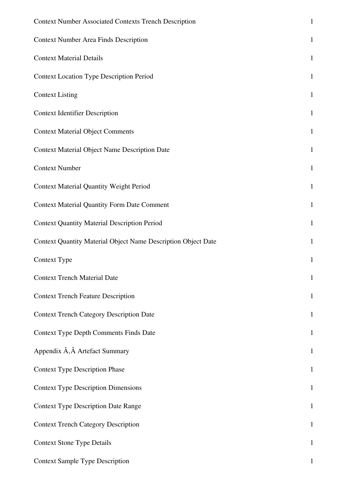| <b>Context Number Associated Contexts Trench Description</b>         | $\mathbf{1}$ |
|----------------------------------------------------------------------|--------------|
| <b>Context Number Area Finds Description</b>                         | $\mathbf{1}$ |
| <b>Context Material Details</b>                                      | $\mathbf{1}$ |
| <b>Context Location Type Description Period</b>                      | $\mathbf{1}$ |
| <b>Context Listing</b>                                               | $\mathbf{1}$ |
| <b>Context Identifier Description</b>                                | $\mathbf{1}$ |
| <b>Context Material Object Comments</b>                              | $\mathbf{1}$ |
| <b>Context Material Object Name Description Date</b>                 | $\mathbf{1}$ |
| <b>Context Number</b>                                                | $\mathbf{1}$ |
| <b>Context Material Quantity Weight Period</b>                       | $\mathbf{1}$ |
| <b>Context Material Quantity Form Date Comment</b>                   | $\mathbf{1}$ |
| <b>Context Quantity Material Description Period</b>                  | $\mathbf{1}$ |
| <b>Context Quantity Material Object Name Description Object Date</b> | $\mathbf{1}$ |
| Context Type                                                         | $\mathbf{1}$ |
| <b>Context Trench Material Date</b>                                  | 1            |
| <b>Context Trench Feature Description</b>                            | $\mathbf{1}$ |
| <b>Context Trench Category Description Date</b>                      | $\mathbf{1}$ |
| <b>Context Type Depth Comments Finds Date</b>                        | $\mathbf{1}$ |
| Appendix A, A Artefact Summary                                       | $\mathbf{1}$ |
| <b>Context Type Description Phase</b>                                | $\mathbf{1}$ |
| <b>Context Type Description Dimensions</b>                           | $\mathbf{1}$ |
| <b>Context Type Description Date Range</b>                           | $\mathbf{1}$ |
| <b>Context Trench Category Description</b>                           | $\mathbf{1}$ |
| <b>Context Stone Type Details</b>                                    | $\mathbf{1}$ |
| <b>Context Sample Type Description</b>                               | 1            |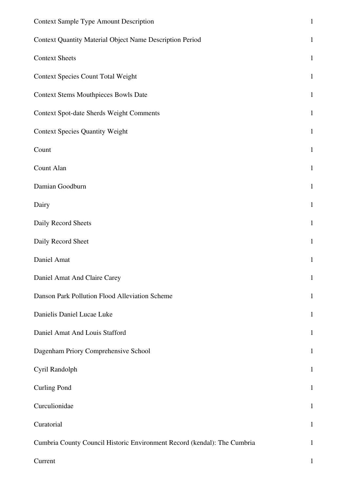| <b>Context Sample Type Amount Description</b>                            | $\,1\,$      |
|--------------------------------------------------------------------------|--------------|
| Context Quantity Material Object Name Description Period                 | $\mathbf 1$  |
| <b>Context Sheets</b>                                                    | $\mathbf{1}$ |
| <b>Context Species Count Total Weight</b>                                | $\mathbf{1}$ |
| <b>Context Stems Mouthpieces Bowls Date</b>                              | $\mathbf 1$  |
| <b>Context Spot-date Sherds Weight Comments</b>                          | $\,1\,$      |
| <b>Context Species Quantity Weight</b>                                   | $\mathbf 1$  |
| Count                                                                    | $1\,$        |
| Count Alan                                                               | $\mathbf 1$  |
| Damian Goodburn                                                          | $\mathbf 1$  |
| Dairy                                                                    | $1\,$        |
| Daily Record Sheets                                                      | $1\,$        |
| Daily Record Sheet                                                       | $\mathbf 1$  |
| Daniel Amat                                                              | $\mathbf{1}$ |
| Daniel Amat And Claire Carey                                             | $\mathbf 1$  |
| Danson Park Pollution Flood Alleviation Scheme                           | $\mathbf{1}$ |
| Danielis Daniel Lucae Luke                                               | $\mathbf{1}$ |
| Daniel Amat And Louis Stafford                                           | $\mathbf{1}$ |
| Dagenham Priory Comprehensive School                                     | $\mathbf{1}$ |
| Cyril Randolph                                                           | $\mathbf{1}$ |
| <b>Curling Pond</b>                                                      | $\mathbf{1}$ |
| Curculionidae                                                            | $\mathbf{1}$ |
| Curatorial                                                               | $\mathbf{1}$ |
| Cumbria County Council Historic Environment Record (kendal): The Cumbria | $\mathbf{1}$ |
| Current                                                                  | $\mathbf{1}$ |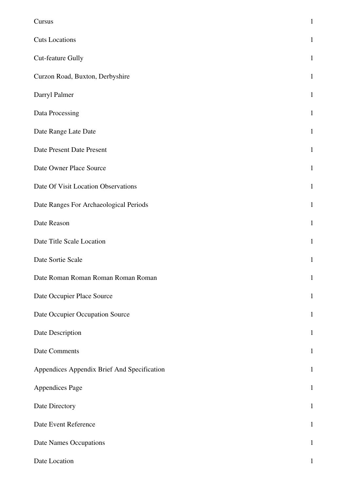| Cursus                                      | $\mathbf{1}$ |
|---------------------------------------------|--------------|
| <b>Cuts Locations</b>                       | $\mathbf{1}$ |
| <b>Cut-feature Gully</b>                    | $\mathbf{1}$ |
| Curzon Road, Buxton, Derbyshire             | $\mathbf{1}$ |
| Darryl Palmer                               | $\mathbf{1}$ |
| Data Processing                             | $\mathbf{1}$ |
| Date Range Late Date                        | $\mathbf{1}$ |
| Date Present Date Present                   | $\mathbf{1}$ |
| Date Owner Place Source                     | $\mathbf{1}$ |
| Date Of Visit Location Observations         | $\mathbf{1}$ |
| Date Ranges For Archaeological Periods      | $\mathbf{1}$ |
| Date Reason                                 | $\mathbf{1}$ |
| Date Title Scale Location                   | $\mathbf{1}$ |
| Date Sortie Scale                           | $\mathbf{1}$ |
| Date Roman Roman Roman Roman Roman          | $\mathbf 1$  |
| Date Occupier Place Source                  | $\mathbf{1}$ |
| Date Occupier Occupation Source             | $\mathbf{1}$ |
| Date Description                            | $\mathbf{1}$ |
| <b>Date Comments</b>                        | $\mathbf{1}$ |
| Appendices Appendix Brief And Specification | $\mathbf{1}$ |
| Appendices Page                             | $\mathbf{1}$ |
| Date Directory                              | $\mathbf{1}$ |
| Date Event Reference                        | $\mathbf{1}$ |
| Date Names Occupations                      | $\mathbf 1$  |
| Date Location                               | 1            |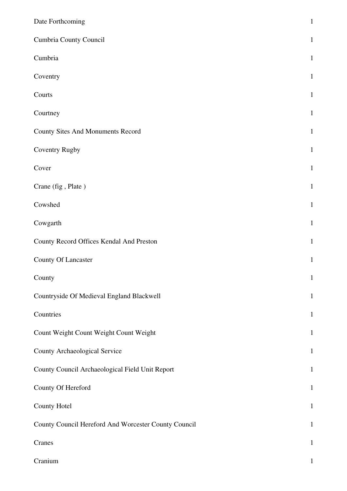| Date Forthcoming                                     | $\mathbf{1}$ |
|------------------------------------------------------|--------------|
| Cumbria County Council                               | $\mathbf{1}$ |
| Cumbria                                              | $\mathbf{1}$ |
| Coventry                                             | $\mathbf{1}$ |
| Courts                                               | $\mathbf{1}$ |
| Courtney                                             | $\mathbf{1}$ |
| <b>County Sites And Monuments Record</b>             | $\mathbf{1}$ |
| Coventry Rugby                                       | $\mathbf{1}$ |
| Cover                                                | $\mathbf{1}$ |
| Crane (fig, Plate)                                   | $\mathbf{1}$ |
| Cowshed                                              | $\mathbf{1}$ |
| Cowgarth                                             | $\mathbf{1}$ |
| County Record Offices Kendal And Preston             | $\mathbf{1}$ |
| County Of Lancaster                                  | $\mathbf{1}$ |
| County                                               | $\mathbf 1$  |
| Countryside Of Medieval England Blackwell            | $\mathbf{1}$ |
| Countries                                            | $\mathbf{1}$ |
| Count Weight Count Weight Count Weight               | $\mathbf{1}$ |
| <b>County Archaeological Service</b>                 | $\mathbf{1}$ |
| County Council Archaeological Field Unit Report      | $\mathbf{1}$ |
| County Of Hereford                                   | $\mathbf{1}$ |
| County Hotel                                         | $\mathbf{1}$ |
| County Council Hereford And Worcester County Council | $\mathbf{1}$ |
| Cranes                                               | $\mathbf{1}$ |
| Cranium                                              | $\mathbf{1}$ |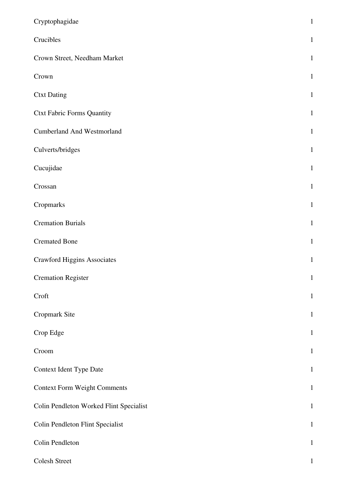| Cryptophagidae                          | $\mathbf{1}$ |
|-----------------------------------------|--------------|
| Crucibles                               | $\mathbf{1}$ |
| Crown Street, Needham Market            | $\mathbf{1}$ |
| Crown                                   | $\mathbf{1}$ |
| <b>Ctxt Dating</b>                      | $\mathbf{1}$ |
| <b>Ctxt Fabric Forms Quantity</b>       | $\mathbf{1}$ |
| <b>Cumberland And Westmorland</b>       | $\mathbf{1}$ |
| Culverts/bridges                        | $\mathbf{1}$ |
| Cucujidae                               | $\mathbf{1}$ |
| Crossan                                 | $\mathbf{1}$ |
| Cropmarks                               | $\mathbf{1}$ |
| <b>Cremation Burials</b>                | $\mathbf{1}$ |
| <b>Cremated Bone</b>                    | $\mathbf{1}$ |
| <b>Crawford Higgins Associates</b>      | $\mathbf{1}$ |
| <b>Cremation Register</b>               | $\mathbf 1$  |
| Croft                                   | $\mathbf{1}$ |
| Cropmark Site                           | $\mathbf{1}$ |
| Crop Edge                               | $\mathbf{1}$ |
| Croom                                   | $\mathbf{1}$ |
| Context Ident Type Date                 | $\mathbf{1}$ |
| <b>Context Form Weight Comments</b>     | $\mathbf{1}$ |
| Colin Pendleton Worked Flint Specialist | $\mathbf{1}$ |
| <b>Colin Pendleton Flint Specialist</b> | $\mathbf{1}$ |
| Colin Pendleton                         | $\mathbf{1}$ |
| Colesh Street                           | $\mathbf{1}$ |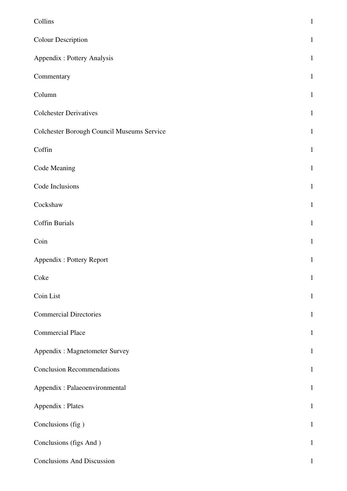| Collins                                    | $\mathbf{1}$ |
|--------------------------------------------|--------------|
|                                            |              |
| <b>Colour Description</b>                  | $\mathbf{1}$ |
| Appendix : Pottery Analysis                | $\mathbf{1}$ |
| Commentary                                 | $\mathbf{1}$ |
| Column                                     | $\mathbf{1}$ |
| <b>Colchester Derivatives</b>              | $\mathbf{1}$ |
| Colchester Borough Council Museums Service | $\mathbf{1}$ |
| Coffin                                     | $\mathbf{1}$ |
| Code Meaning                               | $\mathbf{1}$ |
| Code Inclusions                            | $\mathbf{1}$ |
| Cockshaw                                   | $\mathbf{1}$ |
| <b>Coffin Burials</b>                      | $\mathbf{1}$ |
| Coin                                       | $\mathbf{1}$ |
| Appendix: Pottery Report                   | $\mathbf{1}$ |
| Coke                                       | $\mathbf{1}$ |
| Coin List                                  | $\mathbf{1}$ |
| <b>Commercial Directories</b>              | $\mathbf{1}$ |
| <b>Commercial Place</b>                    | $\mathbf{1}$ |
| Appendix : Magnetometer Survey             | $\mathbf{1}$ |
| <b>Conclusion Recommendations</b>          | $\mathbf{1}$ |
| Appendix : Palaeoenvironmental             | $\mathbf{1}$ |
| Appendix : Plates                          | $\mathbf{1}$ |
| Conclusions (fig)                          | $\mathbf{1}$ |
| Conclusions (figs And)                     | $\mathbf{1}$ |
| <b>Conclusions And Discussion</b>          | $\mathbf{1}$ |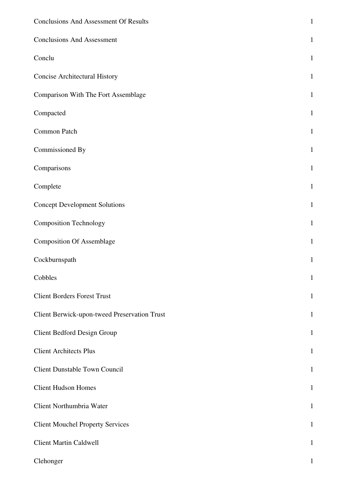| <b>Conclusions And Assessment Of Results</b>        | $\mathbf{1}$ |
|-----------------------------------------------------|--------------|
| <b>Conclusions And Assessment</b>                   | $\mathbf{1}$ |
| Conclu                                              | $\mathbf{1}$ |
| <b>Concise Architectural History</b>                | $\mathbf{1}$ |
| Comparison With The Fort Assemblage                 | $\mathbf{1}$ |
| Compacted                                           | $\mathbf{1}$ |
| Common Patch                                        | $\mathbf{1}$ |
| Commissioned By                                     | $\mathbf{1}$ |
| Comparisons                                         | $\mathbf{1}$ |
| Complete                                            | $\mathbf{1}$ |
| <b>Concept Development Solutions</b>                | $\mathbf{1}$ |
| <b>Composition Technology</b>                       | $\mathbf{1}$ |
| <b>Composition Of Assemblage</b>                    | $\mathbf{1}$ |
| Cockburnspath                                       | $\mathbf{1}$ |
| Cobbles                                             | $\mathbf{1}$ |
| <b>Client Borders Forest Trust</b>                  | $\mathbf{1}$ |
| <b>Client Berwick-upon-tweed Preservation Trust</b> | $\mathbf{1}$ |
| Client Bedford Design Group                         | $\mathbf{1}$ |
| <b>Client Architects Plus</b>                       | $\mathbf{1}$ |
| Client Dunstable Town Council                       | $\mathbf{1}$ |
| <b>Client Hudson Homes</b>                          | $\mathbf{1}$ |
| Client Northumbria Water                            | $\mathbf{1}$ |
| <b>Client Mouchel Property Services</b>             | $\mathbf{1}$ |
| <b>Client Martin Caldwell</b>                       | $\mathbf{1}$ |
| Clehonger                                           | 1            |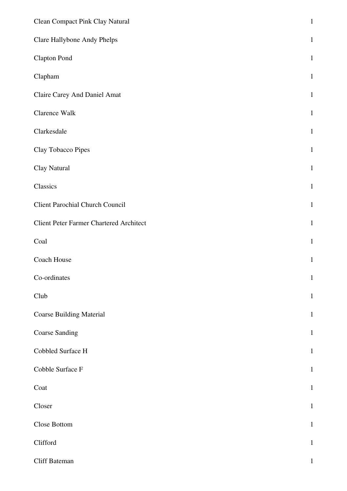| <b>Clean Compact Pink Clay Natural</b>         | $\,1$        |
|------------------------------------------------|--------------|
| Clare Hallybone Andy Phelps                    | $\mathbf{1}$ |
| <b>Clapton Pond</b>                            | $\mathbf{1}$ |
| Clapham                                        | $\mathbf{1}$ |
| Claire Carey And Daniel Amat                   | $\mathbf{1}$ |
| Clarence Walk                                  | $\mathbf{1}$ |
| Clarkesdale                                    | $\mathbf{1}$ |
| Clay Tobacco Pipes                             | $\mathbf{1}$ |
| Clay Natural                                   | $\mathbf{1}$ |
| Classics                                       | $\mathbf{1}$ |
| <b>Client Parochial Church Council</b>         | $\mathbf{1}$ |
| <b>Client Peter Farmer Chartered Architect</b> | $\mathbf{1}$ |
| Coal                                           | $\mathbf{1}$ |
| Coach House                                    | $\mathbf{1}$ |
| Co-ordinates                                   | $\mathbf{1}$ |
| Club                                           | $\mathbf{1}$ |
| <b>Coarse Building Material</b>                | $\,1$        |
| <b>Coarse Sanding</b>                          | $\mathbf 1$  |
| Cobbled Surface H                              | $\mathbf{1}$ |
| Cobble Surface F                               | $\,1$        |
| Coat                                           | $\mathbf{1}$ |
| Closer                                         | $\mathbf 1$  |
| Close Bottom                                   | $\mathbf{1}$ |
| Clifford                                       | $\mathbf{1}$ |
| Cliff Bateman                                  | $\mathbf{1}$ |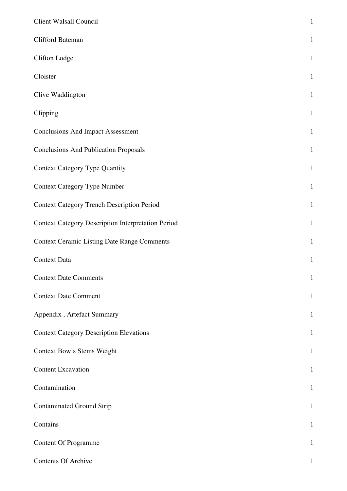| Client Walsall Council                                    | $\mathbf 1$  |
|-----------------------------------------------------------|--------------|
| Clifford Bateman                                          | $\mathbf 1$  |
| <b>Clifton Lodge</b>                                      | $\mathbf{1}$ |
| Cloister                                                  | $\mathbf 1$  |
| Clive Waddington                                          | $\mathbf{1}$ |
| Clipping                                                  | $\mathbf{1}$ |
| <b>Conclusions And Impact Assessment</b>                  | $\mathbf{1}$ |
| <b>Conclusions And Publication Proposals</b>              | $\mathbf{1}$ |
| <b>Context Category Type Quantity</b>                     | $\mathbf{1}$ |
| <b>Context Category Type Number</b>                       | $\mathbf{1}$ |
| <b>Context Category Trench Description Period</b>         | $\mathbf{1}$ |
| <b>Context Category Description Interpretation Period</b> | $\mathbf 1$  |
| <b>Context Ceramic Listing Date Range Comments</b>        | $\mathbf 1$  |
| <b>Context Data</b>                                       | $\mathbf{1}$ |
| <b>Context Date Comments</b>                              | $\mathbf{1}$ |
| <b>Context Date Comment</b>                               | $\mathbf{1}$ |
| Appendix, Artefact Summary                                | $\mathbf{1}$ |
| <b>Context Category Description Elevations</b>            | $\mathbf{1}$ |
| <b>Context Bowls Stems Weight</b>                         | $\mathbf{1}$ |
| <b>Content Excavation</b>                                 | $\mathbf{1}$ |
| Contamination                                             | $\mathbf{1}$ |
| <b>Contaminated Ground Strip</b>                          | $\mathbf{1}$ |
| Contains                                                  | $\mathbf{1}$ |
| <b>Content Of Programme</b>                               | $\mathbf{1}$ |
| <b>Contents Of Archive</b>                                | 1            |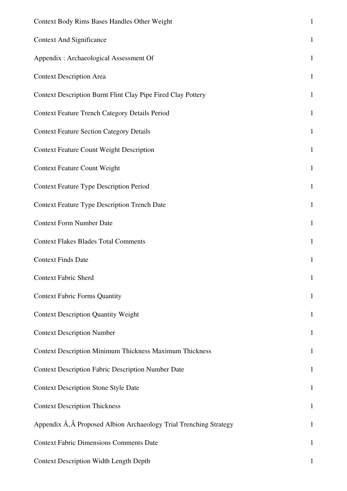| <b>Context Body Rims Bases Handles Other Weight</b>                | $\mathbf{1}$ |
|--------------------------------------------------------------------|--------------|
| <b>Context And Significance</b>                                    | $\mathbf{1}$ |
| Appendix : Archaeological Assessment Of                            | $\mathbf{1}$ |
| <b>Context Description Area</b>                                    | $\mathbf{1}$ |
| Context Description Burnt Flint Clay Pipe Fired Clay Pottery       | $\mathbf{1}$ |
| <b>Context Feature Trench Category Details Period</b>              | $\mathbf{1}$ |
| <b>Context Feature Section Category Details</b>                    | $\mathbf{1}$ |
| <b>Context Feature Count Weight Description</b>                    | $\mathbf{1}$ |
| <b>Context Feature Count Weight</b>                                | $\mathbf{1}$ |
| <b>Context Feature Type Description Period</b>                     | $\mathbf{1}$ |
| <b>Context Feature Type Description Trench Date</b>                | $\mathbf{1}$ |
| <b>Context Form Number Date</b>                                    | $\mathbf{1}$ |
| <b>Context Flakes Blades Total Comments</b>                        | $\mathbf{1}$ |
| <b>Context Finds Date</b>                                          | $\mathbf{1}$ |
| <b>Context Fabric Sherd</b>                                        | $\mathbf{1}$ |
| <b>Context Fabric Forms Quantity</b>                               | $\mathbf{1}$ |
| <b>Context Description Quantity Weight</b>                         | $\mathbf{1}$ |
| <b>Context Description Number</b>                                  | $\mathbf{1}$ |
| <b>Context Description Minimum Thickness Maximum Thickness</b>     | $\mathbf{1}$ |
| <b>Context Description Fabric Description Number Date</b>          | $\mathbf{1}$ |
| <b>Context Description Stone Style Date</b>                        | $\mathbf{1}$ |
| <b>Context Description Thickness</b>                               | $\mathbf{1}$ |
| Appendix A, A Proposed Albion Archaeology Trial Trenching Strategy | $\mathbf{1}$ |
| <b>Context Fabric Dimensions Comments Date</b>                     | $\mathbf{1}$ |
| <b>Context Description Width Length Depth</b>                      | 1            |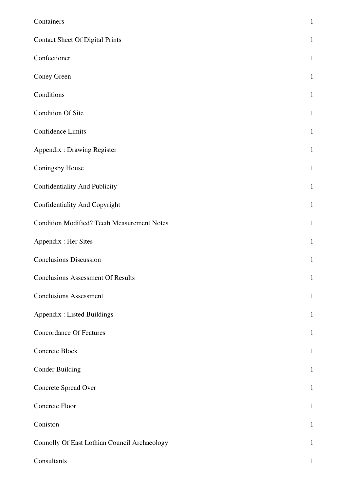| Containers                                         | $\mathbf 1$  |
|----------------------------------------------------|--------------|
| <b>Contact Sheet Of Digital Prints</b>             | $\mathbf{1}$ |
| Confectioner                                       | $\mathbf{1}$ |
| Coney Green                                        | $\mathbf{1}$ |
| Conditions                                         | $\mathbf{1}$ |
| <b>Condition Of Site</b>                           | $\mathbf{1}$ |
| <b>Confidence Limits</b>                           | $\mathbf{1}$ |
| <b>Appendix: Drawing Register</b>                  | $\mathbf{1}$ |
| Coningsby House                                    | $\mathbf{1}$ |
| Confidentiality And Publicity                      | $\mathbf{1}$ |
| Confidentiality And Copyright                      | $\mathbf{1}$ |
| <b>Condition Modified? Teeth Measurement Notes</b> | $\mathbf{1}$ |
| Appendix : Her Sites                               | $\mathbf{1}$ |
| <b>Conclusions Discussion</b>                      | $\mathbf{1}$ |
| <b>Conclusions Assessment Of Results</b>           | $\mathbf{1}$ |
| <b>Conclusions Assessment</b>                      | $\mathbf{1}$ |
| <b>Appendix : Listed Buildings</b>                 | $\mathbf{1}$ |
| <b>Concordance Of Features</b>                     | $\mathbf{1}$ |
| Concrete Block                                     | $\mathbf{1}$ |
| <b>Conder Building</b>                             | $\mathbf{1}$ |
| Concrete Spread Over                               | $\mathbf{1}$ |
| Concrete Floor                                     | $\mathbf{1}$ |
| Coniston                                           | $\mathbf{1}$ |
| Connolly Of East Lothian Council Archaeology       | $\mathbf{1}$ |
| Consultants                                        | 1            |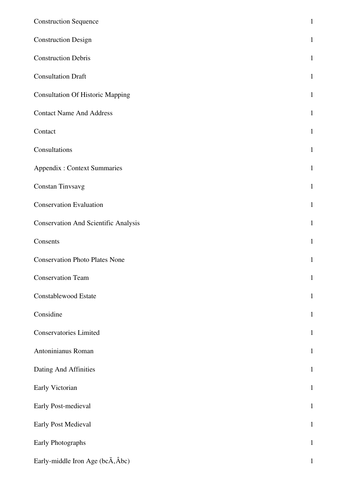| <b>Construction Sequence</b>                | $\mathbf{1}$ |
|---------------------------------------------|--------------|
| <b>Construction Design</b>                  | $\mathbf 1$  |
| <b>Construction Debris</b>                  | $\mathbf{1}$ |
| <b>Consultation Draft</b>                   | $\mathbf{1}$ |
| <b>Consultation Of Historic Mapping</b>     | $\mathbf{1}$ |
| <b>Contact Name And Address</b>             | $\mathbf{1}$ |
| Contact                                     | $\mathbf{1}$ |
| Consultations                               | $\mathbf{1}$ |
| <b>Appendix: Context Summaries</b>          | $\mathbf{1}$ |
| Constan Tinvsavg                            | $\mathbf{1}$ |
| <b>Conservation Evaluation</b>              | $\mathbf{1}$ |
| <b>Conservation And Scientific Analysis</b> | $\mathbf{1}$ |
| Consents                                    | $\mathbf{1}$ |
| <b>Conservation Photo Plates None</b>       | $\mathbf{1}$ |
| <b>Conservation Team</b>                    | $\mathbf{1}$ |
| Constablewood Estate                        | $\mathbf{1}$ |
| Considine                                   | $\mathbf{1}$ |
| <b>Conservatories Limited</b>               | $\mathbf{1}$ |
| Antoninianus Roman                          | $\mathbf{1}$ |
| Dating And Affinities                       | $\mathbf{1}$ |
| Early Victorian                             | $\mathbf{1}$ |
| Early Post-medieval                         | $\mathbf 1$  |
| Early Post Medieval                         | $\mathbf{1}$ |
| Early Photographs                           | $\mathbf{1}$ |
| Early-middle Iron Age (bcA, Âbc)            | $\mathbf{1}$ |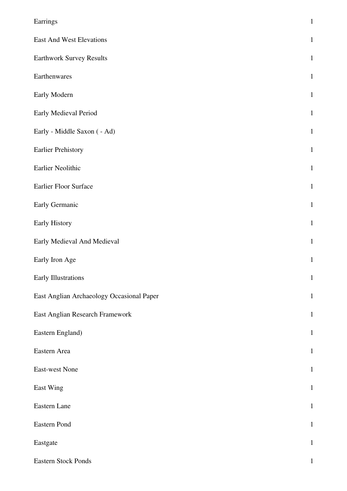| Earrings                                  | $\,1$        |
|-------------------------------------------|--------------|
| <b>East And West Elevations</b>           | $\mathbf{1}$ |
| <b>Earthwork Survey Results</b>           | $\mathbf{1}$ |
| Earthenwares                              | $\mathbf{1}$ |
| Early Modern                              | $1\,$        |
| Early Medieval Period                     | $\mathbf{1}$ |
| Early - Middle Saxon ( - Ad)              | $\mathbf{1}$ |
| <b>Earlier Prehistory</b>                 | $\mathbf{1}$ |
| Earlier Neolithic                         | $\mathbf{1}$ |
| Earlier Floor Surface                     | $\mathbf{1}$ |
| Early Germanic                            | $\mathbf{1}$ |
| Early History                             | $\mathbf{1}$ |
| Early Medieval And Medieval               | $\mathbf{1}$ |
| Early Iron Age                            | $\mathbf{1}$ |
| Early Illustrations                       | $\mathbf{1}$ |
| East Anglian Archaeology Occasional Paper | $\mathbf{1}$ |
| East Anglian Research Framework           | $\mathbf{1}$ |
| Eastern England)                          | $\mathbf{1}$ |
| Eastern Area                              | $\mathbf{1}$ |
| East-west None                            | $\mathbf{1}$ |
| East Wing                                 | $\mathbf{1}$ |
| Eastern Lane                              | $\mathbf{1}$ |
| Eastern Pond                              | $1\,$        |
| Eastgate                                  | $\mathbf{1}$ |
| Eastern Stock Ponds                       | $\mathbf{1}$ |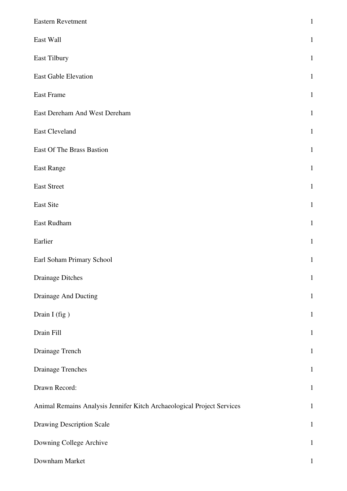| Eastern Revetment                                                      | $\mathbf{1}$ |
|------------------------------------------------------------------------|--------------|
| East Wall                                                              | $\mathbf{1}$ |
| East Tilbury                                                           | $\mathbf{1}$ |
| East Gable Elevation                                                   | $\mathbf{1}$ |
| East Frame                                                             | $\mathbf{1}$ |
| East Dereham And West Dereham                                          | $\mathbf{1}$ |
| <b>East Cleveland</b>                                                  | $\mathbf{1}$ |
| <b>East Of The Brass Bastion</b>                                       | $\mathbf{1}$ |
| East Range                                                             | $\mathbf{1}$ |
| <b>East Street</b>                                                     | $\mathbf{1}$ |
| East Site                                                              | $\mathbf{1}$ |
| East Rudham                                                            | $\mathbf{1}$ |
| Earlier                                                                | $\mathbf{1}$ |
| Earl Soham Primary School                                              | $\mathbf{1}$ |
| <b>Drainage Ditches</b>                                                | $\mathbf{1}$ |
| Drainage And Ducting                                                   | $\,1\,$      |
| Drain I (fig)                                                          | $1\,$        |
| Drain Fill                                                             | $\mathbf{1}$ |
| Drainage Trench                                                        | $\mathbf{1}$ |
| <b>Drainage Trenches</b>                                               | $\mathbf{1}$ |
| Drawn Record:                                                          | $\,1\,$      |
| Animal Remains Analysis Jennifer Kitch Archaeological Project Services | $\mathbf{1}$ |
| <b>Drawing Description Scale</b>                                       | $\mathbf{1}$ |
| Downing College Archive                                                | $\mathbf{1}$ |
| Downham Market                                                         | $\mathbf{1}$ |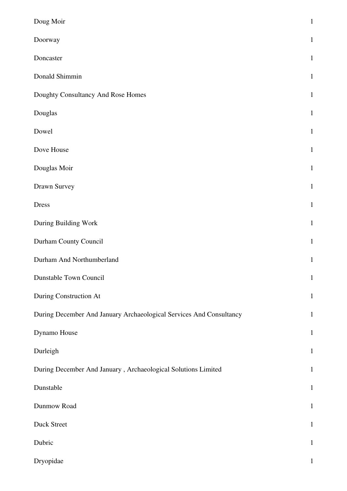| Doug Moir                                                           | $\mathbf{1}$ |
|---------------------------------------------------------------------|--------------|
| Doorway                                                             | $\mathbf{1}$ |
| Doncaster                                                           | $\mathbf{1}$ |
| Donald Shimmin                                                      | $\mathbf{1}$ |
| Doughty Consultancy And Rose Homes                                  | $\mathbf{1}$ |
| Douglas                                                             | $\mathbf{1}$ |
| Dowel                                                               | $\mathbf{1}$ |
| Dove House                                                          | $\mathbf{1}$ |
| Douglas Moir                                                        | $\mathbf{1}$ |
| Drawn Survey                                                        | $\mathbf{1}$ |
| <b>Dress</b>                                                        | $\mathbf{1}$ |
| During Building Work                                                | $\mathbf{1}$ |
| Durham County Council                                               | $\mathbf{1}$ |
| Durham And Northumberland                                           | $\mathbf{1}$ |
| Dunstable Town Council                                              | $\mathbf{1}$ |
| During Construction At                                              | $\mathbf{1}$ |
| During December And January Archaeological Services And Consultancy | $\mathbf{1}$ |
| Dynamo House                                                        | $\mathbf{1}$ |
| Durleigh                                                            | $\mathbf{1}$ |
| During December And January, Archaeological Solutions Limited       | $\mathbf{1}$ |
| Dunstable                                                           | $\mathbf{1}$ |
| Dunmow Road                                                         | $\mathbf{1}$ |
| Duck Street                                                         | $\mathbf{1}$ |
| Dubric                                                              | $\mathbf{1}$ |
| Dryopidae                                                           | $\mathbf 1$  |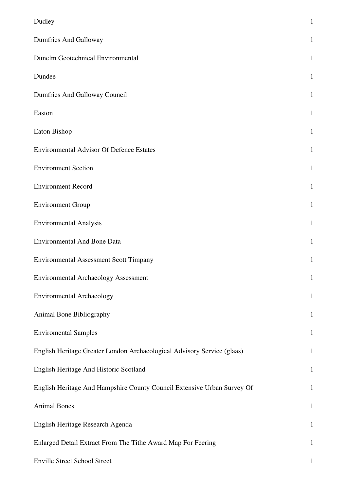| Dudley                                                                  | $\mathbf{1}$ |
|-------------------------------------------------------------------------|--------------|
| Dumfries And Galloway                                                   | $\mathbf{1}$ |
| Dunelm Geotechnical Environmental                                       | 1            |
| Dundee                                                                  | $\mathbf{1}$ |
| Dumfries And Galloway Council                                           | 1            |
| Easton                                                                  | $\mathbf{1}$ |
| Eaton Bishop                                                            | $\mathbf{1}$ |
| <b>Environmental Advisor Of Defence Estates</b>                         | $\mathbf{1}$ |
| <b>Environment Section</b>                                              | $\mathbf{1}$ |
| <b>Environment Record</b>                                               | $\mathbf{1}$ |
| <b>Environment Group</b>                                                | 1            |
| <b>Environmental Analysis</b>                                           | $\mathbf{1}$ |
| <b>Environmental And Bone Data</b>                                      | $\mathbf{1}$ |
| <b>Environmental Assessment Scott Timpany</b>                           | 1            |
| <b>Environmental Archaeology Assessment</b>                             | $\mathbf{1}$ |
| <b>Environmental Archaeology</b>                                        | $\mathbf{1}$ |
| Animal Bone Bibliography                                                | $\mathbf{1}$ |
| <b>Enviromental Samples</b>                                             | $\mathbf{1}$ |
| English Heritage Greater London Archaeological Advisory Service (glaas) | $\mathbf{1}$ |
| English Heritage And Historic Scotland                                  | $\mathbf{1}$ |
| English Heritage And Hampshire County Council Extensive Urban Survey Of | $\mathbf{1}$ |
| <b>Animal Bones</b>                                                     | $\mathbf{1}$ |
| English Heritage Research Agenda                                        | $\mathbf{1}$ |
| Enlarged Detail Extract From The Tithe Award Map For Feering            | $\mathbf{1}$ |
| <b>Enville Street School Street</b>                                     | $\mathbf{1}$ |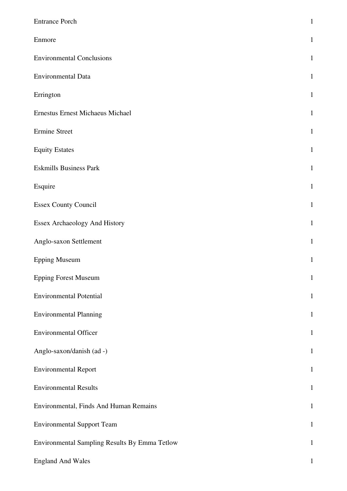| <b>Entrance Porch</b>                         | $\mathbf{1}$ |
|-----------------------------------------------|--------------|
| Enmore                                        | $\mathbf{1}$ |
| <b>Environmental Conclusions</b>              | $\mathbf{1}$ |
| <b>Environmental Data</b>                     | $\mathbf{1}$ |
| Errington                                     | $\mathbf{1}$ |
| <b>Ernestus Ernest Michaeus Michael</b>       | $\mathbf{1}$ |
| <b>Ermine Street</b>                          | $\mathbf{1}$ |
| <b>Equity Estates</b>                         | $\mathbf{1}$ |
| <b>Eskmills Business Park</b>                 | $\mathbf{1}$ |
| Esquire                                       | $\mathbf{1}$ |
| <b>Essex County Council</b>                   | $\mathbf{1}$ |
| Essex Archaeology And History                 | $\mathbf{1}$ |
| Anglo-saxon Settlement                        | $\mathbf{1}$ |
| <b>Epping Museum</b>                          | $\mathbf{1}$ |
| <b>Epping Forest Museum</b>                   | $\mathbf{1}$ |
| <b>Environmental Potential</b>                | $\mathbf{1}$ |
| <b>Environmental Planning</b>                 | $\mathbf{1}$ |
| <b>Environmental Officer</b>                  | $\mathbf{1}$ |
| Anglo-saxon/danish (ad -)                     | $\mathbf{1}$ |
| <b>Environmental Report</b>                   | $\mathbf{1}$ |
| <b>Environmental Results</b>                  | $\mathbf 1$  |
| Environmental, Finds And Human Remains        | $\mathbf{1}$ |
| <b>Environmental Support Team</b>             | $\mathbf{1}$ |
| Environmental Sampling Results By Emma Tetlow | $\mathbf{1}$ |
| <b>England And Wales</b>                      | $\mathbf 1$  |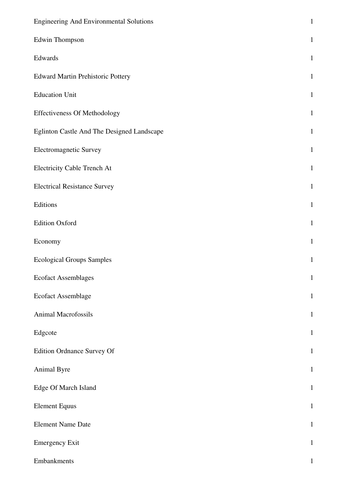| <b>Engineering And Environmental Solutions</b> | $\mathbf{1}$ |
|------------------------------------------------|--------------|
| Edwin Thompson                                 | $\mathbf{1}$ |
| Edwards                                        | $\mathbf{1}$ |
| <b>Edward Martin Prehistoric Pottery</b>       | $\mathbf{1}$ |
| <b>Education Unit</b>                          | $\mathbf{1}$ |
| <b>Effectiveness Of Methodology</b>            | $\mathbf{1}$ |
| Eglinton Castle And The Designed Landscape     | $\mathbf{1}$ |
| <b>Electromagnetic Survey</b>                  | $\mathbf{1}$ |
| <b>Electricity Cable Trench At</b>             | $\mathbf{1}$ |
| <b>Electrical Resistance Survey</b>            | $\mathbf{1}$ |
| Editions                                       | $\mathbf{1}$ |
| <b>Edition Oxford</b>                          | $\mathbf{1}$ |
| Economy                                        | $\mathbf{1}$ |
| <b>Ecological Groups Samples</b>               | $\mathbf{1}$ |
| <b>Ecofact Assemblages</b>                     | $\mathbf{1}$ |
| Ecofact Assemblage                             | $\mathbf{1}$ |
| Animal Macrofossils                            | $\mathbf{1}$ |
| Edgcote                                        | $\mathbf{1}$ |
| Edition Ordnance Survey Of                     | $\mathbf{1}$ |
| Animal Byre                                    | $\mathbf{1}$ |
| Edge Of March Island                           | $\mathbf{1}$ |
| <b>Element Equus</b>                           | $\mathbf{1}$ |
| <b>Element Name Date</b>                       | $\mathbf{1}$ |
| <b>Emergency Exit</b>                          | $\mathbf{1}$ |
| Embankments                                    | $\mathbf{1}$ |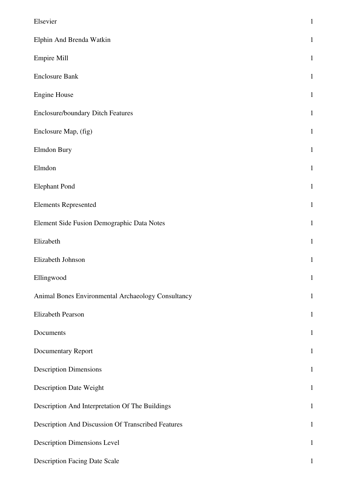| Elsevier                                           | $\mathbf{1}$ |
|----------------------------------------------------|--------------|
| Elphin And Brenda Watkin                           | $\mathbf{1}$ |
| <b>Empire Mill</b>                                 | $\mathbf{1}$ |
| <b>Enclosure Bank</b>                              | $\mathbf{1}$ |
| <b>Engine House</b>                                | $\mathbf{1}$ |
| <b>Enclosure/boundary Ditch Features</b>           | $\mathbf{1}$ |
| Enclosure Map, (fig)                               | $\mathbf{1}$ |
| Elmdon Bury                                        | $\mathbf{1}$ |
| Elmdon                                             | $\mathbf{1}$ |
| <b>Elephant Pond</b>                               | $\mathbf{1}$ |
| <b>Elements Represented</b>                        | $\mathbf{1}$ |
| Element Side Fusion Demographic Data Notes         | $\mathbf{1}$ |
| Elizabeth                                          | $\mathbf{1}$ |
| Elizabeth Johnson                                  | $\mathbf{1}$ |
| Ellingwood                                         | $\mathbf{1}$ |
| Animal Bones Environmental Archaeology Consultancy | $\mathbf{1}$ |
| Elizabeth Pearson                                  | $\mathbf{1}$ |
| Documents                                          | $\mathbf{1}$ |
| Documentary Report                                 | $\mathbf{1}$ |
| <b>Description Dimensions</b>                      | $\mathbf{1}$ |
| <b>Description Date Weight</b>                     | $\mathbf{1}$ |
| Description And Interpretation Of The Buildings    | $\mathbf{1}$ |
| Description And Discussion Of Transcribed Features | $\mathbf{1}$ |
| <b>Description Dimensions Level</b>                | $\mathbf{1}$ |
| <b>Description Facing Date Scale</b>               | $\mathbf{1}$ |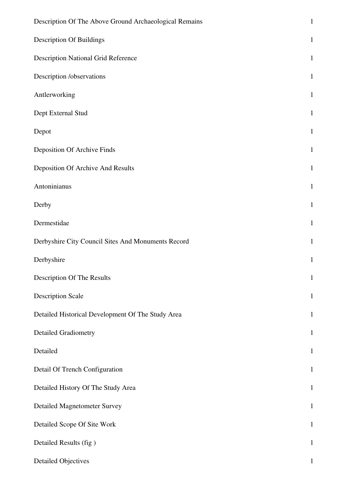| Description Of The Above Ground Archaeological Remains | $\mathbf{1}$ |
|--------------------------------------------------------|--------------|
| <b>Description Of Buildings</b>                        | $\mathbf{1}$ |
| <b>Description National Grid Reference</b>             | $\mathbf{1}$ |
| Description /observations                              | $\mathbf{1}$ |
| Antlerworking                                          | $\mathbf{1}$ |
| Dept External Stud                                     | $\mathbf{1}$ |
| Depot                                                  | $\mathbf{1}$ |
| Deposition Of Archive Finds                            | $\mathbf{1}$ |
| Deposition Of Archive And Results                      | $\mathbf{1}$ |
| Antoninianus                                           | $\mathbf{1}$ |
| Derby                                                  | $\mathbf{1}$ |
| Dermestidae                                            | $\mathbf{1}$ |
| Derbyshire City Council Sites And Monuments Record     | $\mathbf{1}$ |
| Derbyshire                                             | $\mathbf{1}$ |
| Description Of The Results                             | $\mathbf{1}$ |
| <b>Description Scale</b>                               | $\mathbf{1}$ |
| Detailed Historical Development Of The Study Area      | $\mathbf{1}$ |
| <b>Detailed Gradiometry</b>                            | $\mathbf{1}$ |
| Detailed                                               | $\mathbf{1}$ |
| Detail Of Trench Configuration                         | $\mathbf{1}$ |
| Detailed History Of The Study Area                     | $\mathbf{1}$ |
| <b>Detailed Magnetometer Survey</b>                    | $\mathbf{1}$ |
| Detailed Scope Of Site Work                            | $\mathbf{1}$ |
| Detailed Results (fig)                                 | $\mathbf{1}$ |
| <b>Detailed Objectives</b>                             | $\mathbf{1}$ |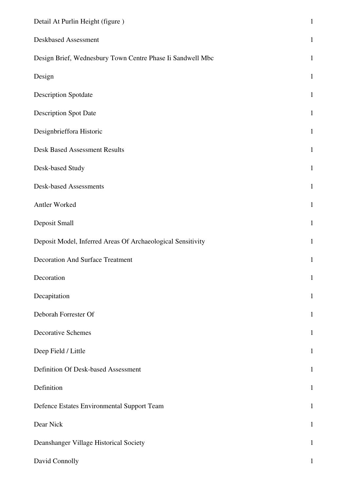| Detail At Purlin Height (figure)                            | $\mathbf{1}$ |
|-------------------------------------------------------------|--------------|
| Deskbased Assessment                                        | $\mathbf{1}$ |
| Design Brief, Wednesbury Town Centre Phase Ii Sandwell Mbc  | $\mathbf{1}$ |
| Design                                                      | $\mathbf{1}$ |
| <b>Description Spotdate</b>                                 | $\mathbf{1}$ |
| <b>Description Spot Date</b>                                | $\mathbf{1}$ |
| Designbrieffora Historic                                    | $\mathbf{1}$ |
| <b>Desk Based Assessment Results</b>                        | $\mathbf{1}$ |
| Desk-based Study                                            | $\mathbf{1}$ |
| <b>Desk-based Assessments</b>                               | $\mathbf{1}$ |
| Antler Worked                                               | $\mathbf{1}$ |
| Deposit Small                                               | $\mathbf{1}$ |
| Deposit Model, Inferred Areas Of Archaeological Sensitivity | $\mathbf{1}$ |
| <b>Decoration And Surface Treatment</b>                     | $\mathbf{1}$ |
| Decoration                                                  | $\mathbf{1}$ |
| Decapitation                                                | $\mathbf{1}$ |
| Deborah Forrester Of                                        | $\mathbf{1}$ |
| <b>Decorative Schemes</b>                                   | $\mathbf{1}$ |
| Deep Field / Little                                         | $\mathbf{1}$ |
| Definition Of Desk-based Assessment                         | $\mathbf{1}$ |
| Definition                                                  | $\mathbf{1}$ |
| Defence Estates Environmental Support Team                  | $\mathbf{1}$ |
| Dear Nick                                                   | $\mathbf{1}$ |
| Deanshanger Village Historical Society                      | $\mathbf{1}$ |
| David Connolly                                              | $\mathbf{1}$ |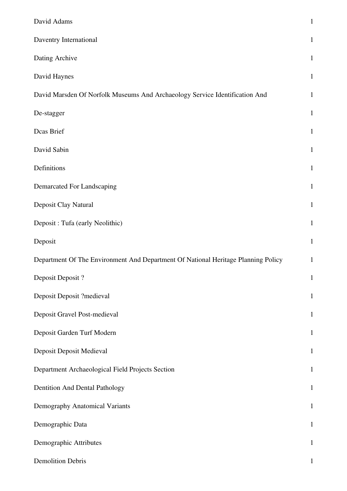| David Adams                                                                       | $\,1$        |
|-----------------------------------------------------------------------------------|--------------|
| Daventry International                                                            | $\mathbf{1}$ |
| Dating Archive                                                                    | $\mathbf{1}$ |
| David Haynes                                                                      | $\mathbf{1}$ |
| David Marsden Of Norfolk Museums And Archaeology Service Identification And       | $\mathbf{1}$ |
| De-stagger                                                                        | $\mathbf{1}$ |
| Dcas Brief                                                                        | $\mathbf{1}$ |
| David Sabin                                                                       | $\mathbf{1}$ |
| Definitions                                                                       | $\mathbf{1}$ |
| Demarcated For Landscaping                                                        | $\mathbf{1}$ |
| Deposit Clay Natural                                                              | $\mathbf{1}$ |
| Deposit : Tufa (early Neolithic)                                                  | $\mathbf 1$  |
| Deposit                                                                           | $\mathbf{1}$ |
| Department Of The Environment And Department Of National Heritage Planning Policy | $\mathbf{1}$ |
| Deposit Deposit?                                                                  | $\mathbf{1}$ |
| Deposit Deposit ?medieval                                                         | $\mathbf{1}$ |
| Deposit Gravel Post-medieval                                                      | $\mathbf{1}$ |
| Deposit Garden Turf Modern                                                        | $\mathbf{1}$ |
| Deposit Deposit Medieval                                                          | $\mathbf{1}$ |
| Department Archaeological Field Projects Section                                  | $\mathbf{1}$ |
| Dentition And Dental Pathology                                                    | $\mathbf{1}$ |
| Demography Anatomical Variants                                                    | $\mathbf{1}$ |
| Demographic Data                                                                  | $\mathbf{1}$ |
| Demographic Attributes                                                            | $\mathbf{1}$ |
| <b>Demolition Debris</b>                                                          | $\mathbf{1}$ |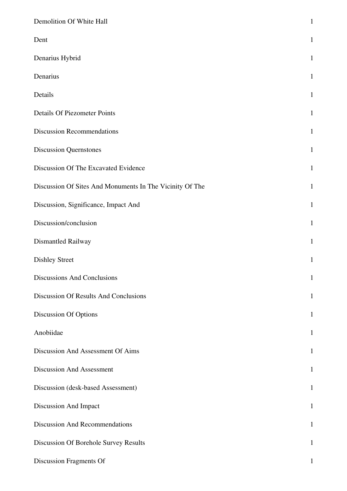| Demolition Of White Hall                                 | $\mathbf{1}$ |
|----------------------------------------------------------|--------------|
| Dent                                                     | $\mathbf{1}$ |
| Denarius Hybrid                                          | $\mathbf{1}$ |
| Denarius                                                 | $\mathbf{1}$ |
| Details                                                  | $\mathbf{1}$ |
| <b>Details Of Piezometer Points</b>                      | $\mathbf{1}$ |
| <b>Discussion Recommendations</b>                        | $\mathbf{1}$ |
| <b>Discussion Quernstones</b>                            | $\mathbf{1}$ |
| Discussion Of The Excavated Evidence                     | $\mathbf{1}$ |
| Discussion Of Sites And Monuments In The Vicinity Of The | $\mathbf{1}$ |
| Discussion, Significance, Impact And                     | $\mathbf{1}$ |
| Discussion/conclusion                                    | $\mathbf{1}$ |
| Dismantled Railway                                       | $\mathbf{1}$ |
| <b>Dishley Street</b>                                    | $\mathbf{1}$ |
| <b>Discussions And Conclusions</b>                       | $\mathbf{1}$ |
| Discussion Of Results And Conclusions                    | $\mathbf 1$  |
| <b>Discussion Of Options</b>                             | $\mathbf{1}$ |
| Anobiidae                                                | $\mathbf{1}$ |
| Discussion And Assessment Of Aims                        | $\mathbf{1}$ |
| <b>Discussion And Assessment</b>                         | $\mathbf{1}$ |
| Discussion (desk-based Assessment)                       | $\mathbf{1}$ |
| Discussion And Impact                                    | $\mathbf{1}$ |
| <b>Discussion And Recommendations</b>                    | $\mathbf{1}$ |
| Discussion Of Borehole Survey Results                    | $\mathbf{1}$ |
| Discussion Fragments Of                                  | 1            |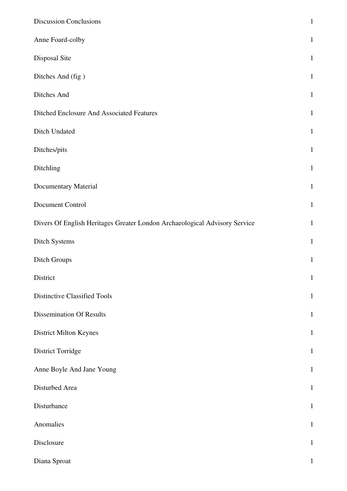| <b>Discussion Conclusions</b>                                              | $\mathbf 1$  |
|----------------------------------------------------------------------------|--------------|
| Anne Foard-colby                                                           | $\mathbf{1}$ |
| Disposal Site                                                              | $\mathbf{1}$ |
| Ditches And (fig)                                                          | $\mathbf 1$  |
| Ditches And                                                                | $\mathbf 1$  |
| Ditched Enclosure And Associated Features                                  | $\mathbf{1}$ |
| Ditch Undated                                                              | $\mathbf{1}$ |
| Ditches/pits                                                               | $\mathbf{1}$ |
| Ditchling                                                                  | $\,1\,$      |
| <b>Documentary Material</b>                                                | $\mathbf{1}$ |
| Document Control                                                           | $\mathbf{1}$ |
| Divers Of English Heritages Greater London Archaeological Advisory Service | $\mathbf 1$  |
| Ditch Systems                                                              | $\mathbf 1$  |
| Ditch Groups                                                               | $\mathbf{1}$ |
| District                                                                   | $\mathbf{1}$ |
| <b>Distinctive Classified Tools</b>                                        | $\mathbf{1}$ |
| <b>Dissemination Of Results</b>                                            | $\mathbf{1}$ |
| District Milton Keynes                                                     | $\mathbf 1$  |
| District Torridge                                                          | $\mathbf{1}$ |
| Anne Boyle And Jane Young                                                  | $\mathbf{1}$ |
| Disturbed Area                                                             | $\mathbf 1$  |
| Disturbance                                                                | $\mathbf{1}$ |
| Anomalies                                                                  | $\mathbf 1$  |
| Disclosure                                                                 | $\mathbf{1}$ |
| Diana Sproat                                                               | $\mathbf{1}$ |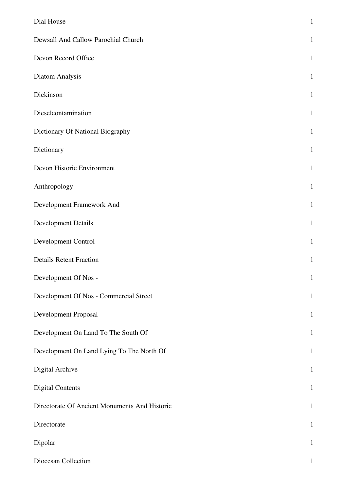| Dial House                                    | $\mathbf 1$  |
|-----------------------------------------------|--------------|
| Dewsall And Callow Parochial Church           | $\mathbf{1}$ |
| Devon Record Office                           | $\mathbf{1}$ |
| Diatom Analysis                               | $\mathbf{1}$ |
| Dickinson                                     | $\mathbf{1}$ |
| Dieselcontamination                           | $\mathbf{1}$ |
| Dictionary Of National Biography              | $\mathbf{1}$ |
| Dictionary                                    | $\mathbf{1}$ |
| Devon Historic Environment                    | $\mathbf{1}$ |
| Anthropology                                  | $\mathbf{1}$ |
| Development Framework And                     | $\mathbf{1}$ |
| <b>Development Details</b>                    | $\mathbf{1}$ |
| Development Control                           | $\mathbf{1}$ |
| <b>Details Retent Fraction</b>                | $\mathbf{1}$ |
| Development Of Nos -                          | $\mathbf{1}$ |
| Development Of Nos - Commercial Street        | $\mathbf{1}$ |
| Development Proposal                          | $\mathbf{1}$ |
| Development On Land To The South Of           | $\mathbf{1}$ |
| Development On Land Lying To The North Of     | $\mathbf{1}$ |
| Digital Archive                               | $\mathbf{1}$ |
| <b>Digital Contents</b>                       | $\mathbf{1}$ |
| Directorate Of Ancient Monuments And Historic | $\mathbf{1}$ |
| Directorate                                   | $\mathbf{1}$ |
| Dipolar                                       | $\mathbf{1}$ |
| Diocesan Collection                           | $\mathbf{1}$ |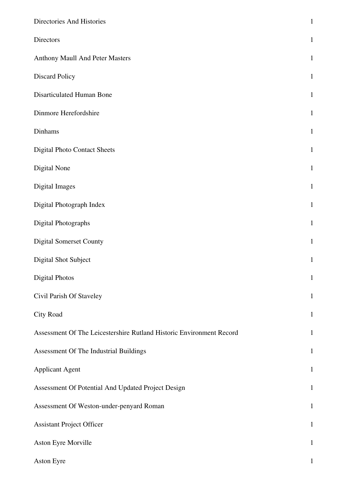| Directories And Histories                                            | $\mathbf{1}$ |
|----------------------------------------------------------------------|--------------|
| Directors                                                            | $\mathbf{1}$ |
| Anthony Maull And Peter Masters                                      | $\mathbf{1}$ |
| <b>Discard Policy</b>                                                | $\mathbf{1}$ |
| Disarticulated Human Bone                                            | $\mathbf{1}$ |
| Dinmore Herefordshire                                                | $\mathbf{1}$ |
| Dinhams                                                              | $\mathbf{1}$ |
| <b>Digital Photo Contact Sheets</b>                                  | $1\,$        |
| Digital None                                                         | $\mathbf{1}$ |
| Digital Images                                                       | $\mathbf{1}$ |
| Digital Photograph Index                                             | $\mathbf{1}$ |
| Digital Photographs                                                  | $\mathbf{1}$ |
| <b>Digital Somerset County</b>                                       | $\mathbf{1}$ |
| Digital Shot Subject                                                 | $\mathbf{1}$ |
| <b>Digital Photos</b>                                                | $\mathbf{1}$ |
| Civil Parish Of Staveley                                             | $\mathbf{1}$ |
| City Road                                                            | $\mathbf{1}$ |
| Assessment Of The Leicestershire Rutland Historic Environment Record | $\mathbf{1}$ |
| Assessment Of The Industrial Buildings                               | $\mathbf{1}$ |
| <b>Applicant Agent</b>                                               | $\mathbf{1}$ |
| Assessment Of Potential And Updated Project Design                   | $\mathbf{1}$ |
| Assessment Of Weston-under-penyard Roman                             | $\mathbf{1}$ |
| <b>Assistant Project Officer</b>                                     | $\mathbf{1}$ |
| Aston Eyre Morville                                                  | $\mathbf{1}$ |
| Aston Eyre                                                           | $\mathbf{1}$ |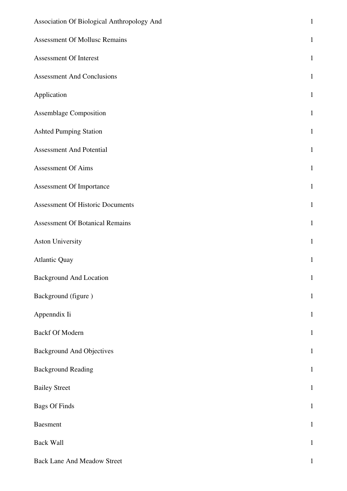| Association Of Biological Anthropology And | $\mathbf{1}$ |
|--------------------------------------------|--------------|
| <b>Assessment Of Mollusc Remains</b>       | $\mathbf{1}$ |
| <b>Assessment Of Interest</b>              | $\mathbf{1}$ |
| <b>Assessment And Conclusions</b>          | $\mathbf{1}$ |
| Application                                | $\mathbf{1}$ |
| <b>Assemblage Composition</b>              | $\mathbf{1}$ |
| <b>Ashted Pumping Station</b>              | $\mathbf{1}$ |
| <b>Assessment And Potential</b>            | $\mathbf{1}$ |
| <b>Assessment Of Aims</b>                  | $\mathbf{1}$ |
| Assessment Of Importance                   | $\mathbf{1}$ |
| <b>Assessment Of Historic Documents</b>    | $\mathbf{1}$ |
| <b>Assessment Of Botanical Remains</b>     | $\mathbf{1}$ |
| Aston University                           | $\mathbf{1}$ |
| <b>Atlantic Quay</b>                       | $1\,$        |
| <b>Background And Location</b>             | $\mathbf{1}$ |
| Background (figure)                        | $\mathbf{1}$ |
| Appenndix Ii                               | $\mathbf{1}$ |
| <b>Backf Of Modern</b>                     | $\mathbf{1}$ |
| <b>Background And Objectives</b>           | $\mathbf{1}$ |
| <b>Background Reading</b>                  | $\mathbf{1}$ |
| <b>Bailey Street</b>                       | $\mathbf{1}$ |
| <b>Bags Of Finds</b>                       | $\mathbf{1}$ |
| <b>Baesment</b>                            | $\mathbf{1}$ |
| <b>Back Wall</b>                           | $\mathbf{1}$ |
| <b>Back Lane And Meadow Street</b>         | $\mathbf{1}$ |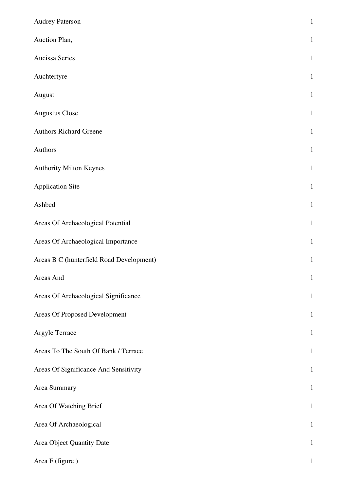| <b>Audrey Paterson</b>                   | $\mathbf 1$  |
|------------------------------------------|--------------|
| Auction Plan,                            | $\mathbf{1}$ |
| Aucissa Series                           | $1\,$        |
| Auchtertyre                              | $\mathbf 1$  |
| August                                   | $\mathbf{1}$ |
| <b>Augustus Close</b>                    | $\mathbf 1$  |
| <b>Authors Richard Greene</b>            | $\mathbf 1$  |
| Authors                                  | $\mathbf{1}$ |
| <b>Authority Milton Keynes</b>           | $\mathbf{1}$ |
| <b>Application Site</b>                  | $\mathbf{1}$ |
| Ashbed                                   | $\mathbf 1$  |
| Areas Of Archaeological Potential        | $\,1\,$      |
| Areas Of Archaeological Importance       | $\mathbf 1$  |
| Areas B C (hunterfield Road Development) | $\mathbf{1}$ |
| Areas And                                | $\,1\,$      |
| Areas Of Archaeological Significance     | $\mathbf{1}$ |
| Areas Of Proposed Development            | $\mathbf 1$  |
| Argyle Terrace                           | $\mathbf 1$  |
| Areas To The South Of Bank / Terrace     | $\mathbf{1}$ |
| Areas Of Significance And Sensitivity    | $\mathbf 1$  |
| Area Summary                             | $\mathbf{1}$ |
| Area Of Watching Brief                   | $\mathbf{1}$ |
| Area Of Archaeological                   | $\mathbf 1$  |
| Area Object Quantity Date                | $\mathbf{1}$ |
| Area F (figure)                          |              |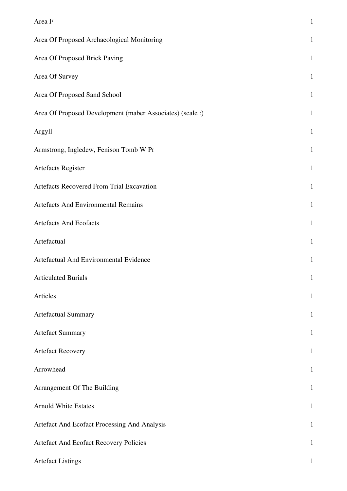| Area F                                                    | $\mathbf{1}$ |
|-----------------------------------------------------------|--------------|
| Area Of Proposed Archaeological Monitoring                | $\mathbf{1}$ |
| Area Of Proposed Brick Paving                             | $\mathbf{1}$ |
| Area Of Survey                                            | $\mathbf{1}$ |
| Area Of Proposed Sand School                              | $\mathbf{1}$ |
| Area Of Proposed Development (maber Associates) (scale :) | $\mathbf{1}$ |
| Argyll                                                    | $\mathbf{1}$ |
| Armstrong, Ingledew, Fenison Tomb W Pr                    | $\mathbf{1}$ |
| Artefacts Register                                        | $\mathbf{1}$ |
| Artefacts Recovered From Trial Excavation                 | $\mathbf{1}$ |
| Artefacts And Environmental Remains                       | $\mathbf{1}$ |
| <b>Artefacts And Ecofacts</b>                             | $\mathbf{1}$ |
| Artefactual                                               | $\mathbf{1}$ |
| Artefactual And Environmental Evidence                    | $\mathbf{1}$ |
| <b>Articulated Burials</b>                                | $\mathbf{1}$ |
| Articles                                                  | $\mathbf{1}$ |
| Artefactual Summary                                       | $\mathbf{1}$ |
| <b>Artefact Summary</b>                                   | $\mathbf{1}$ |
| <b>Artefact Recovery</b>                                  | $\mathbf{1}$ |
| Arrowhead                                                 | $\mathbf{1}$ |
| Arrangement Of The Building                               | $\mathbf{1}$ |
| <b>Arnold White Estates</b>                               | $\mathbf{1}$ |
| Artefact And Ecofact Processing And Analysis              | $\mathbf{1}$ |
| Artefact And Ecofact Recovery Policies                    | $\mathbf{1}$ |
| <b>Artefact Listings</b>                                  | $\mathbf{1}$ |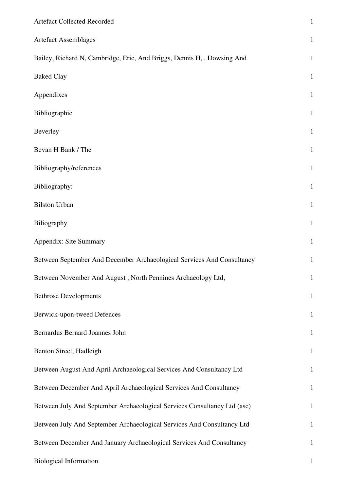| Artefact Collected Recorded                                              | $\mathbf{1}$ |
|--------------------------------------------------------------------------|--------------|
| <b>Artefact Assemblages</b>                                              | $\mathbf{1}$ |
| Bailey, Richard N, Cambridge, Eric, And Briggs, Dennis H, , Dowsing And  | $\mathbf{1}$ |
| <b>Baked Clay</b>                                                        | $\mathbf{1}$ |
| Appendixes                                                               | $\mathbf{1}$ |
| Bibliographic                                                            | $\mathbf{1}$ |
| Beverley                                                                 | $\mathbf{1}$ |
| Bevan H Bank / The                                                       | $\mathbf{1}$ |
| Bibliography/references                                                  | $\mathbf{1}$ |
| Bibliography:                                                            | $\mathbf{1}$ |
| <b>Bilston Urban</b>                                                     | $\mathbf{1}$ |
| Biliography                                                              | $\mathbf{1}$ |
| Appendix: Site Summary                                                   | $\mathbf{1}$ |
| Between September And December Archaeological Services And Consultancy   | $\mathbf{1}$ |
| Between November And August, North Pennines Archaeology Ltd,             | $\mathbf{1}$ |
| <b>Bethrose Developments</b>                                             | $\mathbf 1$  |
| Berwick-upon-tweed Defences                                              | $\mathbf{1}$ |
| Bernardus Bernard Joannes John                                           | $\mathbf{1}$ |
| Benton Street, Hadleigh                                                  | $\mathbf{1}$ |
| Between August And April Archaeological Services And Consultancy Ltd     | $\mathbf{1}$ |
| Between December And April Archaeological Services And Consultancy       | $\mathbf{1}$ |
| Between July And September Archaeological Services Consultancy Ltd (asc) | $\mathbf{1}$ |
| Between July And September Archaeological Services And Consultancy Ltd   | $\mathbf{1}$ |
| Between December And January Archaeological Services And Consultancy     | $\mathbf{1}$ |
| <b>Biological Information</b>                                            | $\mathbf{1}$ |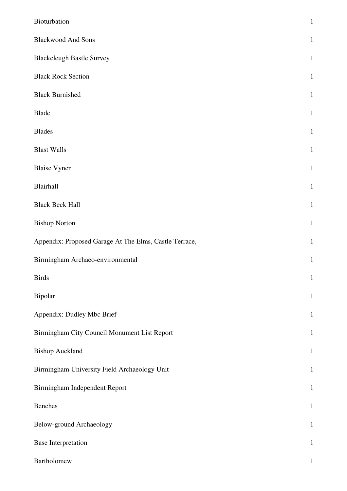| Bioturbation                                           | $\mathbf{1}$ |
|--------------------------------------------------------|--------------|
| <b>Blackwood And Sons</b>                              | $\mathbf{1}$ |
| <b>Blackcleugh Bastle Survey</b>                       | $\mathbf{1}$ |
| <b>Black Rock Section</b>                              | $\mathbf{1}$ |
| <b>Black Burnished</b>                                 | $\mathbf{1}$ |
| Blade                                                  | $\mathbf{1}$ |
| <b>Blades</b>                                          | $\mathbf{1}$ |
| <b>Blast Walls</b>                                     | $\mathbf{1}$ |
| <b>Blaise Vyner</b>                                    | $\mathbf{1}$ |
| Blairhall                                              | $\mathbf{1}$ |
| <b>Black Beck Hall</b>                                 | $\mathbf{1}$ |
| <b>Bishop Norton</b>                                   | $\mathbf{1}$ |
| Appendix: Proposed Garage At The Elms, Castle Terrace, | $\mathbf{1}$ |
| Birmingham Archaeo-environmental                       | $\mathbf{1}$ |
| <b>Birds</b>                                           | $\mathbf{1}$ |
| Bipolar                                                | $\mathbf{1}$ |
| Appendix: Dudley Mbc Brief                             | $\mathbf{1}$ |
| Birmingham City Council Monument List Report           | $\mathbf{1}$ |
| <b>Bishop Auckland</b>                                 | $\mathbf{1}$ |
| Birmingham University Field Archaeology Unit           | $\mathbf{1}$ |
| Birmingham Independent Report                          | $\mathbf{1}$ |
| Benches                                                | $\mathbf{1}$ |
| Below-ground Archaeology                               | $\mathbf{1}$ |
| <b>Base Interpretation</b>                             | $\mathbf{1}$ |
| Bartholomew                                            | $\mathbf{1}$ |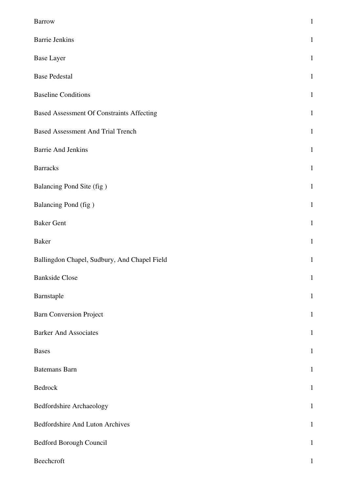| <b>Barrow</b>                                    | $\mathbf{1}$ |
|--------------------------------------------------|--------------|
| <b>Barrie Jenkins</b>                            | $\mathbf{1}$ |
| <b>Base Layer</b>                                | $\mathbf{1}$ |
| <b>Base Pedestal</b>                             | $\mathbf{1}$ |
| <b>Baseline Conditions</b>                       | $\mathbf{1}$ |
| <b>Based Assessment Of Constraints Affecting</b> | $\mathbf{1}$ |
| <b>Based Assessment And Trial Trench</b>         | $\mathbf{1}$ |
| <b>Barrie And Jenkins</b>                        | $\mathbf{1}$ |
| <b>Barracks</b>                                  | $\mathbf{1}$ |
| Balancing Pond Site (fig)                        | $\mathbf{1}$ |
| Balancing Pond (fig)                             | $\mathbf{1}$ |
| <b>Baker Gent</b>                                | $\mathbf{1}$ |
| <b>Baker</b>                                     | $\mathbf{1}$ |
| Ballingdon Chapel, Sudbury, And Chapel Field     | $\mathbf{1}$ |
| <b>Bankside Close</b>                            | $\mathbf{1}$ |
| Barnstaple                                       | $\mathbf{1}$ |
| <b>Barn Conversion Project</b>                   | $\mathbf{1}$ |
| <b>Barker And Associates</b>                     | $\mathbf{1}$ |
| <b>Bases</b>                                     | $\mathbf{1}$ |
| <b>Batemans Barn</b>                             | $\mathbf{1}$ |
| Bedrock                                          | $\mathbf 1$  |
| Bedfordshire Archaeology                         | $\mathbf{1}$ |
| Bedfordshire And Luton Archives                  | $\mathbf 1$  |
| Bedford Borough Council                          | $\mathbf{1}$ |
| Beechcroft                                       | $\mathbf 1$  |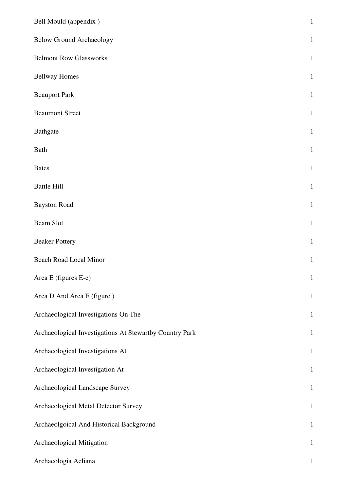| Bell Mould (appendix)                                   | $\mathbf{1}$ |
|---------------------------------------------------------|--------------|
| <b>Below Ground Archaeology</b>                         | $\mathbf{1}$ |
| <b>Belmont Row Glassworks</b>                           | $\mathbf{1}$ |
| <b>Bellway Homes</b>                                    | $\mathbf{1}$ |
| <b>Beauport Park</b>                                    | $\mathbf{1}$ |
| <b>Beaumont Street</b>                                  | $\mathbf{1}$ |
| <b>Bathgate</b>                                         | $\mathbf{1}$ |
| <b>Bath</b>                                             | $\mathbf{1}$ |
| <b>Bates</b>                                            | $\mathbf{1}$ |
| <b>Battle Hill</b>                                      | $\mathbf{1}$ |
| <b>Bayston Road</b>                                     | $\mathbf{1}$ |
| <b>Beam Slot</b>                                        | $\mathbf{1}$ |
| <b>Beaker Pottery</b>                                   | $\mathbf{1}$ |
| <b>Beach Road Local Minor</b>                           | $\mathbf{1}$ |
| Area E (figures E-e)                                    | $\mathbf{1}$ |
| Area D And Area E (figure)                              | $\mathbf{1}$ |
| Archaeological Investigations On The                    | $1\,$        |
| Archaeological Investigations At Stewartby Country Park | $\mathbf{1}$ |
| Archaeological Investigations At                        | $\mathbf{1}$ |
| Archaeological Investigation At                         | $\mathbf{1}$ |
| Archaeological Landscape Survey                         | $\mathbf{1}$ |
| Archaeological Metal Detector Survey                    | $\mathbf{1}$ |
| Archaeolgoical And Historical Background                | $\mathbf{1}$ |
| Archaeological Mitigation                               | $\mathbf{1}$ |
| Archaeologia Aeliana                                    | $\mathbf{1}$ |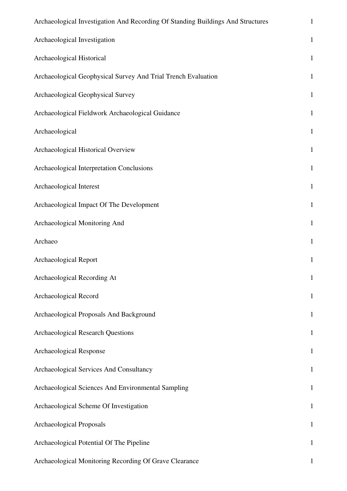| Archaeological Investigation And Recording Of Standing Buildings And Structures | $\mathbf{1}$ |
|---------------------------------------------------------------------------------|--------------|
| Archaeological Investigation                                                    | $\,1\,$      |
| Archaeological Historical                                                       | $\mathbf{1}$ |
| Archaeological Geophysical Survey And Trial Trench Evaluation                   | $\mathbf 1$  |
| Archaeological Geophysical Survey                                               | $1\,$        |
| Archaeological Fieldwork Archaeological Guidance                                | $\mathbf{1}$ |
| Archaeological                                                                  | $\mathbf 1$  |
| Archaeological Historical Overview                                              | $\mathbf{1}$ |
| Archaeological Interpretation Conclusions                                       | $\mathbf{1}$ |
| Archaeological Interest                                                         | $\mathbf 1$  |
| Archaeological Impact Of The Development                                        | $1\,$        |
| Archaeological Monitoring And                                                   | $\mathbf 1$  |
| Archaeo                                                                         | $\,1\,$      |
| Archaeological Report                                                           | $\mathbf{1}$ |
| Archaeological Recording At                                                     | $\mathbf{1}$ |
| Archaeological Record                                                           | $\mathbf{1}$ |
| Archaeological Proposals And Background                                         | $\mathbf{1}$ |
| <b>Archaeological Research Questions</b>                                        | $\mathbf{1}$ |
| Archaeological Response                                                         | $\mathbf{1}$ |
| Archaeological Services And Consultancy                                         | $\mathbf{1}$ |
| Archaeological Sciences And Environmental Sampling                              | $\mathbf{1}$ |
| Archaeological Scheme Of Investigation                                          | $\mathbf{1}$ |
| Archaeological Proposals                                                        | $\mathbf{1}$ |
| Archaeological Potential Of The Pipeline                                        | $\mathbf{1}$ |
| Archaeological Monitoring Recording Of Grave Clearance                          | $\mathbf{1}$ |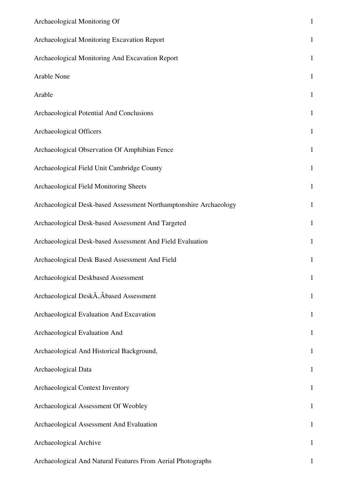| Archaeological Monitoring Of                                      | $\mathbf{1}$ |
|-------------------------------------------------------------------|--------------|
| Archaeological Monitoring Excavation Report                       | $\mathbf{1}$ |
| Archaeological Monitoring And Excavation Report                   | $\mathbf{1}$ |
| <b>Arable None</b>                                                | $\mathbf{1}$ |
| Arable                                                            | $\mathbf{1}$ |
| Archaeological Potential And Conclusions                          | $\mathbf{1}$ |
| Archaeological Officers                                           | $\mathbf{1}$ |
| Archaeological Observation Of Amphibian Fence                     | $\mathbf{1}$ |
| Archaeological Field Unit Cambridge County                        | $\mathbf{1}$ |
| Archaeological Field Monitoring Sheets                            | $\mathbf{1}$ |
| Archaeological Desk-based Assessment Northamptonshire Archaeology | $\mathbf{1}$ |
| Archaeological Desk-based Assessment And Targeted                 | $\mathbf{1}$ |
| Archaeological Desk-based Assessment And Field Evaluation         | $\mathbf{1}$ |
| Archaeological Desk Based Assessment And Field                    | $\mathbf{1}$ |
| Archaeological Deskbased Assessment                               | $\mathbf{1}$ |
| Archaeological DeskA, Abased Assessment                           | $\mathbf{1}$ |
| Archaeological Evaluation And Excavation                          | $\mathbf{1}$ |
| Archaeological Evaluation And                                     | $\mathbf{1}$ |
| Archaeological And Historical Background,                         | $\mathbf{1}$ |
| Archaeological Data                                               | $\mathbf{1}$ |
| Archaeological Context Inventory                                  | $\mathbf{1}$ |
| Archaeological Assessment Of Weobley                              | $\mathbf{1}$ |
| Archaeological Assessment And Evaluation                          | $\mathbf{1}$ |
| Archaeological Archive                                            | $\mathbf{1}$ |
| Archaeological And Natural Features From Aerial Photographs       | $\mathbf{1}$ |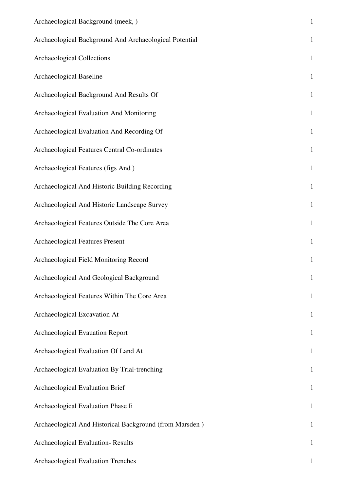| Archaeological Background (meek, )                      | $\mathbf 1$  |
|---------------------------------------------------------|--------------|
| Archaeological Background And Archaeological Potential  | $\mathbf 1$  |
| <b>Archaeological Collections</b>                       | $\mathbf{1}$ |
| Archaeological Baseline                                 | $\mathbf{1}$ |
| Archaeological Background And Results Of                | $1\,$        |
| Archaeological Evaluation And Monitoring                | $1\,$        |
| Archaeological Evaluation And Recording Of              | $\mathbf{1}$ |
| Archaeological Features Central Co-ordinates            | $\mathbf{1}$ |
| Archaeological Features (figs And)                      | $\mathbf 1$  |
| Archaeological And Historic Building Recording          | $\mathbf{1}$ |
| Archaeological And Historic Landscape Survey            | $\mathbf 1$  |
| Archaeological Features Outside The Core Area           | $\mathbf{1}$ |
| <b>Archaeological Features Present</b>                  | $\mathbf{1}$ |
| Archaeological Field Monitoring Record                  | $\mathbf{1}$ |
| Archaeological And Geological Background                | $\mathbf{1}$ |
| Archaeological Features Within The Core Area            | $\mathbf{1}$ |
| Archaeological Excavation At                            | $\mathbf{1}$ |
| <b>Archaeological Evauation Report</b>                  | $\mathbf{1}$ |
| Archaeological Evaluation Of Land At                    | $\mathbf{1}$ |
| Archaeological Evaluation By Trial-trenching            | $\mathbf{1}$ |
| Archaeological Evaluation Brief                         | $\mathbf{1}$ |
| Archaeological Evaluation Phase Ii                      | $\mathbf{1}$ |
| Archaeological And Historical Background (from Marsden) | $\mathbf{1}$ |
| Archaeological Evaluation-Results                       | $\mathbf{1}$ |
| Archaeological Evaluation Trenches                      |              |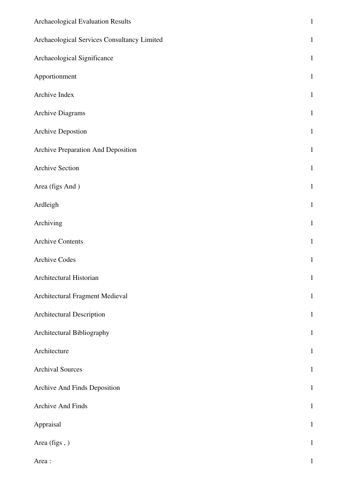| Archaeological Evaluation Results           | $\mathbf 1$  |
|---------------------------------------------|--------------|
| Archaeological Services Consultancy Limited | $\mathbf 1$  |
| Archaeological Significance                 | $\mathbf{1}$ |
| Apportionment                               | $\mathbf{1}$ |
| Archive Index                               | $\,1\,$      |
| Archive Diagrams                            | $\mathbf{1}$ |
| <b>Archive Depostion</b>                    | $\mathbf{1}$ |
| Archive Preparation And Deposition          | $\,1\,$      |
| <b>Archive Section</b>                      | $\mathbf{1}$ |
| Area (figs And)                             | $\mathbf{1}$ |
| Ardleigh                                    | $\mathbf{1}$ |
| Archiving                                   | $\mathbf{1}$ |
| <b>Archive Contents</b>                     | $\mathbf{1}$ |
| <b>Archive Codes</b>                        | $\mathbf{1}$ |
| Architectural Historian                     | $\mathbf{1}$ |
| Architectural Fragment Medieval             | $\mathbf{1}$ |
| Architectural Description                   | $\mathbf{1}$ |
| Architectural Bibliography                  | $\mathbf{1}$ |
| Architecture                                | $\mathbf{1}$ |
| <b>Archival Sources</b>                     | $\mathbf{1}$ |
| Archive And Finds Deposition                | $\mathbf{1}$ |
| <b>Archive And Finds</b>                    | $\mathbf{1}$ |
| Appraisal                                   | $\mathbf{1}$ |
| Area (figs,)                                | $\mathbf{1}$ |
| Area:                                       | $\mathbf{1}$ |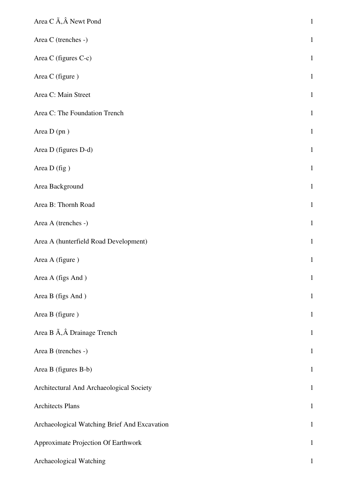| Area C $\tilde{A}$ , $\hat{A}$ Newt Pond       | $\mathbf 1$  |
|------------------------------------------------|--------------|
| Area C (trenches -)                            | $\mathbf{1}$ |
| Area C (figures C-c)                           | $\,1\,$      |
| Area C (figure)                                | $\,1\,$      |
| Area C: Main Street                            | $\,1\,$      |
| Area C: The Foundation Trench                  | $\,1\,$      |
| Area D (pn)                                    | $\mathbf 1$  |
| Area D (figures D-d)                           | $\,1\,$      |
| Area D (fig)                                   | $\mathbf 1$  |
| Area Background                                | $\mathbf{1}$ |
| Area B: Thornh Road                            | $\mathbf 1$  |
| Area A (trenches -)                            | $\mathbf{1}$ |
| Area A (hunterfield Road Development)          | $\mathbf 1$  |
| Area A (figure)                                | $\mathbf{1}$ |
| Area A (figs And)                              | $\mathbf{1}$ |
| Area B (figs And)                              | $\mathbf{1}$ |
| Area B (figure)                                | $\mathbf 1$  |
| Area B $\tilde{A}$ , $\hat{A}$ Drainage Trench | $\mathbf 1$  |
| Area B (trenches -)                            | $\mathbf{1}$ |
| Area B (figures B-b)                           | $\,1\,$      |
| Architectural And Archaeological Society       | $\,1\,$      |
| <b>Architects Plans</b>                        | $\mathbf 1$  |
| Archaeological Watching Brief And Excavation   | $\mathbf 1$  |
| Approximate Projection Of Earthwork            | $\mathbf{1}$ |
| Archaeological Watching                        | $\mathbf{1}$ |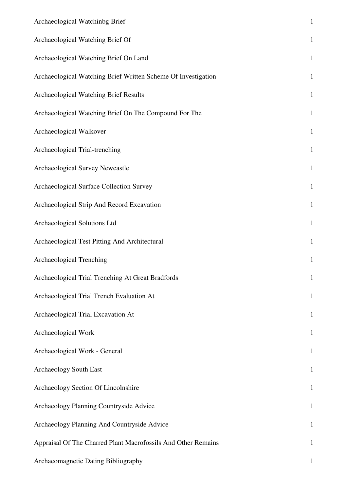| Archaeological Watchinbg Brief                                | $\,1\,$      |
|---------------------------------------------------------------|--------------|
| Archaeological Watching Brief Of                              | $\mathbf 1$  |
| Archaeological Watching Brief On Land                         | $\mathbf 1$  |
| Archaeological Watching Brief Written Scheme Of Investigation | $\mathbf{1}$ |
| Archaeological Watching Brief Results                         | $\mathbf{1}$ |
| Archaeological Watching Brief On The Compound For The         | $\mathbf{1}$ |
| Archaeological Walkover                                       | $\mathbf{1}$ |
| Archaeological Trial-trenching                                | $\mathbf{1}$ |
| Archaeological Survey Newcastle                               | $\mathbf 1$  |
| Archaeological Surface Collection Survey                      | $\mathbf{1}$ |
| Archaeological Strip And Record Excavation                    | $1\,$        |
| Archaeological Solutions Ltd                                  | $\mathbf{1}$ |
| Archaeological Test Pitting And Architectural                 | $\mathbf{1}$ |
| Archaeological Trenching                                      | $1\,$        |
| Archaeological Trial Trenching At Great Bradfords             | $\mathbf{1}$ |
| Archaeological Trial Trench Evaluation At                     | $\mathbf{1}$ |
| Archaeological Trial Excavation At                            | $\mathbf{1}$ |
| Archaeological Work                                           | $\mathbf{1}$ |
| Archaeological Work - General                                 | $\mathbf{1}$ |
| <b>Archaeology South East</b>                                 | $\mathbf{1}$ |
| Archaeology Section Of Lincolnshire                           | $\mathbf{1}$ |
| Archaeology Planning Countryside Advice                       | $\mathbf{1}$ |
| Archaeology Planning And Countryside Advice                   | $\mathbf{1}$ |
| Appraisal Of The Charred Plant Macrofossils And Other Remains | $\mathbf{1}$ |
| Archaeomagnetic Dating Bibliography                           | 1            |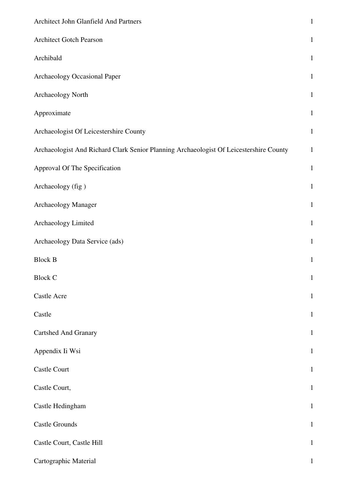| Architect John Glanfield And Partners                                                  | $\mathbf 1$  |
|----------------------------------------------------------------------------------------|--------------|
| Architect Gotch Pearson                                                                | $\mathbf 1$  |
| Archibald                                                                              | $\mathbf{1}$ |
| Archaeology Occasional Paper                                                           | $\mathbf{1}$ |
| Archaeology North                                                                      | $\mathbf 1$  |
| Approximate                                                                            | $\mathbf 1$  |
| Archaeologist Of Leicestershire County                                                 | $\mathbf{1}$ |
| Archaeologist And Richard Clark Senior Planning Archaeologist Of Leicestershire County | $\mathbf 1$  |
| Approval Of The Specification                                                          | $\mathbf{1}$ |
| Archaeology (fig)                                                                      | $\mathbf{1}$ |
| Archaeology Manager                                                                    | $\mathbf 1$  |
| Archaeology Limited                                                                    | $\mathbf{1}$ |
| Archaeology Data Service (ads)                                                         | $\mathbf{1}$ |
| <b>Block B</b>                                                                         | $\,1\,$      |
| <b>Block C</b>                                                                         | $\mathbf{1}$ |
| Castle Acre                                                                            | $\mathbf{1}$ |
| Castle                                                                                 | $\mathbf{1}$ |
| <b>Cartshed And Granary</b>                                                            | $\mathbf 1$  |
| Appendix Ii Wsi                                                                        | $\mathbf{1}$ |
| <b>Castle Court</b>                                                                    | $\mathbf{1}$ |
| Castle Court,                                                                          | $\mathbf{1}$ |
| Castle Hedingham                                                                       | $\mathbf 1$  |
| <b>Castle Grounds</b>                                                                  | $\mathbf 1$  |
| Castle Court, Castle Hill                                                              | $\mathbf{1}$ |
| Cartographic Material                                                                  | 1            |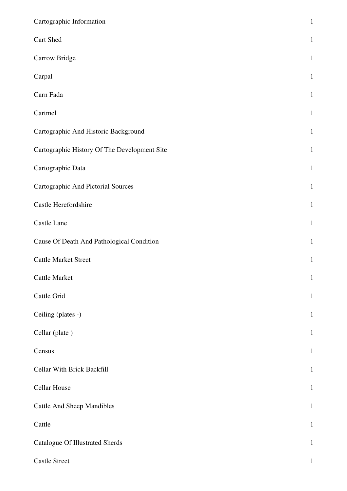| Cartographic Information                     | $\mathbf 1$  |
|----------------------------------------------|--------------|
| Cart Shed                                    | $\mathbf{1}$ |
| Carrow Bridge                                | $\mathbf{1}$ |
| Carpal                                       | $\mathbf{1}$ |
| Carn Fada                                    | $\mathbf{1}$ |
| Cartmel                                      | $\mathbf{1}$ |
| Cartographic And Historic Background         | $\mathbf{1}$ |
| Cartographic History Of The Development Site | $\mathbf{1}$ |
| Cartographic Data                            | $\mathbf{1}$ |
| Cartographic And Pictorial Sources           | $\mathbf{1}$ |
| Castle Herefordshire                         | $\mathbf{1}$ |
| Castle Lane                                  | $\mathbf{1}$ |
| Cause Of Death And Pathological Condition    | $\mathbf{1}$ |
| <b>Cattle Market Street</b>                  | $\mathbf{1}$ |
| <b>Cattle Market</b>                         | $\mathbf{1}$ |
| Cattle Grid                                  | $\mathbf{1}$ |
| Ceiling (plates -)                           | $\mathbf{1}$ |
| Cellar (plate)                               | $\mathbf{1}$ |
| Census                                       | $\mathbf{1}$ |
| Cellar With Brick Backfill                   | $\,1$        |
| <b>Cellar House</b>                          | $\mathbf{1}$ |
| <b>Cattle And Sheep Mandibles</b>            | $\mathbf{1}$ |
| Cattle                                       | $\mathbf{1}$ |
| <b>Catalogue Of Illustrated Sherds</b>       | $\mathbf{1}$ |
| <b>Castle Street</b>                         | $\mathbf{1}$ |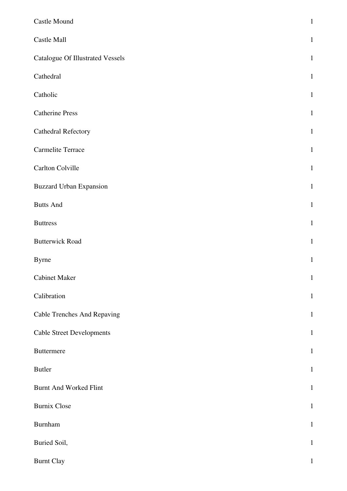| Castle Mound                            | $\,1$        |
|-----------------------------------------|--------------|
| Castle Mall                             | $\mathbf{1}$ |
| <b>Catalogue Of Illustrated Vessels</b> | $\mathbf{1}$ |
| Cathedral                               | $\mathbf{1}$ |
| Catholic                                | $\mathbf{1}$ |
| <b>Catherine Press</b>                  | $\mathbf{1}$ |
| <b>Cathedral Refectory</b>              | $\mathbf{1}$ |
| Carmelite Terrace                       | $\mathbf{1}$ |
| Carlton Colville                        | $\mathbf{1}$ |
| <b>Buzzard Urban Expansion</b>          | $\mathbf{1}$ |
| <b>Butts And</b>                        | $\mathbf{1}$ |
| <b>Buttress</b>                         | $\mathbf 1$  |
| <b>Butterwick Road</b>                  | $\mathbf{1}$ |
| <b>Byrne</b>                            | $\mathbf{1}$ |
| <b>Cabinet Maker</b>                    | $\mathbf 1$  |
| Calibration                             | $\,1\,$      |
| <b>Cable Trenches And Repaving</b>      | $\mathbf{1}$ |
| <b>Cable Street Developments</b>        | $\mathbf{1}$ |
| <b>Buttermere</b>                       | $\mathbf{1}$ |
| Butler                                  | $\mathbf{1}$ |
| <b>Burnt And Worked Flint</b>           | $\mathbf{1}$ |
| <b>Burnix Close</b>                     | $\mathbf{1}$ |
| Burnham                                 | $\mathbf{1}$ |
| Buried Soil,                            | $\mathbf{1}$ |
| <b>Burnt Clay</b>                       | $\mathbf{1}$ |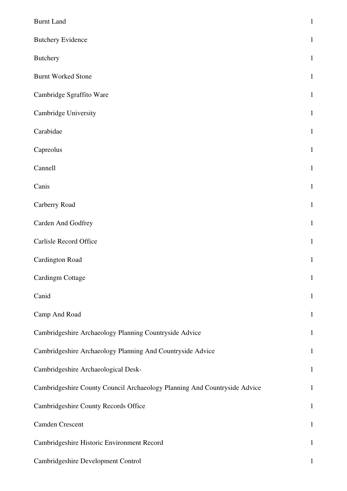| <b>Burnt Land</b>                                                         | $\mathbf{1}$ |
|---------------------------------------------------------------------------|--------------|
| <b>Butchery Evidence</b>                                                  | $\mathbf{1}$ |
| <b>Butchery</b>                                                           | $\mathbf{1}$ |
| <b>Burnt Worked Stone</b>                                                 | $\mathbf{1}$ |
| Cambridge Sgraffito Ware                                                  | $\mathbf{1}$ |
| Cambridge University                                                      | $\mathbf{1}$ |
| Carabidae                                                                 | $\mathbf{1}$ |
| Capreolus                                                                 | $\mathbf{1}$ |
| Cannell                                                                   | $\mathbf{1}$ |
| Canis                                                                     | $\mathbf{1}$ |
| Carberry Road                                                             | $\mathbf{1}$ |
| Carden And Godfrey                                                        | $\mathbf{1}$ |
| Carlisle Record Office                                                    | $\mathbf{1}$ |
| <b>Cardington Road</b>                                                    | $\mathbf{1}$ |
| <b>Cardingm Cottage</b>                                                   | $\mathbf 1$  |
| Canid                                                                     | $\mathbf{1}$ |
| Camp And Road                                                             | $\mathbf{1}$ |
| Cambridgeshire Archaeology Planning Countryside Advice                    | $\mathbf{1}$ |
| Cambridgeshire Archaeology Planning And Countryside Advice                | $\mathbf{1}$ |
| Cambridgeshire Archaeological Desk-                                       | $\mathbf{1}$ |
| Cambridgeshire County Council Archaeology Planning And Countryside Advice | $\mathbf{1}$ |
| Cambridgeshire County Records Office                                      | $\mathbf{1}$ |
| <b>Camden Crescent</b>                                                    | $\mathbf{1}$ |
| Cambridgeshire Historic Environment Record                                | $\mathbf{1}$ |
| Cambridgeshire Development Control                                        | $\mathbf{1}$ |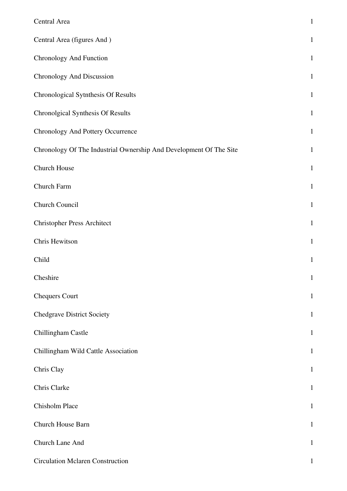| Central Area                                                       | $\mathbf 1$  |
|--------------------------------------------------------------------|--------------|
| Central Area (figures And)                                         | $\mathbf{1}$ |
| Chronology And Function                                            | $\mathbf{1}$ |
| Chronology And Discussion                                          | $\mathbf{1}$ |
| Chronological Sytnthesis Of Results                                | $\mathbf{1}$ |
| Chronolgical Synthesis Of Results                                  | $\mathbf{1}$ |
| Chronology And Pottery Occurrence                                  | $1\,$        |
| Chronology Of The Industrial Ownership And Development Of The Site | $\mathbf{1}$ |
| Church House                                                       | $\mathbf{1}$ |
| Church Farm                                                        | $\mathbf 1$  |
| Church Council                                                     | $\mathbf{1}$ |
| <b>Christopher Press Architect</b>                                 | $\mathbf 1$  |
| Chris Hewitson                                                     | $\mathbf 1$  |
| Child                                                              | $\mathbf{1}$ |
| Cheshire                                                           | $\mathbf{1}$ |
| <b>Chequers Court</b>                                              | $\mathbf{1}$ |
| <b>Chedgrave District Society</b>                                  | $\mathbf{1}$ |
| Chillingham Castle                                                 | $\mathbf{1}$ |
| Chillingham Wild Cattle Association                                | $\mathbf{1}$ |
| Chris Clay                                                         | $\mathbf{1}$ |
| Chris Clarke                                                       | $\mathbf 1$  |
| Chisholm Place                                                     | $\mathbf{1}$ |
| Church House Barn                                                  | $\mathbf{1}$ |
| Church Lane And                                                    | $\mathbf{1}$ |
| <b>Circulation Mclaren Construction</b>                            | $\mathbf{1}$ |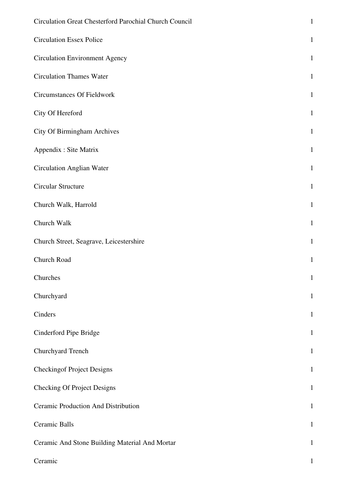| Circulation Great Chesterford Parochial Church Council | $\mathbf{1}$ |
|--------------------------------------------------------|--------------|
| <b>Circulation Essex Police</b>                        | $\mathbf{1}$ |
| <b>Circulation Environment Agency</b>                  | $\mathbf{1}$ |
| <b>Circulation Thames Water</b>                        | $\mathbf{1}$ |
| <b>Circumstances Of Fieldwork</b>                      | $\mathbf{1}$ |
| City Of Hereford                                       | $\mathbf{1}$ |
| <b>City Of Birmingham Archives</b>                     | $\mathbf{1}$ |
| Appendix : Site Matrix                                 | $\mathbf{1}$ |
| <b>Circulation Anglian Water</b>                       | $\mathbf{1}$ |
| Circular Structure                                     | $\mathbf{1}$ |
| Church Walk, Harrold                                   | $\mathbf{1}$ |
| Church Walk                                            | $\mathbf{1}$ |
| Church Street, Seagrave, Leicestershire                | $\mathbf{1}$ |
| Church Road                                            | $\mathbf{1}$ |
| Churches                                               | $\mathbf{1}$ |
| Churchyard                                             | $\mathbf{1}$ |
| Cinders                                                | $\mathbf{1}$ |
| Cinderford Pipe Bridge                                 | $\mathbf{1}$ |
| Churchyard Trench                                      | $\mathbf{1}$ |
| <b>Checkingof Project Designs</b>                      | $\mathbf{1}$ |
| <b>Checking Of Project Designs</b>                     | $\mathbf{1}$ |
| Ceramic Production And Distribution                    | $\mathbf{1}$ |
| Ceramic Balls                                          | $\mathbf{1}$ |
| Ceramic And Stone Building Material And Mortar         | $\mathbf{1}$ |
| Ceramic                                                | $\mathbf 1$  |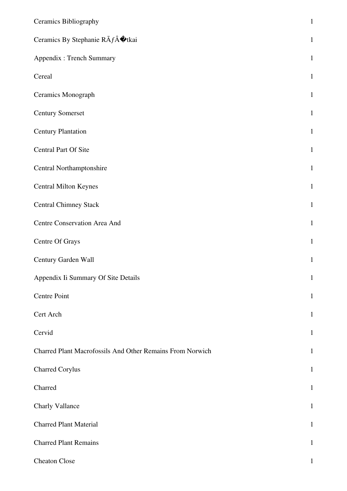| <b>Ceramics Bibliography</b>                              | $\,1\,$      |
|-----------------------------------------------------------|--------------|
| Ceramics By Stephanie RÃfÂ $\hat{\mathbf{\Phi}}$ tkai     | $\mathbf{1}$ |
| Appendix : Trench Summary                                 | $\mathbf{1}$ |
| Cereal                                                    | $\mathbf 1$  |
| Ceramics Monograph                                        | $\mathbf{1}$ |
| <b>Century Somerset</b>                                   | $\mathbf{1}$ |
| <b>Century Plantation</b>                                 | $\,1\,$      |
| Central Part Of Site                                      | $\mathbf{1}$ |
| Central Northamptonshire                                  | $\mathbf{1}$ |
| <b>Central Milton Keynes</b>                              | $\mathbf 1$  |
| <b>Central Chimney Stack</b>                              | $\mathbf{1}$ |
| Centre Conservation Area And                              | $\,1\,$      |
| Centre Of Grays                                           | $\mathbf{1}$ |
| Century Garden Wall                                       | $\mathbf{1}$ |
| Appendix Ii Summary Of Site Details                       | $\mathbf{1}$ |
| Centre Point                                              | $\mathbf{1}$ |
| Cert Arch                                                 | $\mathbf{1}$ |
| Cervid                                                    | $\mathbf{1}$ |
| Charred Plant Macrofossils And Other Remains From Norwich | $\mathbf{1}$ |
| <b>Charred Corylus</b>                                    | $\mathbf{1}$ |
| Charred                                                   | $\mathbf{1}$ |
| Charly Vallance                                           | $\mathbf{1}$ |
| <b>Charred Plant Material</b>                             | $\mathbf{1}$ |
| <b>Charred Plant Remains</b>                              | $\mathbf{1}$ |
| <b>Cheaton Close</b>                                      | 1            |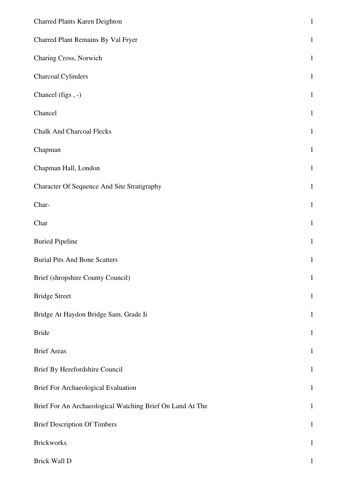| Charred Plants Karen Deighton                             | $\mathbf 1$  |
|-----------------------------------------------------------|--------------|
| Charred Plant Remains By Val Fryer                        | $\mathbf{1}$ |
| Charing Cross, Norwich                                    | $\mathbf{1}$ |
| Charcoal Cylinders                                        | $\mathbf{1}$ |
| Chancel (figs, -)                                         | $\mathbf{1}$ |
| Chancel                                                   | $\mathbf{1}$ |
| <b>Chalk And Charcoal Flecks</b>                          | $\mathbf{1}$ |
| Chapman                                                   | $\mathbf{1}$ |
| Chapman Hall, London                                      | $\mathbf{1}$ |
| Character Of Sequence And Site Stratigraphy               | $\mathbf{1}$ |
| Char-                                                     | $\mathbf{1}$ |
| Char                                                      | $\mathbf{1}$ |
| <b>Buried Pipeline</b>                                    | $\mathbf{1}$ |
| <b>Burial Pits And Bone Scatters</b>                      | $\mathbf{1}$ |
| Brief (shropshire County Council)                         | $\mathbf{1}$ |
| <b>Bridge Street</b>                                      | $\mathbf{1}$ |
| Bridge At Haydon Bridge Sam, Grade Ii                     | $\mathbf{1}$ |
| <b>Bride</b>                                              | $\mathbf{1}$ |
| <b>Brief Areas</b>                                        | $\mathbf{1}$ |
| Brief By Herefordshire Council                            | $\mathbf{1}$ |
| Brief For Archaeological Evaluation                       | $\mathbf{1}$ |
| Brief For An Archaeological Watching Brief On Land At The | $\mathbf{1}$ |
| <b>Brief Description Of Timbers</b>                       | $\mathbf{1}$ |
| <b>Brickworks</b>                                         | $\mathbf{1}$ |
| Brick Wall D                                              | $\mathbf{1}$ |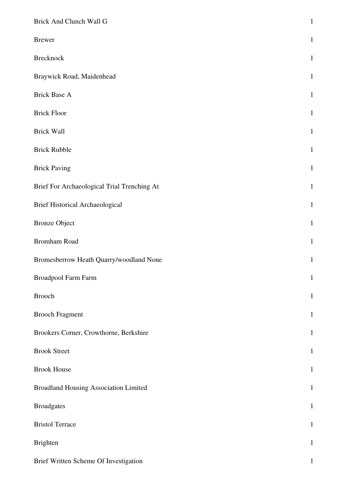| Brick And Clunch Wall G                      | $\,1$        |
|----------------------------------------------|--------------|
| <b>Brewer</b>                                | $\mathbf{1}$ |
| <b>Brecknock</b>                             | $\mathbf{1}$ |
| Braywick Road, Maidenhead                    | $\mathbf{1}$ |
| <b>Brick Base A</b>                          | $\mathbf{1}$ |
| <b>Brick Floor</b>                           | $\mathbf{1}$ |
| <b>Brick Wall</b>                            | $\mathbf{1}$ |
| <b>Brick Rubble</b>                          | $\mathbf{1}$ |
| <b>Brick Paving</b>                          | $\mathbf{1}$ |
| Brief For Archaeological Trial Trenching At  | $\mathbf{1}$ |
| <b>Brief Historical Archaeological</b>       | $\mathbf{1}$ |
| <b>Bronze Object</b>                         | $\mathbf{1}$ |
| Bromham Road                                 | $\mathbf{1}$ |
| Bromesberrow Heath Quarry/woodland None      | $\mathbf{1}$ |
| <b>Broadpool Farm Farm</b>                   | $\mathbf{1}$ |
| <b>Brooch</b>                                | $\mathbf{1}$ |
| <b>Brooch Fragment</b>                       | $\mathbf{1}$ |
| Brookers Corner, Crowthorne, Berkshire       | $\mathbf{1}$ |
| <b>Brook Street</b>                          | $\mathbf{1}$ |
| <b>Brook House</b>                           | $\mathbf{1}$ |
| <b>Broadland Housing Association Limited</b> | $\mathbf{1}$ |
| <b>Broadgates</b>                            | $\mathbf{1}$ |
| <b>Bristol Terrace</b>                       | $\mathbf{1}$ |
| <b>Brighten</b>                              | $\mathbf{1}$ |
| Brief Written Scheme Of Investigation        | $\mathbf{1}$ |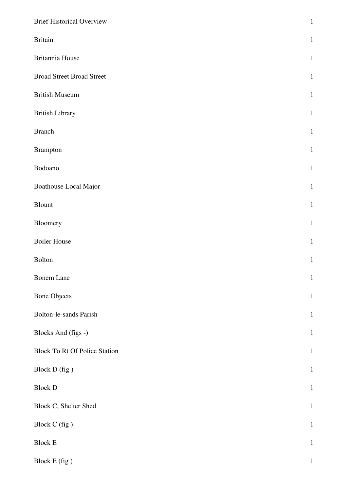| <b>Brief Historical Overview</b>     | $\,1$        |
|--------------------------------------|--------------|
| <b>Britain</b>                       | $\mathbf{1}$ |
| Britannia House                      | $\mathbf{1}$ |
| <b>Broad Street Broad Street</b>     | $\mathbf{1}$ |
| <b>British Museum</b>                | $\mathbf{1}$ |
| <b>British Library</b>               | $\mathbf{1}$ |
| <b>Branch</b>                        | $\mathbf{1}$ |
| <b>Brampton</b>                      | $\mathbf{1}$ |
| Bodoano                              | $\mathbf 1$  |
| Boathouse Local Major                | $\mathbf{1}$ |
| Blount                               | $\mathbf{1}$ |
| Bloomery                             | $\mathbf{1}$ |
| <b>Boiler House</b>                  | $\mathbf{1}$ |
| Bolton                               | $\mathbf{1}$ |
| Bonem Lane                           | $\mathbf{1}$ |
| <b>Bone Objects</b>                  | $\mathbf{1}$ |
| Bolton-le-sands Parish               | $\,1\,$      |
| Blocks And (figs -)                  | $\mathbf{1}$ |
| <b>Block To Rt Of Police Station</b> | $\mathbf{1}$ |
| Block D (fig )                       | $\mathbf 1$  |
| <b>Block D</b>                       | $\,1\,$      |
| Block C, Shelter Shed                | $\mathbf{1}$ |
| Block C (fig)                        | $\,1\,$      |
| <b>Block E</b>                       | $\,1\,$      |
| Block E (fig)                        | $\,1$        |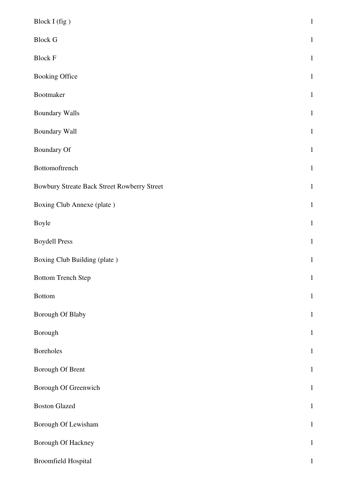| Block I (fig)                               | $\mathbf{1}$ |
|---------------------------------------------|--------------|
| <b>Block G</b>                              | $\mathbf{1}$ |
| <b>Block F</b>                              | $\mathbf{1}$ |
| <b>Booking Office</b>                       | $\mathbf{1}$ |
| Bootmaker                                   | $\mathbf{1}$ |
| <b>Boundary Walls</b>                       | $\mathbf{1}$ |
| Boundary Wall                               | $\mathbf{1}$ |
| <b>Boundary Of</b>                          | $\mathbf{1}$ |
| Bottomoftrench                              | $\mathbf{1}$ |
| Bowbury Streate Back Street Rowberry Street | $\mathbf{1}$ |
| Boxing Club Annexe (plate)                  | $\mathbf{1}$ |
| Boyle                                       | $\mathbf{1}$ |
| <b>Boydell Press</b>                        | $\mathbf{1}$ |
| Boxing Club Building (plate)                | $\mathbf{1}$ |
| <b>Bottom Trench Step</b>                   | $\mathbf{1}$ |
| <b>Bottom</b>                               | $\mathbf{1}$ |
| Borough Of Blaby                            | $\mathbf{1}$ |
| Borough                                     | $\mathbf{1}$ |
| <b>Boreholes</b>                            | $\mathbf{1}$ |
| Borough Of Brent                            | $\mathbf{1}$ |
| Borough Of Greenwich                        | $\mathbf{1}$ |
| <b>Boston Glazed</b>                        | $\mathbf{1}$ |
| Borough Of Lewisham                         | $\mathbf{1}$ |
| Borough Of Hackney                          | $\mathbf{1}$ |
| Broomfield Hospital                         | $\mathbf{1}$ |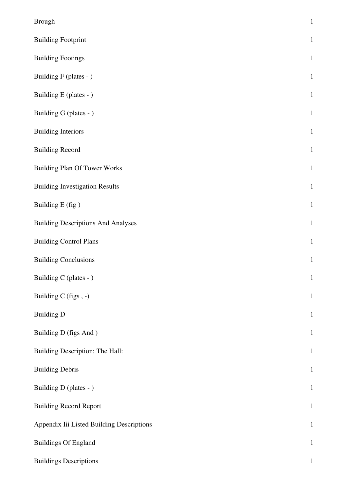| <b>Brough</b>                             | $\mathbf{1}$ |
|-------------------------------------------|--------------|
| <b>Building Footprint</b>                 | $\mathbf{1}$ |
| <b>Building Footings</b>                  | $\mathbf{1}$ |
| Building F (plates - )                    | $\mathbf{1}$ |
| Building E (plates - )                    | $\mathbf{1}$ |
| Building G (plates - )                    | $\mathbf{1}$ |
| <b>Building Interiors</b>                 | $\mathbf{1}$ |
| <b>Building Record</b>                    | $\mathbf{1}$ |
| <b>Building Plan Of Tower Works</b>       | $\mathbf{1}$ |
| <b>Building Investigation Results</b>     | $\mathbf{1}$ |
| Building E (fig)                          | $\,1\,$      |
| <b>Building Descriptions And Analyses</b> | $\mathbf{1}$ |
| <b>Building Control Plans</b>             | $\mathbf{1}$ |
| <b>Building Conclusions</b>               | $\,1\,$      |
| Building C (plates - )                    | $\mathbf{1}$ |
| Building C (figs, -)                      | $\,1\,$      |
| <b>Building D</b>                         | $\mathbf{1}$ |
| Building D (figs And)                     | $\mathbf{1}$ |
| Building Description: The Hall:           | $\,1\,$      |
| <b>Building Debris</b>                    | $\mathbf{1}$ |
| Building D (plates - )                    | $1\,$        |
| <b>Building Record Report</b>             | $\mathbf{1}$ |
| Appendix Iii Listed Building Descriptions | $\mathbf{1}$ |
| <b>Buildings Of England</b>               | $\,1\,$      |
| <b>Buildings Descriptions</b>             | $\mathbf{1}$ |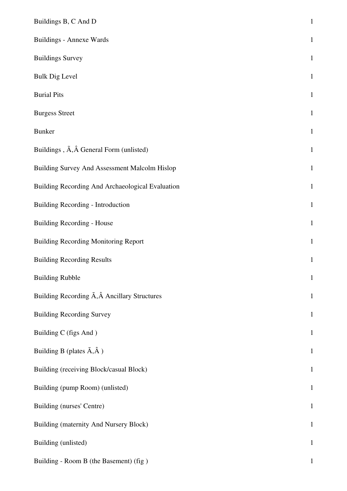| Buildings B, C And D                                       | $\,1\,$      |
|------------------------------------------------------------|--------------|
| <b>Buildings - Annexe Wards</b>                            | $\mathbf{1}$ |
| <b>Buildings Survey</b>                                    | $\mathbf{1}$ |
| <b>Bulk Dig Level</b>                                      | $\mathbf{1}$ |
| <b>Burial Pits</b>                                         | $\mathbf{1}$ |
| <b>Burgess Street</b>                                      | $\mathbf{1}$ |
| <b>Bunker</b>                                              | $\mathbf{1}$ |
| Buildings, $\tilde{A}$ , $\hat{A}$ General Form (unlisted) | $\mathbf{1}$ |
| Building Survey And Assessment Malcolm Hislop              | $\mathbf{1}$ |
| Building Recording And Archaeological Evaluation           | $\mathbf{1}$ |
| Building Recording - Introduction                          | $\mathbf{1}$ |
| <b>Building Recording - House</b>                          | $\mathbf{1}$ |
| <b>Building Recording Monitoring Report</b>                | $\mathbf{1}$ |
| <b>Building Recording Results</b>                          | $\mathbf{1}$ |
| <b>Building Rubble</b>                                     | $\mathbf{1}$ |
| Building Recording A, Â Ancillary Structures               | $\mathbf{1}$ |
| <b>Building Recording Survey</b>                           | $\mathbf{1}$ |
| Building C (figs And)                                      | $\mathbf{1}$ |
| Building B (plates $\tilde{A}, \hat{A}$ )                  | $\mathbf{1}$ |
| Building (receiving Block/casual Block)                    | $\mathbf{1}$ |
| Building (pump Room) (unlisted)                            | $\mathbf{1}$ |
| Building (nurses' Centre)                                  | $\mathbf{1}$ |
| Building (maternity And Nursery Block)                     | $\mathbf{1}$ |
| Building (unlisted)                                        | $\mathbf{1}$ |
| Building - Room B (the Basement) (fig)                     | $\mathbf{1}$ |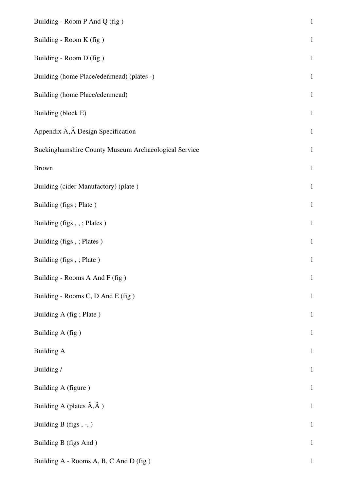| Building - Room P And Q (fig)                        | $\mathbf 1$  |
|------------------------------------------------------|--------------|
| Building - Room K (fig)                              | $\mathbf 1$  |
| Building - Room D (fig)                              | $\mathbf 1$  |
| Building (home Place/edenmead) (plates -)            | $\mathbf{1}$ |
| Building (home Place/edenmead)                       | $\,1\,$      |
| Building (block E)                                   | $\,1\,$      |
| Appendix A, A Design Specification                   | $\mathbf{1}$ |
| Buckinghamshire County Museum Archaeological Service | $1\,$        |
| <b>Brown</b>                                         | $\mathbf 1$  |
| Building (cider Manufactory) (plate)                 | $\,1\,$      |
| Building (figs; Plate)                               | $1\,$        |
| Building (figs,,; Plates)                            | $\mathbf{1}$ |
| Building (figs, ; Plates)                            | $1\,$        |
| Building (figs, ; Plate)                             | $\,1\,$      |
| Building - Rooms A And F (fig)                       | $\mathbf 1$  |
| Building - Rooms C, D And E (fig)                    | $\mathbf{1}$ |
| Building A (fig; Plate)                              | $\mathbf 1$  |
| Building A (fig)                                     | $\mathbf 1$  |
| <b>Building A</b>                                    | $\mathbf 1$  |
| Building /                                           | $\,1\,$      |
| Building A (figure)                                  | $\mathbf{1}$ |
| Building A (plates $\tilde{A}, \hat{A}$ )            | $\mathbf 1$  |
| Building B (figs, -, )                               | $\mathbf 1$  |
| Building B (figs And)                                | $\mathbf{1}$ |
| Building A - Rooms A, B, C And D (fig)               | $\mathbf{1}$ |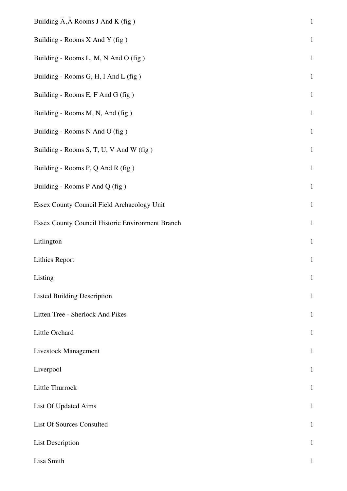| Building $\tilde{A}$ , $\hat{A}$ Rooms J And K (fig) | $\mathbf 1$  |
|------------------------------------------------------|--------------|
| Building - Rooms X And Y (fig)                       | $\mathbf{1}$ |
| Building - Rooms L, M, N And O (fig)                 | $\mathbf{1}$ |
| Building - Rooms G, H, I And L (fig)                 | $\mathbf 1$  |
| Building - Rooms E, F And G (fig)                    | $\,1\,$      |
| Building - Rooms M, N, And (fig)                     | $1\,$        |
| Building - Rooms N And O (fig)                       | $\mathbf{1}$ |
| Building - Rooms S, T, U, V And W (fig)              | $\mathbf 1$  |
| Building - Rooms P, Q And R (fig)                    | $\mathbf 1$  |
| Building - Rooms P And Q (fig)                       | $\mathbf{1}$ |
| Essex County Council Field Archaeology Unit          | $\,1\,$      |
| Essex County Council Historic Environment Branch     | $\mathbf{1}$ |
| Litlington                                           | $\mathbf{1}$ |
| Lithics Report                                       | $\mathbf 1$  |
| Listing                                              | $\mathbf{1}$ |
| <b>Listed Building Description</b>                   | $\mathbf{1}$ |
| Litten Tree - Sherlock And Pikes                     | $\mathbf{1}$ |
| Little Orchard                                       | $\mathbf{1}$ |
| <b>Livestock Management</b>                          | $\mathbf{1}$ |
| Liverpool                                            | $\mathbf{1}$ |
| Little Thurrock                                      | $\mathbf{1}$ |
| List Of Updated Aims                                 | $\mathbf{1}$ |
| <b>List Of Sources Consulted</b>                     | $\mathbf{1}$ |
| <b>List Description</b>                              | $\mathbf{1}$ |
| Lisa Smith                                           | $\mathbf{1}$ |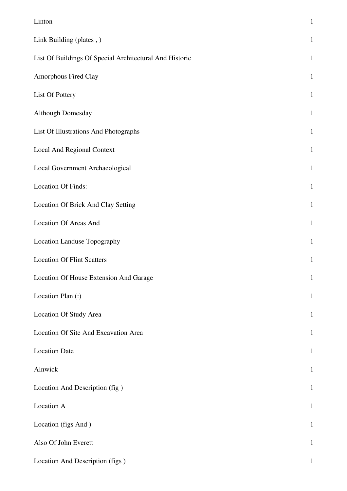| Linton                                                  | $\mathbf 1$  |
|---------------------------------------------------------|--------------|
| Link Building (plates, )                                | $\mathbf{1}$ |
| List Of Buildings Of Special Architectural And Historic | $\mathbf{1}$ |
| Amorphous Fired Clay                                    | $\mathbf{1}$ |
| List Of Pottery                                         | $\mathbf{1}$ |
| <b>Although Domesday</b>                                | $\mathbf{1}$ |
| List Of Illustrations And Photographs                   | $\mathbf{1}$ |
| Local And Regional Context                              | $\mathbf{1}$ |
| Local Government Archaeological                         | $\mathbf 1$  |
| <b>Location Of Finds:</b>                               | $\mathbf{1}$ |
| Location Of Brick And Clay Setting                      | $\mathbf{1}$ |
| Location Of Areas And                                   | $\mathbf{1}$ |
| Location Landuse Topography                             | $\mathbf{1}$ |
| <b>Location Of Flint Scatters</b>                       | $\mathbf{1}$ |
| Location Of House Extension And Garage                  | $\mathbf{1}$ |
| Location Plan (:)                                       | $\mathbf{1}$ |
| Location Of Study Area                                  | $\mathbf{1}$ |
| Location Of Site And Excavation Area                    | $\mathbf 1$  |
| <b>Location Date</b>                                    | $\mathbf{1}$ |
| Alnwick                                                 | $\mathbf{1}$ |
| Location And Description (fig)                          | $\mathbf{1}$ |
| Location A                                              | $\mathbf{1}$ |
| Location (figs And)                                     | $\mathbf{1}$ |
| Also Of John Everett                                    | $\mathbf{1}$ |
| Location And Description (figs)                         | $\mathbf{1}$ |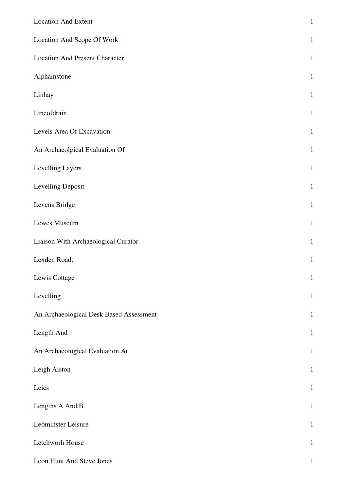| <b>Location And Extent</b>              | $\mathbf{1}$ |
|-----------------------------------------|--------------|
| Location And Scope Of Work              | $\mathbf{1}$ |
| <b>Location And Present Character</b>   | $\mathbf{1}$ |
| Alphamstone                             | $\mathbf{1}$ |
| Linhay                                  | $\mathbf{1}$ |
| Lineofdrain                             | $\mathbf{1}$ |
| Levels Area Of Excavation               | $\mathbf{1}$ |
| An Archaeolgical Evaluation Of          | $\mathbf{1}$ |
| Levelling Layers                        | $\mathbf{1}$ |
| Levelling Deposit                       | $\mathbf{1}$ |
| Levens Bridge                           | $\mathbf{1}$ |
| Lewes Museum                            | $\mathbf{1}$ |
| Liaison With Archaeological Curator     | $\mathbf{1}$ |
| Lexden Road,                            | $\mathbf{1}$ |
| Lewis Cottage                           | $\mathbf{1}$ |
| Levelling                               | $\mathbf{1}$ |
| An Archaeological Desk Based Assessment | $\mathbf{1}$ |
| Length And                              | $\mathbf{1}$ |
| An Archaeological Evaluation At         | $\mathbf{1}$ |
| Leigh Alston                            | $\mathbf{1}$ |
| Leics                                   | $\mathbf{1}$ |
| Lengths A And B                         | $\mathbf{1}$ |
| Leominster Leisure                      | $\mathbf{1}$ |
| Letchworh House                         | $\mathbf{1}$ |
| Leon Hunt And Steve Jones               | $\mathbf{1}$ |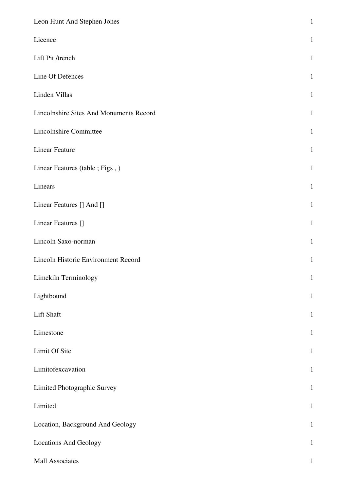| Leon Hunt And Stephen Jones             | $\mathbf 1$  |
|-----------------------------------------|--------------|
| Licence                                 | $\mathbf{1}$ |
| Lift Pit /trench                        | $\mathbf{1}$ |
| Line Of Defences                        | $\mathbf{1}$ |
| Linden Villas                           | $\mathbf{1}$ |
| Lincolnshire Sites And Monuments Record | $\mathbf{1}$ |
| Lincolnshire Committee                  | $\mathbf{1}$ |
| <b>Linear Feature</b>                   | $\mathbf{1}$ |
| Linear Features (table ; Figs, )        | $\mathbf{1}$ |
| Linears                                 | $\mathbf{1}$ |
| Linear Features [] And []               | $\mathbf{1}$ |
| Linear Features []                      | $\mathbf{1}$ |
| Lincoln Saxo-norman                     | $\mathbf{1}$ |
| Lincoln Historic Environment Record     | $\mathbf{1}$ |
| Limekiln Terminology                    | $\mathbf{1}$ |
| Lightbound                              | $\mathbf{1}$ |
| Lift Shaft                              | $\mathbf{1}$ |
| Limestone                               | $\mathbf{1}$ |
| Limit Of Site                           | $\mathbf{1}$ |
| Limitofexcavation                       | $\mathbf{1}$ |
| Limited Photographic Survey             | $\mathbf{1}$ |
| Limited                                 | $\mathbf{1}$ |
| Location, Background And Geology        | $\mathbf{1}$ |
| <b>Locations And Geology</b>            | $\mathbf{1}$ |
| Mall Associates                         | 1            |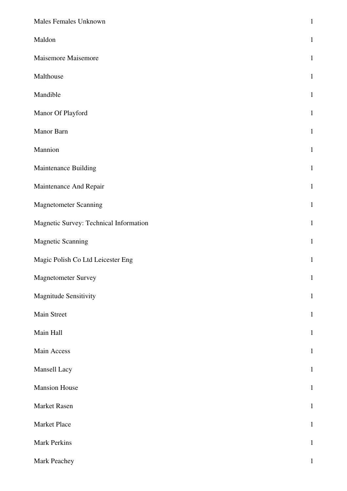| Males Females Unknown                  | $\,1$        |
|----------------------------------------|--------------|
| Maldon                                 | $\mathbf{1}$ |
| Maisemore Maisemore                    | $\mathbf{1}$ |
| Malthouse                              | $\mathbf{1}$ |
| Mandible                               | $\mathbf{1}$ |
| Manor Of Playford                      | $\mathbf{1}$ |
| Manor Barn                             | $\mathbf{1}$ |
| Mannion                                | $\mathbf{1}$ |
| Maintenance Building                   | $\mathbf{1}$ |
| Maintenance And Repair                 | $\mathbf{1}$ |
| <b>Magnetometer Scanning</b>           | $\mathbf{1}$ |
| Magnetic Survey: Technical Information | $\mathbf{1}$ |
| <b>Magnetic Scanning</b>               | $\mathbf{1}$ |
| Magic Polish Co Ltd Leicester Eng      | $\mathbf{1}$ |
| <b>Magnetometer Survey</b>             | $\mathbf{1}$ |
| Magnitude Sensitivity                  | $\mathbf{1}$ |
| Main Street                            | $\mathbf{1}$ |
| Main Hall                              | $\mathbf{1}$ |
| Main Access                            | $\mathbf{1}$ |
| Mansell Lacy                           | $\mathbf{1}$ |
| <b>Mansion House</b>                   | $\,1$        |
| Market Rasen                           | $\mathbf{1}$ |
| Market Place                           | $\,1$        |
| <b>Mark Perkins</b>                    | $\mathbf 1$  |
| Mark Peachey                           | $\mathbf{1}$ |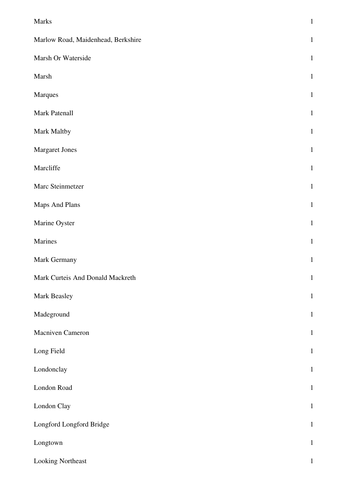| Marks                              | $\,1$        |
|------------------------------------|--------------|
| Marlow Road, Maidenhead, Berkshire | $\mathbf{1}$ |
| Marsh Or Waterside                 | $\mathbf{1}$ |
| Marsh                              | $\mathbf{1}$ |
| Marques                            | $\mathbf{1}$ |
| Mark Patenall                      | $\mathbf{1}$ |
| Mark Maltby                        | $\mathbf{1}$ |
| Margaret Jones                     | $\mathbf{1}$ |
| Marcliffe                          | $\mathbf{1}$ |
| Marc Steinmetzer                   | $\mathbf{1}$ |
| Maps And Plans                     | $\mathbf{1}$ |
| Marine Oyster                      | $\mathbf{1}$ |
| Marines                            | $\mathbf{1}$ |
| Mark Germany                       | $\mathbf{1}$ |
| Mark Curteis And Donald Mackreth   | $\mathbf{1}$ |
| Mark Beasley                       | $\mathbf{1}$ |
| Madeground                         | $\mathbf{1}$ |
| Macniven Cameron                   | $\mathbf{1}$ |
| Long Field                         | $\mathbf{1}$ |
| Londonclay                         | $\mathbf{1}$ |
| London Road                        | $\mathbf{1}$ |
| London Clay                        | $\mathbf{1}$ |
| Longford Longford Bridge           | $\mathbf{1}$ |
| Longtown                           | $\mathbf{1}$ |
| Looking Northeast                  | $\,1$        |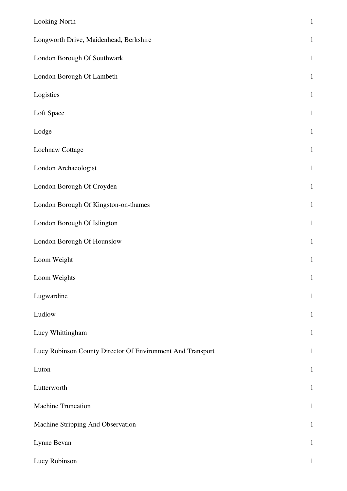| Looking North                                              | $\mathbf 1$  |
|------------------------------------------------------------|--------------|
| Longworth Drive, Maidenhead, Berkshire                     | $\mathbf 1$  |
| London Borough Of Southwark                                | $\mathbf{1}$ |
| London Borough Of Lambeth                                  | $\mathbf{1}$ |
| Logistics                                                  | $\mathbf{1}$ |
| Loft Space                                                 | $1\,$        |
| Lodge                                                      | $\mathbf{1}$ |
| Lochnaw Cottage                                            | $\mathbf{1}$ |
| London Archaeologist                                       | $\mathbf{1}$ |
| London Borough Of Croyden                                  | $\mathbf{1}$ |
| London Borough Of Kingston-on-thames                       | $\mathbf{1}$ |
| London Borough Of Islington                                | $\mathbf{1}$ |
| London Borough Of Hounslow                                 | $\mathbf{1}$ |
| Loom Weight                                                | $\mathbf{1}$ |
| Loom Weights                                               | $\mathbf{1}$ |
| Lugwardine                                                 | $\mathbf{1}$ |
| Ludlow                                                     | $\mathbf{1}$ |
| Lucy Whittingham                                           | $\mathbf{1}$ |
| Lucy Robinson County Director Of Environment And Transport | $\mathbf{1}$ |
| Luton                                                      | $\mathbf{1}$ |
| Lutterworth                                                | $\mathbf{1}$ |
| <b>Machine Truncation</b>                                  | $\mathbf{1}$ |
| Machine Stripping And Observation                          | $\mathbf{1}$ |
| Lynne Bevan                                                | $\mathbf{1}$ |
| Lucy Robinson                                              | 1            |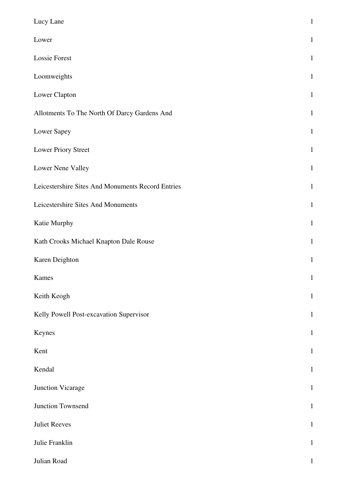| Lucy Lane                                         | $\mathbf{1}$ |
|---------------------------------------------------|--------------|
|                                                   |              |
| Lower                                             | $\mathbf{1}$ |
| <b>Lossie Forest</b>                              | $\mathbf{1}$ |
| Loomweights                                       | $\mathbf{1}$ |
| Lower Clapton                                     | $\mathbf{1}$ |
| Allotments To The North Of Darcy Gardens And      | $\mathbf{1}$ |
| Lower Sapey                                       | $\mathbf{1}$ |
| Lower Priory Street                               | $\mathbf{1}$ |
| Lower Nene Valley                                 | $\mathbf{1}$ |
| Leicestershire Sites And Monuments Record Entries | $\mathbf{1}$ |
| Leicestershire Sites And Monuments                | $\mathbf{1}$ |
| Katie Murphy                                      | $\mathbf{1}$ |
| Kath Crooks Michael Knapton Dale Rouse            | $\mathbf{1}$ |
| Karen Deighton                                    | $\mathbf{1}$ |
| Kames                                             | $\mathbf 1$  |
| Keith Keogh                                       | $\mathbf{1}$ |
| Kelly Powell Post-excavation Supervisor           | $\mathbf{1}$ |
| Keynes                                            | $\,1$        |
| Kent                                              | $\mathbf{1}$ |
| Kendal                                            | $\mathbf{1}$ |
| Junction Vicarage                                 | $\mathbf 1$  |
| Junction Townsend                                 | $\mathbf{1}$ |
| <b>Juliet Reeves</b>                              | $\,1$        |
| Julie Franklin                                    | $\mathbf{1}$ |
| Julian Road                                       | $\mathbf{1}$ |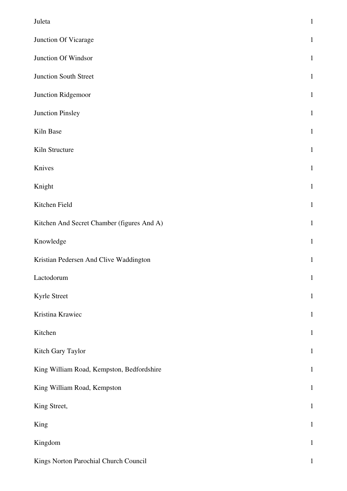| Juleta                                     | $\mathbf 1$  |
|--------------------------------------------|--------------|
| Junction Of Vicarage                       | $\mathbf{1}$ |
| Junction Of Windsor                        | $\mathbf{1}$ |
| Junction South Street                      | $\mathbf{1}$ |
| Junction Ridgemoor                         | $\mathbf{1}$ |
| Junction Pinsley                           | $\mathbf{1}$ |
| Kiln Base                                  | $\mathbf{1}$ |
| Kiln Structure                             | $\mathbf{1}$ |
| Knives                                     | $\mathbf{1}$ |
| Knight                                     | $\mathbf{1}$ |
| Kitchen Field                              | $\mathbf{1}$ |
| Kitchen And Secret Chamber (figures And A) | $\mathbf{1}$ |
| Knowledge                                  | $\mathbf{1}$ |
| Kristian Pedersen And Clive Waddington     | $\mathbf{1}$ |
| Lactodorum                                 | $\mathbf{1}$ |
| Kyrle Street                               | $\mathbf{1}$ |
| Kristina Krawiec                           | $\mathbf{1}$ |
| Kitchen                                    | $\mathbf{1}$ |
| Kitch Gary Taylor                          | $\mathbf{1}$ |
| King William Road, Kempston, Bedfordshire  | $\mathbf{1}$ |
| King William Road, Kempston                | $\mathbf{1}$ |
| King Street,                               | $\mathbf{1}$ |
| King                                       | $\,1\,$      |
| Kingdom                                    | $\mathbf{1}$ |
| Kings Norton Parochial Church Council      | $\mathbf{1}$ |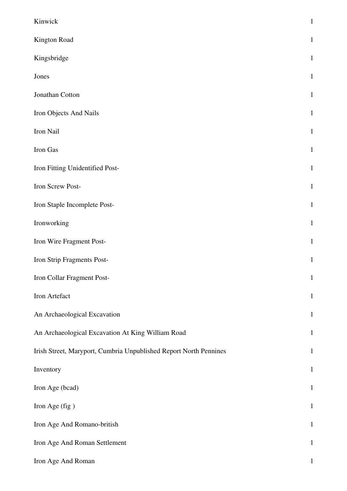| Kinwick                                                           | $\mathbf{1}$ |
|-------------------------------------------------------------------|--------------|
| Kington Road                                                      | $\mathbf{1}$ |
| Kingsbridge                                                       | $\mathbf{1}$ |
| Jones                                                             | $\mathbf{1}$ |
| Jonathan Cotton                                                   | $\mathbf{1}$ |
| Iron Objects And Nails                                            | $\mathbf{1}$ |
| Iron Nail                                                         | $\mathbf{1}$ |
| Iron Gas                                                          | $\mathbf{1}$ |
| Iron Fitting Unidentified Post-                                   | $\mathbf{1}$ |
| Iron Screw Post-                                                  | $\mathbf{1}$ |
| Iron Staple Incomplete Post-                                      | $\mathbf{1}$ |
| Ironworking                                                       | $\mathbf{1}$ |
| Iron Wire Fragment Post-                                          | $\mathbf{1}$ |
| Iron Strip Fragments Post-                                        | $\mathbf{1}$ |
| Iron Collar Fragment Post-                                        | $\mathbf 1$  |
| Iron Artefact                                                     | $\mathbf{1}$ |
| An Archaeological Excavation                                      | $\mathbf{1}$ |
| An Archaeological Excavation At King William Road                 | $\mathbf{1}$ |
| Irish Street, Maryport, Cumbria Unpublished Report North Pennines | $\mathbf{1}$ |
| Inventory                                                         | $\mathbf{1}$ |
| Iron Age (bcad)                                                   | $\mathbf{1}$ |
| Iron Age (fig)                                                    | $\mathbf{1}$ |
| Iron Age And Romano-british                                       | $\mathbf{1}$ |
| Iron Age And Roman Settlement                                     | $\mathbf{1}$ |
| Iron Age And Roman                                                | $\mathbf{1}$ |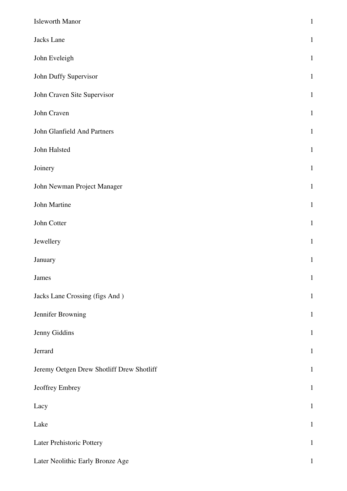| <b>Isleworth Manor</b>                    | $\,1\,$      |
|-------------------------------------------|--------------|
| Jacks Lane                                | $\mathbf{1}$ |
| John Eveleigh                             | $\mathbf{1}$ |
| John Duffy Supervisor                     | $\mathbf{1}$ |
| John Craven Site Supervisor               | $\mathbf{1}$ |
| John Craven                               | $\mathbf{1}$ |
| John Glanfield And Partners               | $\mathbf{1}$ |
| John Halsted                              | $\mathbf 1$  |
| Joinery                                   | $\mathbf{1}$ |
| John Newman Project Manager               | $\mathbf{1}$ |
| John Martine                              | $\mathbf{1}$ |
| John Cotter                               | $\mathbf{1}$ |
| Jewellery                                 | $\mathbf{1}$ |
| January                                   | $\mathbf 1$  |
| James                                     | $\mathbf{1}$ |
| Jacks Lane Crossing (figs And)            | $\mathbf{1}$ |
| Jennifer Browning                         | $1\,$        |
| Jenny Giddins                             | $\mathbf{1}$ |
| Jerrard                                   | $\mathbf{1}$ |
| Jeremy Oetgen Drew Shotliff Drew Shotliff | $\mathbf{1}$ |
| Jeoffrey Embrey                           | $\mathbf{1}$ |
| Lacy                                      | $\mathbf{1}$ |
| Lake                                      | $\mathbf{1}$ |
| Later Prehistoric Pottery                 | $\mathbf{1}$ |
| Later Neolithic Early Bronze Age          | $\mathbf{1}$ |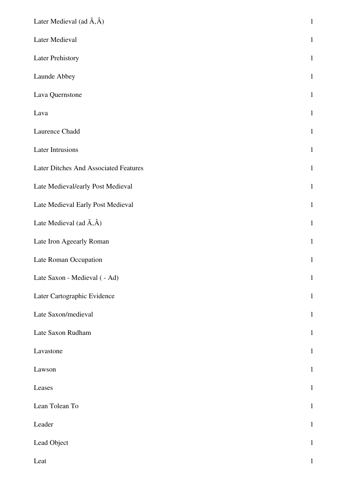| Later Medieval (ad $\tilde{A}, \hat{A}$ ) | $\,1$        |
|-------------------------------------------|--------------|
| Later Medieval                            | $\mathbf{1}$ |
| <b>Later Prehistory</b>                   | $\mathbf{1}$ |
| Launde Abbey                              | $\mathbf{1}$ |
| Lava Quernstone                           | $\mathbf{1}$ |
| Lava                                      | $\mathbf{1}$ |
| Laurence Chadd                            | $\mathbf{1}$ |
| Later Intrusions                          | $\mathbf{1}$ |
| Later Ditches And Associated Features     | $\mathbf{1}$ |
| Late Medieval/early Post Medieval         | $\mathbf{1}$ |
| Late Medieval Early Post Medieval         | $\mathbf{1}$ |
| Late Medieval (ad $\tilde{A}, \hat{A}$ )  | $\mathbf{1}$ |
| Late Iron Ageearly Roman                  | $\mathbf{1}$ |
| Late Roman Occupation                     | $\mathbf{1}$ |
| Late Saxon - Medieval ( - Ad)             | $\mathbf{1}$ |
| Later Cartographic Evidence               | $\mathbf{1}$ |
| Late Saxon/medieval                       | $\mathbf{1}$ |
| Late Saxon Rudham                         | $\mathbf{1}$ |
| Lavastone                                 | $\mathbf{1}$ |
| Lawson                                    | $\mathbf{1}$ |
| Leases                                    | $\mathbf{1}$ |
| Lean Tolean To                            | $\mathbf{1}$ |
| Leader                                    | $\mathbf{1}$ |
| Lead Object                               | $\mathbf{1}$ |
| Leat                                      | $\mathbf{1}$ |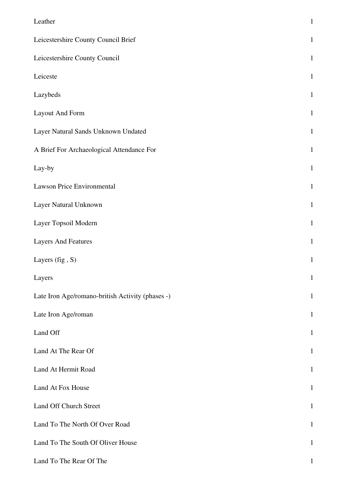| Leather                                          | $\,1$        |
|--------------------------------------------------|--------------|
| Leicestershire County Council Brief              | $\mathbf{1}$ |
| Leicestershire County Council                    | $\mathbf 1$  |
| Leiceste                                         | $\mathbf{1}$ |
| Lazybeds                                         | $\mathbf{1}$ |
| <b>Layout And Form</b>                           | $\mathbf{1}$ |
| Layer Natural Sands Unknown Undated              | $\mathbf{1}$ |
| A Brief For Archaeological Attendance For        | $\mathbf{1}$ |
| Lay-by                                           | $\mathbf{1}$ |
| Lawson Price Environmental                       | $\mathbf 1$  |
| Layer Natural Unknown                            | $\mathbf{1}$ |
| Layer Topsoil Modern                             | $\,1\,$      |
| <b>Layers And Features</b>                       | $\mathbf 1$  |
| Layers (fig, S)                                  | $\mathbf{1}$ |
| Layers                                           | $\mathbf{1}$ |
| Late Iron Age/romano-british Activity (phases -) | $\mathbf{1}$ |
| Late Iron Age/roman                              | $\mathbf{1}$ |
| Land Off                                         | $\mathbf{1}$ |
| Land At The Rear Of                              | $\mathbf{1}$ |
| Land At Hermit Road                              | $\mathbf{1}$ |
| Land At Fox House                                | $\mathbf{1}$ |
| Land Off Church Street                           | $\mathbf{1}$ |
| Land To The North Of Over Road                   | $\mathbf{1}$ |
| Land To The South Of Oliver House                | $\mathbf{1}$ |
| Land To The Rear Of The                          | $\mathbf 1$  |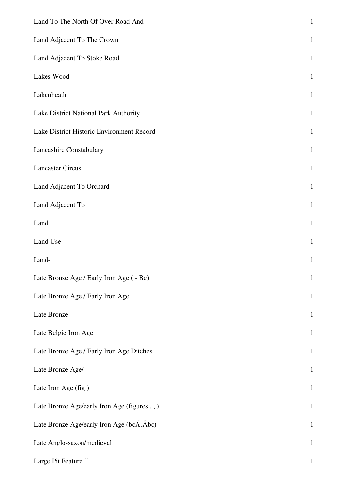| Land To The North Of Over Road And                               | $\mathbf{1}$ |
|------------------------------------------------------------------|--------------|
| Land Adjacent To The Crown                                       | $\mathbf{1}$ |
| Land Adjacent To Stoke Road                                      | $\mathbf{1}$ |
| Lakes Wood                                                       | $\mathbf{1}$ |
| Lakenheath                                                       | $\mathbf{1}$ |
| Lake District National Park Authority                            | $\mathbf{1}$ |
| Lake District Historic Environment Record                        | $\mathbf{1}$ |
| Lancashire Constabulary                                          | $\mathbf{1}$ |
| <b>Lancaster Circus</b>                                          | $\mathbf{1}$ |
| Land Adjacent To Orchard                                         | $\mathbf{1}$ |
| Land Adjacent To                                                 | $\mathbf{1}$ |
| Land                                                             | $\mathbf{1}$ |
| Land Use                                                         | $\mathbf{1}$ |
| Land-                                                            | $\mathbf{1}$ |
| Late Bronze Age / Early Iron Age ( - Bc)                         | $\mathbf{1}$ |
| Late Bronze Age / Early Iron Age                                 | $\mathbf{1}$ |
| Late Bronze                                                      | $\mathbf{1}$ |
| Late Belgic Iron Age                                             | $\mathbf{1}$ |
| Late Bronze Age / Early Iron Age Ditches                         | $\,1$        |
| Late Bronze Age/                                                 | $\mathbf{1}$ |
| Late Iron Age (fig)                                              | $\mathbf{1}$ |
| Late Bronze Age/early Iron Age (figures,,)                       | $\mathbf{1}$ |
| Late Bronze Age/early Iron Age (bc $\tilde{A}$ , $\tilde{A}$ bc) | $\mathbf{1}$ |
| Late Anglo-saxon/medieval                                        | $\mathbf{1}$ |
| Large Pit Feature []                                             | 1            |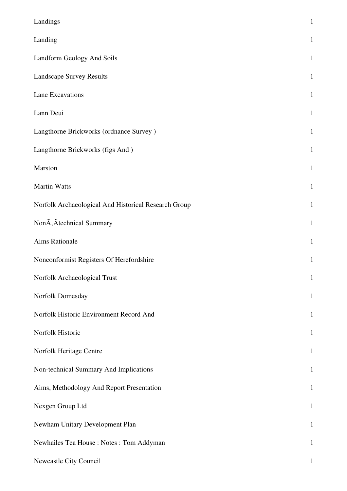| Landings                                             | $\mathbf{1}$ |
|------------------------------------------------------|--------------|
| Landing                                              | $\mathbf{1}$ |
| Landform Geology And Soils                           | $\mathbf{1}$ |
| <b>Landscape Survey Results</b>                      | $\mathbf{1}$ |
| Lane Excavations                                     | $\mathbf{1}$ |
| Lann Deui                                            | $\mathbf{1}$ |
| Langthorne Brickworks (ordnance Survey)              | $\mathbf{1}$ |
| Langthorne Brickworks (figs And)                     | $\mathbf{1}$ |
| Marston                                              | $\mathbf{1}$ |
| <b>Martin Watts</b>                                  | $\mathbf{1}$ |
| Norfolk Archaeological And Historical Research Group | $\mathbf{1}$ |
| Non $\tilde{A}$ , Âtechnical Summary                 | $\mathbf{1}$ |
| Aims Rationale                                       | $\mathbf{1}$ |
| Nonconformist Registers Of Herefordshire             | $\mathbf{1}$ |
| Norfolk Archaeological Trust                         | $\mathbf{1}$ |
| Norfolk Domesday                                     | $\mathbf{1}$ |
| Norfolk Historic Environment Record And              | $\mathbf{1}$ |
| Norfolk Historic                                     | $\mathbf{1}$ |
| Norfolk Heritage Centre                              | $\mathbf{1}$ |
| Non-technical Summary And Implications               | $\mathbf{1}$ |
| Aims, Methodology And Report Presentation            | $\mathbf{1}$ |
| Nexgen Group Ltd                                     | $\mathbf{1}$ |
| Newham Unitary Development Plan                      | $\mathbf{1}$ |
| Newhailes Tea House: Notes: Tom Addyman              | $\mathbf{1}$ |
| Newcastle City Council                               | 1            |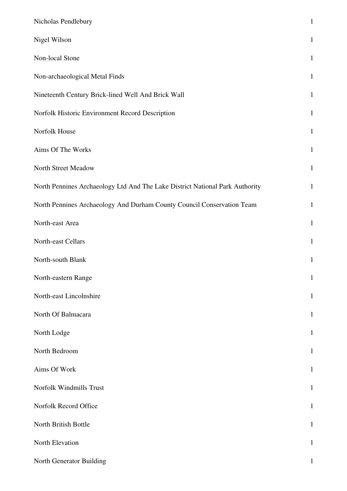| Nicholas Pendlebury                                                          | $\mathbf{1}$ |
|------------------------------------------------------------------------------|--------------|
| Nigel Wilson                                                                 | $\mathbf{1}$ |
| Non-local Stone                                                              | $\mathbf{1}$ |
| Non-archaeological Metal Finds                                               | $\mathbf{1}$ |
| Nineteenth Century Brick-lined Well And Brick Wall                           | $\mathbf{1}$ |
| Norfolk Historic Environment Record Description                              | $\mathbf{1}$ |
| Norfolk House                                                                | $\mathbf{1}$ |
| Aims Of The Works                                                            | $\mathbf{1}$ |
| North Street Meadow                                                          | $\mathbf{1}$ |
| North Pennines Archaeology Ltd And The Lake District National Park Authority | $\mathbf{1}$ |
| North Pennines Archaeology And Durham County Council Conservation Team       | $\mathbf{1}$ |
| North-east Area                                                              | $\mathbf{1}$ |
| North-east Cellars                                                           | $\mathbf{1}$ |
| North-south Blank                                                            | $\mathbf{1}$ |
| North-eastern Range                                                          | $\mathbf{1}$ |
| North-east Lincolnshire                                                      | $\mathbf 1$  |
| North Of Balmacara                                                           | $\mathbf{1}$ |
| North Lodge                                                                  | $\mathbf{1}$ |
| North Bedroom                                                                | $\mathbf{1}$ |
| Aims Of Work                                                                 | $\mathbf{1}$ |
| Norfolk Windmills Trust                                                      | $\mathbf{1}$ |
| Norfolk Record Office                                                        | $\mathbf{1}$ |
| North British Bottle                                                         | $\mathbf{1}$ |
| North Elevation                                                              | $\mathbf{1}$ |
| North Generator Building                                                     | $\mathbf{1}$ |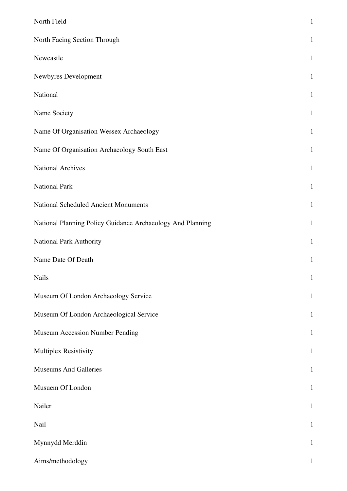| North Field                                                | $\mathbf{1}$ |
|------------------------------------------------------------|--------------|
| North Facing Section Through                               | $\mathbf{1}$ |
| Newcastle                                                  | $\mathbf{1}$ |
| Newbyres Development                                       | $\mathbf{1}$ |
| National                                                   | $\mathbf{1}$ |
| Name Society                                               | $\mathbf{1}$ |
| Name Of Organisation Wessex Archaeology                    | $\mathbf{1}$ |
| Name Of Organisation Archaeology South East                | $\mathbf{1}$ |
| <b>National Archives</b>                                   | $\mathbf{1}$ |
| <b>National Park</b>                                       | $\mathbf{1}$ |
| National Scheduled Ancient Monuments                       | $\mathbf{1}$ |
| National Planning Policy Guidance Archaeology And Planning | $\mathbf{1}$ |
| National Park Authority                                    | $\mathbf{1}$ |
| Name Date Of Death                                         | $\mathbf{1}$ |
| <b>Nails</b>                                               | $\mathbf 1$  |
| Museum Of London Archaeology Service                       | $\mathbf{1}$ |
| Museum Of London Archaeological Service                    | $\mathbf{1}$ |
| Museum Accession Number Pending                            | $\mathbf{1}$ |
| Multiplex Resistivity                                      | $\mathbf{1}$ |
| <b>Museums And Galleries</b>                               | $\mathbf{1}$ |
| Musuem Of London                                           | $\mathbf{1}$ |
| Nailer                                                     | $\mathbf{1}$ |
| Nail                                                       | $\mathbf{1}$ |
| Mynnydd Merddin                                            | $\mathbf{1}$ |
| Aims/methodology                                           | $\mathbf{1}$ |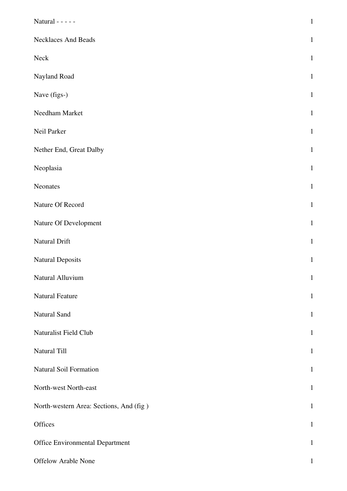| Natural - - - - -                       | $\,1\,$      |
|-----------------------------------------|--------------|
| <b>Necklaces And Beads</b>              | $\mathbf{1}$ |
| Neck                                    | $\mathbf{1}$ |
| Nayland Road                            | $\mathbf{1}$ |
| Nave (figs-)                            | $\mathbf{1}$ |
| Needham Market                          | $\mathbf{1}$ |
| Neil Parker                             | $\mathbf{1}$ |
| Nether End, Great Dalby                 | $\mathbf{1}$ |
| Neoplasia                               | $\mathbf{1}$ |
| Neonates                                | $\mathbf{1}$ |
| Nature Of Record                        | $\mathbf{1}$ |
| Nature Of Development                   | $\mathbf{1}$ |
| Natural Drift                           | $\mathbf{1}$ |
| <b>Natural Deposits</b>                 | $\mathbf{1}$ |
| Natural Alluvium                        | $\mathbf{1}$ |
| Natural Feature                         | $\mathbf{1}$ |
| Natural Sand                            | $\mathbf{1}$ |
| Naturalist Field Club                   | $\mathbf{1}$ |
| Natural Till                            | $\mathbf{1}$ |
| Natural Soil Formation                  | $\mathbf{1}$ |
| North-west North-east                   | $\mathbf{1}$ |
| North-western Area: Sections, And (fig) | $\mathbf{1}$ |
| Offices                                 | $\mathbf{1}$ |
| <b>Office Environmental Department</b>  | $\mathbf{1}$ |
| Offelow Arable None                     | $\mathbf{1}$ |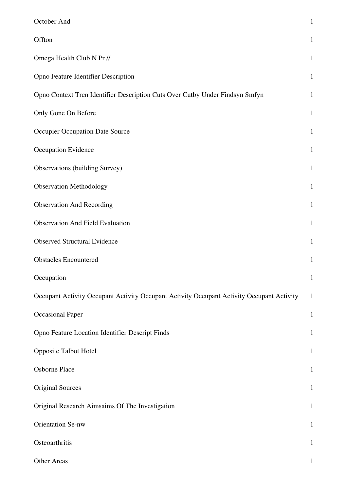| October And                                                                               | $\mathbf 1$  |
|-------------------------------------------------------------------------------------------|--------------|
| Offton                                                                                    | $\mathbf{1}$ |
| Omega Health Club N Pr //                                                                 | $\mathbf{1}$ |
| Opno Feature Identifier Description                                                       | $\mathbf{1}$ |
| Opno Context Tren Identifier Description Cuts Over Cutby Under Findsyn Smfyn              | $\mathbf{1}$ |
| Only Gone On Before                                                                       | $\mathbf{1}$ |
| Occupier Occupation Date Source                                                           | $\mathbf{1}$ |
| Occupation Evidence                                                                       | $\mathbf{1}$ |
| Observations (building Survey)                                                            | $\mathbf{1}$ |
| <b>Observation Methodology</b>                                                            | $\mathbf{1}$ |
| <b>Observation And Recording</b>                                                          | $\mathbf{1}$ |
| <b>Observation And Field Evaluation</b>                                                   | $\mathbf{1}$ |
| <b>Observed Structural Evidence</b>                                                       | $\mathbf{1}$ |
| <b>Obstacles Encountered</b>                                                              | $\mathbf{1}$ |
| Occupation                                                                                | $\mathbf{1}$ |
| Occupant Activity Occupant Activity Occupant Activity Occupant Activity Occupant Activity | $\mathbf{1}$ |
| <b>Occasional Paper</b>                                                                   | $\mathbf{1}$ |
| Opno Feature Location Identifier Descript Finds                                           | $\mathbf{1}$ |
| <b>Opposite Talbot Hotel</b>                                                              | $\mathbf{1}$ |
| Osborne Place                                                                             | $\mathbf{1}$ |
| <b>Original Sources</b>                                                                   | $\mathbf{1}$ |
| Original Research Aimsaims Of The Investigation                                           | $\mathbf{1}$ |
| <b>Orientation Se-nw</b>                                                                  | $\mathbf{1}$ |
| Osteoarthritis                                                                            | $\mathbf{1}$ |
| Other Areas                                                                               | $\mathbf{1}$ |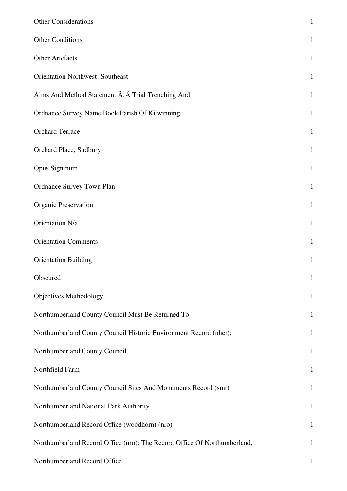| <b>Other Considerations</b>                                              | $\mathbf{1}$ |
|--------------------------------------------------------------------------|--------------|
| <b>Other Conditions</b>                                                  | $\mathbf{1}$ |
| Other Artefacts                                                          | $\mathbf{1}$ |
| <b>Orientation Northwest- Southeast</b>                                  | $\mathbf{1}$ |
| Aims And Method Statement A, A Trial Trenching And                       | $\mathbf{1}$ |
| Ordnance Survey Name Book Parish Of Kilwinning                           | $\mathbf{1}$ |
| <b>Orchard Terrace</b>                                                   | $\mathbf{1}$ |
| Orchard Place, Sudbury                                                   | $\mathbf{1}$ |
| Opus Signinum                                                            | $\mathbf{1}$ |
| <b>Ordnance Survey Town Plan</b>                                         | $\mathbf{1}$ |
| <b>Organic Preservation</b>                                              | $\mathbf{1}$ |
| Orientation N/a                                                          | $\mathbf{1}$ |
| <b>Orientation Comments</b>                                              | $\mathbf{1}$ |
| <b>Orientation Building</b>                                              | $\mathbf{1}$ |
| Obscured                                                                 | $\mathbf{1}$ |
| Objectives Methodology                                                   | $\mathbf{1}$ |
| Northumberland County Council Must Be Returned To                        | $\mathbf{1}$ |
| Northumberland County Council Historic Environment Record (nher):        | $\mathbf{1}$ |
| Northumberland County Council                                            | $\mathbf{1}$ |
| Northfield Farm                                                          | $\mathbf{1}$ |
| Northumberland County Council Sites And Monuments Record (smr)           | $\mathbf{1}$ |
| Northumberland National Park Authority                                   | $\mathbf{1}$ |
| Northumberland Record Office (woodhorn) (nro)                            | $\mathbf{1}$ |
| Northumberland Record Office (nro): The Record Office Of Northumberland, | $\mathbf{1}$ |
| Northumberland Record Office                                             | 1            |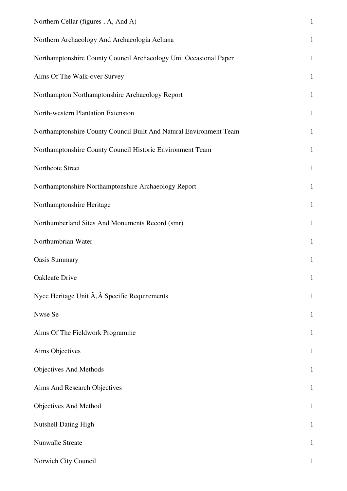| Northern Cellar (figures, A, And A)                                | $\mathbf{1}$ |
|--------------------------------------------------------------------|--------------|
| Northern Archaeology And Archaeologia Aeliana                      | $\mathbf{1}$ |
| Northamptonshire County Council Archaeology Unit Occasional Paper  | $\mathbf{1}$ |
| Aims Of The Walk-over Survey                                       | $\mathbf{1}$ |
| Northampton Northamptonshire Archaeology Report                    | $\mathbf{1}$ |
| North-western Plantation Extension                                 | $\mathbf{1}$ |
| Northamptonshire County Council Built And Natural Environment Team | $\mathbf{1}$ |
| Northamptonshire County Council Historic Environment Team          | $\mathbf{1}$ |
| Northcote Street                                                   | $\mathbf{1}$ |
| Northamptonshire Northamptonshire Archaeology Report               | $\mathbf{1}$ |
| Northamptonshire Heritage                                          | $\mathbf{1}$ |
| Northumberland Sites And Monuments Record (smr)                    | $\mathbf{1}$ |
| Northumbrian Water                                                 | $\mathbf{1}$ |
| <b>Oasis Summary</b>                                               | $\mathbf{1}$ |
| Oakleafe Drive                                                     | $\mathbf{1}$ |
| Nycc Heritage Unit A, A Specific Requirements                      | $\mathbf{1}$ |
| Nwse Se                                                            | $\mathbf{1}$ |
| Aims Of The Fieldwork Programme                                    | $\mathbf{1}$ |
| Aims Objectives                                                    | $\mathbf{1}$ |
| Objectives And Methods                                             | $\mathbf{1}$ |
| Aims And Research Objectives                                       | $\mathbf{1}$ |
| Objectives And Method                                              | $\mathbf{1}$ |
| <b>Nutshell Dating High</b>                                        | $\mathbf{1}$ |
| Nunwalle Streate                                                   | $\mathbf{1}$ |
| Norwich City Council                                               |              |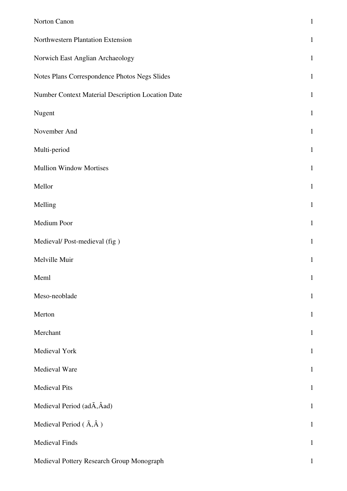| Norton Canon                                      | $\mathbf 1$  |
|---------------------------------------------------|--------------|
| Northwestern Plantation Extension                 | $\mathbf{1}$ |
| Norwich East Anglian Archaeology                  | $\mathbf{1}$ |
| Notes Plans Correspondence Photos Negs Slides     | $\mathbf{1}$ |
| Number Context Material Description Location Date | $\mathbf{1}$ |
| Nugent                                            | $\mathbf{1}$ |
| November And                                      | $\mathbf{1}$ |
| Multi-period                                      | $\mathbf{1}$ |
| <b>Mullion Window Mortises</b>                    | $\mathbf{1}$ |
| Mellor                                            | $\mathbf{1}$ |
| Melling                                           | $\mathbf 1$  |
| Medium Poor                                       | $\mathbf{1}$ |
| Medieval/Post-medieval (fig)                      | $\mathbf{1}$ |
| Melville Muir                                     | $\mathbf{1}$ |
| Meml                                              | $\mathbf{1}$ |
| Meso-neoblade                                     | $\mathbf{1}$ |
| Merton                                            | $\mathbf{1}$ |
| Merchant                                          | $\mathbf{1}$ |
| Medieval York                                     | $\mathbf{1}$ |
| Medieval Ware                                     | $\mathbf{1}$ |
| <b>Medieval Pits</b>                              | $\mathbf{1}$ |
| Medieval Period (adA, Aad)                        | $\mathbf{1}$ |
| Medieval Period $(\tilde{A}, \hat{A})$            | $\mathbf{1}$ |
| <b>Medieval Finds</b>                             | $\mathbf{1}$ |
| Medieval Pottery Research Group Monograph         | $\mathbf{1}$ |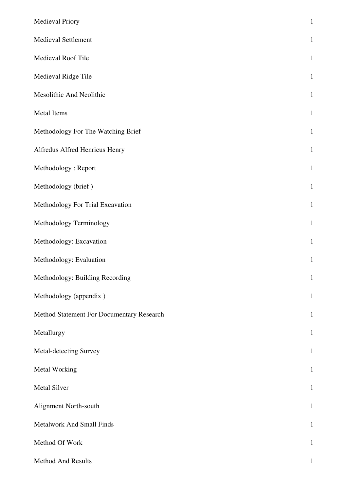| <b>Medieval Priory</b>                    | $\,1\,$      |
|-------------------------------------------|--------------|
| <b>Medieval Settlement</b>                | $\mathbf{1}$ |
| Medieval Roof Tile                        | $\mathbf{1}$ |
| Medieval Ridge Tile                       | $\mathbf{1}$ |
| Mesolithic And Neolithic                  | $\mathbf{1}$ |
| Metal Items                               | $\mathbf{1}$ |
| Methodology For The Watching Brief        | $\mathbf{1}$ |
| Alfredus Alfred Henricus Henry            | $\mathbf{1}$ |
| Methodology: Report                       | $\mathbf{1}$ |
| Methodology (brief)                       | $\mathbf{1}$ |
| Methodology For Trial Excavation          | $\mathbf{1}$ |
| Methodology Terminology                   | $\mathbf{1}$ |
| Methodology: Excavation                   | $\mathbf{1}$ |
| Methodology: Evaluation                   | $\,1\,$      |
| Methodology: Building Recording           | $\mathbf{1}$ |
| Methodology (appendix)                    | $1\,$        |
| Method Statement For Documentary Research | $\mathbf{1}$ |
| Metallurgy                                | $\mathbf{1}$ |
| Metal-detecting Survey                    | $\mathbf{1}$ |
| <b>Metal Working</b>                      | $\mathbf{1}$ |
| <b>Metal Silver</b>                       | $\mathbf{1}$ |
| Alignment North-south                     | $\mathbf{1}$ |
| Metalwork And Small Finds                 | $\mathbf{1}$ |
| Method Of Work                            | $\mathbf{1}$ |
| Method And Results                        | $\mathbf 1$  |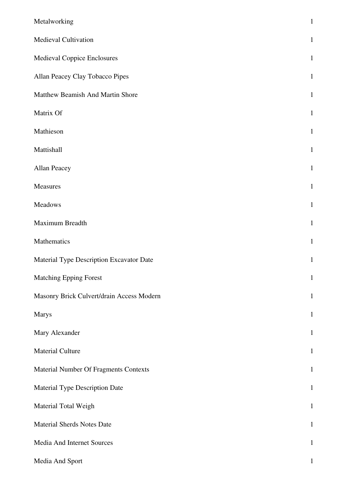| Metalworking                              | $\,1$        |
|-------------------------------------------|--------------|
| Medieval Cultivation                      | $\mathbf{1}$ |
| Medieval Coppice Enclosures               | $\mathbf{1}$ |
| Allan Peacey Clay Tobacco Pipes           | $\mathbf{1}$ |
| Matthew Beamish And Martin Shore          | $\mathbf{1}$ |
| Matrix Of                                 | $\mathbf{1}$ |
| Mathieson                                 | $\mathbf{1}$ |
| Mattishall                                | $\mathbf{1}$ |
| Allan Peacey                              | $\mathbf{1}$ |
| Measures                                  | $\mathbf{1}$ |
| Meadows                                   | $\mathbf{1}$ |
| Maximum Breadth                           | $\mathbf 1$  |
| Mathematics                               | $\mathbf{1}$ |
| Material Type Description Excavator Date  | $\mathbf{1}$ |
| <b>Matching Epping Forest</b>             | $\mathbf 1$  |
| Masonry Brick Culvert/drain Access Modern | $\mathbf{1}$ |
| <b>Marys</b>                              | $\mathbf{1}$ |
| Mary Alexander                            | $\mathbf{1}$ |
| <b>Material Culture</b>                   | $\mathbf{1}$ |
| Material Number Of Fragments Contexts     | $\mathbf{1}$ |
| Material Type Description Date            | $\mathbf{1}$ |
| Material Total Weigh                      | $\mathbf{1}$ |
| <b>Material Sherds Notes Date</b>         | $\mathbf{1}$ |
| Media And Internet Sources                | $\mathbf{1}$ |
| Media And Sport                           | $\mathbf{1}$ |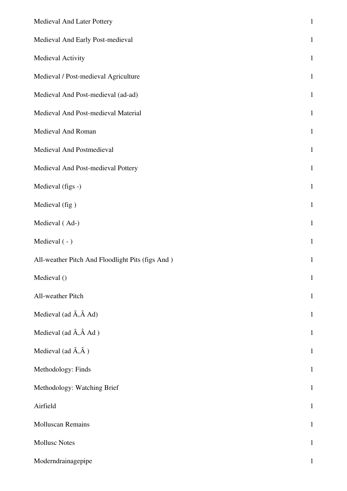| Medieval And Later Pottery                       | $\,1$        |
|--------------------------------------------------|--------------|
| Medieval And Early Post-medieval                 | $\mathbf{1}$ |
| Medieval Activity                                | $\mathbf{1}$ |
| Medieval / Post-medieval Agriculture             | $\mathbf{1}$ |
| Medieval And Post-medieval (ad-ad)               | $\mathbf{1}$ |
| Medieval And Post-medieval Material              | $\mathbf{1}$ |
| Medieval And Roman                               | $\mathbf{1}$ |
| Medieval And Postmedieval                        | $\mathbf{1}$ |
| Medieval And Post-medieval Pottery               | $\mathbf{1}$ |
| Medieval (figs -)                                | $\mathbf{1}$ |
| Medieval (fig)                                   | $\mathbf{1}$ |
| Medieval (Ad-)                                   | $\mathbf{1}$ |
| Medieval (-)                                     | $\mathbf{1}$ |
| All-weather Pitch And Floodlight Pits (figs And) | $\mathbf{1}$ |
| Medieval ()                                      | $\mathbf{1}$ |
| All-weather Pitch                                | $\mathbf{1}$ |
| Medieval (ad $\tilde{A}$ , $\hat{A}$ Ad)         | $\mathbf{1}$ |
| Medieval (ad $\tilde{A}$ , $\hat{A}$ Ad )        | $\mathbf{1}$ |
| Medieval (ad $\tilde{A}, \hat{A}$ )              | $\mathbf{1}$ |
| Methodology: Finds                               | $\mathbf{1}$ |
| Methodology: Watching Brief                      | $\mathbf{1}$ |
| Airfield                                         | $\mathbf{1}$ |
| <b>Molluscan Remains</b>                         | $\mathbf{1}$ |
| <b>Mollusc Notes</b>                             | $\mathbf{1}$ |
| Moderndrainagepipe                               | $\mathbf{1}$ |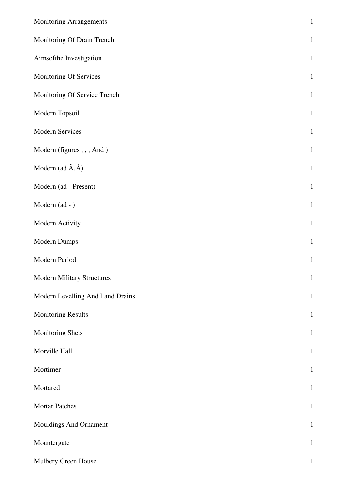| <b>Monitoring Arrangements</b>    | $\mathbf 1$  |
|-----------------------------------|--------------|
| Monitoring Of Drain Trench        | $\mathbf{1}$ |
| Aimsofthe Investigation           | $\mathbf{1}$ |
| Monitoring Of Services            | $\mathbf{1}$ |
| Monitoring Of Service Trench      | $\mathbf{1}$ |
| Modern Topsoil                    | $\mathbf{1}$ |
| Modern Services                   | $\mathbf{1}$ |
| Modern (figures,,, And)           | $\mathbf{1}$ |
| Modern (ad $\tilde{A}, \hat{A}$ ) | $\mathbf{1}$ |
| Modern (ad - Present)             | $\mathbf{1}$ |
| Modern (ad - )                    | $\mathbf{1}$ |
| Modern Activity                   | $\mathbf{1}$ |
| <b>Modern Dumps</b>               | $\mathbf{1}$ |
| Modern Period                     | $\mathbf{1}$ |
| <b>Modern Military Structures</b> | $\mathbf{1}$ |
| Modern Levelling And Land Drains  | $\mathbf{1}$ |
| <b>Monitoring Results</b>         | $\mathbf{1}$ |
| Monitoring Shets                  | $\mathbf{1}$ |
| Morville Hall                     | $\mathbf{1}$ |
| Mortimer                          | $\mathbf{1}$ |
| Mortared                          | $\mathbf{1}$ |
| <b>Mortar Patches</b>             | $\mathbf{1}$ |
| Mouldings And Ornament            | $\mathbf{1}$ |
| Mountergate                       | $\mathbf{1}$ |
| Mulbery Green House               | $\mathbf{1}$ |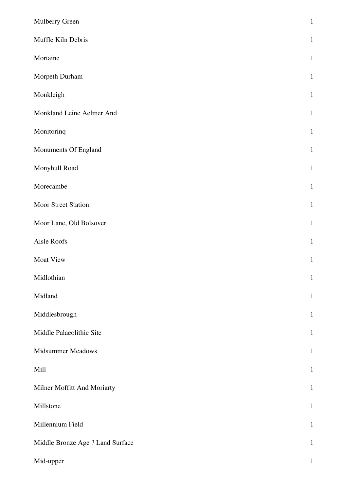| Mulberry Green                   | $\mathbf{1}$ |
|----------------------------------|--------------|
| Muffle Kiln Debris               | $\mathbf{1}$ |
| Mortaine                         | $\mathbf{1}$ |
| Morpeth Durham                   | $\mathbf{1}$ |
| Monkleigh                        | $\mathbf{1}$ |
| Monkland Leine Aelmer And        | $\mathbf{1}$ |
| Monitorinq                       | $\mathbf{1}$ |
| Monuments Of England             | $\mathbf{1}$ |
| Monyhull Road                    | $\mathbf{1}$ |
| Morecambe                        | $\mathbf{1}$ |
| Moor Street Station              | $\mathbf{1}$ |
| Moor Lane, Old Bolsover          | $\mathbf{1}$ |
| Aisle Roofs                      | $\mathbf{1}$ |
| Moat View                        | $\mathbf{1}$ |
| Midlothian                       | $\mathbf{1}$ |
| Midland                          | $\mathbf{1}$ |
| Middlesbrough                    | $\mathbf{1}$ |
| Middle Palaeolithic Site         | $\mathbf{1}$ |
| Midsummer Meadows                | $\mathbf{1}$ |
| Mill                             | $\mathbf{1}$ |
| Milner Moffitt And Moriarty      | $\mathbf{1}$ |
| Millstone                        | $\mathbf{1}$ |
| Millennium Field                 | $\mathbf{1}$ |
| Middle Bronze Age ? Land Surface | $\mathbf{1}$ |
| Mid-upper                        | $\mathbf{1}$ |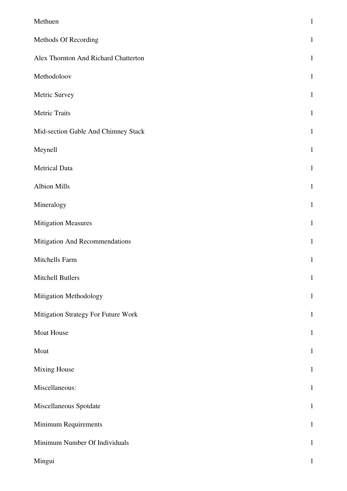| Methuen                              | $\mathbf{1}$ |
|--------------------------------------|--------------|
| Methods Of Recording                 | $\mathbf{1}$ |
| Alex Thornton And Richard Chatterton | $\mathbf{1}$ |
| Methodoloov                          | $\mathbf{1}$ |
| Metric Survey                        | $\mathbf{1}$ |
| Metric Traits                        | $\mathbf{1}$ |
| Mid-section Gable And Chimney Stack  | $\mathbf{1}$ |
| Meynell                              | $\mathbf{1}$ |
| <b>Metrical Data</b>                 | $\mathbf{1}$ |
| <b>Albion Mills</b>                  | $\mathbf{1}$ |
| Mineralogy                           | $\mathbf{1}$ |
| <b>Mitigation Measures</b>           | $\mathbf{1}$ |
| Mitigation And Recommendations       | $\mathbf{1}$ |
| Mitchells Farm                       | $\mathbf{1}$ |
| Mitchell Butlers                     | $1\,$        |
| Mitigation Methodology               | $\mathbf{1}$ |
| Mitigation Strategy For Future Work  | $\mathbf{1}$ |
| Moat House                           | $\mathbf{1}$ |
| Moat                                 | $\mathbf{1}$ |
| <b>Mixing House</b>                  | $\mathbf{1}$ |
| Miscellaneous:                       | $\mathbf{1}$ |
| Miscellaneous Spotdate               | $\mathbf{1}$ |
| Minimum Requirements                 | $\mathbf{1}$ |
| Minimum Number Of Individuals        | $\,1\,$      |
| Mingui                               | $\mathbf{1}$ |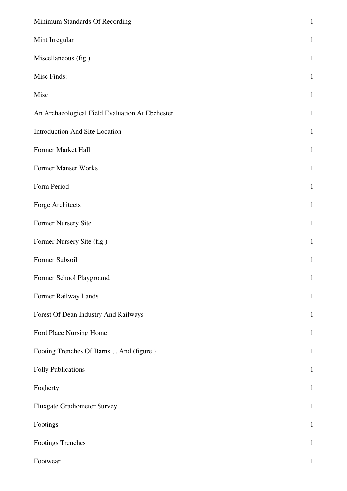| Minimum Standards Of Recording                  | $\mathbf 1$  |
|-------------------------------------------------|--------------|
| Mint Irregular                                  | $\mathbf{1}$ |
| Miscellaneous (fig)                             | $\mathbf{1}$ |
| Misc Finds:                                     | $\mathbf{1}$ |
| Misc                                            | $\mathbf{1}$ |
| An Archaeological Field Evaluation At Ebchester | $\mathbf{1}$ |
| Introduction And Site Location                  | $\mathbf{1}$ |
| Former Market Hall                              | $\mathbf{1}$ |
| Former Manser Works                             | $\mathbf{1}$ |
| Form Period                                     | $\mathbf{1}$ |
| Forge Architects                                | $\mathbf{1}$ |
| Former Nursery Site                             | $\mathbf{1}$ |
| Former Nursery Site (fig)                       | $\mathbf{1}$ |
| Former Subsoil                                  | $\mathbf{1}$ |
| Former School Playground                        | $\mathbf{1}$ |
| Former Railway Lands                            | $\mathbf{1}$ |
| Forest Of Dean Industry And Railways            | $\mathbf 1$  |
| Ford Place Nursing Home                         | $\mathbf{1}$ |
| Footing Trenches Of Barns,, And (figure)        | $\mathbf{1}$ |
| <b>Folly Publications</b>                       | $\mathbf 1$  |
| Fogherty                                        | $\mathbf{1}$ |
| <b>Fluxgate Gradiometer Survey</b>              | $\mathbf 1$  |
| Footings                                        | $\mathbf 1$  |
| <b>Footings Trenches</b>                        | $\mathbf{1}$ |
| Footwear                                        | $\mathbf{1}$ |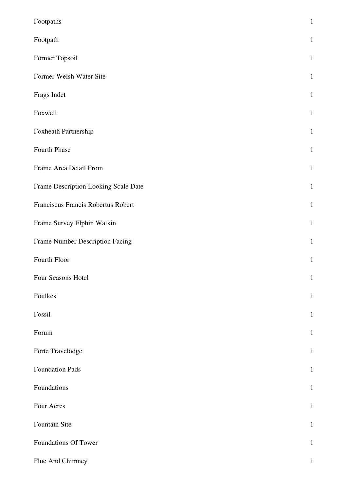| Footpaths                            | $\mathbf{1}$ |
|--------------------------------------|--------------|
| Footpath                             | $\mathbf{1}$ |
| Former Topsoil                       | $\mathbf{1}$ |
| Former Welsh Water Site              | $\mathbf{1}$ |
| Frags Indet                          | $\mathbf{1}$ |
| Foxwell                              | $\mathbf{1}$ |
| Foxheath Partnership                 | $\mathbf{1}$ |
| Fourth Phase                         | $\mathbf{1}$ |
| Frame Area Detail From               | $\mathbf{1}$ |
| Frame Description Looking Scale Date | $\mathbf{1}$ |
| Franciscus Francis Robertus Robert   | $\mathbf{1}$ |
| Frame Survey Elphin Watkin           | $\mathbf{1}$ |
| Frame Number Description Facing      | $\mathbf{1}$ |
| Fourth Floor                         | $\,1\,$      |
| Four Seasons Hotel                   | $\mathbf{1}$ |
| Foulkes                              | $1\,$        |
| Fossil                               | $\mathbf{1}$ |
| Forum                                | $\mathbf{1}$ |
| Forte Travelodge                     | $\mathbf{1}$ |
| Foundation Pads                      | $\mathbf{1}$ |
| Foundations                          | $\mathbf{1}$ |
| Four Acres                           | $\mathbf{1}$ |
| Fountain Site                        | $\mathbf{1}$ |
| Foundations Of Tower                 | $\mathbf{1}$ |
| Flue And Chimney                     | $\mathbf 1$  |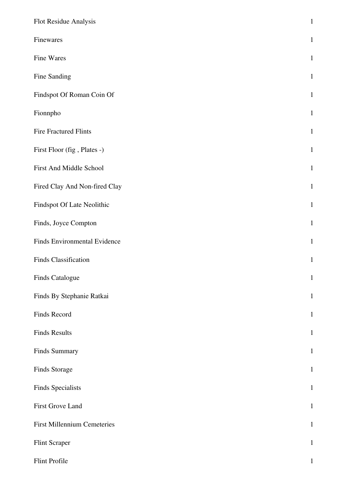| Flot Residue Analysis              | $\,1\,$      |
|------------------------------------|--------------|
| Finewares                          | $\mathbf{1}$ |
| Fine Wares                         | $\mathbf{1}$ |
| Fine Sanding                       | $\mathbf{1}$ |
| Findspot Of Roman Coin Of          | $\mathbf{1}$ |
| Fionnpho                           | $\mathbf{1}$ |
| <b>Fire Fractured Flints</b>       | $\mathbf{1}$ |
| First Floor (fig, Plates -)        | $\mathbf{1}$ |
| First And Middle School            | $\mathbf{1}$ |
| Fired Clay And Non-fired Clay      | $\mathbf{1}$ |
| Findspot Of Late Neolithic         | $\mathbf{1}$ |
| Finds, Joyce Compton               | $\mathbf{1}$ |
| Finds Environmental Evidence       | $\mathbf{1}$ |
| Finds Classification               | $\mathbf{1}$ |
| Finds Catalogue                    | $\mathbf 1$  |
| Finds By Stephanie Ratkai          | $\mathbf{1}$ |
| Finds Record                       | $\mathbf{1}$ |
| <b>Finds Results</b>               | $\mathbf{1}$ |
| Finds Summary                      | $\mathbf{1}$ |
| Finds Storage                      | $\mathbf{1}$ |
| Finds Specialists                  | $\mathbf{1}$ |
| First Grove Land                   | $\mathbf{1}$ |
| <b>First Millennium Cemeteries</b> | $\mathbf{1}$ |
| Flint Scraper                      | $\mathbf{1}$ |
| Flint Profile                      | $\mathbf{1}$ |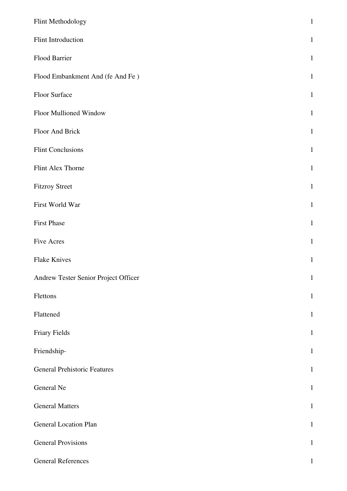| Flint Methodology                    | $\mathbf{1}$ |
|--------------------------------------|--------------|
| Flint Introduction                   | $\mathbf{1}$ |
| Flood Barrier                        | $\mathbf{1}$ |
| Flood Embankment And (fe And Fe)     | $\mathbf{1}$ |
| Floor Surface                        | $\mathbf{1}$ |
| Floor Mullioned Window               | $\mathbf{1}$ |
| Floor And Brick                      | $\mathbf{1}$ |
| <b>Flint Conclusions</b>             | $\mathbf{1}$ |
| Flint Alex Thorne                    | $\mathbf{1}$ |
| <b>Fitzroy Street</b>                | $\mathbf{1}$ |
| First World War                      | $\mathbf{1}$ |
| <b>First Phase</b>                   | $\mathbf{1}$ |
| <b>Five Acres</b>                    | $\mathbf{1}$ |
| <b>Flake Knives</b>                  | $\,1\,$      |
| Andrew Tester Senior Project Officer | $\mathbf{1}$ |
| Flettons                             | $\mathbf{1}$ |
| Flattened                            | $\mathbf{1}$ |
| Friary Fields                        | $\mathbf{1}$ |
| Friendship-                          | $\mathbf{1}$ |
| <b>General Prehistoric Features</b>  | $\mathbf{1}$ |
| General Ne                           | $\mathbf{1}$ |
| <b>General Matters</b>               | $\mathbf{1}$ |
| <b>General Location Plan</b>         | $\mathbf{1}$ |
| <b>General Provisions</b>            | $\mathbf{1}$ |
| <b>General References</b>            | $\mathbf{1}$ |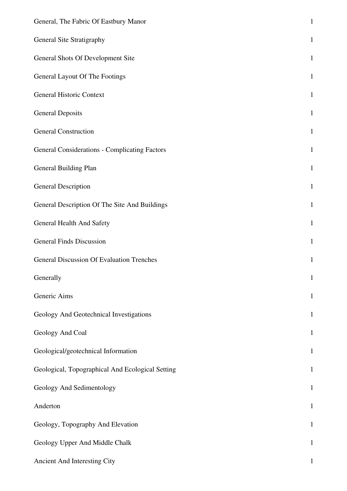| General, The Fabric Of Eastbury Manor                | $\mathbf{1}$ |
|------------------------------------------------------|--------------|
| General Site Stratigraphy                            | $\mathbf{1}$ |
| General Shots Of Development Site                    | $\mathbf{1}$ |
| General Layout Of The Footings                       | $\mathbf{1}$ |
| General Historic Context                             | $\mathbf{1}$ |
| <b>General Deposits</b>                              | $\mathbf{1}$ |
| <b>General Construction</b>                          | $\mathbf{1}$ |
| <b>General Considerations - Complicating Factors</b> | $\mathbf{1}$ |
| General Building Plan                                | $\mathbf{1}$ |
| <b>General Description</b>                           | $\mathbf{1}$ |
| General Description Of The Site And Buildings        | $\mathbf{1}$ |
| General Health And Safety                            | $\mathbf{1}$ |
| <b>General Finds Discussion</b>                      | $\mathbf{1}$ |
| <b>General Discussion Of Evaluation Trenches</b>     | $\mathbf{1}$ |
| Generally                                            | $\mathbf{1}$ |
| Generic Aims                                         | $\mathbf{1}$ |
| Geology And Geotechnical Investigations              | $\mathbf{1}$ |
| Geology And Coal                                     | $\mathbf{1}$ |
| Geological/geotechnical Information                  | $\mathbf{1}$ |
| Geological, Topographical And Ecological Setting     | $\mathbf{1}$ |
| Geology And Sedimentology                            | $\mathbf{1}$ |
| Anderton                                             | $\mathbf{1}$ |
| Geology, Topography And Elevation                    | $\mathbf{1}$ |
| Geology Upper And Middle Chalk                       | $\mathbf{1}$ |
| Ancient And Interesting City                         | 1            |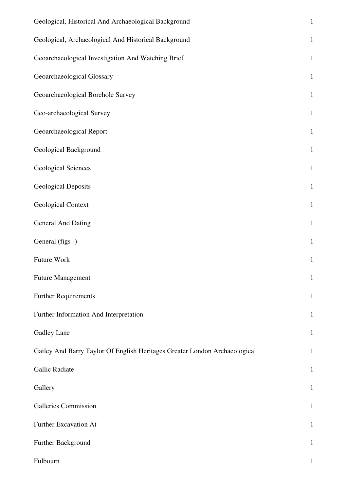| Geological, Historical And Archaeological Background                       | $\mathbf 1$  |
|----------------------------------------------------------------------------|--------------|
| Geological, Archaeological And Historical Background                       | $\mathbf 1$  |
| Geoarchaeological Investigation And Watching Brief                         | $\mathbf 1$  |
| Geoarchaeological Glossary                                                 | $\mathbf{1}$ |
| Geoarchaeological Borehole Survey                                          | $\mathbf{1}$ |
| Geo-archaeological Survey                                                  | $\,1\,$      |
| Geoarchaeological Report                                                   | $\mathbf{1}$ |
| Geological Background                                                      | $\,1\,$      |
| <b>Geological Sciences</b>                                                 | $\mathbf 1$  |
| <b>Geological Deposits</b>                                                 | $\mathbf{1}$ |
| Geological Context                                                         | $1\,$        |
| <b>General And Dating</b>                                                  | $\mathbf 1$  |
| General (figs -)                                                           | $\,1\,$      |
| Future Work                                                                | $\mathbf{1}$ |
| <b>Future Management</b>                                                   | $\mathbf{1}$ |
| <b>Further Requirements</b>                                                | $\mathbf{1}$ |
| Further Information And Interpretation                                     | $\mathbf{1}$ |
| Gadley Lane                                                                | $\mathbf{1}$ |
| Gailey And Barry Taylor Of English Heritages Greater London Archaeological | $\mathbf{1}$ |
| Gallic Radiate                                                             | $\mathbf{1}$ |
| Gallery                                                                    | $\mathbf 1$  |
| Galleries Commission                                                       | $\mathbf{1}$ |
| Further Excavation At                                                      | $\mathbf{1}$ |
| Further Background                                                         | $\mathbf{1}$ |
| Fulbourn                                                                   | 1            |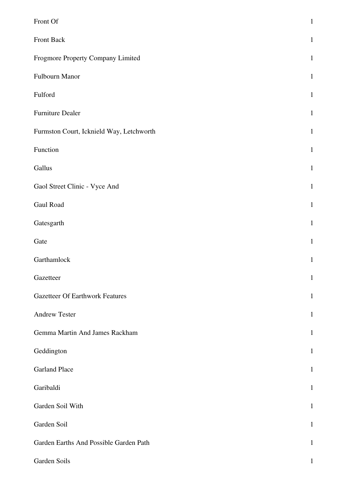| Front Of                                 | $\,1\,$      |
|------------------------------------------|--------------|
| Front Back                               | $\mathbf{1}$ |
| Frogmore Property Company Limited        | $\mathbf{1}$ |
| Fulbourn Manor                           | $\mathbf{1}$ |
| Fulford                                  | $\mathbf{1}$ |
| Furniture Dealer                         | $\mathbf{1}$ |
| Furmston Court, Icknield Way, Letchworth | $\mathbf 1$  |
| Function                                 | $\mathbf{1}$ |
| Gallus                                   | $\mathbf{1}$ |
| Gaol Street Clinic - Vyce And            | $\mathbf{1}$ |
| Gaul Road                                | $\mathbf{1}$ |
| Gatesgarth                               | $\mathbf 1$  |
| Gate                                     | $\mathbf{1}$ |
| Garthamlock                              | $\,1$        |
| Gazetteer                                | $\mathbf 1$  |
| <b>Gazetteer Of Earthwork Features</b>   | $\mathbf{1}$ |
| <b>Andrew Tester</b>                     | $\mathbf{1}$ |
| Gemma Martin And James Rackham           | $\mathbf{1}$ |
| Geddington                               | $\mathbf{1}$ |
| <b>Garland Place</b>                     | $\mathbf{1}$ |
| Garibaldi                                | $\mathbf{1}$ |
| Garden Soil With                         | $\mathbf{1}$ |
| Garden Soil                              | $\mathbf{1}$ |
| Garden Earths And Possible Garden Path   | $\mathbf{1}$ |
| Garden Soils                             | $\mathbf 1$  |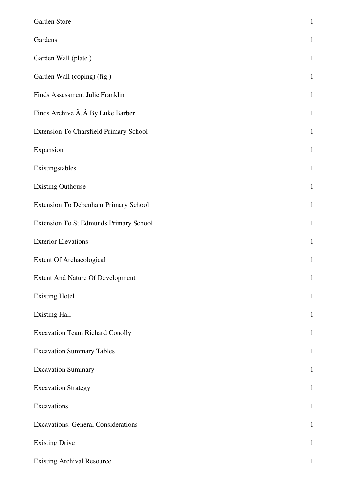| Garden Store                                         | $\mathbf{1}$ |
|------------------------------------------------------|--------------|
| Gardens                                              | $\mathbf{1}$ |
| Garden Wall (plate)                                  | $\mathbf{1}$ |
| Garden Wall (coping) (fig)                           | $\mathbf{1}$ |
| Finds Assessment Julie Franklin                      | $\mathbf{1}$ |
| Finds Archive $\tilde{A}$ , $\hat{A}$ By Luke Barber | $\mathbf{1}$ |
| <b>Extension To Charsfield Primary School</b>        | $\mathbf{1}$ |
| Expansion                                            | $\mathbf{1}$ |
| Existingstables                                      | $\mathbf{1}$ |
| <b>Existing Outhouse</b>                             | $\mathbf{1}$ |
| Extension To Debenham Primary School                 | $\mathbf{1}$ |
| Extension To St Edmunds Primary School               | $\mathbf{1}$ |
| <b>Exterior Elevations</b>                           | $\mathbf{1}$ |
| <b>Extent Of Archaeological</b>                      | $\mathbf{1}$ |
| <b>Extent And Nature Of Development</b>              | $\mathbf{1}$ |
| <b>Existing Hotel</b>                                | $\mathbf{1}$ |
| <b>Existing Hall</b>                                 | $\mathbf{1}$ |
| <b>Excavation Team Richard Conolly</b>               | $\mathbf{1}$ |
| <b>Excavation Summary Tables</b>                     | $\mathbf{1}$ |
| <b>Excavation Summary</b>                            | $\mathbf{1}$ |
| <b>Excavation Strategy</b>                           | $\mathbf{1}$ |
| Excavations                                          | $\mathbf{1}$ |
| <b>Excavations: General Considerations</b>           | $\mathbf{1}$ |
| <b>Existing Drive</b>                                | $\mathbf{1}$ |
| <b>Existing Archival Resource</b>                    | 1            |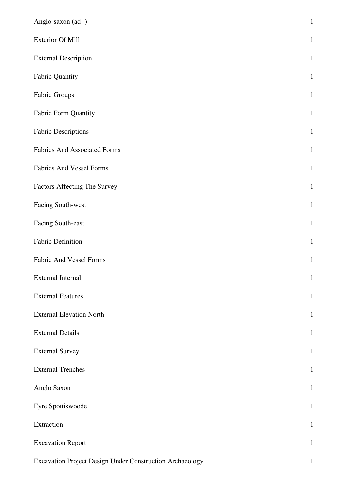| Anglo-saxon (ad -)                                       | $\mathbf 1$  |
|----------------------------------------------------------|--------------|
| <b>Exterior Of Mill</b>                                  | $\mathbf{1}$ |
| <b>External Description</b>                              | $1\,$        |
| <b>Fabric Quantity</b>                                   | $1\,$        |
| Fabric Groups                                            | $\mathbf 1$  |
| Fabric Form Quantity                                     | $1\,$        |
| <b>Fabric Descriptions</b>                               | $\mathbf{1}$ |
| <b>Fabrics And Associated Forms</b>                      | $\mathbf 1$  |
| <b>Fabrics And Vessel Forms</b>                          | $\,1\,$      |
| Factors Affecting The Survey                             | $\mathbf{1}$ |
| Facing South-west                                        | $\mathbf{1}$ |
| Facing South-east                                        | $1\,$        |
| Fabric Definition                                        | $\mathbf 1$  |
| <b>Fabric And Vessel Forms</b>                           | $\mathbf{1}$ |
| External Internal                                        | $\mathbf{1}$ |
| <b>External Features</b>                                 | $\mathbf{1}$ |
| <b>External Elevation North</b>                          | $\mathbf{1}$ |
| <b>External Details</b>                                  | $\mathbf{1}$ |
| <b>External Survey</b>                                   | $\mathbf{1}$ |
| <b>External Trenches</b>                                 | $\mathbf{1}$ |
| Anglo Saxon                                              | $\mathbf 1$  |
| Eyre Spottiswoode                                        | $\mathbf{1}$ |
| Extraction                                               | $\mathbf{1}$ |
| <b>Excavation Report</b>                                 | $\mathbf{1}$ |
| Excavation Project Design Under Construction Archaeology | $\mathbf{1}$ |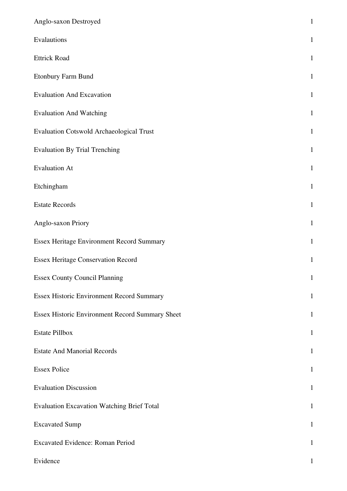| Anglo-saxon Destroyed                             | $\mathbf{1}$ |
|---------------------------------------------------|--------------|
| Evalautions                                       | $\mathbf{1}$ |
| <b>Ettrick Road</b>                               | $\mathbf{1}$ |
| Etonbury Farm Bund                                | $\mathbf{1}$ |
| <b>Evaluation And Excavation</b>                  | $\mathbf{1}$ |
| <b>Evaluation And Watching</b>                    | $\mathbf{1}$ |
| <b>Evaluation Cotswold Archaeological Trust</b>   | $\mathbf{1}$ |
| <b>Evaluation By Trial Trenching</b>              | $\mathbf{1}$ |
| <b>Evaluation At</b>                              | $\mathbf{1}$ |
| Etchingham                                        | $\mathbf{1}$ |
| <b>Estate Records</b>                             | $\mathbf{1}$ |
| Anglo-saxon Priory                                | $\mathbf{1}$ |
| Essex Heritage Environment Record Summary         | $\mathbf{1}$ |
| <b>Essex Heritage Conservation Record</b>         | $\mathbf{1}$ |
| <b>Essex County Council Planning</b>              | $\mathbf{1}$ |
| Essex Historic Environment Record Summary         | $\mathbf 1$  |
| Essex Historic Environment Record Summary Sheet   | $\mathbf{1}$ |
| <b>Estate Pillbox</b>                             | $\mathbf{1}$ |
| <b>Estate And Manorial Records</b>                | $\mathbf{1}$ |
| <b>Essex Police</b>                               | $\mathbf{1}$ |
| <b>Evaluation Discussion</b>                      | $\mathbf{1}$ |
| <b>Evaluation Excavation Watching Brief Total</b> | $\mathbf{1}$ |
| <b>Excavated Sump</b>                             | $\mathbf{1}$ |
| <b>Excavated Evidence: Roman Period</b>           | $\mathbf{1}$ |
| Evidence                                          | 1            |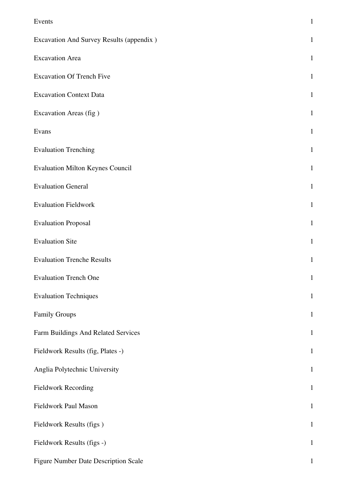| Events                                   | $\mathbf{1}$ |
|------------------------------------------|--------------|
| Excavation And Survey Results (appendix) | $\mathbf{1}$ |
| <b>Excavation Area</b>                   | $\mathbf{1}$ |
| <b>Excavation Of Trench Five</b>         | $\mathbf{1}$ |
| <b>Excavation Context Data</b>           | $\mathbf{1}$ |
| Excavation Areas (fig)                   | $\mathbf{1}$ |
| Evans                                    | $\mathbf{1}$ |
| <b>Evaluation Trenching</b>              | $\mathbf{1}$ |
| <b>Evaluation Milton Keynes Council</b>  | $\mathbf{1}$ |
| <b>Evaluation General</b>                | $\mathbf{1}$ |
| <b>Evaluation Fieldwork</b>              | $\mathbf{1}$ |
| <b>Evaluation Proposal</b>               | $\mathbf{1}$ |
| <b>Evaluation Site</b>                   | 1            |
| <b>Evaluation Trenche Results</b>        | $\mathbf{1}$ |
| <b>Evaluation Trench One</b>             | $\mathbf{1}$ |
| <b>Evaluation Techniques</b>             | $\mathbf{1}$ |
| <b>Family Groups</b>                     | $\mathbf{1}$ |
| Farm Buildings And Related Services      | $\mathbf{1}$ |
| Fieldwork Results (fig, Plates -)        | $\mathbf{1}$ |
| Anglia Polytechnic University            | $\mathbf{1}$ |
| <b>Fieldwork Recording</b>               | $\mathbf{1}$ |
| Fieldwork Paul Mason                     | $\mathbf{1}$ |
| Fieldwork Results (figs)                 | $\mathbf{1}$ |
| Fieldwork Results (figs -)               | $\mathbf{1}$ |
| Figure Number Date Description Scale     | $\mathbf{1}$ |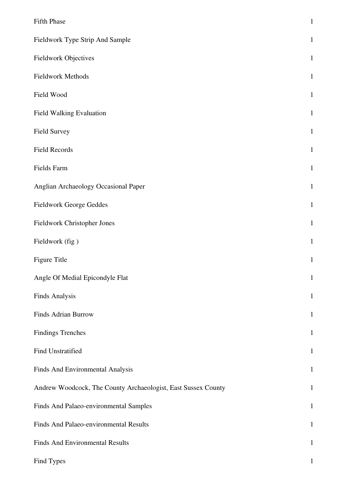| <b>Fifth Phase</b>                                            | $\,1\,$      |
|---------------------------------------------------------------|--------------|
| Fieldwork Type Strip And Sample                               | $\mathbf{1}$ |
| Fieldwork Objectives                                          | $\mathbf{1}$ |
| Fieldwork Methods                                             | $\mathbf{1}$ |
| Field Wood                                                    | $\mathbf{1}$ |
| <b>Field Walking Evaluation</b>                               | $\mathbf{1}$ |
| Field Survey                                                  | $\mathbf{1}$ |
| Field Records                                                 | $\mathbf{1}$ |
| Fields Farm                                                   | $\mathbf{1}$ |
| Anglian Archaeology Occasional Paper                          | $\mathbf{1}$ |
| Fieldwork George Geddes                                       | $\mathbf{1}$ |
| Fieldwork Christopher Jones                                   | $\mathbf{1}$ |
| Fieldwork (fig)                                               | $\mathbf{1}$ |
| Figure Title                                                  | $\mathbf{1}$ |
| Angle Of Medial Epicondyle Flat                               | $\mathbf{1}$ |
| <b>Finds Analysis</b>                                         | $\mathbf{1}$ |
| <b>Finds Adrian Burrow</b>                                    | $\mathbf{1}$ |
| <b>Findings Trenches</b>                                      | $\mathbf{1}$ |
| Find Unstratified                                             | $\mathbf{1}$ |
| Finds And Environmental Analysis                              | $\mathbf{1}$ |
| Andrew Woodcock, The County Archaeologist, East Sussex County | $\mathbf{1}$ |
| Finds And Palaeo-environmental Samples                        | $\mathbf{1}$ |
| Finds And Palaeo-environmental Results                        | $\mathbf{1}$ |
| Finds And Environmental Results                               | $\mathbf{1}$ |
| Find Types                                                    | $\mathbf{1}$ |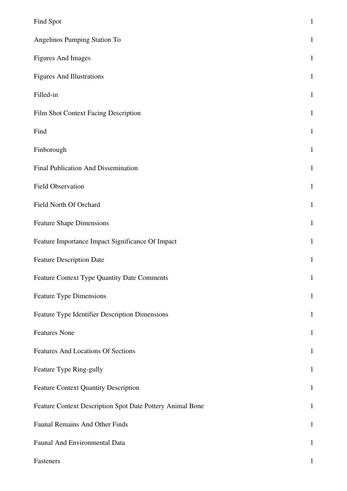| Find Spot                                                 | $\mathbf{1}$ |
|-----------------------------------------------------------|--------------|
| Angelinos Pumping Station To                              | $\mathbf{1}$ |
| <b>Figures And Images</b>                                 | $\mathbf{1}$ |
| <b>Figures And Illustrations</b>                          | $\mathbf{1}$ |
| Filled-in                                                 | $\mathbf{1}$ |
| Film Shot Context Facing Description                      | $\mathbf{1}$ |
| Find                                                      | $\mathbf{1}$ |
| Finborough                                                | $\mathbf{1}$ |
| Final Publication And Dissemination                       | $\mathbf{1}$ |
| Field Observation                                         | $\mathbf{1}$ |
| Field North Of Orchard                                    | $\mathbf{1}$ |
| <b>Feature Shape Dimensions</b>                           | $\mathbf{1}$ |
| Feature Importance Impact Significance Of Impact          | $\mathbf{1}$ |
| <b>Feature Description Date</b>                           | $\mathbf{1}$ |
| Feature Context Type Quantity Date Comments               | $\mathbf{1}$ |
| <b>Feature Type Dimensions</b>                            | $\mathbf{1}$ |
| Feature Type Identifier Description Dimensions            | $\mathbf{1}$ |
| <b>Features None</b>                                      | $\mathbf{1}$ |
| <b>Features And Locations Of Sections</b>                 | $\mathbf{1}$ |
| Feature Type Ring-gully                                   | $\mathbf{1}$ |
| <b>Feature Context Quantity Description</b>               | $\mathbf{1}$ |
| Feature Context Description Spot Date Pottery Animal Bone | $\mathbf{1}$ |
| <b>Faunal Remains And Other Finds</b>                     | $\mathbf{1}$ |
| Faunal And Environmental Data                             | $\mathbf{1}$ |
| Fasteners                                                 |              |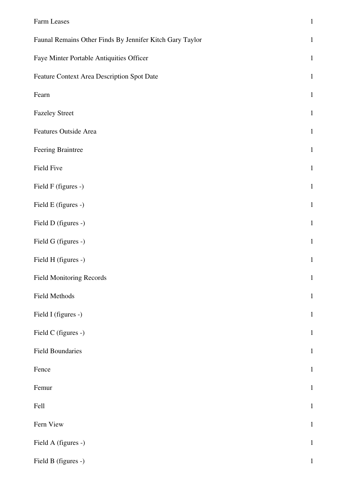| Farm Leases                                              | $\,1\,$      |
|----------------------------------------------------------|--------------|
| Faunal Remains Other Finds By Jennifer Kitch Gary Taylor | $\mathbf{1}$ |
| Faye Minter Portable Antiquities Officer                 | $\mathbf{1}$ |
| Feature Context Area Description Spot Date               | $\mathbf{1}$ |
| Fearn                                                    | $\mathbf{1}$ |
| <b>Fazeley Street</b>                                    | $\mathbf{1}$ |
| Features Outside Area                                    | $\mathbf{1}$ |
| Feering Braintree                                        | $\mathbf{1}$ |
| Field Five                                               | $\mathbf{1}$ |
| Field F (figures -)                                      | $\mathbf{1}$ |
| Field E (figures -)                                      | $\mathbf{1}$ |
| Field D (figures -)                                      | $\mathbf{1}$ |
| Field G (figures -)                                      | $\mathbf{1}$ |
| Field H (figures -)                                      | $\mathbf 1$  |
| <b>Field Monitoring Records</b>                          | $\mathbf{1}$ |
| Field Methods                                            | $\mathbf{1}$ |
| Field I (figures -)                                      | $\mathbf{1}$ |
| Field C (figures -)                                      | $\mathbf{1}$ |
| <b>Field Boundaries</b>                                  | $\mathbf{1}$ |
| Fence                                                    | $\mathbf{1}$ |
| Femur                                                    | $\mathbf{1}$ |
| Fell                                                     | $\mathbf{1}$ |
| Fern View                                                | $\mathbf{1}$ |
| Field A (figures -)                                      | $\mathbf{1}$ |
| Field B (figures -)                                      | $\mathbf{1}$ |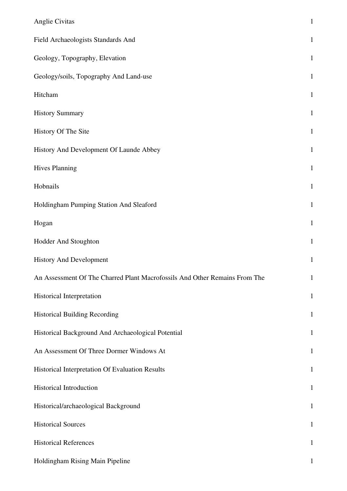| Anglie Civitas                                                             | $\mathbf{1}$ |
|----------------------------------------------------------------------------|--------------|
| Field Archaeologists Standards And                                         | $\mathbf{1}$ |
| Geology, Topography, Elevation                                             | $\mathbf{1}$ |
| Geology/soils, Topography And Land-use                                     | $\mathbf{1}$ |
| Hitcham                                                                    | $\mathbf{1}$ |
| <b>History Summary</b>                                                     | $\mathbf{1}$ |
| History Of The Site                                                        | $\mathbf{1}$ |
| History And Development Of Launde Abbey                                    | $\mathbf{1}$ |
| <b>Hives Planning</b>                                                      | $\mathbf{1}$ |
| Hobnails                                                                   | $\mathbf{1}$ |
| Holdingham Pumping Station And Sleaford                                    | $\mathbf{1}$ |
| Hogan                                                                      | $\mathbf{1}$ |
| Hodder And Stoughton                                                       | $\mathbf{1}$ |
| <b>History And Development</b>                                             | $\mathbf{1}$ |
| An Assessment Of The Charred Plant Macrofossils And Other Remains From The | $\mathbf{1}$ |
| Historical Interpretation                                                  | $\mathbf{1}$ |
| <b>Historical Building Recording</b>                                       | $\mathbf{1}$ |
| Historical Background And Archaeological Potential                         | $\mathbf{1}$ |
| An Assessment Of Three Dormer Windows At                                   | $\mathbf{1}$ |
| Historical Interpretation Of Evaluation Results                            | $\mathbf{1}$ |
| <b>Historical Introduction</b>                                             | $\mathbf{1}$ |
| Historical/archaeological Background                                       | $\mathbf{1}$ |
| <b>Historical Sources</b>                                                  | $\mathbf{1}$ |
| <b>Historical References</b>                                               | $\mathbf{1}$ |
| Holdingham Rising Main Pipeline                                            | $\mathbf{1}$ |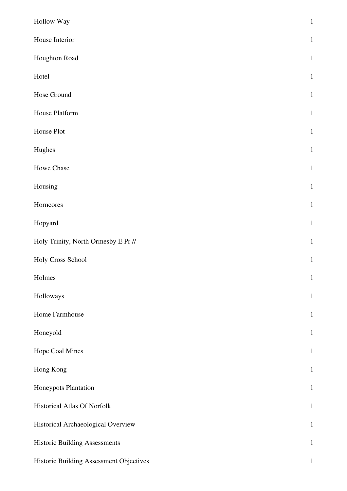| Hollow Way                              | $\,1\,$      |
|-----------------------------------------|--------------|
| House Interior                          | $\mathbf{1}$ |
| Houghton Road                           | $\mathbf{1}$ |
| Hotel                                   | $\mathbf{1}$ |
| Hose Ground                             | $\mathbf{1}$ |
| House Platform                          | $\mathbf{1}$ |
| House Plot                              | $\mathbf{1}$ |
| Hughes                                  | $\mathbf{1}$ |
| Howe Chase                              | $\mathbf{1}$ |
| Housing                                 | $\mathbf{1}$ |
| Horncores                               | $\mathbf{1}$ |
| Hopyard                                 | $\mathbf 1$  |
| Holy Trinity, North Ormesby E Pr //     | $\mathbf{1}$ |
| Holy Cross School                       | $\mathbf{1}$ |
| Holmes                                  | $\mathbf{1}$ |
| Holloways                               | $\mathbf{1}$ |
| Home Farmhouse                          | $\mathbf{1}$ |
| Honeyold                                | $\mathbf{1}$ |
| Hope Coal Mines                         | $\mathbf{1}$ |
| Hong Kong                               | $\mathbf{1}$ |
| Honeypots Plantation                    | $\mathbf{1}$ |
| Historical Atlas Of Norfolk             | $\mathbf{1}$ |
| Historical Archaeological Overview      | $\mathbf{1}$ |
| <b>Historic Building Assessments</b>    | $\mathbf{1}$ |
| Historic Building Assessment Objectives | $\mathbf{1}$ |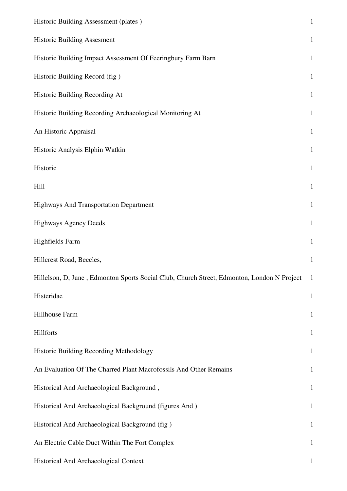| Historic Building Assessment (plates)                                                      | $\mathbf{1}$ |
|--------------------------------------------------------------------------------------------|--------------|
| <b>Historic Building Assesment</b>                                                         | $\mathbf{1}$ |
| Historic Building Impact Assessment Of Feeringbury Farm Barn                               | $\mathbf{1}$ |
| Historic Building Record (fig)                                                             | $\mathbf{1}$ |
| Historic Building Recording At                                                             | $\mathbf{1}$ |
| Historic Building Recording Archaeological Monitoring At                                   | $\mathbf{1}$ |
| An Historic Appraisal                                                                      | $\mathbf{1}$ |
| Historic Analysis Elphin Watkin                                                            | $\mathbf{1}$ |
| Historic                                                                                   | $\mathbf{1}$ |
| Hill                                                                                       | $\mathbf{1}$ |
| Highways And Transportation Department                                                     | $\mathbf{1}$ |
| <b>Highways Agency Deeds</b>                                                               | $\mathbf{1}$ |
| <b>Highfields Farm</b>                                                                     | $\mathbf{1}$ |
| Hillcrest Road, Beccles,                                                                   | $\mathbf{1}$ |
| Hillelson, D, June, Edmonton Sports Social Club, Church Street, Edmonton, London N Project | $\perp$      |
| Histeridae                                                                                 | $\mathbf{1}$ |
| Hillhouse Farm                                                                             | $\mathbf{1}$ |
| Hillforts                                                                                  | $\mathbf{1}$ |
| Historic Building Recording Methodology                                                    | $\mathbf{1}$ |
| An Evaluation Of The Charred Plant Macrofossils And Other Remains                          | $\mathbf{1}$ |
| Historical And Archaeological Background,                                                  | $\mathbf{1}$ |
| Historical And Archaeological Background (figures And)                                     | $\mathbf{1}$ |
| Historical And Archaeological Background (fig)                                             | $\mathbf{1}$ |
| An Electric Cable Duct Within The Fort Complex                                             | $\mathbf{1}$ |
| Historical And Archaeological Context                                                      | $\mathbf 1$  |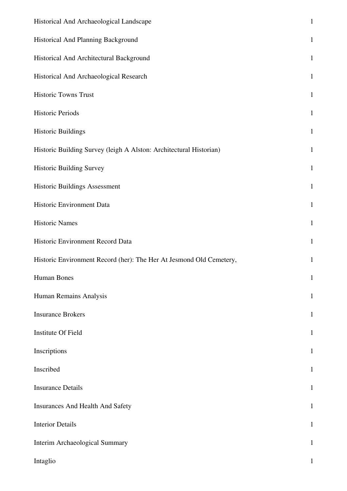| Historical And Archaeological Landscape                             | $\mathbf 1$  |
|---------------------------------------------------------------------|--------------|
| Historical And Planning Background                                  | $\mathbf{1}$ |
| Historical And Architectural Background                             | $\mathbf{1}$ |
| Historical And Archaeological Research                              | $\mathbf{1}$ |
| Historic Towns Trust                                                | $\mathbf{1}$ |
| <b>Historic Periods</b>                                             | $\mathbf{1}$ |
| <b>Historic Buildings</b>                                           | $\mathbf{1}$ |
| Historic Building Survey (leigh A Alston: Architectural Historian)  | $\mathbf{1}$ |
| <b>Historic Building Survey</b>                                     | $\mathbf 1$  |
| Historic Buildings Assessment                                       | $\mathbf{1}$ |
| Historic Environment Data                                           | $\mathbf{1}$ |
| <b>Historic Names</b>                                               | $\mathbf{1}$ |
| Historic Environment Record Data                                    | $\mathbf{1}$ |
| Historic Environment Record (her): The Her At Jesmond Old Cemetery, | $\mathbf{1}$ |
| Human Bones                                                         | $\mathbf{1}$ |
| Human Remains Analysis                                              | $\mathbf 1$  |
| <b>Insurance Brokers</b>                                            | $\mathbf{1}$ |
| Institute Of Field                                                  | $\mathbf{1}$ |
| Inscriptions                                                        | $\mathbf{1}$ |
| Inscribed                                                           | $\mathbf{1}$ |
| <b>Insurance Details</b>                                            | $\mathbf{1}$ |
| <b>Insurances And Health And Safety</b>                             | $\mathbf{1}$ |
| <b>Interior Details</b>                                             | $\mathbf{1}$ |
| Interim Archaeological Summary                                      | $\mathbf{1}$ |
| Intaglio                                                            | 1            |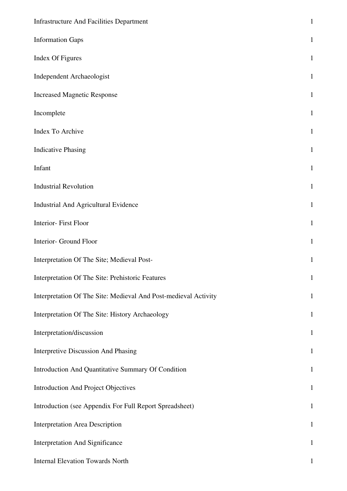| <b>Infrastructure And Facilities Department</b>                 | $\mathbf{1}$ |
|-----------------------------------------------------------------|--------------|
| <b>Information Gaps</b>                                         | $\mathbf{1}$ |
| Index Of Figures                                                | $\mathbf{1}$ |
| <b>Independent Archaeologist</b>                                | $\mathbf{1}$ |
| <b>Increased Magnetic Response</b>                              | $\mathbf{1}$ |
| Incomplete                                                      | $\mathbf{1}$ |
| Index To Archive                                                | $\mathbf{1}$ |
| <b>Indicative Phasing</b>                                       | $\mathbf{1}$ |
| Infant                                                          | $\mathbf{1}$ |
| <b>Industrial Revolution</b>                                    | $\mathbf{1}$ |
| Industrial And Agricultural Evidence                            | $\mathbf{1}$ |
| Interior-First Floor                                            | $\mathbf{1}$ |
| Interior- Ground Floor                                          | $\mathbf{1}$ |
| Interpretation Of The Site; Medieval Post-                      | $\mathbf{1}$ |
| Interpretation Of The Site: Prehistoric Features                | $\mathbf{1}$ |
| Interpretation Of The Site: Medieval And Post-medieval Activity | $\mathbf{1}$ |
| Interpretation Of The Site: History Archaeology                 | $\mathbf{1}$ |
| Interpretation/discussion                                       | $\mathbf{1}$ |
| Interpretive Discussion And Phasing                             | $\mathbf{1}$ |
| Introduction And Quantitative Summary Of Condition              | $\mathbf{1}$ |
| <b>Introduction And Project Objectives</b>                      | $\mathbf{1}$ |
| Introduction (see Appendix For Full Report Spreadsheet)         | $\mathbf{1}$ |
| <b>Interpretation Area Description</b>                          | $\mathbf{1}$ |
| <b>Interpretation And Significance</b>                          | $\mathbf{1}$ |
| <b>Internal Elevation Towards North</b>                         | $\mathbf{1}$ |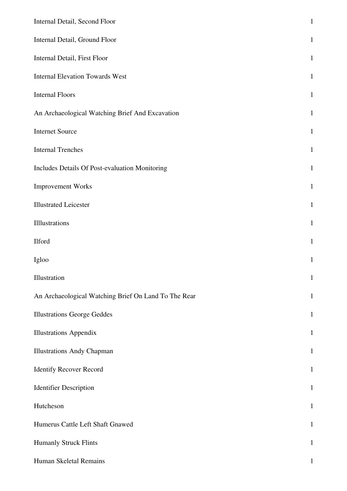| Internal Detail, Second Floor                        | $\mathbf{1}$ |
|------------------------------------------------------|--------------|
| Internal Detail, Ground Floor                        | $\mathbf{1}$ |
| Internal Detail, First Floor                         | $\mathbf{1}$ |
| <b>Internal Elevation Towards West</b>               | $\mathbf{1}$ |
| <b>Internal Floors</b>                               | $\mathbf{1}$ |
| An Archaeological Watching Brief And Excavation      | $\mathbf{1}$ |
| <b>Internet Source</b>                               | $\mathbf{1}$ |
| <b>Internal Trenches</b>                             | $\mathbf{1}$ |
| Includes Details Of Post-evaluation Monitoring       | $\mathbf{1}$ |
| <b>Improvement Works</b>                             | $\mathbf{1}$ |
| <b>Illustrated Leicester</b>                         | $\mathbf{1}$ |
| Illlustrations                                       | $\mathbf{1}$ |
| Ilford                                               | $\mathbf{1}$ |
| Igloo                                                | $\mathbf{1}$ |
| Illustration                                         | $\mathbf{1}$ |
| An Archaeological Watching Brief On Land To The Rear | $\mathbf{1}$ |
| <b>Illustrations George Geddes</b>                   | $\mathbf{1}$ |
| <b>Illustrations Appendix</b>                        | $\mathbf{1}$ |
| <b>Illustrations Andy Chapman</b>                    | $\mathbf{1}$ |
| <b>Identify Recover Record</b>                       | $\mathbf{1}$ |
| <b>Identifier Description</b>                        | $\mathbf{1}$ |
| Hutcheson                                            | $\mathbf{1}$ |
| Humerus Cattle Left Shaft Gnawed                     | $\mathbf{1}$ |
| <b>Humanly Struck Flints</b>                         | $\mathbf{1}$ |
| Human Skeletal Remains                               | $\mathbf{1}$ |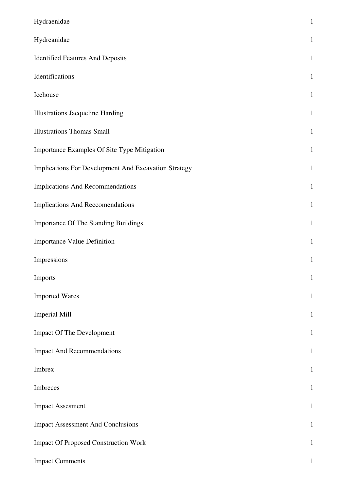| Hydraenidae                                          | $\mathbf{1}$ |
|------------------------------------------------------|--------------|
| Hydreanidae                                          | $\mathbf{1}$ |
| <b>Identified Features And Deposits</b>              | $\mathbf{1}$ |
| Identifications                                      | $\mathbf{1}$ |
| Icehouse                                             | $\mathbf{1}$ |
| <b>Illustrations Jacqueline Harding</b>              | $\mathbf{1}$ |
| <b>Illustrations Thomas Small</b>                    | $\mathbf{1}$ |
| Importance Examples Of Site Type Mitigation          | $\mathbf{1}$ |
| Implications For Development And Excavation Strategy | $\mathbf{1}$ |
| Implications And Recommendations                     | $\mathbf{1}$ |
| Implications And Reccomendations                     | $\mathbf{1}$ |
| <b>Importance Of The Standing Buildings</b>          | $\mathbf{1}$ |
| <b>Importance Value Definition</b>                   | $\mathbf{1}$ |
| Impressions                                          | $\mathbf{1}$ |
| Imports                                              | $\mathbf{1}$ |
| <b>Imported Wares</b>                                | $\mathbf{1}$ |
| <b>Imperial Mill</b>                                 | $\mathbf{1}$ |
| <b>Impact Of The Development</b>                     | $\mathbf{1}$ |
| <b>Impact And Recommendations</b>                    | $\mathbf{1}$ |
| Imbrex                                               | $\mathbf{1}$ |
| Imbreces                                             | $\mathbf{1}$ |
| <b>Impact Assesment</b>                              | $\mathbf{1}$ |
| <b>Impact Assessment And Conclusions</b>             | $\mathbf{1}$ |
| <b>Impact Of Proposed Construction Work</b>          | $\mathbf{1}$ |
| <b>Impact Comments</b>                               | $\mathbf 1$  |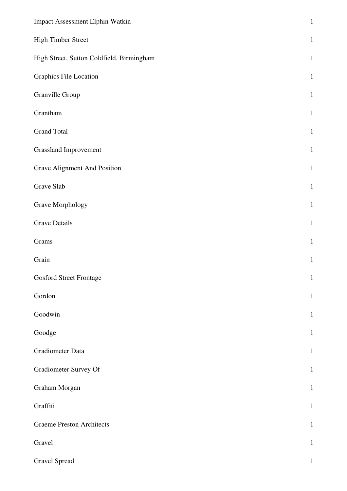| Impact Assessment Elphin Watkin           | $\mathbf{1}$ |
|-------------------------------------------|--------------|
| <b>High Timber Street</b>                 | $\mathbf{1}$ |
| High Street, Sutton Coldfield, Birmingham | $\mathbf{1}$ |
| Graphics File Location                    | $\mathbf{1}$ |
| Granville Group                           | $\mathbf{1}$ |
| Grantham                                  | $\mathbf{1}$ |
| <b>Grand Total</b>                        | $\mathbf{1}$ |
| <b>Grassland Improvement</b>              | $\mathbf{1}$ |
| <b>Grave Alignment And Position</b>       | $\mathbf{1}$ |
| Grave Slab                                | $\mathbf{1}$ |
| Grave Morphology                          | $\mathbf{1}$ |
| <b>Grave Details</b>                      | $\mathbf{1}$ |
| Grams                                     | $\mathbf{1}$ |
| Grain                                     | $\mathbf{1}$ |
| <b>Gosford Street Frontage</b>            | $\mathbf{1}$ |
| Gordon                                    | $\mathbf{1}$ |
| Goodwin                                   | $\mathbf{1}$ |
| Goodge                                    | $\mathbf{1}$ |
| Gradiometer Data                          | $\mathbf{1}$ |
| Gradiometer Survey Of                     | $\mathbf{1}$ |
| Graham Morgan                             | $\mathbf{1}$ |
| Graffiti                                  | $\mathbf{1}$ |
| <b>Graeme Preston Architects</b>          | $\mathbf{1}$ |
| Gravel                                    | $\mathbf{1}$ |
| <b>Gravel Spread</b>                      | $\mathbf{1}$ |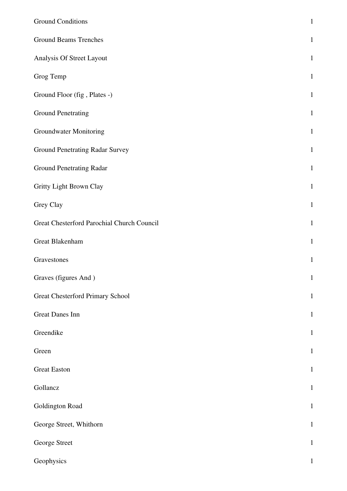| <b>Ground Conditions</b>                   | $\mathbf{1}$ |
|--------------------------------------------|--------------|
| <b>Ground Beams Trenches</b>               | $\mathbf{1}$ |
| Analysis Of Street Layout                  | $\mathbf{1}$ |
| Grog Temp                                  | $\mathbf{1}$ |
| Ground Floor (fig, Plates -)               | $\mathbf{1}$ |
| <b>Ground Penetrating</b>                  | $\mathbf{1}$ |
| <b>Groundwater Monitoring</b>              | $\mathbf{1}$ |
| <b>Ground Penetrating Radar Survey</b>     | $\mathbf{1}$ |
| <b>Ground Penetrating Radar</b>            | $\mathbf{1}$ |
| Gritty Light Brown Clay                    | $\mathbf{1}$ |
| Grey Clay                                  | $\mathbf{1}$ |
| Great Chesterford Parochial Church Council | $\mathbf{1}$ |
| Great Blakenham                            | $\mathbf{1}$ |
| Gravestones                                | $\mathbf{1}$ |
| Graves (figures And)                       | $\mathbf{1}$ |
| <b>Great Chesterford Primary School</b>    | $\mathbf{1}$ |
| <b>Great Danes Inn</b>                     | $\mathbf{1}$ |
| Greendike                                  | $\mathbf{1}$ |
| Green                                      | $\mathbf{1}$ |
| <b>Great Easton</b>                        | $\mathbf{1}$ |
| Gollancz                                   | $\mathbf{1}$ |
| Goldington Road                            | $\mathbf{1}$ |
| George Street, Whithorn                    | $\mathbf{1}$ |
| George Street                              | $\mathbf{1}$ |
| Geophysics                                 | $\mathbf{1}$ |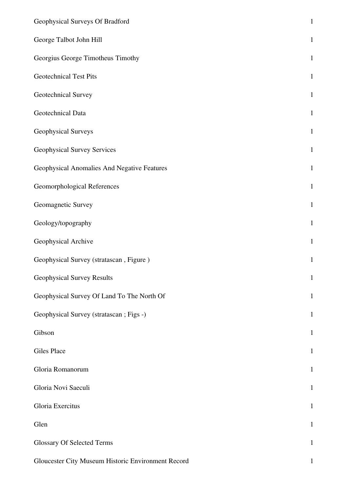| Geophysical Surveys Of Bradford                    | $\,1\,$      |
|----------------------------------------------------|--------------|
| George Talbot John Hill                            | $\,1\,$      |
| Georgius George Timotheus Timothy                  | $\mathbf{1}$ |
| <b>Geotechnical Test Pits</b>                      | $\mathbf{1}$ |
| Geotechnical Survey                                | $\mathbf{1}$ |
| Geotechnical Data                                  | $\mathbf 1$  |
| Geophysical Surveys                                | $\mathbf{1}$ |
| <b>Geophysical Survey Services</b>                 | $\mathbf{1}$ |
| Geophysical Anomalies And Negative Features        | $1\,$        |
| Geomorphological References                        | $\mathbf 1$  |
| Geomagnetic Survey                                 | $\mathbf{1}$ |
| Geology/topography                                 | $1\,$        |
| Geophysical Archive                                | $\mathbf{1}$ |
| Geophysical Survey (stratascan, Figure)            | $\mathbf{1}$ |
| Geophysical Survey Results                         | $\mathbf 1$  |
| Geophysical Survey Of Land To The North Of         | $\mathbf{1}$ |
| Geophysical Survey (stratascan ; Figs -)           | $\mathbf{1}$ |
| Gibson                                             | $\mathbf{1}$ |
| <b>Giles Place</b>                                 | $\mathbf{1}$ |
| Gloria Romanorum                                   | $\mathbf{1}$ |
| Gloria Novi Saeculi                                | $\mathbf{1}$ |
| Gloria Exercitus                                   | $\mathbf{1}$ |
| Glen                                               | $\mathbf{1}$ |
| <b>Glossary Of Selected Terms</b>                  | $\mathbf{1}$ |
| Gloucester City Museum Historic Environment Record | $\mathbf{1}$ |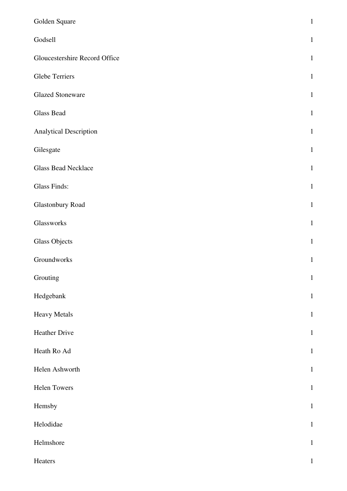| Golden Square                 | $\,1\,$      |
|-------------------------------|--------------|
| Godsell                       | $\mathbf{1}$ |
| Gloucestershire Record Office | $\mathbf{1}$ |
| <b>Glebe Terriers</b>         | $\mathbf{1}$ |
| <b>Glazed Stoneware</b>       | $\mathbf{1}$ |
| <b>Glass Bead</b>             | $\mathbf{1}$ |
| Analytical Description        | $\mathbf{1}$ |
| Gilesgate                     | $\mathbf{1}$ |
| <b>Glass Bead Necklace</b>    | $\mathbf{1}$ |
| <b>Glass Finds:</b>           | $\mathbf{1}$ |
| Glastonbury Road              | $\mathbf{1}$ |
| Glassworks                    | $\mathbf{1}$ |
| <b>Glass Objects</b>          | $\mathbf{1}$ |
| Groundworks                   | $\mathbf 1$  |
| Grouting                      | $\mathbf{1}$ |
| Hedgebank                     | $\mathbf{1}$ |
| <b>Heavy Metals</b>           | $\mathbf{1}$ |
| Heather Drive                 | $\mathbf{1}$ |
| Heath Ro Ad                   | $\mathbf{1}$ |
| Helen Ashworth                | $\mathbf{1}$ |
| Helen Towers                  | $\mathbf{1}$ |
| Hemsby                        | $\mathbf{1}$ |
| Helodidae                     | $\mathbf{1}$ |
| Helmshore                     | $\mathbf{1}$ |
| Heaters                       | $\,1\,$      |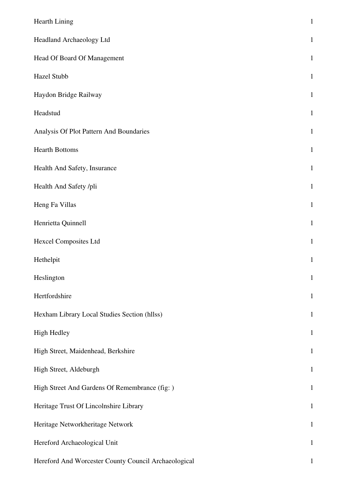| Hearth Lining                                        | $\mathbf{1}$ |
|------------------------------------------------------|--------------|
| Headland Archaeology Ltd                             | $\mathbf{1}$ |
| Head Of Board Of Management                          | $\mathbf{1}$ |
| Hazel Stubb                                          | $\mathbf{1}$ |
| Haydon Bridge Railway                                | $\mathbf{1}$ |
| Headstud                                             | $\mathbf{1}$ |
| Analysis Of Plot Pattern And Boundaries              | $\mathbf{1}$ |
| <b>Hearth Bottoms</b>                                | $\mathbf{1}$ |
| Health And Safety, Insurance                         | $\mathbf{1}$ |
| Health And Safety /pli                               | $\mathbf{1}$ |
| Heng Fa Villas                                       | $\mathbf{1}$ |
| Henrietta Quinnell                                   | $\mathbf{1}$ |
| <b>Hexcel Composites Ltd</b>                         | $\mathbf{1}$ |
| Hethelpit                                            | $\mathbf{1}$ |
| Heslington                                           | $\mathbf{1}$ |
| Hertfordshire                                        | $\mathbf{1}$ |
| Hexham Library Local Studies Section (hllss)         | $\mathbf{1}$ |
| <b>High Hedley</b>                                   | $\mathbf{1}$ |
| High Street, Maidenhead, Berkshire                   | $\mathbf{1}$ |
| High Street, Aldeburgh                               | $\mathbf{1}$ |
| High Street And Gardens Of Remembrance (fig: )       | $\mathbf{1}$ |
| Heritage Trust Of Lincolnshire Library               | $\mathbf{1}$ |
| Heritage Networkheritage Network                     | $\mathbf{1}$ |
| Hereford Archaeological Unit                         | $\mathbf{1}$ |
| Hereford And Worcester County Council Archaeological | $\mathbf{1}$ |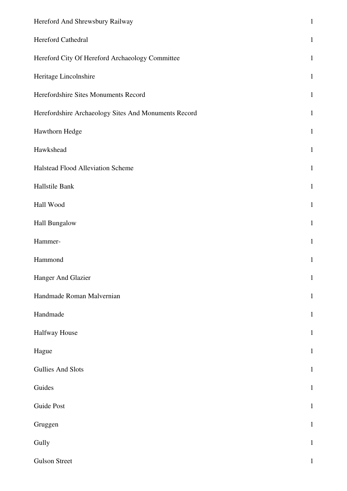| Hereford And Shrewsbury Railway                      | $\,1$        |
|------------------------------------------------------|--------------|
| Hereford Cathedral                                   | $\mathbf{1}$ |
| Hereford City Of Hereford Archaeology Committee      | $\mathbf{1}$ |
| Heritage Lincolnshire                                | $\mathbf{1}$ |
| Herefordshire Sites Monuments Record                 | $\mathbf{1}$ |
| Herefordshire Archaeology Sites And Monuments Record | $\mathbf{1}$ |
| Hawthorn Hedge                                       | $\mathbf{1}$ |
| Hawkshead                                            | $\mathbf{1}$ |
| Halstead Flood Alleviation Scheme                    | $\mathbf{1}$ |
| Hallstile Bank                                       | $\mathbf{1}$ |
| Hall Wood                                            | $\mathbf{1}$ |
| Hall Bungalow                                        | $\mathbf{1}$ |
| Hammer-                                              | $\mathbf{1}$ |
| Hammond                                              | $\mathbf{1}$ |
| Hanger And Glazier                                   | $\mathbf{1}$ |
| Handmade Roman Malvernian                            | $\mathbf{1}$ |
| Handmade                                             | $\mathbf{1}$ |
| <b>Halfway House</b>                                 | $\,1$        |
| Hague                                                | $\mathbf{1}$ |
| <b>Gullies And Slots</b>                             | $\mathbf{1}$ |
| Guides                                               | $\mathbf{1}$ |
| Guide Post                                           | $\mathbf{1}$ |
| Gruggen                                              | $\mathbf{1}$ |
| Gully                                                | $\mathbf{1}$ |
| <b>Gulson Street</b>                                 | $\mathbf{1}$ |